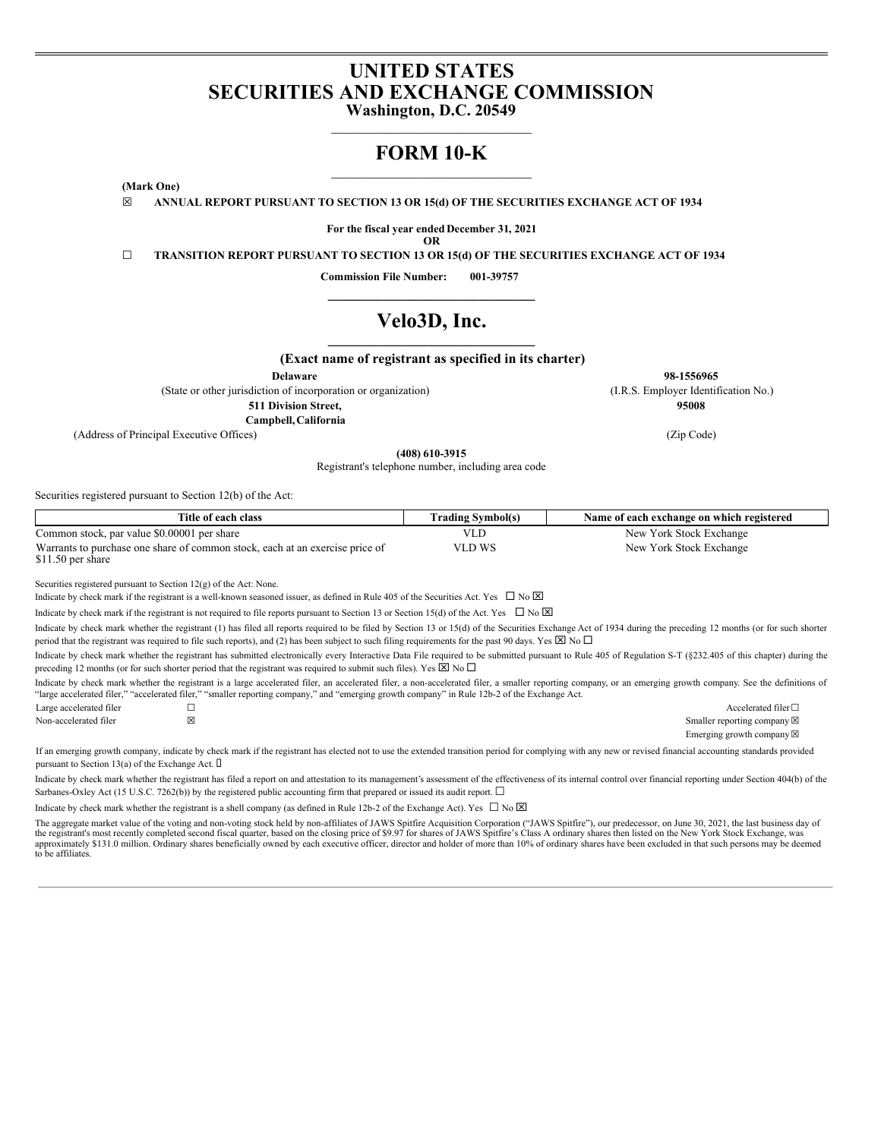# **UNITED STATES SECURITIES AND EXCHANGE COMMISSION**

**Washington, D.C. 20549** \_\_\_\_\_\_\_\_\_\_\_\_\_\_\_\_\_\_\_\_\_\_\_\_\_\_\_\_\_

# **FORM 10-K**

**(Mark One)**

☒ **ANNUAL REPORT PURSUANT TO SECTION 13 OR 15(d) OF THE SECURITIES EXCHANGE ACT OF 1934**

**For the fiscal year ended December 31, 2021 OR**

☐ **TRANSITION REPORT PURSUANT TO SECTION 13 OR 15(d) OF THE SECURITIES EXCHANGE ACT OF 1934**

**Commission File Number: 001-39757**

# **\_\_\_\_\_\_\_\_\_\_\_\_\_\_\_\_\_\_\_\_\_\_\_\_\_\_\_\_\_\_ Velo3D, Inc.**

|                                                                | (Exact name of registrant as specified in its charter) |                                           |
|----------------------------------------------------------------|--------------------------------------------------------|-------------------------------------------|
| <b>Delaware</b>                                                |                                                        | 98-1556965                                |
| (State or other jurisdiction of incorporation or organization) |                                                        | (I.R.S. Employer Identification No.)      |
| 511 Division Street,                                           |                                                        | 95008                                     |
| Campbell, California                                           |                                                        |                                           |
| (Address of Principal Executive Offices)                       |                                                        | (Zip Code)                                |
|                                                                | $(408)$ 610-3915                                       |                                           |
|                                                                | Registrant's telephone number, including area code     |                                           |
|                                                                |                                                        |                                           |
| s registered pursuant to Section 12(b) of the Act:             |                                                        |                                           |
| Title of each class                                            | <b>Trading Symbol(s)</b>                               | Name of each exchange on which registered |

Common stock, par value \$0.00001 per share VLD VLD New York Stock Exchange Warrants to purchase one share of common stock, each at an exercise price of \$11.50 per share VLD WS New York Stock Exchange

Securities registered pursuant to Section 12(g) of the Act: None.

Securitie

Indicate by check mark if the registrant is a well-known seasoned issuer, as defined in Rule 405 of the Securities Act. Yes  $\Box$  No  $\boxtimes$ 

Indicate by check mark if the registrant is not required to file reports pursuant to Section 13 or Section 15(d) of the Act. Yes  $\Box$  No  $\boxtimes$ 

Indicate by check mark whether the registrant (1) has filed all reports required to be filed by Section 13 or 15(d) of the Securities Exchange Act of 1934 during the preceding 12 months (or for such shorter period that the registrant was required to file such reports), and (2) has been subject to such filing requirements for the past 90 days. Yes  $\boxtimes$  No  $\Box$ 

Indicate by check mark whether the registrant has submitted electronically every Interactive Data File required to be submitted pursuant to Rule 405 of Regulation S-T (§232.405 of this chapter) during the preceding 12 months (or for such shorter period that the registrant was required to submit such files). Yes  $\boxtimes$  No  $\Box$ 

Indicate by check mark whether the registrant is a large accelerated filer, an accelerated filer, a non-accelerated filer, a smaller reporting company, or an emerging growth company. See the definitions of "large accelerated filer," "accelerated filer," "smaller reporting company," and "emerging growth company" in Rule 12b-2 of the Exchange Act.

Large accelerated filer ☐ Accelerated filer☐ Non-accelerated filer <br>
Smaller reporting company ⊠<br>
Smaller reporting company ⊠ Emerging growth company  $\boxtimes$ 

If an emerging growth company, indicate by check mark if the registrant has elected not to use the extended transition period for complying with any new or revised financial accounting standards provided pursuant to Section 13(a) of the Exchange Act.  $\Box$ 

Indicate by check mark whether the registrant has filed a report on and attestation to its management's assessment of the effectiveness of its internal control over financial reporting under Section 404(b) of the Sarbanes-Oxley Act (15 U.S.C. 7262(b)) by the registered public accounting firm that prepared or issued its audit report.  $\Box$ 

Indicate by check mark whether the registrant is a shell company (as defined in Rule 12b-2 of the Exchange Act). Yes  $\Box$  No  $\boxtimes$ 

The aggregate market value of the voting and non-voting stock held by non-affiliates of JAWS Spitfire Acquisition Corporation ("JAWS Spitfire"), our predecessor, on June 30, 2021, the last business day of the registrant's most recently completed second fiscal quarter, based on the closing price of \$9.97 for shares of JAWS Spitfire's Class A ordinary shares then listed on the New York Stock Exchange, was<br>approximately \$131.0 to be affiliates.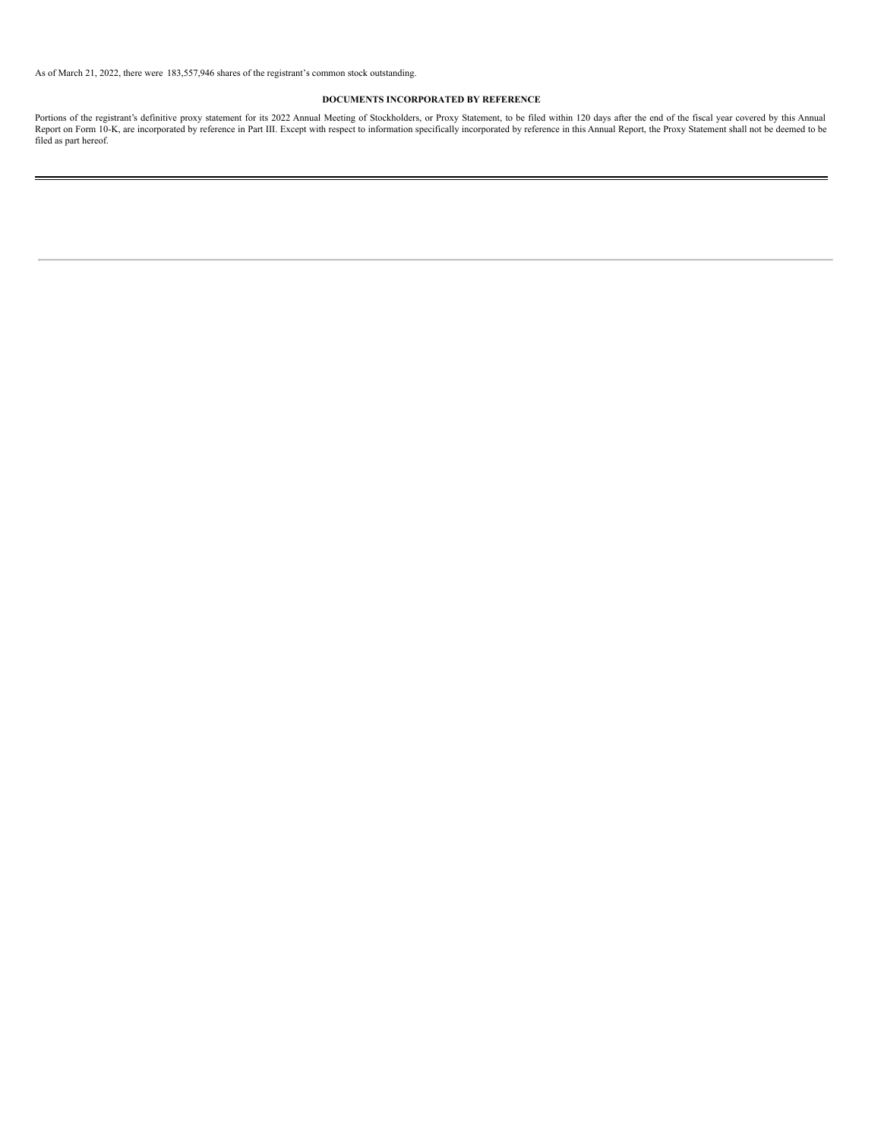As of March 21, 2022, there were 183,557,946 shares of the registrant's common stock outstanding.

## **DOCUMENTS INCORPORATED BY REFERENCE**

Portions of the registrant's definitive proxy statement for its 2022 Annual Meeting of Stockholders, or Proxy Statement, to be filed within 120 days after the end of the fiscal year covered by this Annual Report on Form 10-K, are incorporated by reference in Part III. Except with respect to information specifically incorporated by reference in this Annual Report, the Proxy Statement shall not be deemed to be filed as part h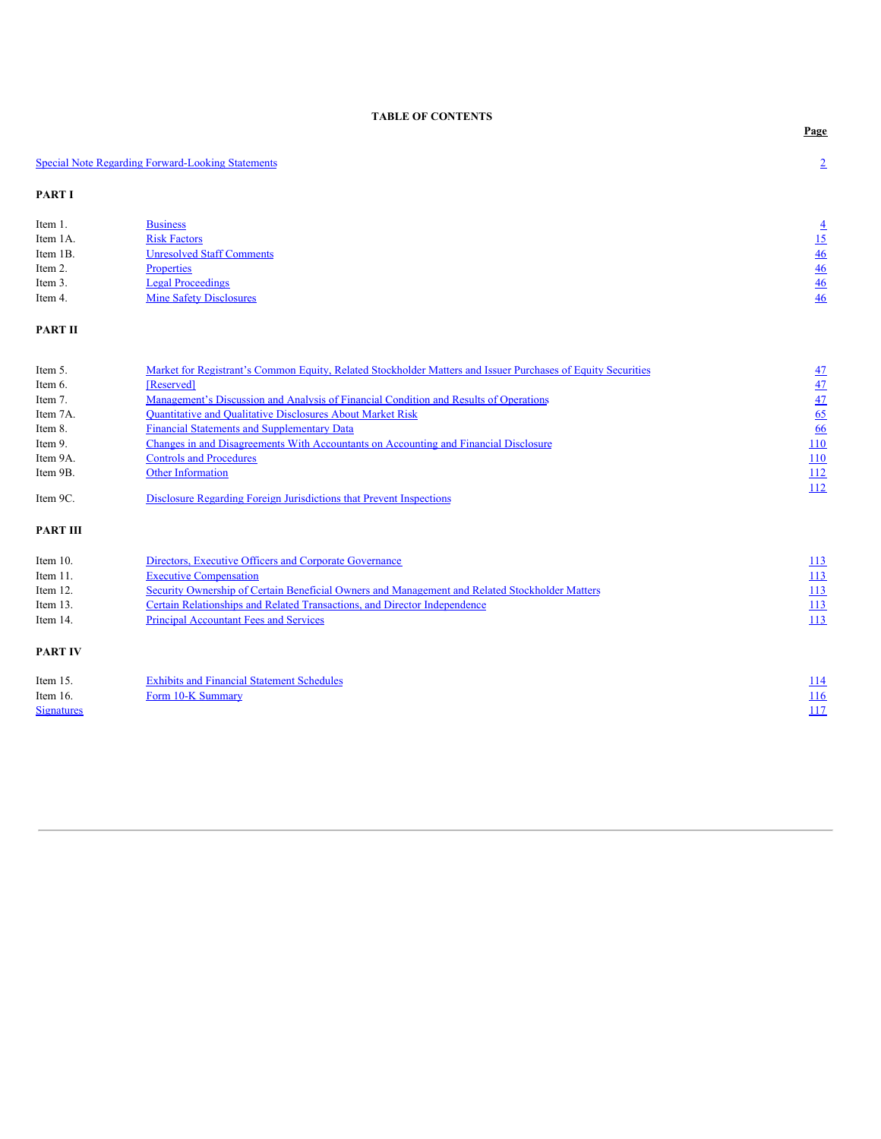## **TABLE OF CONTENTS**

**Page**

## Special Note Regarding [Forward-Looking](#page-4-0) Statements [2](#page-4-0)

**PART I**

| Item 1.  | <b>Business</b>                  |                |
|----------|----------------------------------|----------------|
| Item 1A. | <b>Risk Factors</b>              | 15             |
| Item 1B. | <b>Unresolved Staff Comments</b> | $\frac{46}{5}$ |
| Item 2.  | <b>Properties</b>                | $\frac{46}{5}$ |
| Item 3.  | <b>Legal Proceedings</b>         | $\frac{46}{5}$ |
| Item 4.  | <b>Mine Safety Disclosures</b>   | $\frac{46}{5}$ |

## **PART II**

| Item 5.           | Market for Registrant's Common Equity, Related Stockholder Matters and Issuer Purchases of Equity Securities | $\frac{47}{1}$ |
|-------------------|--------------------------------------------------------------------------------------------------------------|----------------|
| Item 6.           | [Reserved]                                                                                                   | 47             |
| Item 7.           | Management's Discussion and Analysis of Financial Condition and Results of Operations                        | $\frac{47}{1}$ |
| Item 7A.          | <b>Quantitative and Qualitative Disclosures About Market Risk</b>                                            | 65             |
| Item 8.           | <b>Financial Statements and Supplementary Data</b>                                                           | <u>66</u>      |
| Item 9.           | Changes in and Disagreements With Accountants on Accounting and Financial Disclosure                         | 110            |
| Item 9A.          | <b>Controls and Procedures</b>                                                                               | 110            |
| Item 9B.          | <b>Other Information</b>                                                                                     | <u>112</u>     |
|                   |                                                                                                              | 112            |
| Item 9C.          | Disclosure Regarding Foreign Jurisdictions that Prevent Inspections                                          |                |
| <b>PART III</b>   |                                                                                                              |                |
| Item $10$ .       | Directors, Executive Officers and Corporate Governance                                                       | <u>113</u>     |
| Item 11.          | <b>Executive Compensation</b>                                                                                | 113            |
| Item 12.          | Security Ownership of Certain Beneficial Owners and Management and Related Stockholder Matters               | 113            |
| Item 13.          | Certain Relationships and Related Transactions, and Director Independence                                    | 113            |
| Item 14.          | <b>Principal Accountant Fees and Services</b>                                                                | 113            |
| <b>PART IV</b>    |                                                                                                              |                |
| Item 15.          | <b>Exhibits and Financial Statement Schedules</b>                                                            | 114            |
| Item $16$ .       | Form 10-K Summary                                                                                            | <b>116</b>     |
| <b>Signatures</b> |                                                                                                              | 117            |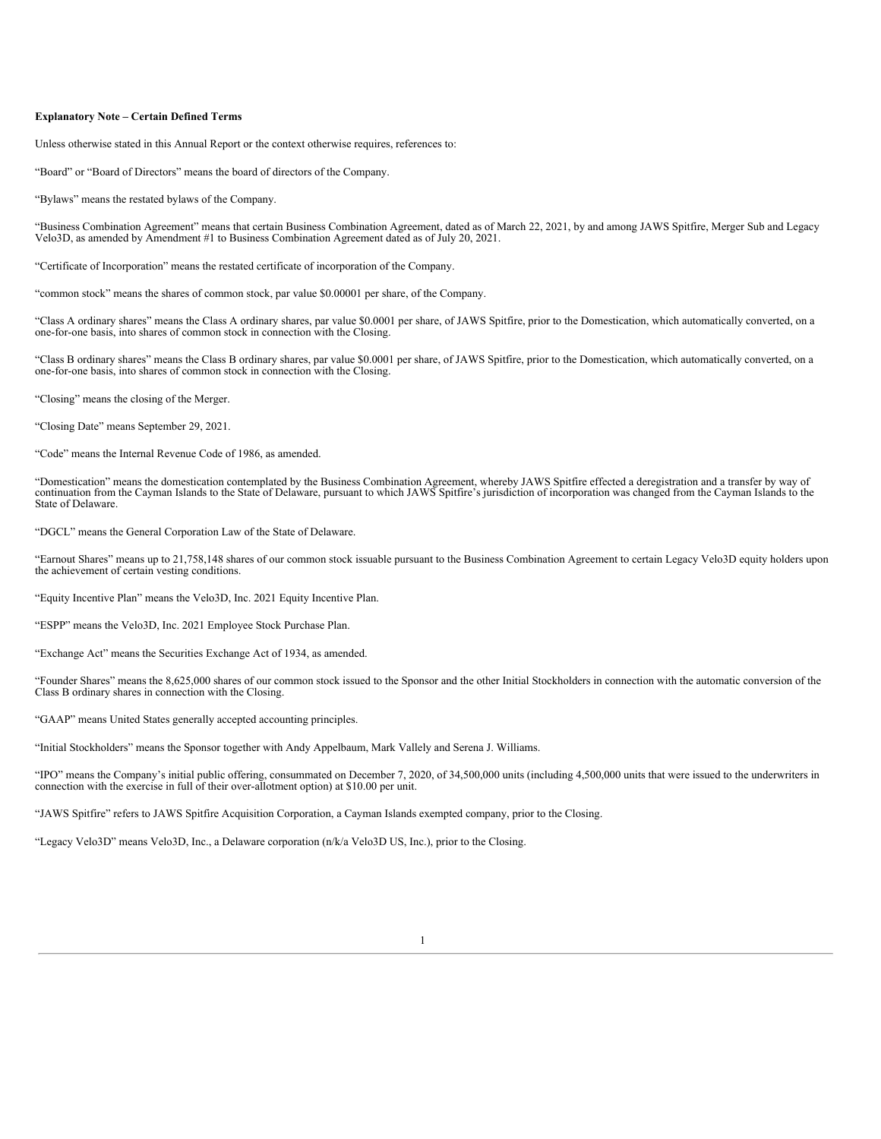## **Explanatory Note – Certain Defined Terms**

Unless otherwise stated in this Annual Report or the context otherwise requires, references to:

"Board" or "Board of Directors" means the board of directors of the Company.

"Bylaws" means the restated bylaws of the Company.

"Business Combination Agreement" means that certain Business Combination Agreement, dated as of March 22, 2021, by and among JAWS Spitfire, Merger Sub and Legacy Velo3D, as amended by Amendment #1 to Business Combination Agreement dated as of July 20, 2021.

"Certificate of Incorporation" means the restated certificate of incorporation of the Company.

"common stock" means the shares of common stock, par value \$0.00001 per share, of the Company.

"Class A ordinary shares" means the Class A ordinary shares, par value \$0.0001 per share, of JAWS Spitfire, prior to the Domestication, which automatically converted, on a one-for-one basis, into shares of common stock in connection with the Closing.

"Class B ordinary shares" means the Class B ordinary shares, par value \$0.0001 per share, of JAWS Spitfire, prior to the Domestication, which automatically converted, on a one-for-one basis, into shares of common stock in connection with the Closing.

"Closing" means the closing of the Merger.

"Closing Date" means September 29, 2021.

"Code" means the Internal Revenue Code of 1986, as amended.

"Domestication" means the domestication contemplated by the Business Combination Agreement, whereby JAWS Spitfire effected a deregistration and a transfer by way of<br>continuation from the Cayman Islands to the State of Dela State of Delaware.

"DGCL" means the General Corporation Law of the State of Delaware.

"Earnout Shares" means up to 21,758,148 shares of our common stock issuable pursuant to the Business Combination Agreement to certain Legacy Velo3D equity holders upon the achievement of certain vesting conditions.

"Equity Incentive Plan" means the Velo3D, Inc. 2021 Equity Incentive Plan.

"ESPP" means the Velo3D, Inc. 2021 Employee Stock Purchase Plan.

"Exchange Act" means the Securities Exchange Act of 1934, as amended.

"Founder Shares" means the 8,625,000 shares of our common stock issued to the Sponsor and the other Initial Stockholders in connection with the automatic conversion of the Class B ordinary shares in connection with the Closing.

"GAAP" means United States generally accepted accounting principles.

"Initial Stockholders" means the Sponsor together with Andy Appelbaum, Mark Vallely and Serena J. Williams.

"IPO" means the Company's initial public offering, consummated on December 7, 2020, of 34,500,000 units (including 4,500,000 units that were issued to the underwriters in connection with the exercise in full of their over-

"JAWS Spitfire" refers to JAWS Spitfire Acquisition Corporation, a Cayman Islands exempted company, prior to the Closing.

"Legacy Velo3D" means Velo3D, Inc., a Delaware corporation (n/k/a Velo3D US, Inc.), prior to the Closing.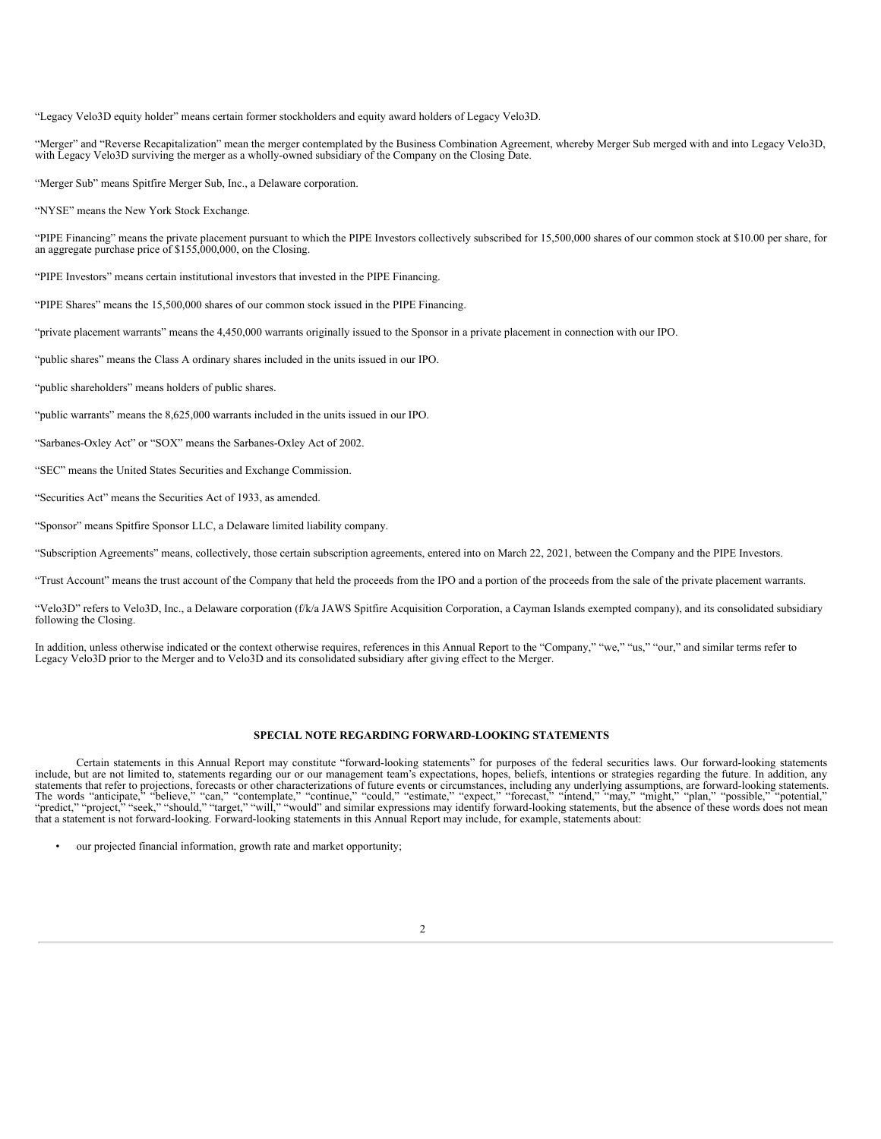"Legacy Velo3D equity holder" means certain former stockholders and equity award holders of Legacy Velo3D.

"Merger" and "Reverse Recapitalization" mean the merger contemplated by the Business Combination Agreement, whereby Merger Sub merged with and into Legacy Velo3D, with Legacy Velo3D surviving the merger as a wholly-owned subsidiary of the Company on the Closing Date.

"Merger Sub" means Spitfire Merger Sub, Inc., a Delaware corporation.

"NYSE" means the New York Stock Exchange.

"PIPE Financing" means the private placement pursuant to which the PIPE Investors collectively subscribed for 15,500,000 shares of our common stock at \$10.00 per share, for an aggregate purchase price of \$155,000,000, on the Closing.

"PIPE Investors" means certain institutional investors that invested in the PIPE Financing.

"PIPE Shares" means the 15,500,000 shares of our common stock issued in the PIPE Financing.

"private placement warrants" means the 4,450,000 warrants originally issued to the Sponsor in a private placement in connection with our IPO.

"public shares" means the Class A ordinary shares included in the units issued in our IPO.

"public shareholders" means holders of public shares.

"public warrants" means the 8,625,000 warrants included in the units issued in our IPO.

"Sarbanes-Oxley Act" or "SOX" means the Sarbanes-Oxley Act of 2002.

"SEC" means the United States Securities and Exchange Commission.

"Securities Act" means the Securities Act of 1933, as amended.

"Sponsor" means Spitfire Sponsor LLC, a Delaware limited liability company.

"Subscription Agreements" means, collectively, those certain subscription agreements, entered into on March 22, 2021, between the Company and the PIPE Investors.

"Trust Account" means the trust account of the Company that held the proceeds from the IPO and a portion of the proceeds from the sale of the private placement warrants.

"Velo3D" refers to Velo3D, Inc., a Delaware corporation (f/k/a JAWS Spitfire Acquisition Corporation, a Cayman Islands exempted company), and its consolidated subsidiary following the Closing.

<span id="page-4-0"></span>In addition, unless otherwise indicated or the context otherwise requires, references in this Annual Report to the "Company," "we," "us," "our," and similar terms refer to Legacy Velo3D prior to the Merger and to Velo3D and its consolidated subsidiary after giving effect to the Merger.

#### **SPECIAL NOTE REGARDING FORWARD-LOOKING STATEMENTS**

Certain statements in this Annual Report may constitute "forward-looking statements" for purposes of the federal securities laws. Our forward-looking statements include, but are not limited to, statements regarding our or our management team's expectations, hopes, beliefs, intentions or strategies regarding the future. In addition, any statements that refer to projections, forecasts or other characterizations of future events or circumstances, including any underlying assumptions, are forward-looking statements.<br>The words "anticipate," "believe," "can," that a statement is not forward-looking. Forward-looking statements in this Annual Report may include, for example, statements about:

our projected financial information, growth rate and market opportunity;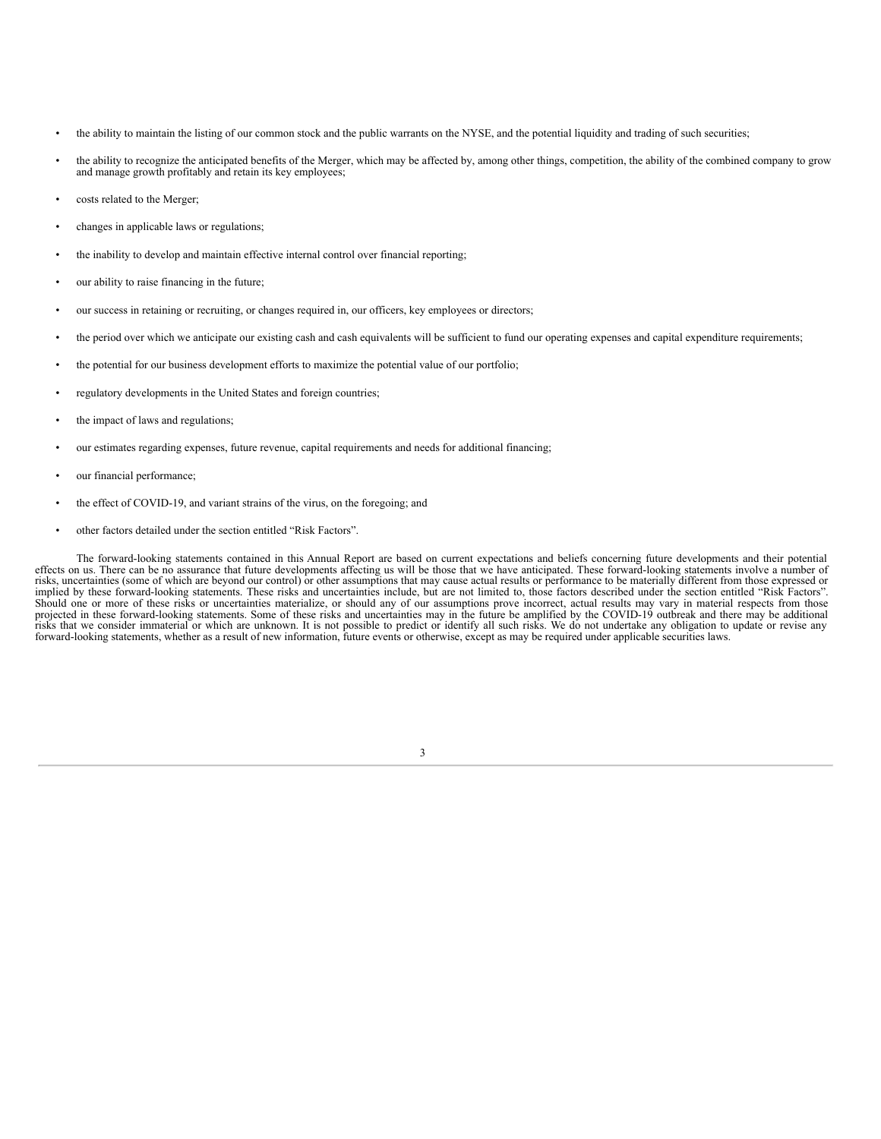- the ability to maintain the listing of our common stock and the public warrants on the NYSE, and the potential liquidity and trading of such securities;
- the ability to recognize the anticipated benefits of the Merger, which may be affected by, among other things, competition, the ability of the combined company to grow and manage growth profitably and retain its key employees;
- costs related to the Merger;
- changes in applicable laws or regulations;
- the inability to develop and maintain effective internal control over financial reporting;
- our ability to raise financing in the future;
- our success in retaining or recruiting, or changes required in, our officers, key employees or directors;
- the period over which we anticipate our existing cash and cash equivalents will be sufficient to fund our operating expenses and capital expenditure requirements;
- the potential for our business development efforts to maximize the potential value of our portfolio;
- regulatory developments in the United States and foreign countries;
- the impact of laws and regulations;
- our estimates regarding expenses, future revenue, capital requirements and needs for additional financing;
- our financial performance:
- the effect of COVID-19, and variant strains of the virus, on the foregoing; and
- other factors detailed under the section entitled "Risk Factors".

The forward-looking statements contained in this Annual Report are based on current expectations and beliefs concerning future developments and their potential effects on us. There can be no assurance that future developments affecting us will be those that we have anticipated. These forward-looking statements involve a number of risks, uncertainties (some of which are beyond our control) or other assumptions that may cause actual results or performance to be materially different from those expressed or implied by these forward-looking statements. These risks and uncertainties include, but are not limited to, those factors described under the section entitled "Risk Factors". Should one or more of these risks or uncertainties materialize, or should any of our assumptions prove incorrect, actual results may vary in material respects from those projected in these forward-looking statements. Some of these risks and uncertainties may in the future be amplified by the COVID-19 outbreak and there may be additional risks that we consider immaterial or which are unknown. It is not possible to predict or identify all such risks. We do not undertake any obligation to update or revise any forward-looking statements, whether as a result of new information, future events or otherwise, except as may be required under applicable securities laws.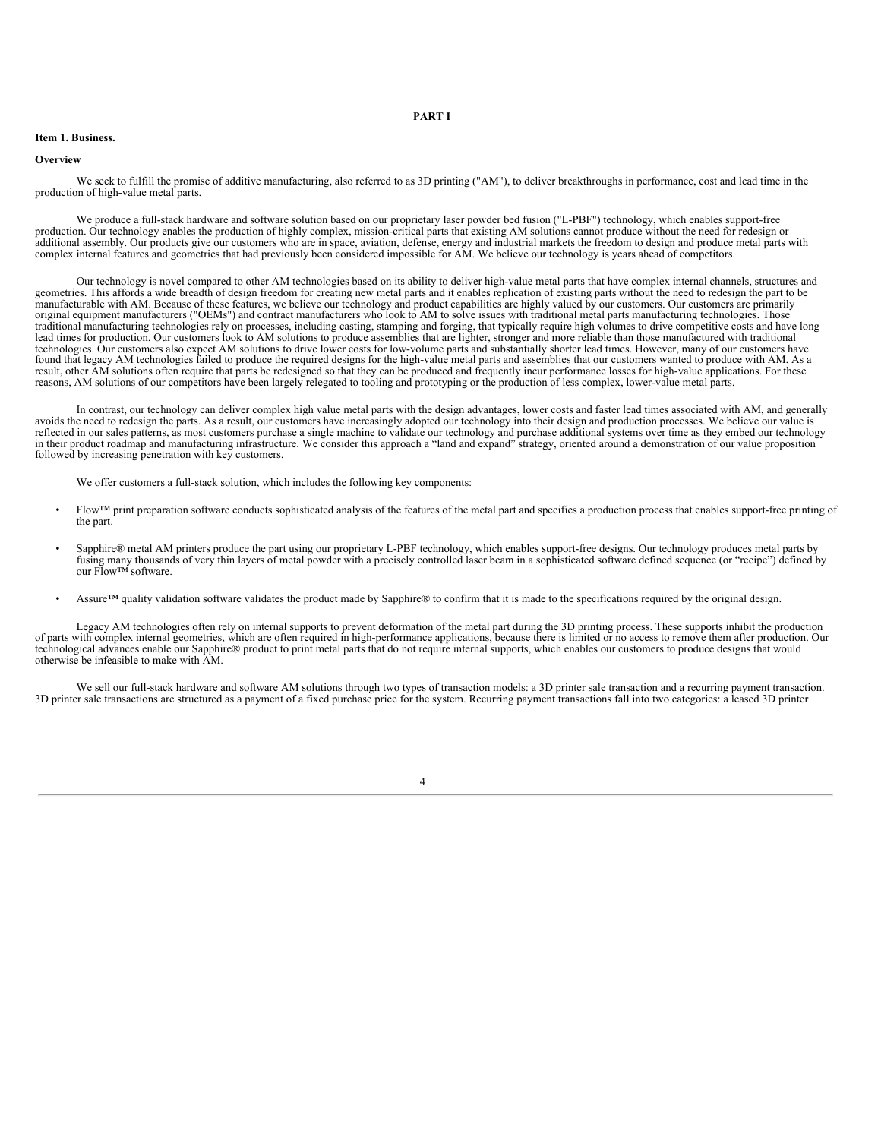#### **PART I**

#### <span id="page-6-0"></span>**Item 1. Business.**

## **Overview**

We seek to fulfill the promise of additive manufacturing, also referred to as 3D printing ("AM"), to deliver breakthroughs in performance, cost and lead time in the production of high-value metal parts.

We produce a full-stack hardware and software solution based on our proprietary laser powder bed fusion ("L-PBF") technology, which enables support-free production. Our technology enables the production of highly complex, mission-critical parts that existing AM solutions cannot produce without the need for redesign or additional assembly. Our products give our customers who are in space, aviation, defense, energy and industrial markets the freedom to design and produce metal parts with complex internal features and geometries that had previously been considered impossible for AM. We believe our technology is years ahead of competitors.

Our technology is novel compared to other AM technologies based on its ability to deliver high-value metal parts that have complex internal channels, structures and geometries. This affords a wide breadth of design freedom for creating new metal parts and it enables replication of existing parts without the need to redesign the part to be manufacturable with AM. Because of these features, we believe our technology and product capabilities are highly valued by our customers. Our customers are primarily original equipment manufacturers ("OEMs") and contract manufacturers who look to AM to solve issues with traditional metal parts manufacturing technologies. Those traditional manufacturing technologies rely on processes, including casting, stamping and forging, that typically require high volumes to drive competitive costs and have long<br>lead times for production. Our customers look technologies. Our customers also expect AM solutions to drive lower costs for low-volume parts and substantially shorter lead times. However, many of our customers have found that legacy AM technologies failed to produce the required designs for the high-value metal parts and assemblies that our customers wanted to produce with AM. As a result, other AM solutions often require that parts be redesigned so that they can be produced and frequently incur performance losses for high-value applications. For these reasons, AM solutions of our competitors have been largely relegated to tooling and prototyping or the production of less complex, lower-value metal parts.

In contrast, our technology can deliver complex high value metal parts with the design advantages, lower costs and faster lead times associated with AM, and generally avoids the need to redesign the parts. As a result, our customers have increasingly adopted our technology into their design and production processes. We believe our value is reflected in our sales patterns, as most customers purchase a single machine to validate our technology and purchase additional systems over time as they embed our technology in their product roadmap and manufacturing infrastructure. We consider this approach a "land and expand" strategy, oriented around a demonstration of our value proposition followed by increasing penetration with key customers.

We offer customers a full-stack solution, which includes the following key components:

- Flow™ print preparation software conducts sophisticated analysis of the features of the metal part and specifies a production process that enables support-free printing of the part.
- Sapphire® metal AM printers produce the part using our proprietary L-PBF technology, which enables support-free designs. Our technology produces metal parts by fusing many thousands of very thin layers of metal powder with a precisely controlled laser beam in a sophisticated software defined sequence (or "recipe") defined by<br>our Flow™ software.
- Assure<sup>™</sup> quality validation software validates the product made by Sapphire® to confirm that it is made to the specifications required by the original design.

Legacy AM technologies often rely on internal supports to prevent deformation of the metal part during the 3D printing process. These supports inhibit the production of parts with complex internal geometries, which are often required in high-performance applications, because there is limited or no access to remove them after production. Our technological advances enable our Sapphire® product to print metal parts that do not require internal supports, which enables our customers to produce designs that would otherwise be infeasible to make with AM.

We sell our full-stack hardware and software AM solutions through two types of transaction models: a 3D printer sale transaction and a recurring payment transaction. 3D printer sale transactions are structured as a payment of a fixed purchase price for the system. Recurring payment transactions fall into two categories: a leased 3D printer

4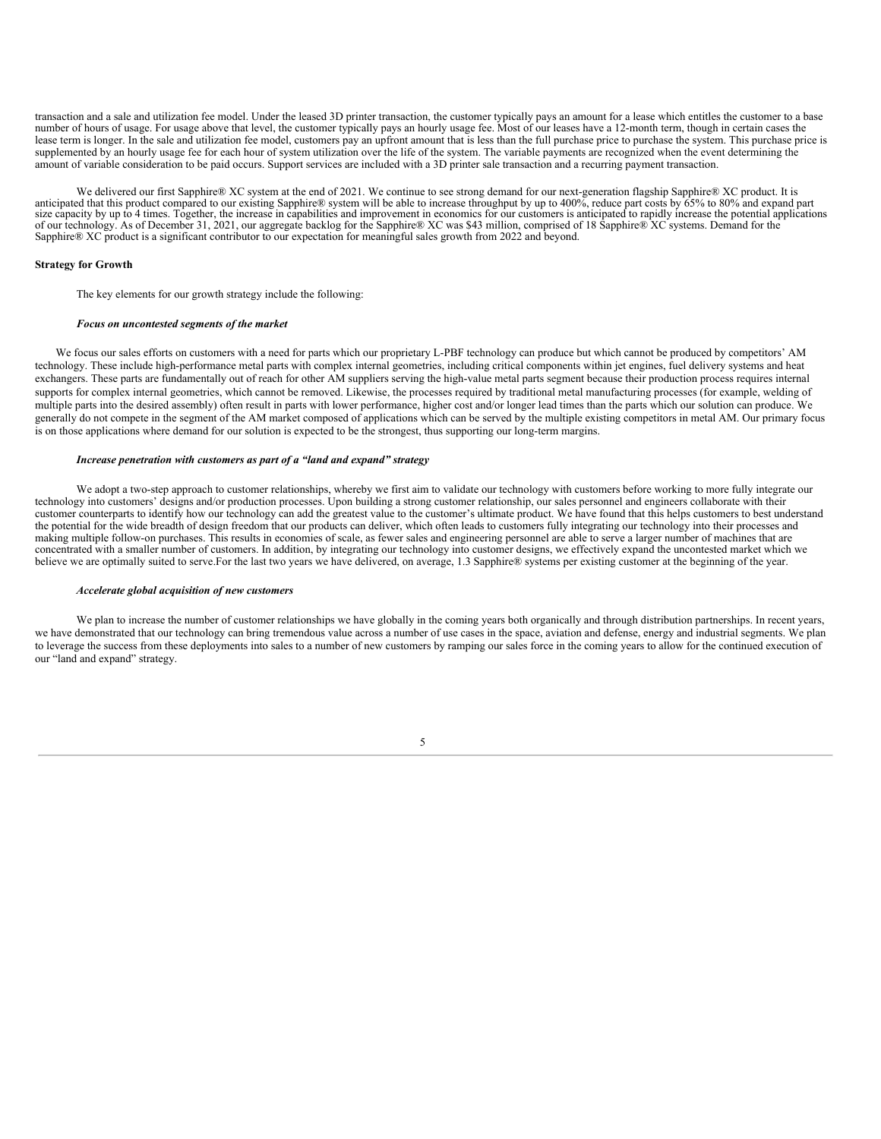transaction and a sale and utilization fee model. Under the leased 3D printer transaction, the customer typically pays an amount for a lease which entitles the customer to a base<br>number of hours of usage. For usage above t lease term is longer. In the sale and utilization fee model, customers pay an upfront amount that is less than the full purchase price to purchase the system. This purchase price is supplemented by an hourly usage fee for each hour of system utilization over the life of the system. The variable payments are recognized when the event determining the amount of variable consideration to be paid occurs. Support services are included with a 3D printer sale transaction and a recurring payment transaction.

We delivered our first Sapphire® XC system at the end of 2021. We continue to see strong demand for our next-generation flagship Sapphire® XC product. It is<br>anticipated that this product compared to our existing Sapphire® size capacity by up to 4 times. Together, the increase in capabilities and improvement in economics for our customers is anticipated to rapidly increase the potential applications of our technology. As of December 31, 2021 Sapphire® XC product is a significant contributor to our expectation for meaningful sales growth from 2022 and beyond.

#### **Strategy for Growth**

The key elements for our growth strategy include the following:

#### *Focus on uncontested segments of the market*

We focus our sales efforts on customers with a need for parts which our proprietary L-PBF technology can produce but which cannot be produced by competitors' AM technology. These include high-performance metal parts with complex internal geometries, including critical components within jet engines, fuel delivery systems and heat exchangers. These parts are fundamentally out of reach for other AM suppliers serving the high-value metal parts segment because their production process requires internal supports for complex internal geometries, which cannot be removed. Likewise, the processes required by traditional metal manufacturing processes (for example, welding of multiple parts into the desired assembly) often result in parts with lower performance, higher cost and/or longer lead times than the parts which our solution can produce. We generally do not compete in the segment of the AM market composed of applications which can be served by the multiple existing competitors in metal AM. Our primary focus is on those applications where demand for our solution is expected to be the strongest, thus supporting our long-term margins.

## *Increase penetration with customers as part of a "land and expand" strategy*

We adopt a two-step approach to customer relationships, whereby we first aim to validate our technology with customers before working to more fully integrate our technology into customers' designs and/or production processes. Upon building a strong customer relationship, our sales personnel and engineers collaborate with their customer counterparts to identify how our technology can add the greatest value to the customer's ultimate product. We have found that this helps customers to best understand the potential for the wide breadth of design freedom that our products can deliver, which often leads to customers fully integrating our technology into their processes and making multiple follow-on purchases. This results in economies of scale, as fewer sales and engineering personnel are able to serve a larger number of machines that are concentrated with a smaller number of customers. In addition, by integrating our technology into customer designs, we effectively expand the uncontested market which we believe we are optimally suited to serve.For the last two years we have delivered, on average, 1.3 Sapphire® systems per existing customer at the beginning of the year.

#### *Accelerate global acquisition of new customers*

We plan to increase the number of customer relationships we have globally in the coming years both organically and through distribution partnerships. In recent years, we have demonstrated that our technology can bring tremendous value across a number of use cases in the space, aviation and defense, energy and industrial segments. We plan to leverage the success from these deployments into sales to a number of new customers by ramping our sales force in the coming years to allow for the continued execution of our "land and expand" strategy.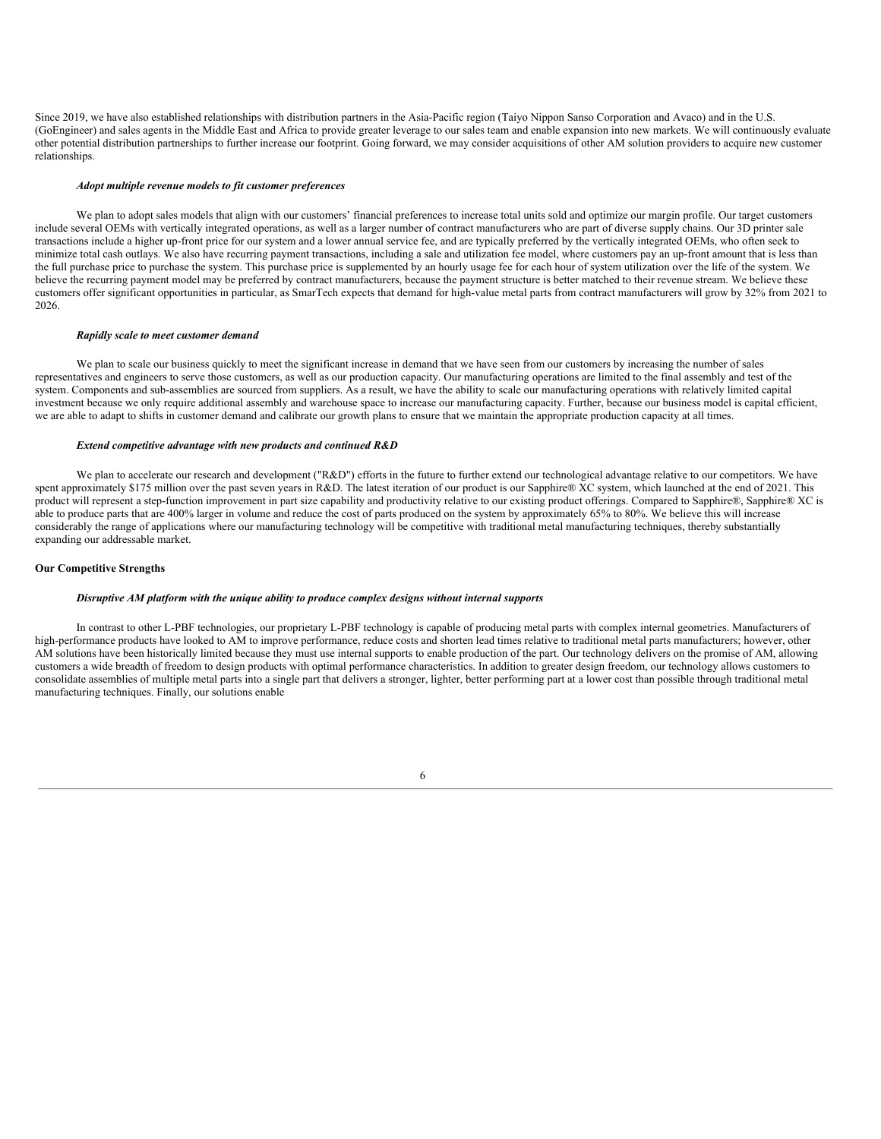Since 2019, we have also established relationships with distribution partners in the Asia-Pacific region (Taiyo Nippon Sanso Corporation and Avaco) and in the U.S. (GoEngineer) and sales agents in the Middle East and Africa to provide greater leverage to our sales team and enable expansion into new markets. We will continuously evaluate other potential distribution partnerships to further increase our footprint. Going forward, we may consider acquisitions of other AM solution providers to acquire new customer relationships.

## *Adopt multiple revenue models to fit customer preferences*

We plan to adopt sales models that align with our customers' financial preferences to increase total units sold and optimize our margin profile. Our target customers include several OEMs with vertically integrated operations, as well as a larger number of contract manufacturers who are part of diverse supply chains. Our 3D printer sale transactions include a higher up-front price for our system and a lower annual service fee, and are typically preferred by the vertically integrated OEMs, who often seek to minimize total cash outlays. We also have recurring payment transactions, including a sale and utilization fee model, where customers pay an up-front amount that is less than the full purchase price to purchase the system. This purchase price is supplemented by an hourly usage fee for each hour of system utilization over the life of the system. We believe the recurring payment model may be preferred by contract manufacturers, because the payment structure is better matched to their revenue stream. We believe these customers offer significant opportunities in particular, as SmarTech expects that demand for high-value metal parts from contract manufacturers will grow by 32% from 2021 to 2026.

#### *Rapidly scale to meet customer demand*

We plan to scale our business quickly to meet the significant increase in demand that we have seen from our customers by increasing the number of sales representatives and engineers to serve those customers, as well as our production capacity. Our manufacturing operations are limited to the final assembly and test of the system. Components and sub-assemblies are sourced from suppliers. As a result, we have the ability to scale our manufacturing operations with relatively limited capital investment because we only require additional assembly and warehouse space to increase our manufacturing capacity. Further, because our business model is capital efficient, we are able to adapt to shifts in customer demand and calibrate our growth plans to ensure that we maintain the appropriate production capacity at all times.

## *Extend competitive advantage with new products and continued R&D*

We plan to accelerate our research and development ("R&D") efforts in the future to further extend our technological advantage relative to our competitors. We have spent approximately \$175 million over the past seven years in R&D. The latest iteration of our product is our Sapphire® XC system, which launched at the end of 2021. This product will represent a step-function improvement in part size capability and productivity relative to our existing product offerings. Compared to Sapphire®, Sapphire® XC is able to produce parts that are 400% larger in volume and reduce the cost of parts produced on the system by approximately 65% to 80%. We believe this will increase considerably the range of applications where our manufacturing technology will be competitive with traditional metal manufacturing techniques, thereby substantially expanding our addressable market.

#### **Our Competitive Strengths**

#### *Disruptive AM platform with the unique ability to produce complex designs without internal supports*

In contrast to other L-PBF technologies, our proprietary L-PBF technology is capable of producing metal parts with complex internal geometries. Manufacturers of high-performance products have looked to AM to improve performance, reduce costs and shorten lead times relative to traditional metal parts manufacturers; however, other AM solutions have been historically limited because they must use internal supports to enable production of the part. Our technology delivers on the promise of AM, allowing customers a wide breadth of freedom to design products with optimal performance characteristics. In addition to greater design freedom, our technology allows customers to consolidate assemblies of multiple metal parts into a single part that delivers a stronger, lighter, better performing part at a lower cost than possible through traditional metal manufacturing techniques. Finally, our solutions enable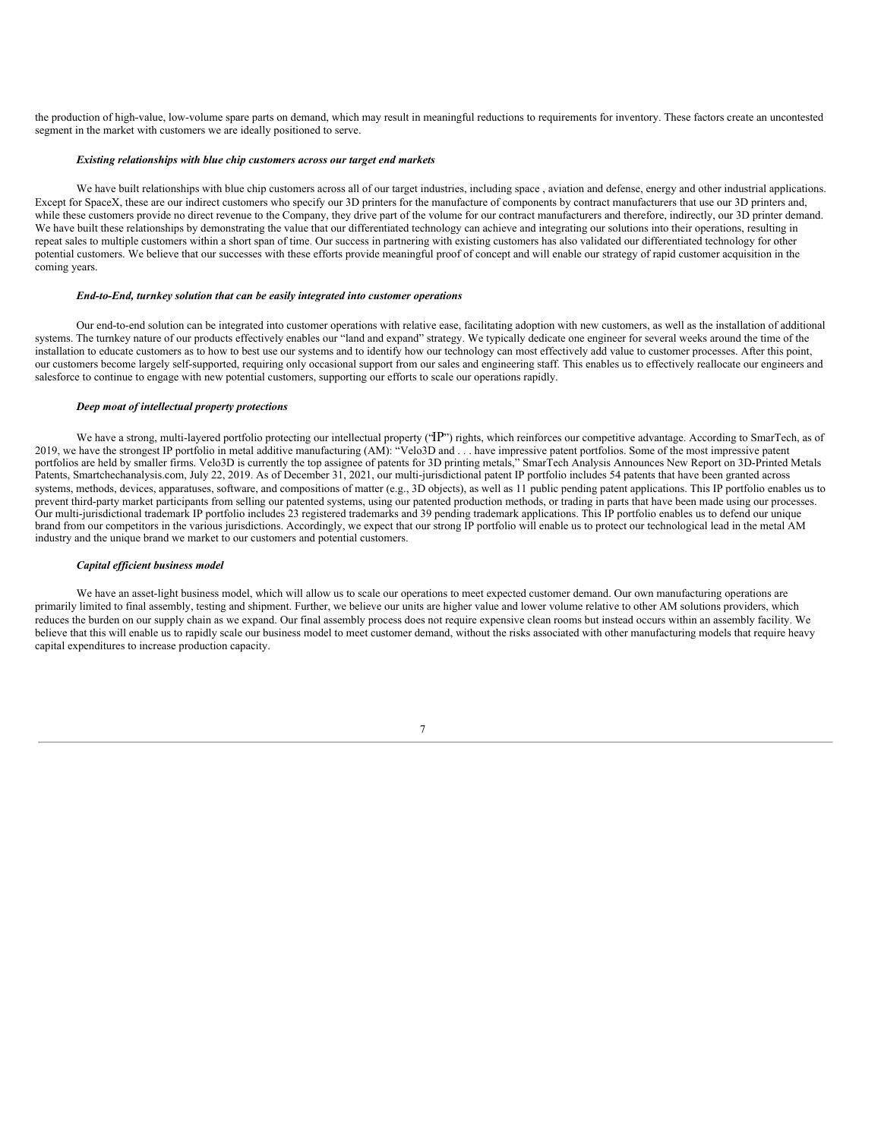the production of high-value, low-volume spare parts on demand, which may result in meaningful reductions to requirements for inventory. These factors create an uncontested segment in the market with customers we are ideally positioned to serve.

#### *Existing relationships with blue chip customers across our target end markets*

We have built relationships with blue chip customers across all of our target industries, including space, aviation and defense, energy and other industrial applications. Except for SpaceX, these are our indirect customers who specify our 3D printers for the manufacture of components by contract manufacturers that use our 3D printers and, while these customers provide no direct revenue to the Company, they drive part of the volume for our contract manufacturers and therefore, indirectly, our 3D printer demand. We have built these relationships by demonstrating the value that our differentiated technology can achieve and integrating our solutions into their operations, resulting in repeat sales to multiple customers within a short span of time. Our success in partnering with existing customers has also validated our differentiated technology for other potential customers. We believe that our successes with these efforts provide meaningful proof of concept and will enable our strategy of rapid customer acquisition in the coming years.

## *End-to-End, turnkey solution that can be easily integrated into customer operations*

Our end-to-end solution can be integrated into customer operations with relative ease, facilitating adoption with new customers, as well as the installation of additional systems. The turnkey nature of our products effectively enables our "land and expand" strategy. We typically dedicate one engineer for several weeks around the time of the installation to educate customers as to how to best use our systems and to identify how our technology can most effectively add value to customer processes. After this point, our customers become largely self-supported, requiring only occasional support from our sales and engineering staff. This enables us to effectively reallocate our engineers and salesforce to continue to engage with new potential customers, supporting our efforts to scale our operations rapidly.

#### *Deep moat of intellectual property protections*

We have a strong, multi-layered portfolio protecting our intellectual property ("IP") rights, which reinforces our competitive advantage. According to SmarTech, as of 2019, we have the strongest IP portfolio in metal additive manufacturing (AM): "Velo3D and . . . have impressive patent portfolios. Some of the most impressive patent portfolios are held by smaller firms. Velo3D is currently the top assignee of patents for 3D printing metals," SmarTech Analysis Announces New Report on 3D-Printed Metals Patents, Smartchechanalysis.com, July 22, 2019. As of December 31, 2021, our multi-jurisdictional patent IP portfolio includes 54 patents that have been granted across systems, methods, devices, apparatuses, software, and compositions of matter (e.g., 3D objects), as well as 11 public pending patent applications. This IP portfolio enables us to prevent third-party market participants from selling our patented systems, using our patented production methods, or trading in parts that have been made using our processes. Our multi-jurisdictional trademark IP portfolio includes 23 registered trademarks and 39 pending trademark applications. This IP portfolio enables us to defend our unique brand from our competitors in the various jurisdictions. Accordingly, we expect that our strong IP portfolio will enable us to protect our technological lead in the metal AM industry and the unique brand we market to our customers and potential customers.

#### *Capital ef icient business model*

We have an asset-light business model, which will allow us to scale our operations to meet expected customer demand. Our own manufacturing operations are primarily limited to final assembly, testing and shipment. Further, we believe our units are higher value and lower volume relative to other AM solutions providers, which reduces the burden on our supply chain as we expand. Our final assembly process does not require expensive clean rooms but instead occurs within an assembly facility. We believe that this will enable us to rapidly scale our business model to meet customer demand, without the risks associated with other manufacturing models that require heavy capital expenditures to increase production capacity.

#### 7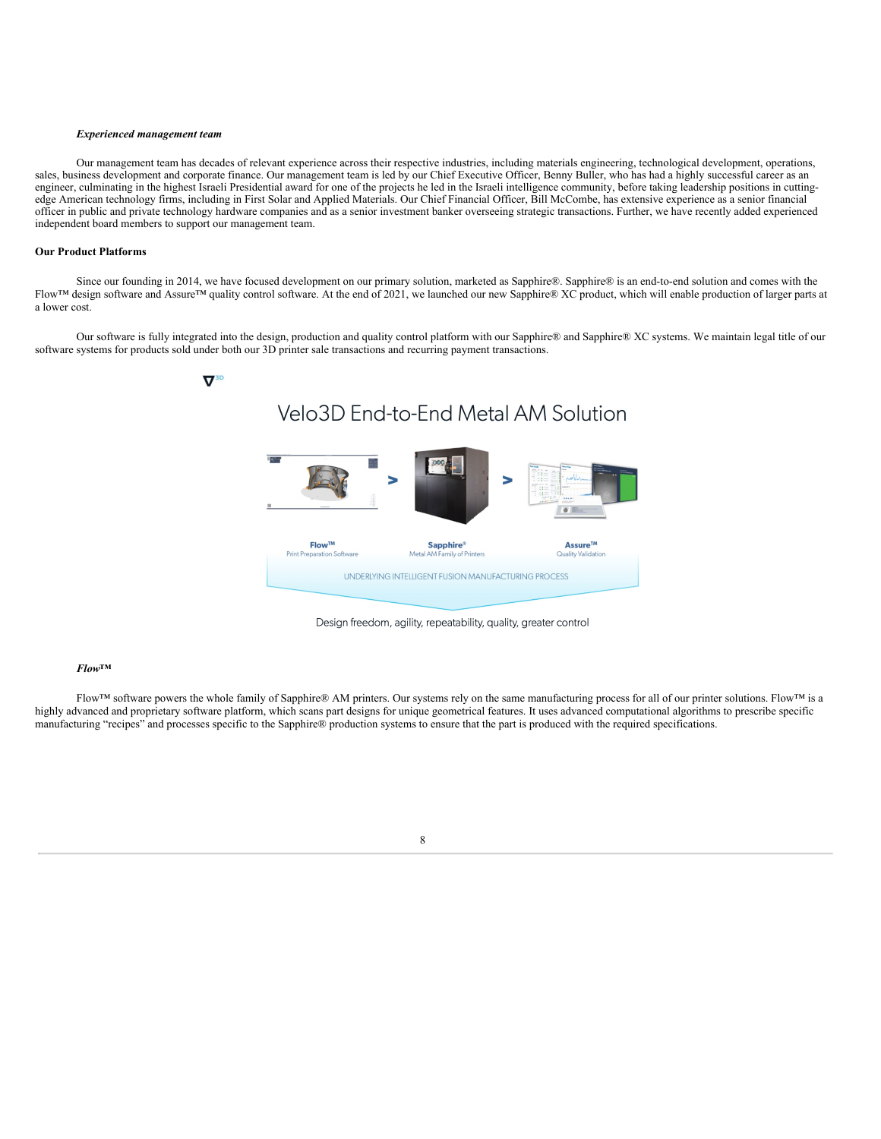#### *Experienced management team*

 $\nabla^{\scriptscriptstyle 3D}$ 

Our management team has decades of relevant experience across their respective industries, including materials engineering, technological development, operations, sales, business development and corporate finance. Our management team is led by our Chief Executive Officer, Benny Buller, who has had a highly successful career as an engineer, culminating in the highest Israeli Presidential award for one of the projects he led in the Israeli intelligence community, before taking leadership positions in cuttingedge American technology firms, including in First Solar and Applied Materials. Our Chief Financial Officer, Bill McCombe, has extensive experience as a senior financial officer in public and private technology hardware companies and as a senior investment banker overseeing strategic transactions. Further, we have recently added experienced independent board members to support our management team.

## **Our Product Platforms**

Since our founding in 2014, we have focused development on our primary solution, marketed as Sapphire®. Sapphire® is an end-to-end solution and comes with the Flow™ design software and Assure™ quality control software. At the end of 2021, we launched our new Sapphire® XC product, which will enable production of larger parts at a lower cost.

Our software is fully integrated into the design, production and quality control platform with our Sapphire® and Sapphire® XC systems. We maintain legal title of our software systems for products sold under both our 3D printer sale transactions and recurring payment transactions.



Design freedom, agility, repeatability, quality, greater control

#### *Flow™*

Flow™ software powers the whole family of Sapphire® AM printers. Our systems rely on the same manufacturing process for all of our printer solutions. Flow™ is a highly advanced and proprietary software platform, which scans part designs for unique geometrical features. It uses advanced computational algorithms to prescribe specific manufacturing "recipes" and processes specific to the Sapphire® production systems to ensure that the part is produced with the required specifications.

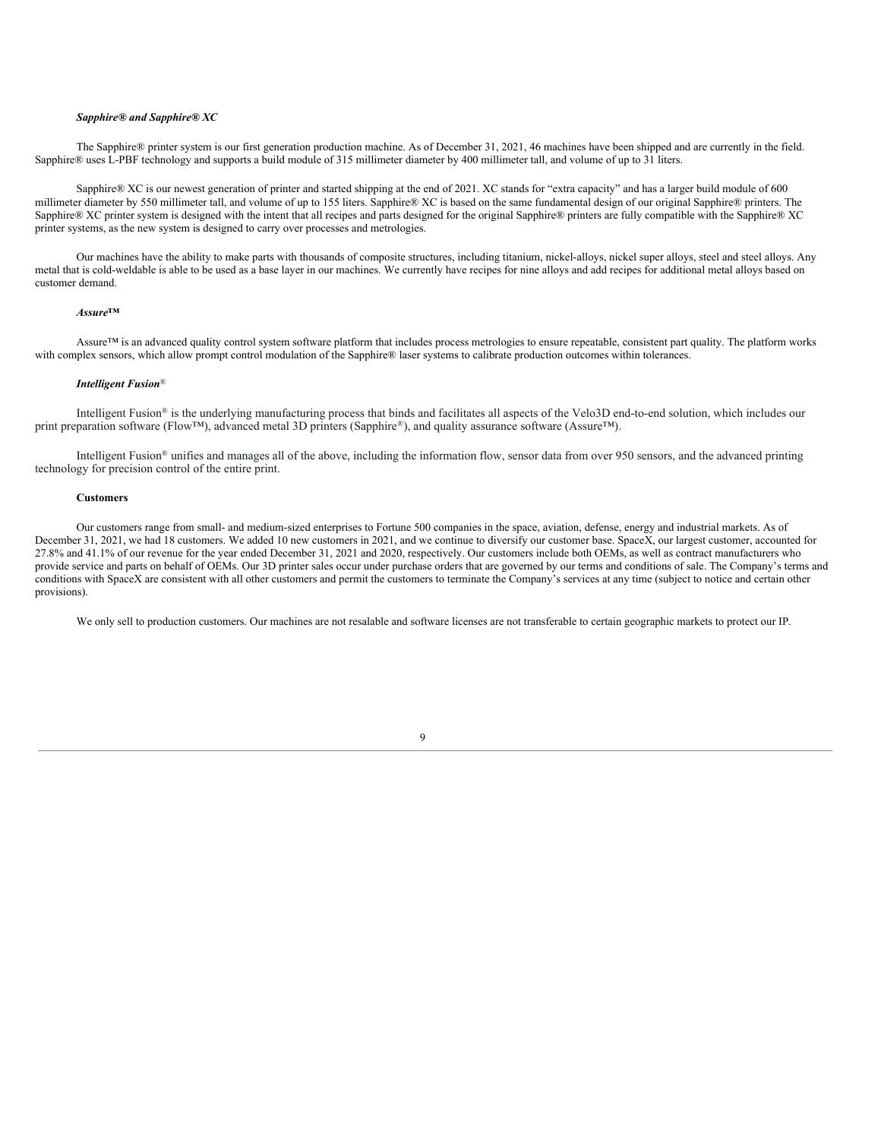## *Sapphire® and Sapphire® XC*

The Sapphire® printer system is our first generation production machine. As of December 31, 2021, 46 machines have been shipped and are currently in the field. Sapphire® uses L-PBF technology and supports a build module of 315 millimeter diameter by 400 millimeter tall, and volume of up to 31 liters.

Sapphire® XC is our newest generation of printer and started shipping at the end of 2021. XC stands for "extra capacity" and has a larger build module of 600 millimeter diameter by 550 millimeter tall, and volume of up to 155 liters. Sapphire® XC is based on the same fundamental design of our original Sapphire® printers. The Sapphire® XC printer system is designed with the intent that all recipes and parts designed for the original Sapphire® printers are fully compatible with the Sapphire® XC printer systems, as the new system is designed to carry over processes and metrologies.

Our machines have the ability to make parts with thousands of composite structures, including titanium, nickel-alloys, nickel super alloys, steel and steel alloys. Any metal that is cold-weldable is able to be used as a base layer in our machines. We currently have recipes for nine alloys and add recipes for additional metal alloys based on customer demand.

#### *Assure™*

Assure™ is an advanced quality control system software platform that includes process metrologies to ensure repeatable, consistent part quality. The platform works with complex sensors, which allow prompt control modulation of the Sapphire® laser systems to calibrate production outcomes within tolerances.

#### *Intelligent Fusion* ®

Intelligent Fusion<sup>®</sup> is the underlying manufacturing process that binds and facilitates all aspects of the Velo3D end-to-end solution, which includes our print preparation software (Flow™), advanced metal 3D printers (Sapphire®), and quality assurance software (Assure™).

Intelligent Fusion<sup>®</sup> unifies and manages all of the above, including the information flow, sensor data from over 950 sensors, and the advanced printing technology for precision control of the entire print.

## **Customers**

Our customers range from small- and medium-sized enterprises to Fortune 500 companies in the space, aviation, defense, energy and industrial markets. As of December 31, 2021, we had 18 customers. We added 10 new customers in 2021, and we continue to diversify our customer base. SpaceX, our largest customer, accounted for 27.8% and 41.1% of our revenue for the year ended December 31, 2021 and 2020, respectively. Our customers include both OEMs, as well as contract manufacturers who provide service and parts on behalf of OEMs. Our 3D printer sales occur under purchase orders that are governed by our terms and conditions of sale. The Company's terms and conditions with SpaceX are consistent with all other customers and permit the customers to terminate the Company's services at any time (subject to notice and certain other provisions).

We only sell to production customers. Our machines are not resalable and software licenses are not transferable to certain geographic markets to protect our IP.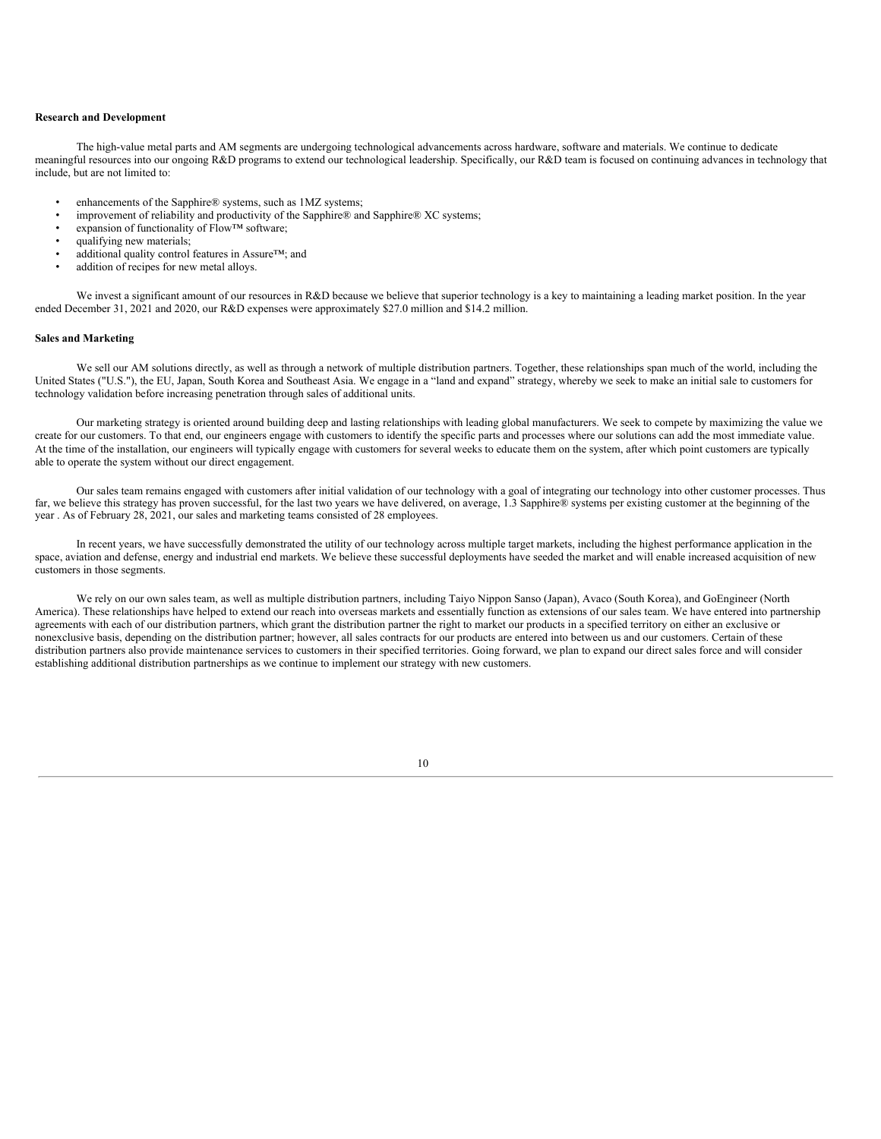## **Research and Development**

The high-value metal parts and AM segments are undergoing technological advancements across hardware, software and materials. We continue to dedicate meaningful resources into our ongoing R&D programs to extend our technological leadership. Specifically, our R&D team is focused on continuing advances in technology that include, but are not limited to:

- enhancements of the Sapphire® systems, such as 1MZ systems;
- improvement of reliability and productivity of the Sapphire® and Sapphire® XC systems;
- expansion of functionality of Flow™ software;
- qualifying new materials;
- additional quality control features in Assure™; and
- addition of recipes for new metal alloys.

We invest a significant amount of our resources in R&D because we believe that superior technology is a key to maintaining a leading market position. In the year ended December 31, 2021 and 2020, our R&D expenses were approximately \$27.0 million and \$14.2 million.

## **Sales and Marketing**

We sell our AM solutions directly, as well as through a network of multiple distribution partners. Together, these relationships span much of the world, including the United States ("U.S."), the EU, Japan, South Korea and Southeast Asia. We engage in a "land and expand" strategy, whereby we seek to make an initial sale to customers for technology validation before increasing penetration through sales of additional units.

Our marketing strategy is oriented around building deep and lasting relationships with leading global manufacturers. We seek to compete by maximizing the value we create for our customers. To that end, our engineers engage with customers to identify the specific parts and processes where our solutions can add the most immediate value. At the time of the installation, our engineers will typically engage with customers for several weeks to educate them on the system, after which point customers are typically able to operate the system without our direct engagement.

Our sales team remains engaged with customers after initial validation of our technology with a goal of integrating our technology into other customer processes. Thus far, we believe this strategy has proven successful, for the last two years we have delivered, on average, 1.3 Sapphire® systems per existing customer at the beginning of the year . As of February 28, 2021, our sales and marketing teams consisted of 28 employees.

In recent years, we have successfully demonstrated the utility of our technology across multiple target markets, including the highest performance application in the space, aviation and defense, energy and industrial end markets. We believe these successful deployments have seeded the market and will enable increased acquisition of new customers in those segments.

We rely on our own sales team, as well as multiple distribution partners, including Taiyo Nippon Sanso (Japan), Avaco (South Korea), and GoEngineer (North America). These relationships have helped to extend our reach into overseas markets and essentially function as extensions of our sales team. We have entered into partnership agreements with each of our distribution partners, which grant the distribution partner the right to market our products in a specified territory on either an exclusive or nonexclusive basis, depending on the distribution partner; however, all sales contracts for our products are entered into between us and our customers. Certain of these distribution partners also provide maintenance services to customers in their specified territories. Going forward, we plan to expand our direct sales force and will consider establishing additional distribution partnerships as we continue to implement our strategy with new customers.

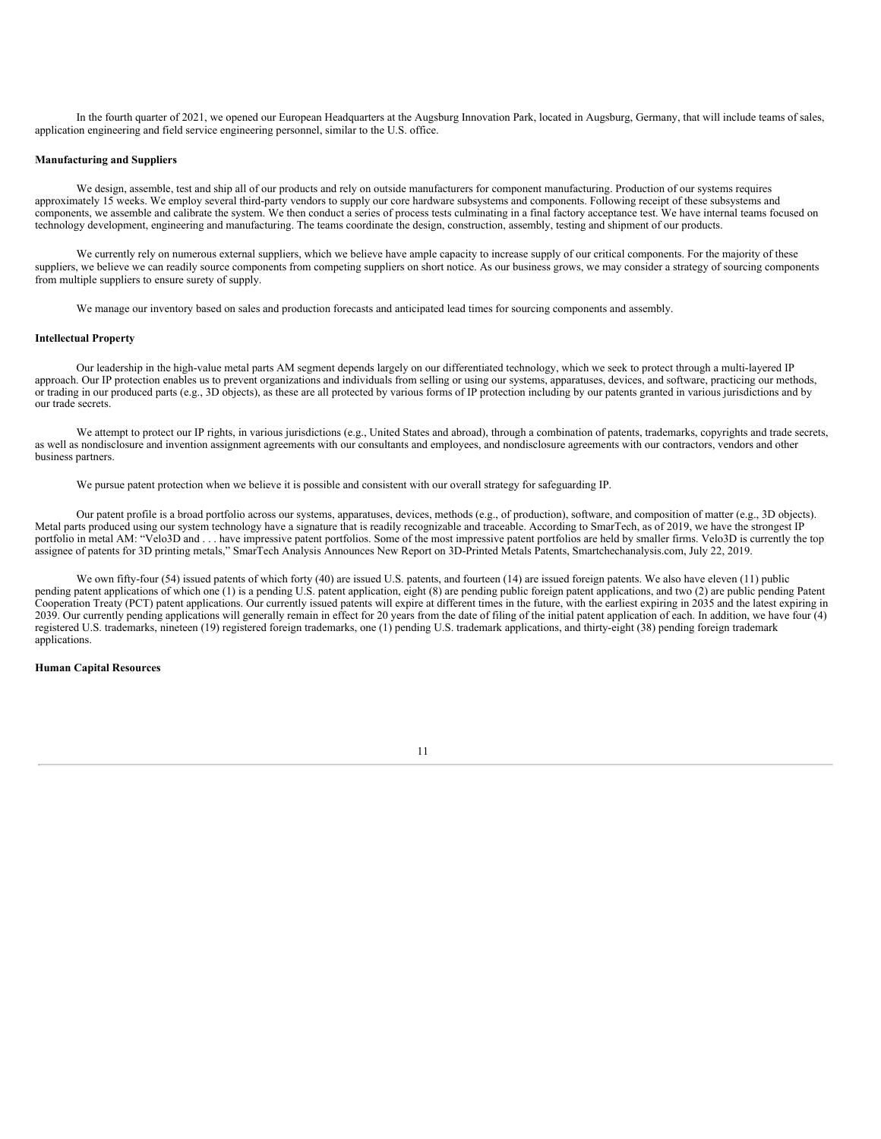In the fourth quarter of 2021, we opened our European Headquarters at the Augsburg Innovation Park, located in Augsburg, Germany, that will include teams of sales, application engineering and field service engineering personnel, similar to the U.S. office.

#### **Manufacturing and Suppliers**

We design, assemble, test and ship all of our products and rely on outside manufacturers for component manufacturing. Production of our systems requires approximately 15 weeks. We employ several third-party vendors to supply our core hardware subsystems and components. Following receipt of these subsystems and components, we assemble and calibrate the system. We then conduct a series of process tests culminating in a final factory acceptance test. We have internal teams focused on technology development, engineering and manufacturing. The teams coordinate the design, construction, assembly, testing and shipment of our products.

We currently rely on numerous external suppliers, which we believe have ample capacity to increase supply of our critical components. For the majority of these suppliers, we believe we can readily source components from competing suppliers on short notice. As our business grows, we may consider a strategy of sourcing components from multiple suppliers to ensure surety of supply.

We manage our inventory based on sales and production forecasts and anticipated lead times for sourcing components and assembly.

## **Intellectual Property**

Our leadership in the high-value metal parts AM segment depends largely on our differentiated technology, which we seek to protect through a multi-layered IP approach. Our IP protection enables us to prevent organizations and individuals from selling or using our systems, apparatuses, devices, and software, practicing our methods, or trading in our produced parts (e.g., 3D objects), as these are all protected by various forms of IP protection including by our patents granted in various jurisdictions and by our trade secrets.

We attempt to protect our IP rights, in various jurisdictions (e.g., United States and abroad), through a combination of patents, trademarks, copyrights and trade secrets, as well as nondisclosure and invention assignment agreements with our consultants and employees, and nondisclosure agreements with our contractors, vendors and other business partners.

We pursue patent protection when we believe it is possible and consistent with our overall strategy for safeguarding IP.

Our patent profile is a broad portfolio across our systems, apparatuses, devices, methods (e.g., of production), software, and composition of matter (e.g., 3D objects). Metal parts produced using our system technology have a signature that is readily recognizable and traceable. According to SmarTech, as of 2019, we have the strongest IP portfolio in metal AM: "Velo3D and . . . have impressive patent portfolios. Some of the most impressive patent portfolios are held by smaller firms. Velo3D is currently the top assignee of patents for 3D printing metals," SmarTech Analysis Announces New Report on 3D-Printed Metals Patents, Smartchechanalysis.com, July 22, 2019.

We own fifty-four (54) issued patents of which forty (40) are issued U.S. patents, and fourteen (14) are issued foreign patents. We also have eleven (11) public pending patent applications of which one (1) is a pending U.S. patent application, eight (8) are pending public foreign patent applications, and two (2) are public pending Patent Cooperation Treaty (PCT) patent applications. Our currently issued patents will expire at different times in the future, with the earliest expiring in 2035 and the latest expiring in 2039. Our currently pending applications will generally remain in effect for 20 years from the date of filing of the initial patent application of each. In addition, we have four (4) registered U.S. trademarks, nineteen (19) registered foreign trademarks, one (1) pending U.S. trademark applications, and thirty-eight (38) pending foreign trademark applications.

## **Human Capital Resources**

11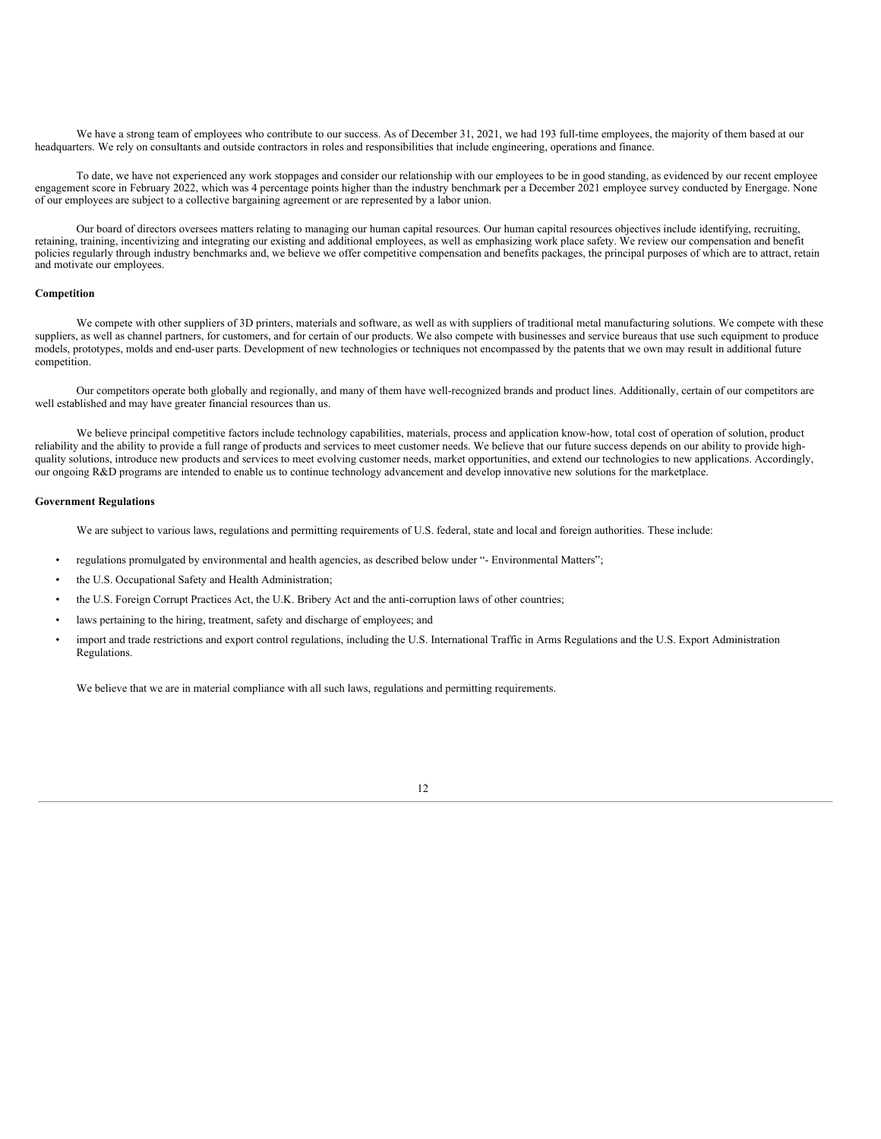We have a strong team of employees who contribute to our success. As of December 31, 2021, we had 193 full-time employees, the majority of them based at our headquarters. We rely on consultants and outside contractors in roles and responsibilities that include engineering, operations and finance.

To date, we have not experienced any work stoppages and consider our relationship with our employees to be in good standing, as evidenced by our recent employee engagement score in February 2022, which was 4 percentage points higher than the industry benchmark per a December 2021 employee survey conducted by Energage. None of our employees are subject to a collective bargaining agreement or are represented by a labor union.

Our board of directors oversees matters relating to managing our human capital resources. Our human capital resources objectives include identifying, recruiting, retaining, training, incentivizing and integrating our existing and additional employees, as well as emphasizing work place safety. We review our compensation and benefit policies regularly through industry benchmarks and, we believe we offer competitive compensation and benefits packages, the principal purposes of which are to attract, retain and motivate our employees.

## **Competition**

We compete with other suppliers of 3D printers, materials and software, as well as with suppliers of traditional metal manufacturing solutions. We compete with these suppliers, as well as channel partners, for customers, and for certain of our products. We also compete with businesses and service bureaus that use such equipment to produce models, prototypes, molds and end-user parts. Development of new technologies or techniques not encompassed by the patents that we own may result in additional future competition.

Our competitors operate both globally and regionally, and many of them have well-recognized brands and product lines. Additionally, certain of our competitors are well established and may have greater financial resources than us.

We believe principal competitive factors include technology capabilities, materials, process and application know-how, total cost of operation of solution, product reliability and the ability to provide a full range of products and services to meet customer needs. We believe that our future success depends on our ability to provide highquality solutions, introduce new products and services to meet evolving customer needs, market opportunities, and extend our technologies to new applications. Accordingly, our ongoing R&D programs are intended to enable us to continue technology advancement and develop innovative new solutions for the marketplace.

## **Government Regulations**

We are subject to various laws, regulations and permitting requirements of U.S. federal, state and local and foreign authorities. These include:

- regulations promulgated by environmental and health agencies, as described below under "- Environmental Matters";
- the U.S. Occupational Safety and Health Administration;
- the U.S. Foreign Corrupt Practices Act, the U.K. Bribery Act and the anti-corruption laws of other countries;
- laws pertaining to the hiring, treatment, safety and discharge of employees; and
- import and trade restrictions and export control regulations, including the U.S. International Traffic in Arms Regulations and the U.S. Export Administration Regulations.

We believe that we are in material compliance with all such laws, regulations and permitting requirements.

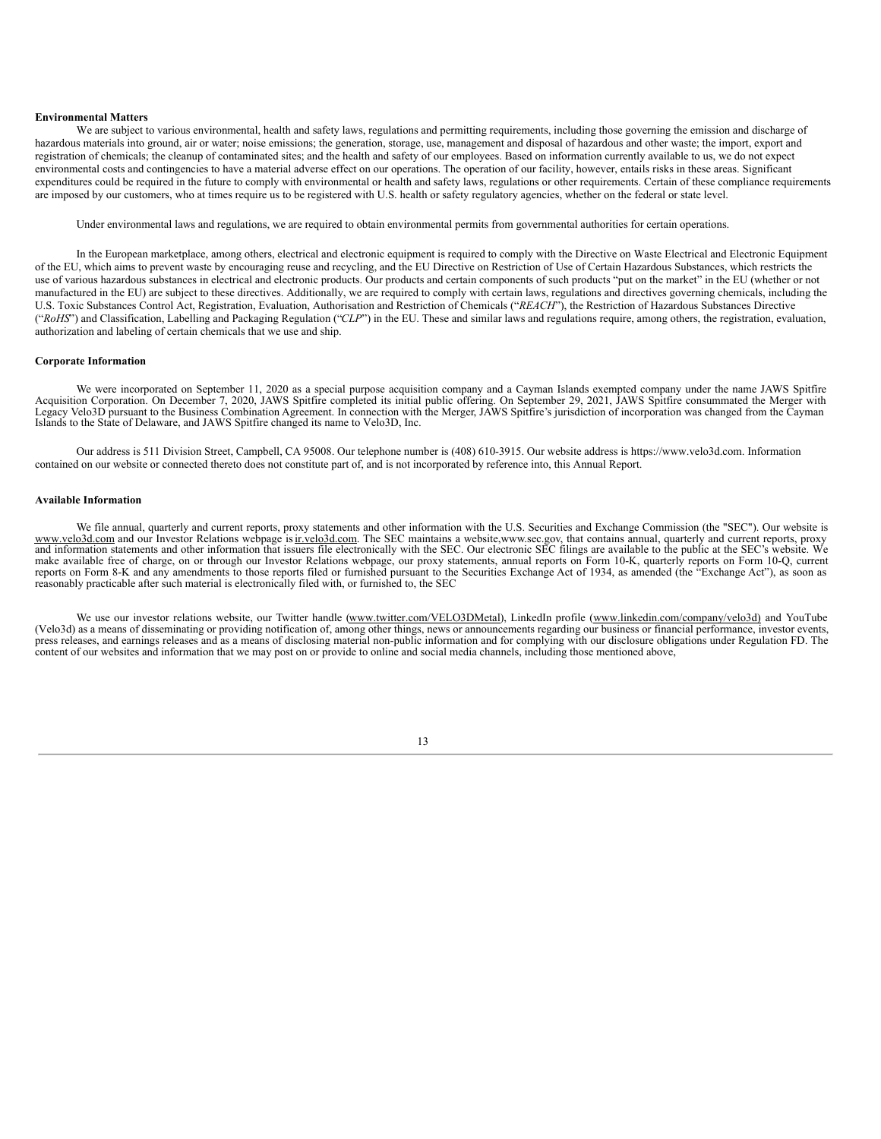## **Environmental Matters**

We are subject to various environmental, health and safety laws, regulations and permitting requirements, including those governing the emission and discharge of hazardous materials into ground, air or water; noise emissions; the generation, storage, use, management and disposal of hazardous and other waste; the import, export and registration of chemicals; the cleanup of contaminated sites; and the health and safety of our employees. Based on information currently available to us, we do not expect environmental costs and contingencies to have a material adverse effect on our operations. The operation of our facility, however, entails risks in these areas. Significant expenditures could be required in the future to comply with environmental or health and safety laws, regulations or other requirements. Certain of these compliance requirements are imposed by our customers, who at times require us to be registered with U.S. health or safety regulatory agencies, whether on the federal or state level.

Under environmental laws and regulations, we are required to obtain environmental permits from governmental authorities for certain operations.

In the European marketplace, among others, electrical and electronic equipment is required to comply with the Directive on Waste Electrical and Electronic Equipment of the EU, which aims to prevent waste by encouraging reuse and recycling, and the EU Directive on Restriction of Use of Certain Hazardous Substances, which restricts the use of various hazardous substances in electrical and electronic products. Our products and certain components of such products "put on the market" in the EU (whether or not manufactured in the EU) are subject to these directives. Additionally, we are required to comply with certain laws, regulations and directives governing chemicals, including the U.S. Toxic Substances Control Act, Registration, Evaluation, Authorisation and Restriction of Chemicals ("*REACH*"), the Restriction of Hazardous Substances Directive ("*RoHS*") and Classification, Labelling and Packaging Regulation ("*CLP*") in the EU. These and similar laws and regulations require, among others, the registration, evaluation, authorization and labeling of certain chemicals that we use and ship.

## **Corporate Information**

We were incorporated on September 11, 2020 as a special purpose acquisition company and a Cayman Islands exempted company under the name JAWS Spitfire Acquisition Corporation. On December 7, 2020, JAWS Spitfire completed its initial public offering. On September 29, 2021, JAWS Spitfire consummated the Merger with Legacy Velo3D pursuant to the Business Combination Agreeme Islands to the State of Delaware, and JAWS Spitfire changed its name to Velo3D, Inc.

Our address is 511 Division Street, Campbell, CA 95008. Our telephone number is (408) 610-3915. Our website address is https://www.velo3d.com. Information contained on our website or connected thereto does not constitute part of, and is not incorporated by reference into, this Annual Report.

#### **Available Information**

We file annual, quarterly and current reports, proxy statements and other information with the U.S. Securities and Exchange Commission (the "SEC"). Our website is www.velo3d.com and our Investor Relations webpage is invelo3d.com. The SEC maintains a website,www.sec.gov, that contains annual, quarterly and current reports, proxy and information statements and other information that i make available free of charge, on or through our Investor Relations webpage, our proxy statements, annual reports on Form 10-K, quarterly reports on Form 10-Q, current reports on Form 8-K and any amendments to those reports filed or furnished pursuant to the Securities Exchange Act of 1934, as amended (the "Exchange Act"), as soon as reasonably practicable after such material is electronically filed with, or furnished to, the SEC

We use our investor relations website, our Twitter handle (www.twitter.com/VELO3DMetal), LinkedIn profile (www.linkedin.com/company/velo3d) and YouTube (Velo3d) as a means of disseminating or providing notification of, among other things, news or announcements regarding our business or financial performance, investor events, press releases, and earnings releases and as a means of disclosing material non-public information and for complying with our disclosure obligations under Regulation FD. The content of our websites and information that we may post on or provide to online and social media channels, including those mentioned above,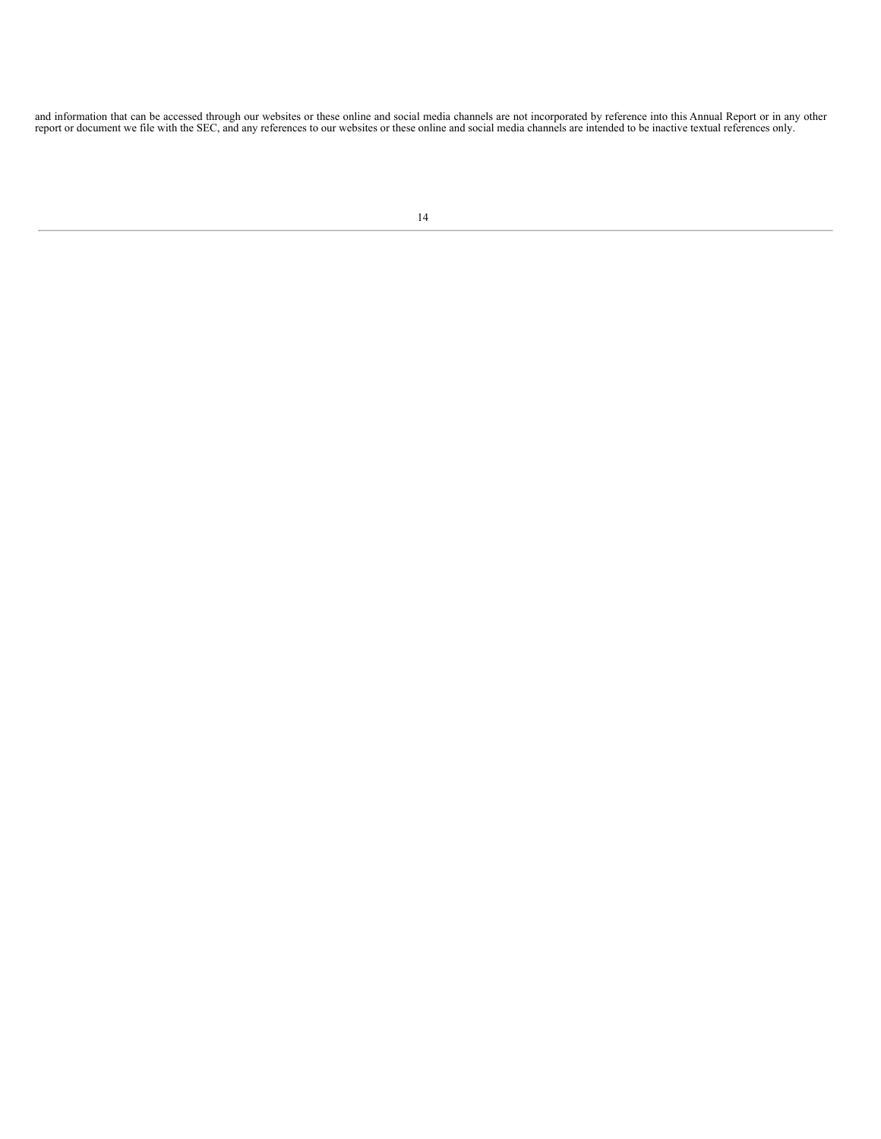<span id="page-16-0"></span>and information that can be accessed through our websites or these online and social media channels are not incorporated by reference into this Annual Report or in any other<br>report or document we file with the SEC, and any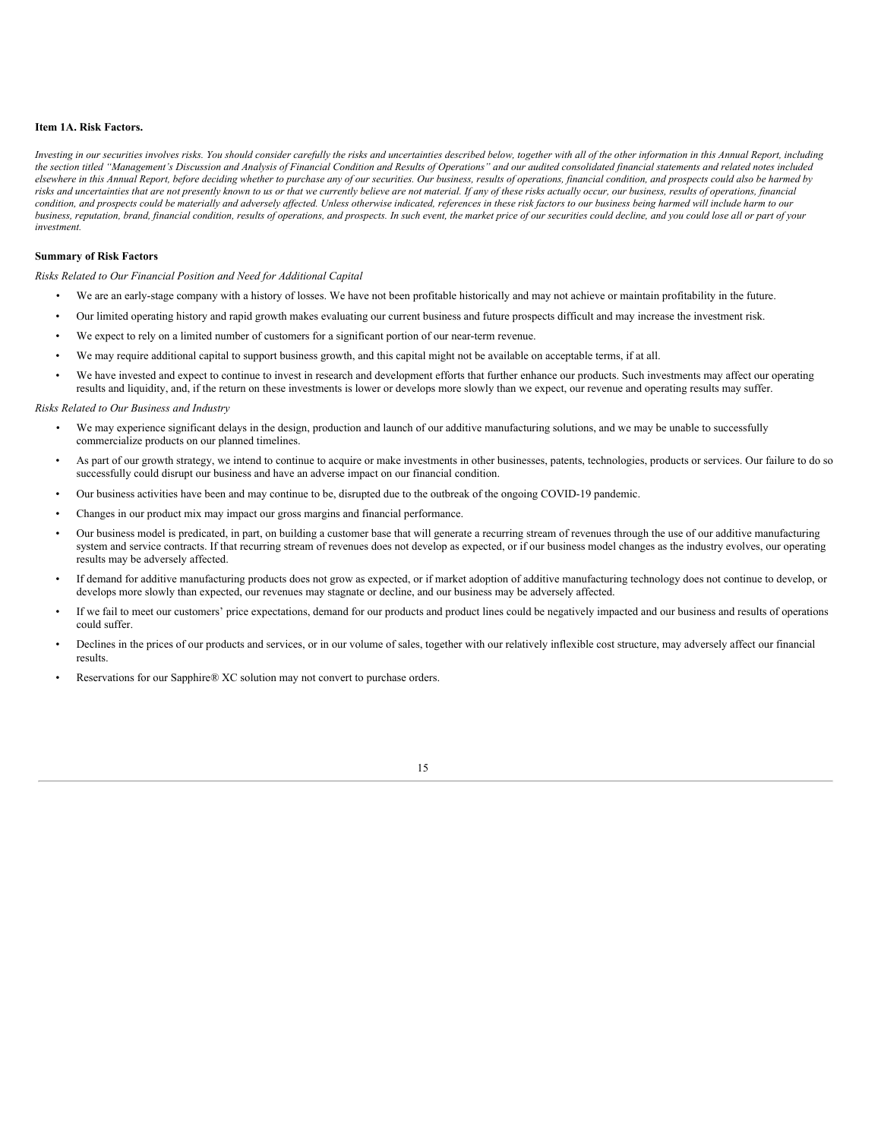## **Item 1A. Risk Factors.**

Investing in our securities involves risks. You should consider carefully the risks and uncertainties described below, together with all of the other information in this Annual Report, including the section titled "Management's Discussion and Analysis of Financial Condition and Results of Operations" and our audited consolidated financial statements and related notes included elsewhere in this Annual Report, before deciding whether to purchase any of our securities. Our business, results of operations, financial condition, and prospects could also be harmed by risks and uncertainties that are not presently known to us or that we currently believe are not material. If any of these risks actually occur, our business, results of operations, financial condition, and prospects could be materially and adversely affected. Unless otherwise indicated, references in these risk factors to our business being harmed will include harm to our business, reputation, brand, financial condition, results of operations, and prospects. In such event, the market price of our securities could decline, and you could lose all or part of your *investment.*

#### **Summary of Risk Factors**

*Risks Related to Our Financial Position and Need for Additional Capital*

- We are an early-stage company with a history of losses. We have not been profitable historically and may not achieve or maintain profitability in the future.
- Our limited operating history and rapid growth makes evaluating our current business and future prospects difficult and may increase the investment risk.
- We expect to rely on a limited number of customers for a significant portion of our near-term revenue.
- We may require additional capital to support business growth, and this capital might not be available on acceptable terms, if at all.
- We have invested and expect to continue to invest in research and development efforts that further enhance our products. Such investments may affect our operating results and liquidity, and, if the return on these investments is lower or develops more slowly than we expect, our revenue and operating results may suffer.

#### *Risks Related to Our Business and Industry*

- We may experience significant delays in the design, production and launch of our additive manufacturing solutions, and we may be unable to successfully commercialize products on our planned timelines.
- As part of our growth strategy, we intend to continue to acquire or make investments in other businesses, patents, technologies, products or services. Our failure to do so successfully could disrupt our business and have an adverse impact on our financial condition.
- Our business activities have been and may continue to be, disrupted due to the outbreak of the ongoing COVID-19 pandemic.
- Changes in our product mix may impact our gross margins and financial performance.
- Our business model is predicated, in part, on building a customer base that will generate a recurring stream of revenues through the use of our additive manufacturing system and service contracts. If that recurring stream of revenues does not develop as expected, or if our business model changes as the industry evolves, our operating results may be adversely affected.
- If demand for additive manufacturing products does not grow as expected, or if market adoption of additive manufacturing technology does not continue to develop, or develops more slowly than expected, our revenues may stagnate or decline, and our business may be adversely affected.
- If we fail to meet our customers' price expectations, demand for our products and product lines could be negatively impacted and our business and results of operations could suffer.
- Declines in the prices of our products and services, or in our volume of sales, together with our relatively inflexible cost structure, may adversely affect our financial results.
- Reservations for our Sapphire® XC solution may not convert to purchase orders.

15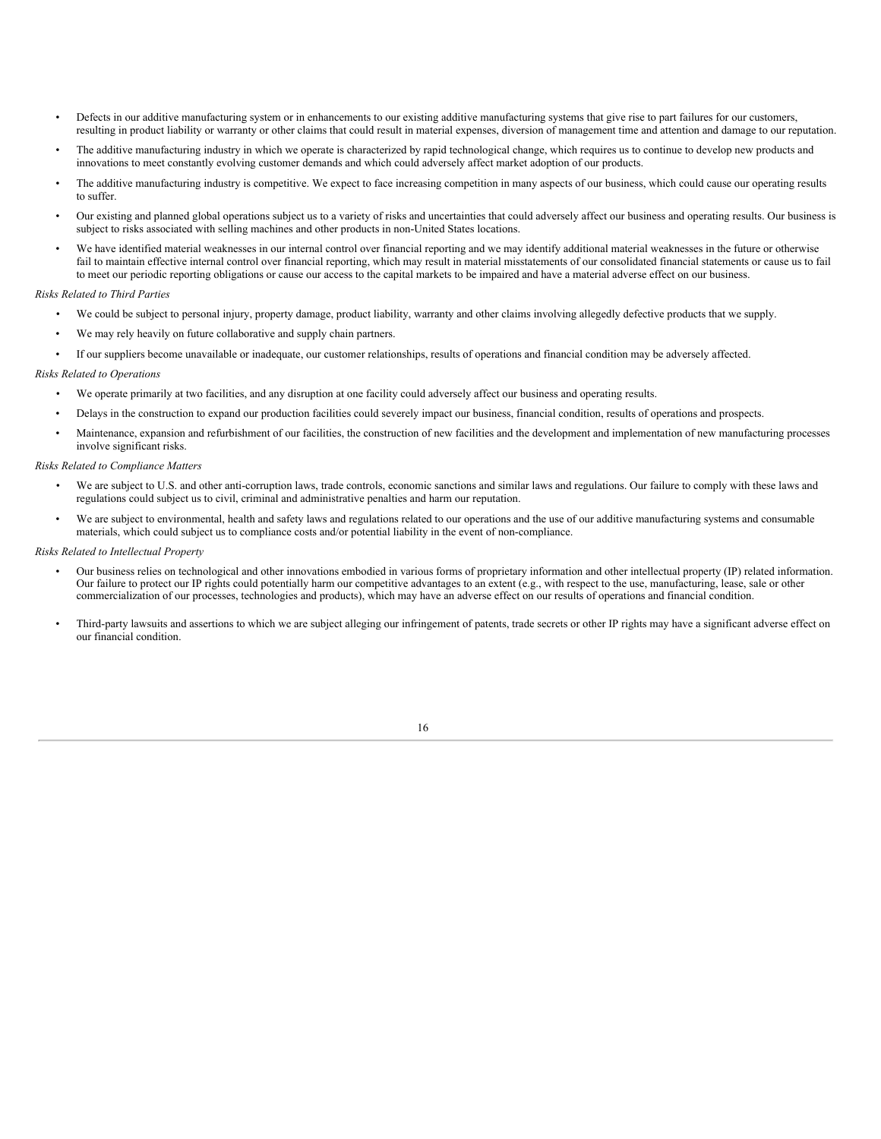- Defects in our additive manufacturing system or in enhancements to our existing additive manufacturing systems that give rise to part failures for our customers, resulting in product liability or warranty or other claims that could result in material expenses, diversion of management time and attention and damage to our reputation.
- The additive manufacturing industry in which we operate is characterized by rapid technological change, which requires us to continue to develop new products and innovations to meet constantly evolving customer demands and which could adversely affect market adoption of our products.
- The additive manufacturing industry is competitive. We expect to face increasing competition in many aspects of our business, which could cause our operating results to suffer.
- Our existing and planned global operations subject us to a variety of risks and uncertainties that could adversely affect our business and operating results. Our business is subject to risks associated with selling machines and other products in non-United States locations.
- We have identified material weaknesses in our internal control over financial reporting and we may identify additional material weaknesses in the future or otherwise fail to maintain effective internal control over financial reporting, which may result in material misstatements of our consolidated financial statements or cause us to fail to meet our periodic reporting obligations or cause our access to the capital markets to be impaired and have a material adverse effect on our business.

## *Risks Related to Third Parties*

- *•* We could be subject to personal injury, property damage, product liability, warranty and other claims involving allegedly defective products that we supply.
- We may rely heavily on future collaborative and supply chain partners.

• If our suppliers become unavailable or inadequate, our customer relationships, results of operations and financial condition may be adversely affected.

#### *Risks Related to Operations*

- We operate primarily at two facilities, and any disruption at one facility could adversely affect our business and operating results.
- Delays in the construction to expand our production facilities could severely impact our business, financial condition, results of operations and prospects.
- Maintenance, expansion and refurbishment of our facilities, the construction of new facilities and the development and implementation of new manufacturing processes involve significant risks.

## *Risks Related to Compliance Matters*

- We are subject to U.S. and other anti-corruption laws, trade controls, economic sanctions and similar laws and regulations. Our failure to comply with these laws and regulations could subject us to civil, criminal and administrative penalties and harm our reputation.
- We are subject to environmental, health and safety laws and regulations related to our operations and the use of our additive manufacturing systems and consumable materials, which could subject us to compliance costs and/or potential liability in the event of non-compliance.

## *Risks Related to Intellectual Property*

- Our business relies on technological and other innovations embodied in various forms of proprietary information and other intellectual property (IP) related information. Our failure to protect our IP rights could potentially harm our competitive advantages to an extent (e.g., with respect to the use, manufacturing, lease, sale or other commercialization of our processes, technologies and products), which may have an adverse effect on our results of operations and financial condition.
- Third-party lawsuits and assertions to which we are subject alleging our infringement of patents, trade secrets or other IP rights may have a significant adverse effect on our financial condition.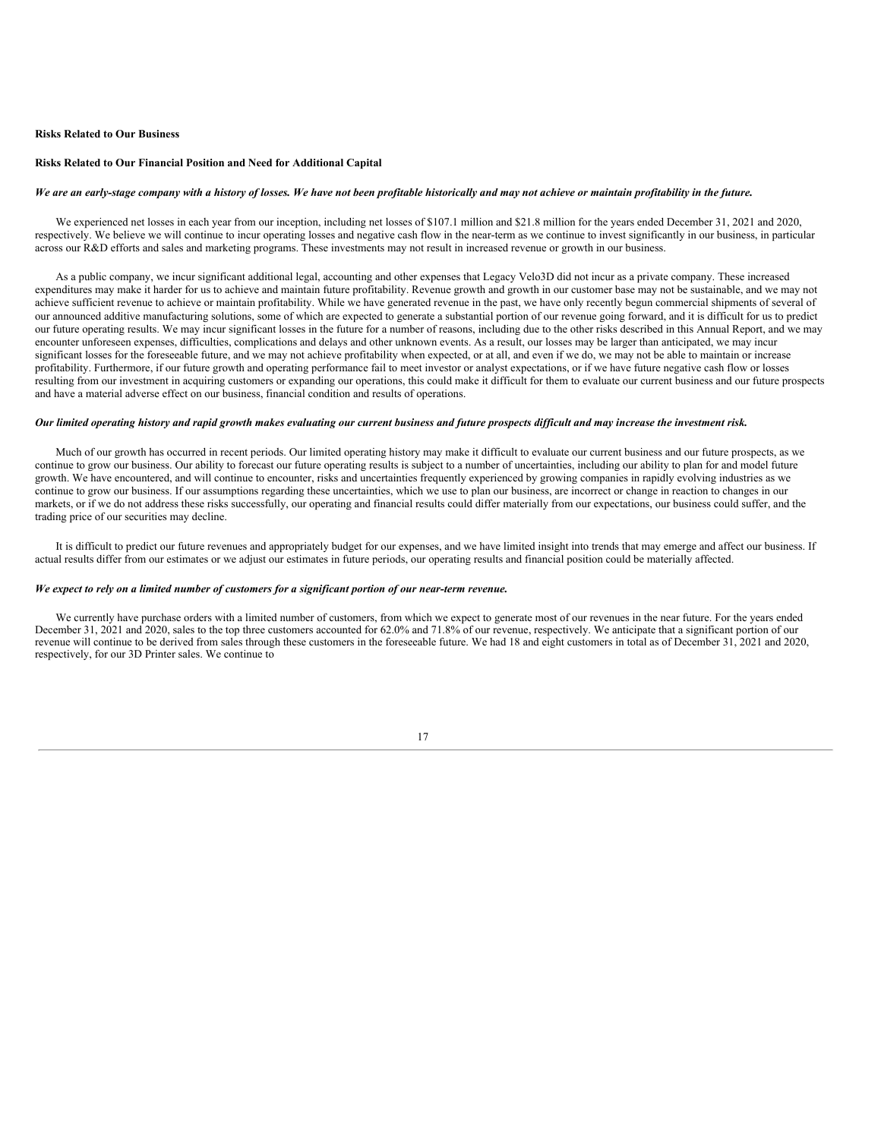## **Risks Related to Our Business**

#### **Risks Related to Our Financial Position and Need for Additional Capital**

#### We are an early-stage company with a history of losses. We have not been profitable historically and may not achieve or maintain profitability in the future.

We experienced net losses in each year from our inception, including net losses of \$107.1 million and \$21.8 million for the years ended December 31, 2021 and 2020, respectively. We believe we will continue to incur operating losses and negative cash flow in the near-term as we continue to invest significantly in our business, in particular across our R&D efforts and sales and marketing programs. These investments may not result in increased revenue or growth in our business.

As a public company, we incur significant additional legal, accounting and other expenses that Legacy Velo3D did not incur as a private company. These increased expenditures may make it harder for us to achieve and maintain future profitability. Revenue growth and growth in our customer base may not be sustainable, and we may not achieve sufficient revenue to achieve or maintain profitability. While we have generated revenue in the past, we have only recently begun commercial shipments of several of our announced additive manufacturing solutions, some of which are expected to generate a substantial portion of our revenue going forward, and it is difficult for us to predict our future operating results. We may incur significant losses in the future for a number of reasons, including due to the other risks described in this Annual Report, and we may encounter unforeseen expenses, difficulties, complications and delays and other unknown events. As a result, our losses may be larger than anticipated, we may incur significant losses for the foreseeable future, and we may not achieve profitability when expected, or at all, and even if we do, we may not be able to maintain or increase profitability. Furthermore, if our future growth and operating performance fail to meet investor or analyst expectations, or if we have future negative cash flow or losses resulting from our investment in acquiring customers or expanding our operations, this could make it difficult for them to evaluate our current business and our future prospects and have a material adverse effect on our business, financial condition and results of operations.

#### Our limited operating history and rapid growth makes evaluating our current business and future prospects difficult and may increase the investment risk.

Much of our growth has occurred in recent periods. Our limited operating history may make it difficult to evaluate our current business and our future prospects, as we continue to grow our business. Our ability to forecast our future operating results is subject to a number of uncertainties, including our ability to plan for and model future growth. We have encountered, and will continue to encounter, risks and uncertainties frequently experienced by growing companies in rapidly evolving industries as we continue to grow our business. If our assumptions regarding these uncertainties, which we use to plan our business, are incorrect or change in reaction to changes in our markets, or if we do not address these risks successfully, our operating and financial results could differ materially from our expectations, our business could suffer, and the trading price of our securities may decline.

It is difficult to predict our future revenues and appropriately budget for our expenses, and we have limited insight into trends that may emerge and affect our business. If actual results differ from our estimates or we adjust our estimates in future periods, our operating results and financial position could be materially affected.

#### We expect to rely on a limited number of customers for a significant portion of our near-term revenue.

We currently have purchase orders with a limited number of customers, from which we expect to generate most of our revenues in the near future. For the years ended December 31, 2021 and 2020, sales to the top three customers accounted for 62.0% and 71.8% of our revenue, respectively. We anticipate that a significant portion of our revenue will continue to be derived from sales through these customers in the foreseeable future. We had 18 and eight customers in total as of December 31, 2021 and 2020, respectively, for our 3D Printer sales. We continue to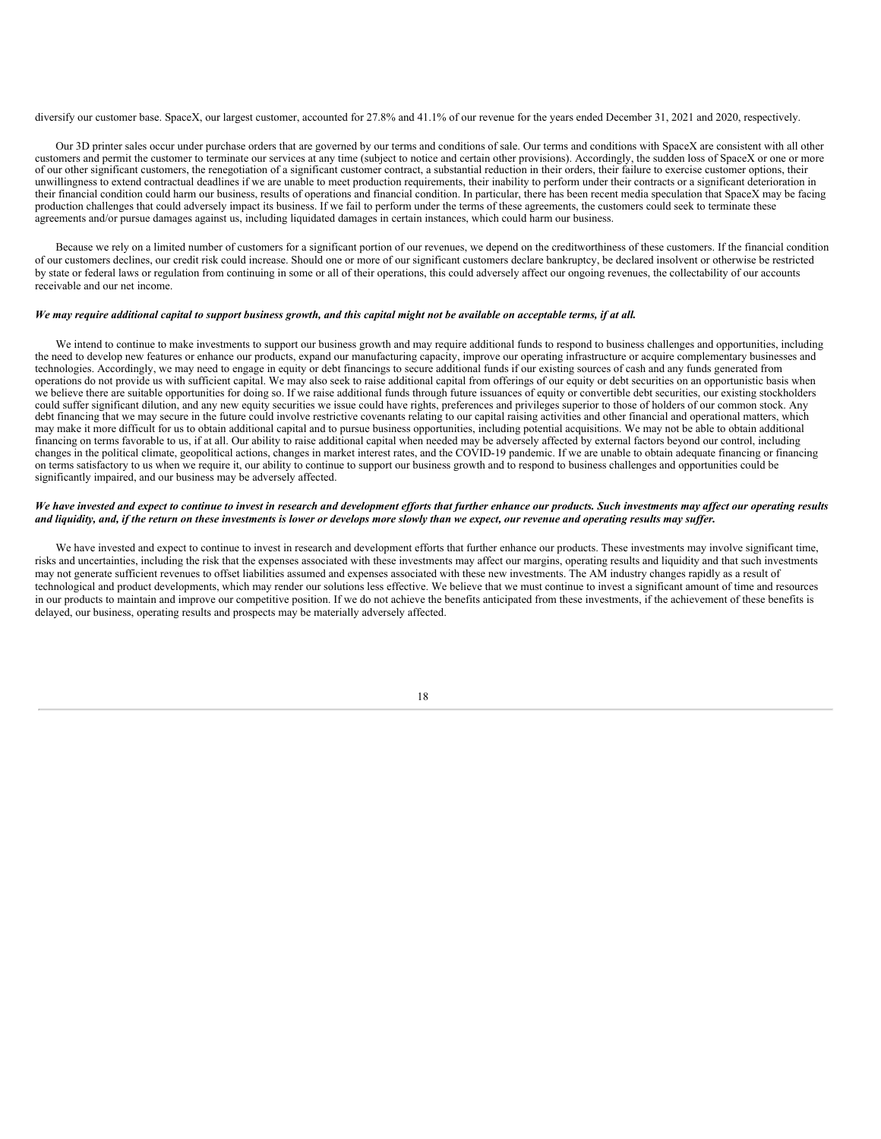diversify our customer base. SpaceX, our largest customer, accounted for 27.8% and 41.1% of our revenue for the years ended December 31, 2021 and 2020, respectively.

Our 3D printer sales occur under purchase orders that are governed by our terms and conditions of sale. Our terms and conditions with SpaceX are consistent with all other customers and permit the customer to terminate our services at any time (subject to notice and certain other provisions). Accordingly, the sudden loss of SpaceX or one or more of our other significant customers, the renegotiation of a significant customer contract, a substantial reduction in their orders, their failure to exercise customer options, their unwillingness to extend contractual deadlines if we are unable to meet production requirements, their inability to perform under their contracts or a significant deterioration in their financial condition could harm our business, results of operations and financial condition. In particular, there has been recent media speculation that SpaceX may be facing production challenges that could adversely impact its business. If we fail to perform under the terms of these agreements, the customers could seek to terminate these agreements and/or pursue damages against us, including liquidated damages in certain instances, which could harm our business.

Because we rely on a limited number of customers for a significant portion of our revenues, we depend on the creditworthiness of these customers. If the financial condition of our customers declines, our credit risk could increase. Should one or more of our significant customers declare bankruptcy, be declared insolvent or otherwise be restricted by state or federal laws or regulation from continuing in some or all of their operations, this could adversely affect our ongoing revenues, the collectability of our accounts receivable and our net income.

## We may require additional capital to support business growth, and this capital might not be available on acceptable terms, if at all.

We intend to continue to make investments to support our business growth and may require additional funds to respond to business challenges and opportunities, including the need to develop new features or enhance our products, expand our manufacturing capacity, improve our operating infrastructure or acquire complementary businesses and technologies. Accordingly, we may need to engage in equity or debt financings to secure additional funds if our existing sources of cash and any funds generated from operations do not provide us with sufficient capital. We may also seek to raise additional capital from offerings of our equity or debt securities on an opportunistic basis when we believe there are suitable opportunities for doing so. If we raise additional funds through future issuances of equity or convertible debt securities, our existing stockholders could suffer significant dilution, and any new equity securities we issue could have rights, preferences and privileges superior to those of holders of our common stock. Any debt financing that we may secure in the future could involve restrictive covenants relating to our capital raising activities and other financial and operational matters, which may make it more difficult for us to obtain additional capital and to pursue business opportunities, including potential acquisitions. We may not be able to obtain additional financing on terms favorable to us, if at all. Our ability to raise additional capital when needed may be adversely affected by external factors beyond our control, including changes in the political climate, geopolitical actions, changes in market interest rates, and the COVID-19 pandemic. If we are unable to obtain adequate financing or financing on terms satisfactory to us when we require it, our ability to continue to support our business growth and to respond to business challenges and opportunities could be significantly impaired, and our business may be adversely affected.

## We have invested and expect to continue to invest in research and development efforts that further enhance our products. Such investments may affect our operating results and liquidity, and, if the return on these investments is lower or develops more slowly than we expect, our revenue and operating results may suffer.

We have invested and expect to continue to invest in research and development efforts that further enhance our products. These investments may involve significant time, risks and uncertainties, including the risk that the expenses associated with these investments may affect our margins, operating results and liquidity and that such investments may not generate sufficient revenues to offset liabilities assumed and expenses associated with these new investments. The AM industry changes rapidly as a result of technological and product developments, which may render our solutions less effective. We believe that we must continue to invest a significant amount of time and resources in our products to maintain and improve our competitive position. If we do not achieve the benefits anticipated from these investments, if the achievement of these benefits is delayed, our business, operating results and prospects may be materially adversely affected.

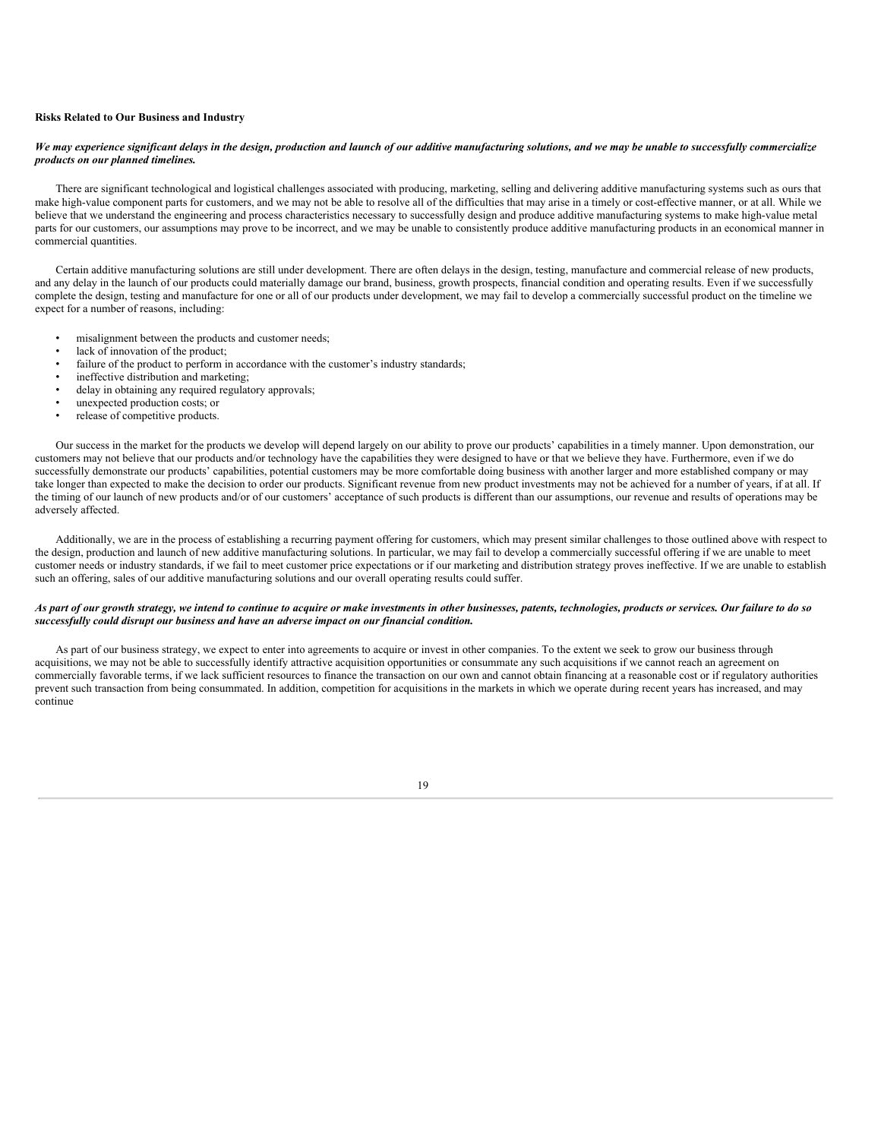### **Risks Related to Our Business and Industry**

#### We may experience significant delays in the design, production and launch of our additive manufacturing solutions, and we may be unable to successfully commercialize *products on our planned timelines.*

There are significant technological and logistical challenges associated with producing, marketing, selling and delivering additive manufacturing systems such as ours that make high-value component parts for customers, and we may not be able to resolve all of the difficulties that may arise in a timely or cost-effective manner, or at all. While we believe that we understand the engineering and process characteristics necessary to successfully design and produce additive manufacturing systems to make high-value metal parts for our customers, our assumptions may prove to be incorrect, and we may be unable to consistently produce additive manufacturing products in an economical manner in commercial quantities.

Certain additive manufacturing solutions are still under development. There are often delays in the design, testing, manufacture and commercial release of new products, and any delay in the launch of our products could materially damage our brand, business, growth prospects, financial condition and operating results. Even if we successfully complete the design, testing and manufacture for one or all of our products under development, we may fail to develop a commercially successful product on the timeline we expect for a number of reasons, including:

- misalignment between the products and customer needs;
- lack of innovation of the product;
- failure of the product to perform in accordance with the customer's industry standards;
- ineffective distribution and marketing:
- delay in obtaining any required regulatory approvals;
- unexpected production costs; or
- release of competitive products.

Our success in the market for the products we develop will depend largely on our ability to prove our products' capabilities in a timely manner. Upon demonstration, our customers may not believe that our products and/or technology have the capabilities they were designed to have or that we believe they have. Furthermore, even if we do successfully demonstrate our products' capabilities, potential customers may be more comfortable doing business with another larger and more established company or may take longer than expected to make the decision to order our products. Significant revenue from new product investments may not be achieved for a number of years, if at all. If the timing of our launch of new products and/or of our customers' acceptance of such products is different than our assumptions, our revenue and results of operations may be adversely affected.

Additionally, we are in the process of establishing a recurring payment offering for customers, which may present similar challenges to those outlined above with respect to the design, production and launch of new additive manufacturing solutions. In particular, we may fail to develop a commercially successful offering if we are unable to meet customer needs or industry standards, if we fail to meet customer price expectations or if our marketing and distribution strategy proves ineffective. If we are unable to establish such an offering, sales of our additive manufacturing solutions and our overall operating results could suffer.

## As part of our growth strategy, we intend to continue to acquire or make investments in other businesses, patents, technologies, products or services. Our failure to do so *successfully could disrupt our business and have an adverse impact on our financial condition.*

As part of our business strategy, we expect to enter into agreements to acquire or invest in other companies. To the extent we seek to grow our business through acquisitions, we may not be able to successfully identify attractive acquisition opportunities or consummate any such acquisitions if we cannot reach an agreement on commercially favorable terms, if we lack sufficient resources to finance the transaction on our own and cannot obtain financing at a reasonable cost or if regulatory authorities prevent such transaction from being consummated. In addition, competition for acquisitions in the markets in which we operate during recent years has increased, and may continue

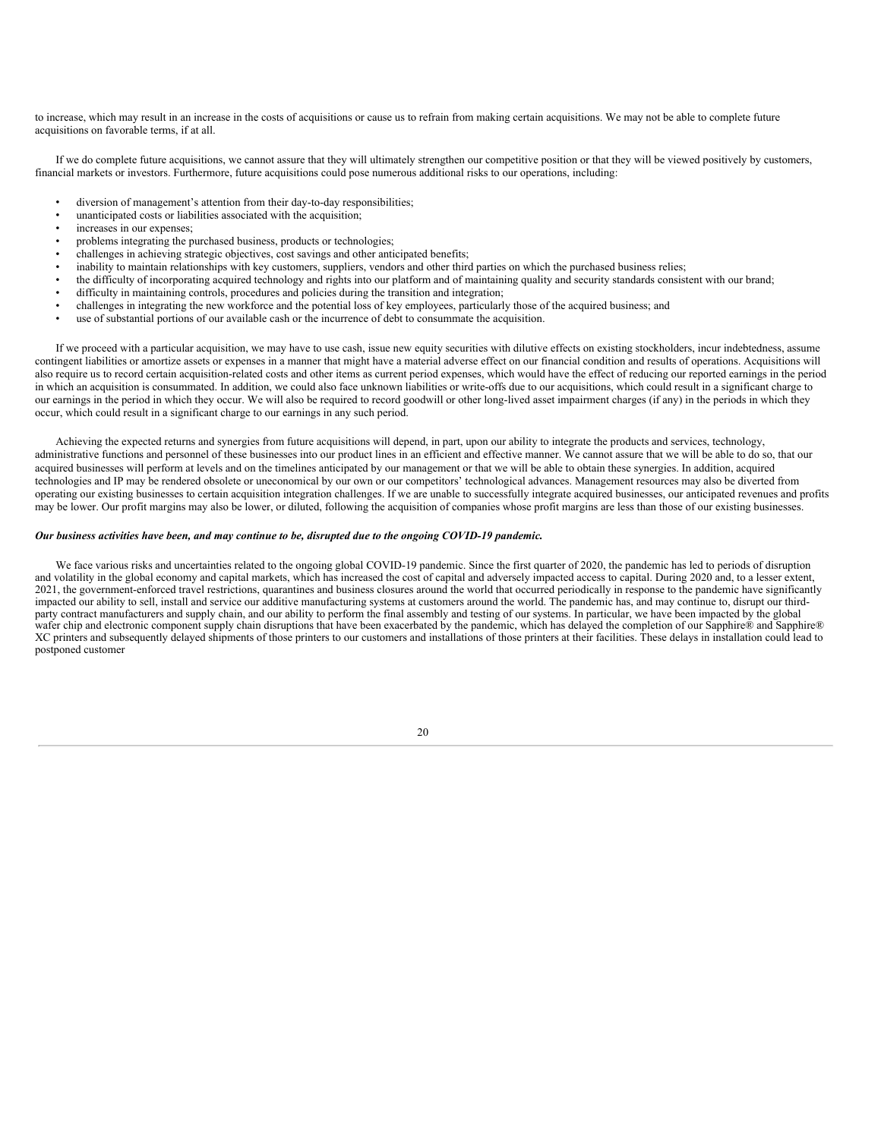to increase, which may result in an increase in the costs of acquisitions or cause us to refrain from making certain acquisitions. We may not be able to complete future acquisitions on favorable terms, if at all.

If we do complete future acquisitions, we cannot assure that they will ultimately strengthen our competitive position or that they will be viewed positively by customers, financial markets or investors. Furthermore, future acquisitions could pose numerous additional risks to our operations, including:

- diversion of management's attention from their day-to-day responsibilities;
- unanticipated costs or liabilities associated with the acquisition;
- increases in our expenses;
- problems integrating the purchased business, products or technologies;
- challenges in achieving strategic objectives, cost savings and other anticipated benefits;
- inability to maintain relationships with key customers, suppliers, vendors and other third parties on which the purchased business relies;
- the difficulty of incorporating acquired technology and rights into our platform and of maintaining quality and security standards consistent with our brand;
- difficulty in maintaining controls, procedures and policies during the transition and integration;
- challenges in integrating the new workforce and the potential loss of key employees, particularly those of the acquired business; and
- use of substantial portions of our available cash or the incurrence of debt to consummate the acquisition.

If we proceed with a particular acquisition, we may have to use cash, issue new equity securities with dilutive effects on existing stockholders, incur indebtedness, assume contingent liabilities or amortize assets or expenses in a manner that might have a material adverse effect on our financial condition and results of operations. Acquisitions will also require us to record certain acquisition-related costs and other items as current period expenses, which would have the effect of reducing our reported earnings in the period in which an acquisition is consummated. In addition, we could also face unknown liabilities or write-offs due to our acquisitions, which could result in a significant charge to our earnings in the period in which they occur. We will also be required to record goodwill or other long-lived asset impairment charges (if any) in the periods in which they occur, which could result in a significant charge to our earnings in any such period.

Achieving the expected returns and synergies from future acquisitions will depend, in part, upon our ability to integrate the products and services, technology, administrative functions and personnel of these businesses into our product lines in an efficient and effective manner. We cannot assure that we will be able to do so, that our acquired businesses will perform at levels and on the timelines anticipated by our management or that we will be able to obtain these synergies. In addition, acquired technologies and IP may be rendered obsolete or uneconomical by our own or our competitors' technological advances. Management resources may also be diverted from operating our existing businesses to certain acquisition integration challenges. If we are unable to successfully integrate acquired businesses, our anticipated revenues and profits may be lower. Our profit margins may also be lower, or diluted, following the acquisition of companies whose profit margins are less than those of our existing businesses.

#### Our business activities have been, and may continue to be, disrupted due to the ongoing COVID-19 pandemic.

We face various risks and uncertainties related to the ongoing global COVID-19 pandemic. Since the first quarter of 2020, the pandemic has led to periods of disruption and volatility in the global economy and capital markets, which has increased the cost of capital and adversely impacted access to capital. During 2020 and, to a lesser extent, 2021, the government-enforced travel restrictions, quarantines and business closures around the world that occurred periodically in response to the pandemic have significantly impacted our ability to sell, install and service our additive manufacturing systems at customers around the world. The pandemic has, and may continue to, disrupt our thirdparty contract manufacturers and supply chain, and our ability to perform the final assembly and testing of our systems. In particular, we have been impacted by the global wafer chip and electronic component supply chain disruptions that have been exacerbated by the pandemic, which has delayed the completion of our Sapphire® and Sapphire® XC printers and subsequently delayed shipments of those printers to our customers and installations of those printers at their facilities. These delays in installation could lead to postponed customer

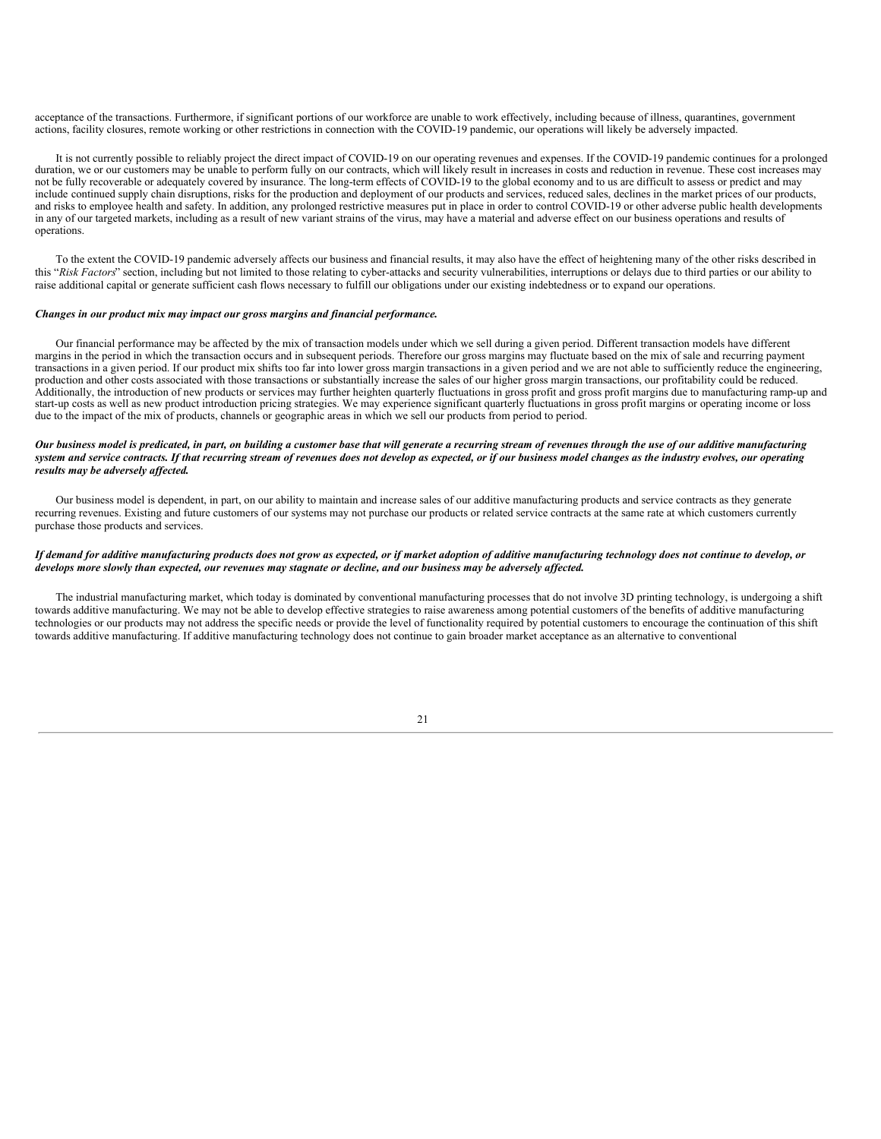acceptance of the transactions. Furthermore, if significant portions of our workforce are unable to work effectively, including because of illness, quarantines, government actions, facility closures, remote working or other restrictions in connection with the COVID-19 pandemic, our operations will likely be adversely impacted.

It is not currently possible to reliably project the direct impact of COVID-19 on our operating revenues and expenses. If the COVID-19 pandemic continues for a prolonged duration, we or our customers may be unable to perform fully on our contracts, which will likely result in increases in costs and reduction in revenue. These cost increases may not be fully recoverable or adequately covered by insurance. The long-term effects of COVID-19 to the global economy and to us are difficult to assess or predict and may include continued supply chain disruptions, risks for the production and deployment of our products and services, reduced sales, declines in the market prices of our products, and risks to employee health and safety. In addition, any prolonged restrictive measures put in place in order to control COVID-19 or other adverse public health developments in any of our targeted markets, including as a result of new variant strains of the virus, may have a material and adverse effect on our business operations and results of operations.

To the extent the COVID-19 pandemic adversely affects our business and financial results, it may also have the effect of heightening many of the other risks described in this "Risk Factors" section, including but not limited to those relating to cyber-attacks and security vulnerabilities, interruptions or delays due to third parties or our ability to raise additional capital or generate sufficient cash flows necessary to fulfill our obligations under our existing indebtedness or to expand our operations.

## *Changes in our product mix may impact our gross margins and financial performance.*

Our financial performance may be affected by the mix of transaction models under which we sell during a given period. Different transaction models have different margins in the period in which the transaction occurs and in subsequent periods. Therefore our gross margins may fluctuate based on the mix of sale and recurring payment transactions in a given period. If our product mix shifts too far into lower gross margin transactions in a given period and we are not able to sufficiently reduce the engineering, production and other costs associated with those transactions or substantially increase the sales of our higher gross margin transactions, our profitability could be reduced. Additionally, the introduction of new products or services may further heighten quarterly fluctuations in gross profit and gross profit margins due to manufacturing ramp-up and start-up costs as well as new product introduction pricing strategies. We may experience significant quarterly fluctuations in gross profit margins or operating income or loss due to the impact of the mix of products, channels or geographic areas in which we sell our products from period to period.

#### Our business model is predicated, in part, on building a customer base that will generate a recurring stream of revenues through the use of our additive manufacturing system and service contracts. If that recurring stream of revenues does not develop as expected, or if our business model changes as the industry evolves, our operating *results may be adversely af ected.*

Our business model is dependent, in part, on our ability to maintain and increase sales of our additive manufacturing products and service contracts as they generate recurring revenues. Existing and future customers of our systems may not purchase our products or related service contracts at the same rate at which customers currently purchase those products and services.

## If demand for additive manufacturing products does not grow as expected, or if market adoption of additive manufacturing technology does not continue to develop, or develops more slowly than expected, our revenues may stagnate or decline, and our business may be adversely affected.

The industrial manufacturing market, which today is dominated by conventional manufacturing processes that do not involve 3D printing technology, is undergoing a shift towards additive manufacturing. We may not be able to develop effective strategies to raise awareness among potential customers of the benefits of additive manufacturing technologies or our products may not address the specific needs or provide the level of functionality required by potential customers to encourage the continuation of this shift towards additive manufacturing. If additive manufacturing technology does not continue to gain broader market acceptance as an alternative to conventional

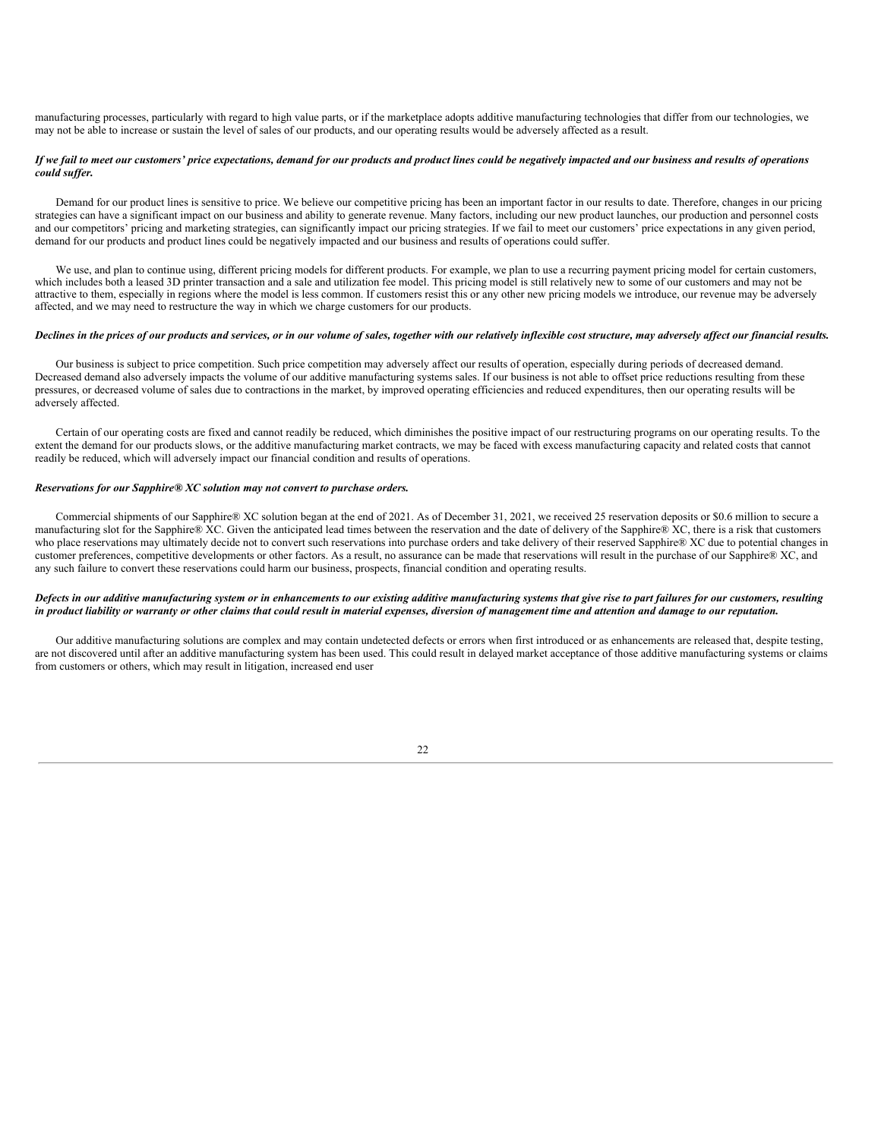manufacturing processes, particularly with regard to high value parts, or if the marketplace adopts additive manufacturing technologies that differ from our technologies, we may not be able to increase or sustain the level of sales of our products, and our operating results would be adversely affected as a result.

## If we fail to meet our customers' price expectations, demand for our products and product lines could be negatively impacted and our business and results of operations  $could$  *suffer.*

Demand for our product lines is sensitive to price. We believe our competitive pricing has been an important factor in our results to date. Therefore, changes in our pricing strategies can have a significant impact on our business and ability to generate revenue. Many factors, including our new product launches, our production and personnel costs and our competitors' pricing and marketing strategies, can significantly impact our pricing strategies. If we fail to meet our customers' price expectations in any given period, demand for our products and product lines could be negatively impacted and our business and results of operations could suffer.

We use, and plan to continue using, different pricing models for different products. For example, we plan to use a recurring payment pricing model for certain customers, which includes both a leased 3D printer transaction and a sale and utilization fee model. This pricing model is still relatively new to some of our customers and may not be attractive to them, especially in regions where the model is less common. If customers resist this or any other new pricing models we introduce, our revenue may be adversely affected, and we may need to restructure the way in which we charge customers for our products.

#### Declines in the prices of our products and services, or in our volume of sales, together with our relatively inflexible cost structure, may adversely affect our financial results.

Our business is subject to price competition. Such price competition may adversely affect our results of operation, especially during periods of decreased demand. Decreased demand also adversely impacts the volume of our additive manufacturing systems sales. If our business is not able to offset price reductions resulting from these pressures, or decreased volume of sales due to contractions in the market, by improved operating efficiencies and reduced expenditures, then our operating results will be adversely affected.

Certain of our operating costs are fixed and cannot readily be reduced, which diminishes the positive impact of our restructuring programs on our operating results. To the extent the demand for our products slows, or the additive manufacturing market contracts, we may be faced with excess manufacturing capacity and related costs that cannot readily be reduced, which will adversely impact our financial condition and results of operations.

## *Reservations for our Sapphire® XC solution may not convert to purchase orders.*

Commercial shipments of our Sapphire® XC solution began at the end of 2021. As of December 31, 2021, we received 25 reservation deposits or \$0.6 million to secure a manufacturing slot for the Sapphire® XC. Given the anticipated lead times between the reservation and the date of delivery of the Sapphire® XC, there is a risk that customers who place reservations may ultimately decide not to convert such reservations into purchase orders and take delivery of their reserved Sapphire® XC due to potential changes in customer preferences, competitive developments or other factors. As a result, no assurance can be made that reservations will result in the purchase of our Sapphire® XC, and any such failure to convert these reservations could harm our business, prospects, financial condition and operating results.

#### Defects in our additive manufacturing system or in enhancements to our existing additive manufacturing systems that give rise to part failures for our customers, resulting in product liability or warranty or other claims that could result in material expenses, diversion of management time and attention and damage to our reputation.

Our additive manufacturing solutions are complex and may contain undetected defects or errors when first introduced or as enhancements are released that, despite testing, are not discovered until after an additive manufacturing system has been used. This could result in delayed market acceptance of those additive manufacturing systems or claims from customers or others, which may result in litigation, increased end user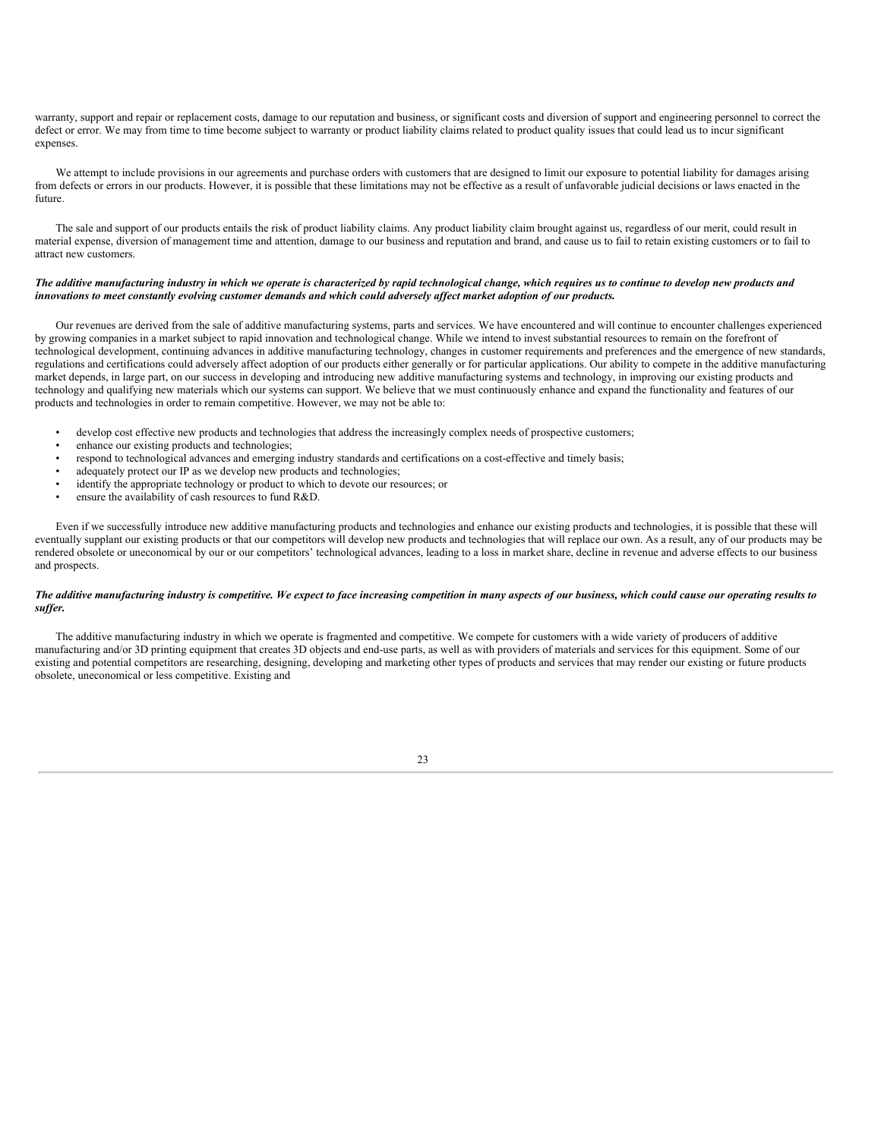warranty, support and repair or replacement costs, damage to our reputation and business, or significant costs and diversion of support and engineering personnel to correct the defect or error. We may from time to time become subject to warranty or product liability claims related to product quality issues that could lead us to incur significant expenses.

We attempt to include provisions in our agreements and purchase orders with customers that are designed to limit our exposure to potential liability for damages arising from defects or errors in our products. However, it is possible that these limitations may not be effective as a result of unfavorable judicial decisions or laws enacted in the future.

The sale and support of our products entails the risk of product liability claims. Any product liability claim brought against us, regardless of our merit, could result in material expense, diversion of management time and attention, damage to our business and reputation and brand, and cause us to fail to retain existing customers or to fail to attract new customers.

## The additive manufacturing industry in which we operate is characterized by rapid technological change, which requires us to continue to develop new products and innovations to meet constantly evolving customer demands and which could adversely affect market adoption of our products.

Our revenues are derived from the sale of additive manufacturing systems, parts and services. We have encountered and will continue to encounter challenges experienced by growing companies in a market subject to rapid innovation and technological change. While we intend to invest substantial resources to remain on the forefront of technological development, continuing advances in additive manufacturing technology, changes in customer requirements and preferences and the emergence of new standards, regulations and certifications could adversely affect adoption of our products either generally or for particular applications. Our ability to compete in the additive manufacturing market depends, in large part, on our success in developing and introducing new additive manufacturing systems and technology, in improving our existing products and technology and qualifying new materials which our systems can support. We believe that we must continuously enhance and expand the functionality and features of our products and technologies in order to remain competitive. However, we may not be able to:

- develop cost effective new products and technologies that address the increasingly complex needs of prospective customers;
- enhance our existing products and technologies;
- respond to technological advances and emerging industry standards and certifications on a cost-effective and timely basis;
- adequately protect our IP as we develop new products and technologies;
- identify the appropriate technology or product to which to devote our resources: or
- ensure the availability of cash resources to fund R&D.

Even if we successfully introduce new additive manufacturing products and technologies and enhance our existing products and technologies, it is possible that these will eventually supplant our existing products or that our competitors will develop new products and technologies that will replace our own. As a result, any of our products may be rendered obsolete or uneconomical by our or our competitors' technological advances, leading to a loss in market share, decline in revenue and adverse effects to our business and prospects.

## The additive manufacturing industry is competitive. We expect to face increasing competition in many aspects of our business, which could cause our operating results to *suf er.*

The additive manufacturing industry in which we operate is fragmented and competitive. We compete for customers with a wide variety of producers of additive manufacturing and/or 3D printing equipment that creates 3D objects and end-use parts, as well as with providers of materials and services for this equipment. Some of our existing and potential competitors are researching, designing, developing and marketing other types of products and services that may render our existing or future products obsolete, uneconomical or less competitive. Existing and

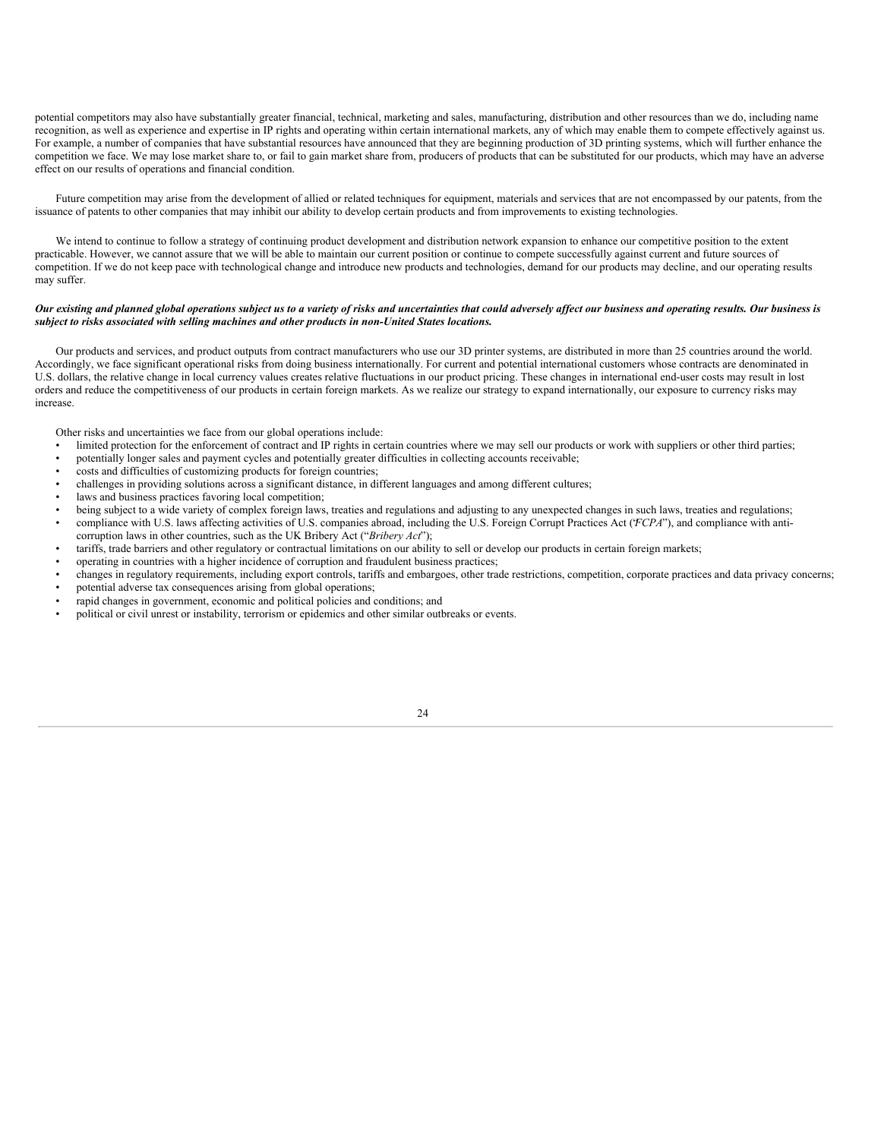potential competitors may also have substantially greater financial, technical, marketing and sales, manufacturing, distribution and other resources than we do, including name recognition, as well as experience and expertise in IP rights and operating within certain international markets, any of which may enable them to compete effectively against us. For example, a number of companies that have substantial resources have announced that they are beginning production of 3D printing systems, which will further enhance the competition we face. We may lose market share to, or fail to gain market share from, producers of products that can be substituted for our products, which may have an adverse effect on our results of operations and financial condition.

Future competition may arise from the development of allied or related techniques for equipment, materials and services that are not encompassed by our patents, from the issuance of patents to other companies that may inhibit our ability to develop certain products and from improvements to existing technologies.

We intend to continue to follow a strategy of continuing product development and distribution network expansion to enhance our competitive position to the extent practicable. However, we cannot assure that we will be able to maintain our current position or continue to compete successfully against current and future sources of competition. If we do not keep pace with technological change and introduce new products and technologies, demand for our products may decline, and our operating results may suffer.

## Our existing and planned global operations subject us to a variety of risks and uncertainties that could adversely affect our business and operating results. Our business is *subject to risks associated with selling machines and other products in non-United States locations.*

Our products and services, and product outputs from contract manufacturers who use our 3D printer systems, are distributed in more than 25 countries around the world. Accordingly, we face significant operational risks from doing business internationally. For current and potential international customers whose contracts are denominated in U.S. dollars, the relative change in local currency values creates relative fluctuations in our product pricing. These changes in international end-user costs may result in lost orders and reduce the competitiveness of our products in certain foreign markets. As we realize our strategy to expand internationally, our exposure to currency risks may increase.

Other risks and uncertainties we face from our global operations include:

- limited protection for the enforcement of contract and IP rights in certain countries where we may sell our products or work with suppliers or other third parties;
- potentially longer sales and payment cycles and potentially greater difficulties in collecting accounts receivable;
- costs and difficulties of customizing products for foreign countries;
- challenges in providing solutions across a significant distance, in different languages and among different cultures;
- laws and business practices favoring local competition;
- being subject to a wide variety of complex foreign laws, treaties and regulations and adjusting to any unexpected changes in such laws, treaties and regulations;
- compliance with U.S. laws affecting activities of U.S. companies abroad, including the U.S. Foreign Corrupt Practices Act ("*FCPA*"), and compliance with anticorruption laws in other countries, such as the UK Bribery Act ("*Bribery Act*");
- tariffs, trade barriers and other regulatory or contractual limitations on our ability to sell or develop our products in certain foreign markets;
- operating in countries with a higher incidence of corruption and fraudulent business practices;
- changes in regulatory requirements, including export controls, tariffs and embargoes, other trade restrictions, competition, corporate practices and data privacy concerns;
- potential adverse tax consequences arising from global operations;
- rapid changes in government, economic and political policies and conditions; and
- political or civil unrest or instability, terrorism or epidemics and other similar outbreaks or events.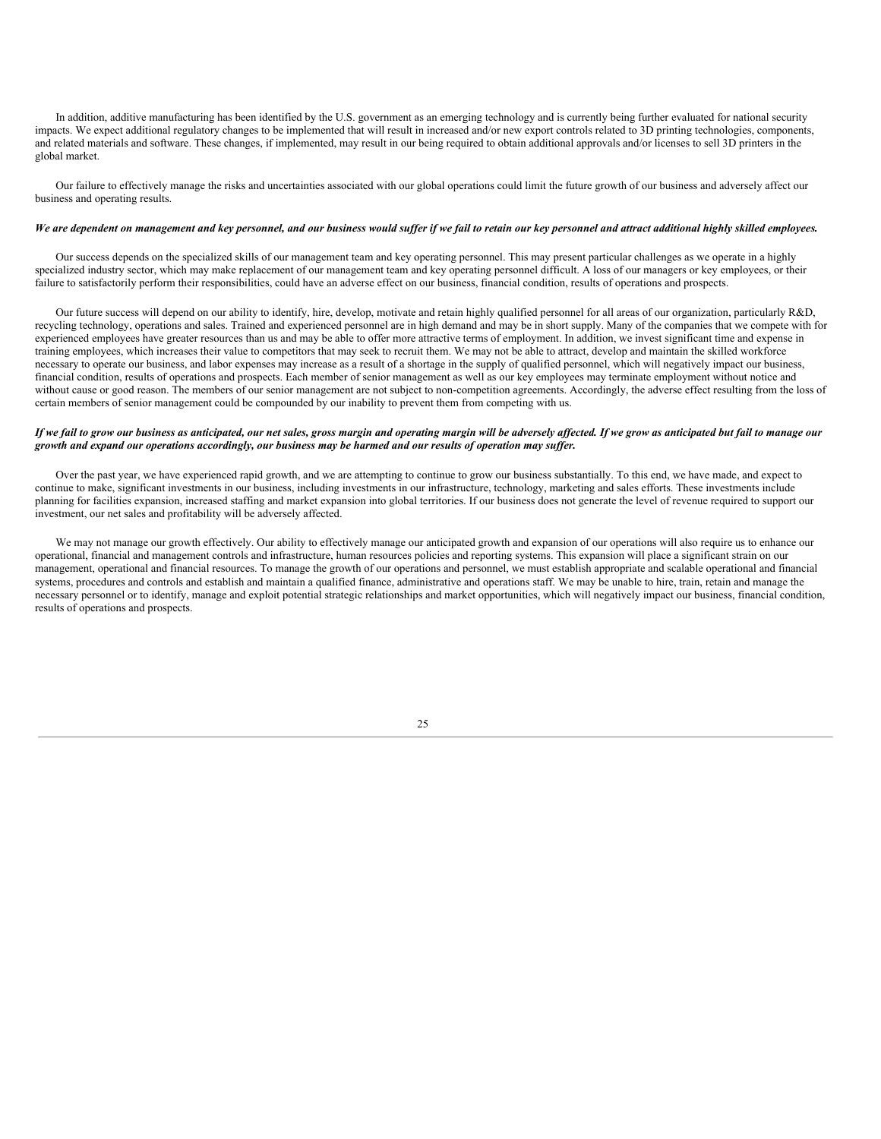In addition, additive manufacturing has been identified by the U.S. government as an emerging technology and is currently being further evaluated for national security impacts. We expect additional regulatory changes to be implemented that will result in increased and/or new export controls related to 3D printing technologies, components, and related materials and software. These changes, if implemented, may result in our being required to obtain additional approvals and/or licenses to sell 3D printers in the global market.

Our failure to effectively manage the risks and uncertainties associated with our global operations could limit the future growth of our business and adversely affect our business and operating results.

#### We are dependent on management and key personnel, and our business would suffer if we fail to retain our key personnel and attract additional highly skilled employees.

Our success depends on the specialized skills of our management team and key operating personnel. This may present particular challenges as we operate in a highly specialized industry sector, which may make replacement of our management team and key operating personnel difficult. A loss of our managers or key employees, or their failure to satisfactorily perform their responsibilities, could have an adverse effect on our business, financial condition, results of operations and prospects.

Our future success will depend on our ability to identify, hire, develop, motivate and retain highly qualified personnel for all areas of our organization, particularly R&D, recycling technology, operations and sales. Trained and experienced personnel are in high demand and may be in short supply. Many of the companies that we compete with for experienced employees have greater resources than us and may be able to offer more attractive terms of employment. In addition, we invest significant time and expense in training employees, which increases their value to competitors that may seek to recruit them. We may not be able to attract, develop and maintain the skilled workforce necessary to operate our business, and labor expenses may increase as a result of a shortage in the supply of qualified personnel, which will negatively impact our business, financial condition, results of operations and prospects. Each member of senior management as well as our key employees may terminate employment without notice and without cause or good reason. The members of our senior management are not subject to non-competition agreements. Accordingly, the adverse effect resulting from the loss of certain members of senior management could be compounded by our inability to prevent them from competing with us.

#### If we fail to grow our business as anticipated, our net sales, gross margin and operating margin will be adversely affected. If we grow as anticipated but fail to manage our growth and expand our operations accordingly, our business may be harmed and our results of operation may suffer.

Over the past year, we have experienced rapid growth, and we are attempting to continue to grow our business substantially. To this end, we have made, and expect to continue to make, significant investments in our business, including investments in our infrastructure, technology, marketing and sales efforts. These investments include planning for facilities expansion, increased staffing and market expansion into global territories. If our business does not generate the level of revenue required to support our investment, our net sales and profitability will be adversely affected.

We may not manage our growth effectively. Our ability to effectively manage our anticipated growth and expansion of our operations will also require us to enhance our operational, financial and management controls and infrastructure, human resources policies and reporting systems. This expansion will place a significant strain on our management, operational and financial resources. To manage the growth of our operations and personnel, we must establish appropriate and scalable operational and financial systems, procedures and controls and establish and maintain a qualified finance, administrative and operations staff. We may be unable to hire, train, retain and manage the necessary personnel or to identify, manage and exploit potential strategic relationships and market opportunities, which will negatively impact our business, financial condition, results of operations and prospects.

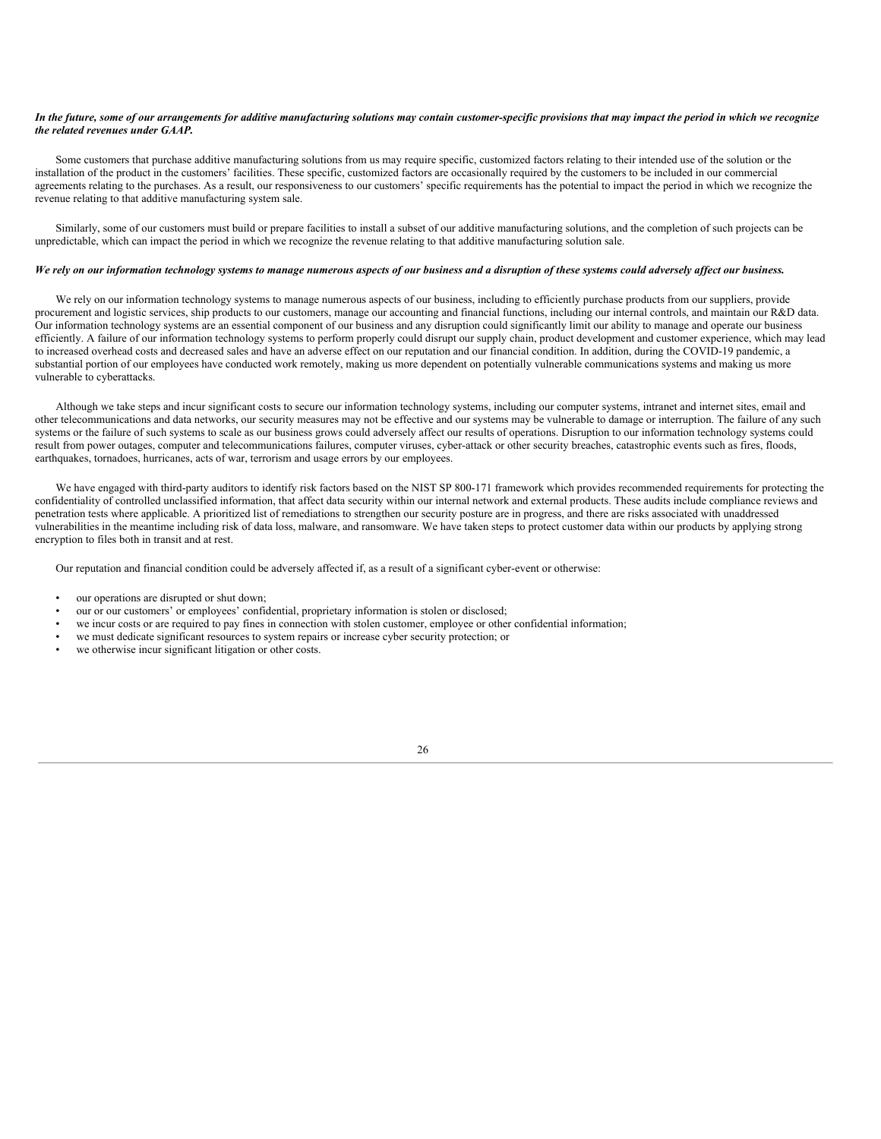## In the future, some of our arrangements for additive manufacturing solutions may contain customer-specific provisions that may impact the period in which we recognize *the related revenues under GAAP.*

Some customers that purchase additive manufacturing solutions from us may require specific, customized factors relating to their intended use of the solution or the installation of the product in the customers' facilities. These specific, customized factors are occasionally required by the customers to be included in our commercial agreements relating to the purchases. As a result, our responsiveness to our customers' specific requirements has the potential to impact the period in which we recognize the revenue relating to that additive manufacturing system sale.

Similarly, some of our customers must build or prepare facilities to install a subset of our additive manufacturing solutions, and the completion of such projects can be unpredictable, which can impact the period in which we recognize the revenue relating to that additive manufacturing solution sale.

## We rely on our information technology systems to manage numerous aspects of our business and a disruption of these systems could adversely affect our business.

We rely on our information technology systems to manage numerous aspects of our business, including to efficiently purchase products from our suppliers, provide procurement and logistic services, ship products to our customers, manage our accounting and financial functions, including our internal controls, and maintain our R&D data. Our information technology systems are an essential component of our business and any disruption could significantly limit our ability to manage and operate our business efficiently. A failure of our information technology systems to perform properly could disrupt our supply chain, product development and customer experience, which may lead to increased overhead costs and decreased sales and have an adverse effect on our reputation and our financial condition. In addition, during the COVID-19 pandemic, a substantial portion of our employees have conducted work remotely, making us more dependent on potentially vulnerable communications systems and making us more vulnerable to cyberattacks.

Although we take steps and incur significant costs to secure our information technology systems, including our computer systems, intranet and internet sites, email and other telecommunications and data networks, our security measures may not be effective and our systems may be vulnerable to damage or interruption. The failure of any such systems or the failure of such systems to scale as our business grows could adversely affect our results of operations. Disruption to our information technology systems could result from power outages, computer and telecommunications failures, computer viruses, cyber-attack or other security breaches, catastrophic events such as fires, floods, earthquakes, tornadoes, hurricanes, acts of war, terrorism and usage errors by our employees.

We have engaged with third-party auditors to identify risk factors based on the NIST SP 800-171 framework which provides recommended requirements for protecting the confidentiality of controlled unclassified information, that affect data security within our internal network and external products. These audits include compliance reviews and penetration tests where applicable. A prioritized list of remediations to strengthen our security posture are in progress, and there are risks associated with unaddressed vulnerabilities in the meantime including risk of data loss, malware, and ransomware. We have taken steps to protect customer data within our products by applying strong encryption to files both in transit and at rest.

Our reputation and financial condition could be adversely affected if, as a result of a significant cyber-event or otherwise:

- our operations are disrupted or shut down;
- our or our customers' or employees' confidential, proprietary information is stolen or disclosed;
- we incur costs or are required to pay fines in connection with stolen customer, employee or other confidential information;
- we must dedicate significant resources to system repairs or increase cyber security protection; or
- we otherwise incur significant litigation or other costs.

#### 26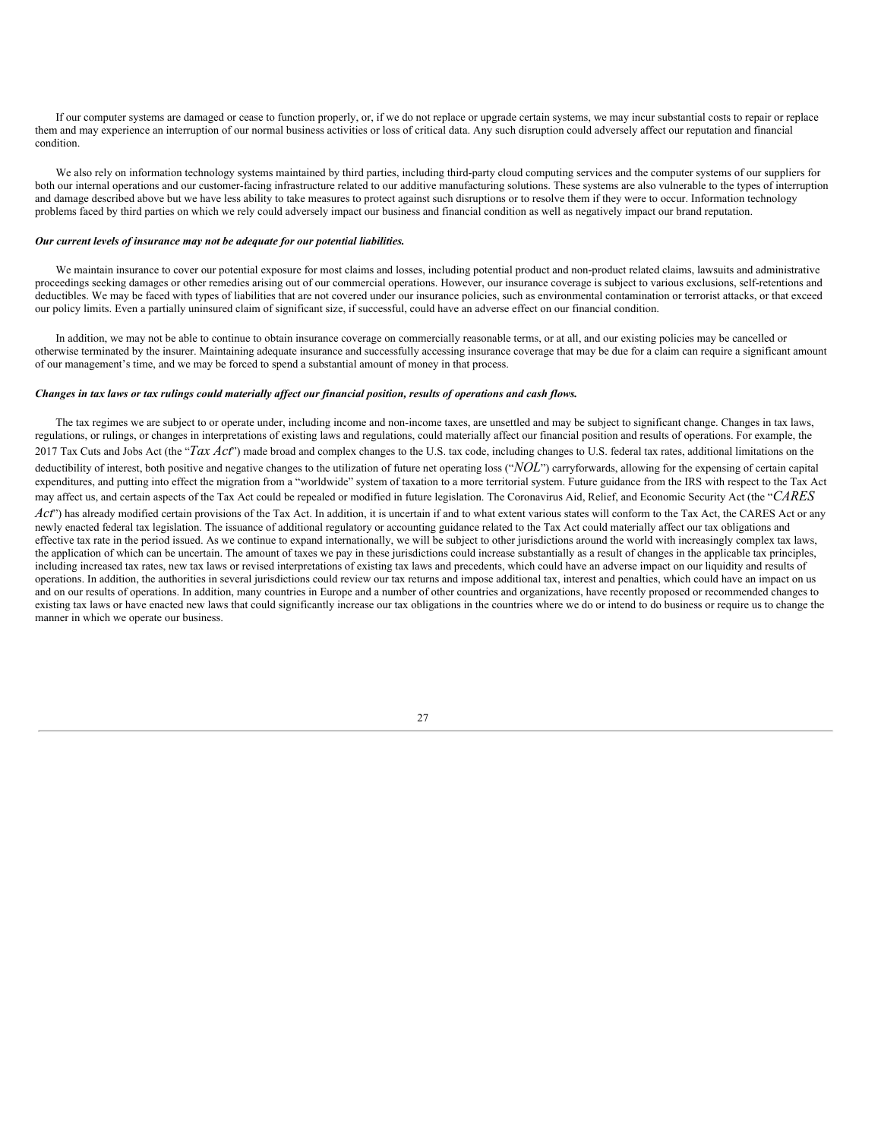If our computer systems are damaged or cease to function properly, or, if we do not replace or upgrade certain systems, we may incur substantial costs to repair or replace them and may experience an interruption of our normal business activities or loss of critical data. Any such disruption could adversely affect our reputation and financial condition.

We also rely on information technology systems maintained by third parties, including third-party cloud computing services and the computer systems of our suppliers for both our internal operations and our customer-facing infrastructure related to our additive manufacturing solutions. These systems are also vulnerable to the types of interruption and damage described above but we have less ability to take measures to protect against such disruptions or to resolve them if they were to occur. Information technology problems faced by third parties on which we rely could adversely impact our business and financial condition as well as negatively impact our brand reputation.

#### *Our current levels of insurance may not be adequate for our potential liabilities.*

We maintain insurance to cover our potential exposure for most claims and losses, including potential product and non-product related claims, lawsuits and administrative proceedings seeking damages or other remedies arising out of our commercial operations. However, our insurance coverage is subject to various exclusions, self-retentions and deductibles. We may be faced with types of liabilities that are not covered under our insurance policies, such as environmental contamination or terrorist attacks, or that exceed our policy limits. Even a partially uninsured claim of significant size, if successful, could have an adverse effect on our financial condition.

In addition, we may not be able to continue to obtain insurance coverage on commercially reasonable terms, or at all, and our existing policies may be cancelled or otherwise terminated by the insurer. Maintaining adequate insurance and successfully accessing insurance coverage that may be due for a claim can require a significant amount of our management's time, and we may be forced to spend a substantial amount of money in that process.

## Changes in tax laws or tax rulings could materially affect our financial position, results of operations and cash flows.

The tax regimes we are subject to or operate under, including income and non-income taxes, are unsettled and may be subject to significant change. Changes in tax laws, regulations, or rulings, or changes in interpretations of existing laws and regulations, could materially affect our financial position and results of operations. For example, the 2017 Tax Cuts and Jobs Act (the "*Tax Act*") made broad and complex changes to the U.S. tax code, including changes to U.S. federal tax rates, additional limitations on the deductibility of interest, both positive and negative changes to the utilization of future net operating loss ("*NOL*") carryforwards, allowing for the expensing of certain capital expenditures, and putting into effect the migration from a "worldwide" system of taxation to a more territorial system. Future guidance from the IRS with respect to the Tax Act may affect us, and certain aspects of the Tax Act could be repealed or modified in future legislation. The Coronavirus Aid, Relief, and Economic Security Act (the "*CARES*

*Act*") has already modified certain provisions of the Tax Act. In addition, it is uncertain if and to what extent various states will conform to the Tax Act, the CARES Act or any newly enacted federal tax legislation. The issuance of additional regulatory or accounting guidance related to the Tax Act could materially affect our tax obligations and effective tax rate in the period issued. As we continue to expand internationally, we will be subject to other jurisdictions around the world with increasingly complex tax laws, the application of which can be uncertain. The amount of taxes we pay in these jurisdictions could increase substantially as a result of changes in the applicable tax principles, including increased tax rates, new tax laws or revised interpretations of existing tax laws and precedents, which could have an adverse impact on our liquidity and results of operations. In addition, the authorities in several jurisdictions could review our tax returns and impose additional tax, interest and penalties, which could have an impact on us and on our results of operations. In addition, many countries in Europe and a number of other countries and organizations, have recently proposed or recommended changes to existing tax laws or have enacted new laws that could significantly increase our tax obligations in the countries where we do or intend to do business or require us to change the manner in which we operate our business.

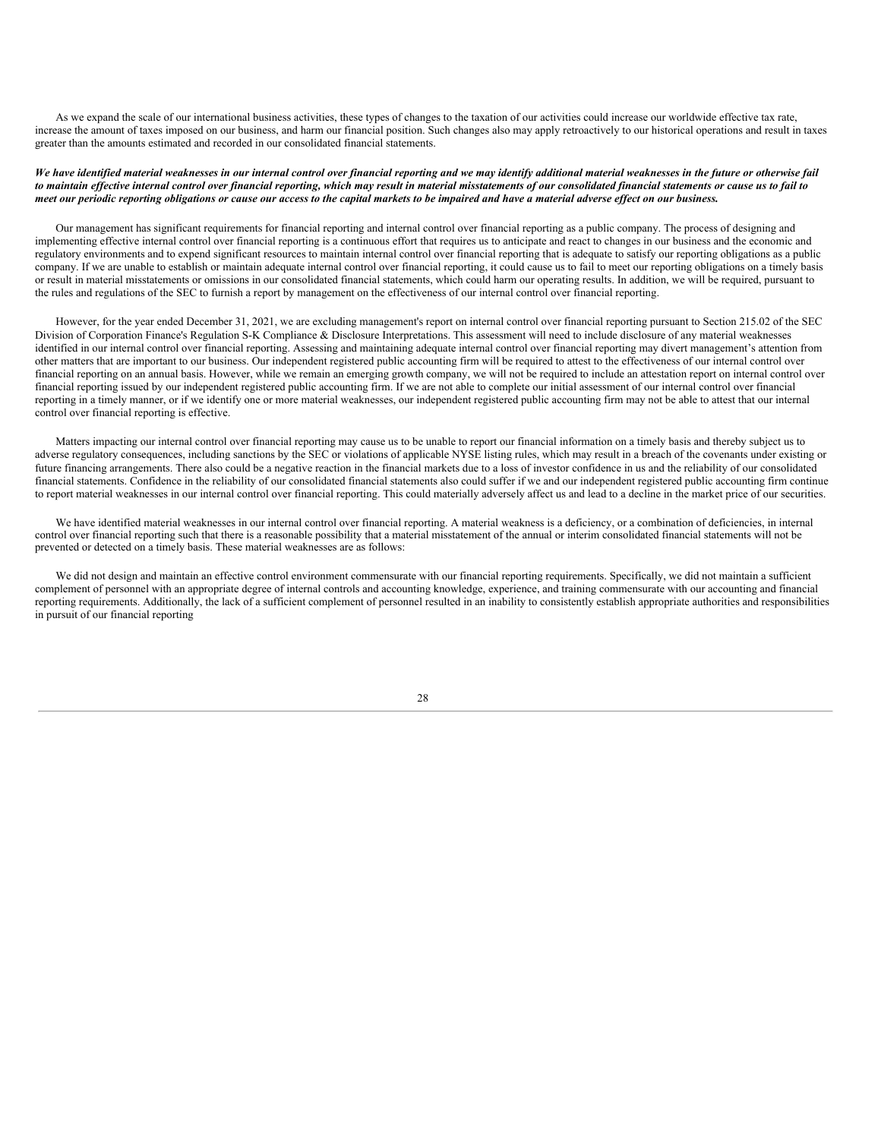As we expand the scale of our international business activities, these types of changes to the taxation of our activities could increase our worldwide effective tax rate, increase the amount of taxes imposed on our business, and harm our financial position. Such changes also may apply retroactively to our historical operations and result in taxes greater than the amounts estimated and recorded in our consolidated financial statements.

## We have identified material weaknesses in our internal control over financial reporting and we may identify additional material weaknesses in the future or otherwise fail to maintain effective internal control over financial reporting, which may result in material misstatements of our consolidated financial statements or cause us to fail to meet our periodic reporting obligations or cause our access to the capital markets to be impaired and have a material adverse effect on our business.

Our management has significant requirements for financial reporting and internal control over financial reporting as a public company. The process of designing and implementing effective internal control over financial reporting is a continuous effort that requires us to anticipate and react to changes in our business and the economic and regulatory environments and to expend significant resources to maintain internal control over financial reporting that is adequate to satisfy our reporting obligations as a public company. If we are unable to establish or maintain adequate internal control over financial reporting, it could cause us to fail to meet our reporting obligations on a timely basis or result in material misstatements or omissions in our consolidated financial statements, which could harm our operating results. In addition, we will be required, pursuant to the rules and regulations of the SEC to furnish a report by management on the effectiveness of our internal control over financial reporting.

However, for the year ended December 31, 2021, we are excluding management's report on internal control over financial reporting pursuant to Section 215.02 of the SEC Division of Corporation Finance's Regulation S-K Compliance & Disclosure Interpretations. This assessment will need to include disclosure of any material weaknesses identified in our internal control over financial reporting. Assessing and maintaining adequate internal control over financial reporting may divert management's attention from other matters that are important to our business. Our independent registered public accounting firm will be required to attest to the effectiveness of our internal control over financial reporting on an annual basis. However, while we remain an emerging growth company, we will not be required to include an attestation report on internal control over financial reporting issued by our independent registered public accounting firm. If we are not able to complete our initial assessment of our internal control over financial reporting in a timely manner, or if we identify one or more material weaknesses, our independent registered public accounting firm may not be able to attest that our internal control over financial reporting is effective.

Matters impacting our internal control over financial reporting may cause us to be unable to report our financial information on a timely basis and thereby subject us to adverse regulatory consequences, including sanctions by the SEC or violations of applicable NYSE listing rules, which may result in a breach of the covenants under existing or future financing arrangements. There also could be a negative reaction in the financial markets due to a loss of investor confidence in us and the reliability of our consolidated financial statements. Confidence in the reliability of our consolidated financial statements also could suffer if we and our independent registered public accounting firm continue to report material weaknesses in our internal control over financial reporting. This could materially adversely affect us and lead to a decline in the market price of our securities.

We have identified material weaknesses in our internal control over financial reporting. A material weakness is a deficiency, or a combination of deficiencies, in internal control over financial reporting such that there is a reasonable possibility that a material misstatement of the annual or interim consolidated financial statements will not be prevented or detected on a timely basis. These material weaknesses are as follows:

We did not design and maintain an effective control environment commensurate with our financial reporting requirements. Specifically, we did not maintain a sufficient complement of personnel with an appropriate degree of internal controls and accounting knowledge, experience, and training commensurate with our accounting and financial reporting requirements. Additionally, the lack of a sufficient complement of personnel resulted in an inability to consistently establish appropriate authorities and responsibilities in pursuit of our financial reporting

28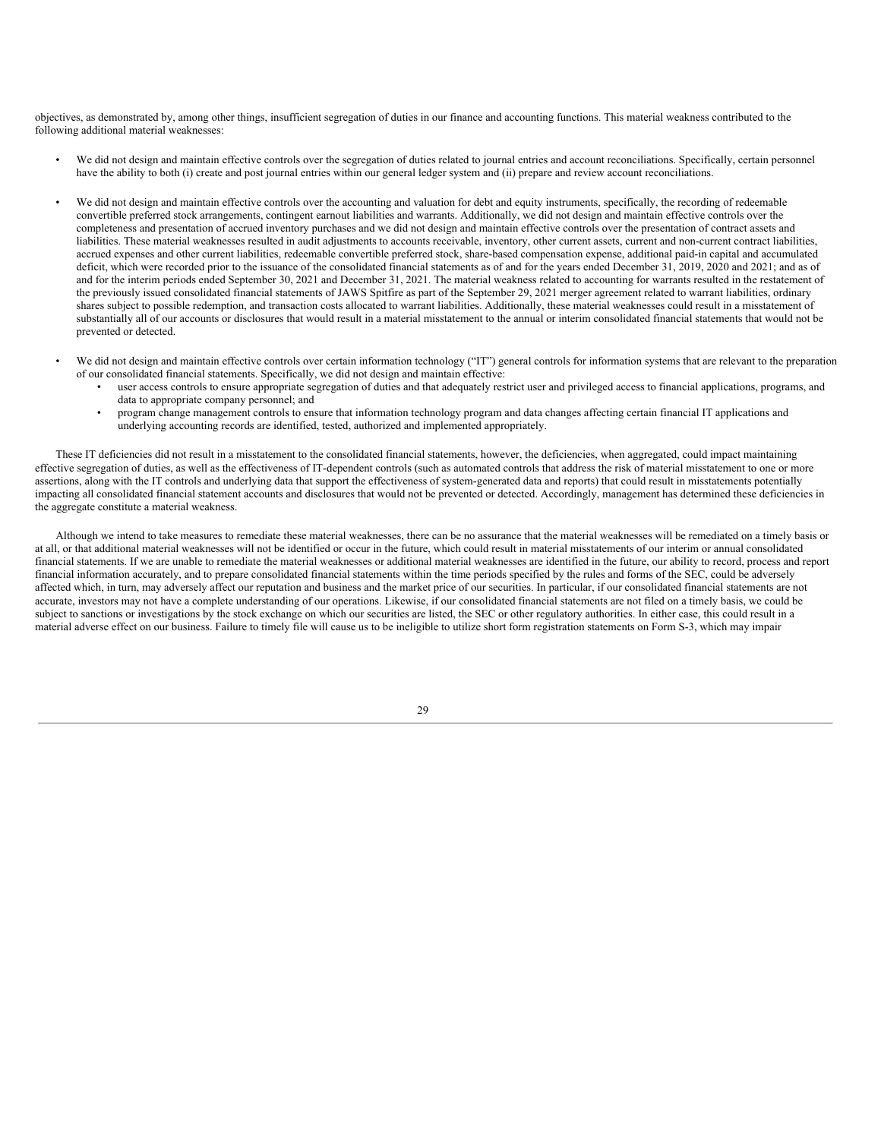objectives, as demonstrated by, among other things, insufficient segregation of duties in our finance and accounting functions. This material weakness contributed to the following additional material weaknesses:

- We did not design and maintain effective controls over the segregation of duties related to journal entries and account reconciliations. Specifically, certain personnel have the ability to both (i) create and post journal entries within our general ledger system and (ii) prepare and review account reconciliations.
- We did not design and maintain effective controls over the accounting and valuation for debt and equity instruments, specifically, the recording of redeemable convertible preferred stock arrangements, contingent earnout liabilities and warrants. Additionally, we did not design and maintain effective controls over the completeness and presentation of accrued inventory purchases and we did not design and maintain effective controls over the presentation of contract assets and liabilities. These material weaknesses resulted in audit adjustments to accounts receivable, inventory, other current assets, current and non-current contract liabilities, accrued expenses and other current liabilities, redeemable convertible preferred stock, share-based compensation expense, additional paid-in capital and accumulated deficit, which were recorded prior to the issuance of the consolidated financial statements as of and for the years ended December 31, 2019, 2020 and 2021; and as of and for the interim periods ended September 30, 2021 and December 31, 2021. The material weakness related to accounting for warrants resulted in the restatement of the previously issued consolidated financial statements of JAWS Spitfire as part of the September 29, 2021 merger agreement related to warrant liabilities, ordinary shares subject to possible redemption, and transaction costs allocated to warrant liabilities. Additionally, these material weaknesses could result in a misstatement of substantially all of our accounts or disclosures that would result in a material misstatement to the annual or interim consolidated financial statements that would not be prevented or detected.
- We did not design and maintain effective controls over certain information technology ("IT") general controls for information systems that are relevant to the preparation of our consolidated financial statements. Specifically, we did not design and maintain effective:
	- user access controls to ensure appropriate segregation of duties and that adequately restrict user and privileged access to financial applications, programs, and data to appropriate company personnel; and
	- program change management controls to ensure that information technology program and data changes affecting certain financial IT applications and underlying accounting records are identified, tested, authorized and implemented appropriately.

These IT deficiencies did not result in a misstatement to the consolidated financial statements, however, the deficiencies, when aggregated, could impact maintaining effective segregation of duties, as well as the effectiveness of IT-dependent controls (such as automated controls that address the risk of material misstatement to one or more assertions, along with the IT controls and underlying data that support the effectiveness of system-generated data and reports) that could result in misstatements potentially impacting all consolidated financial statement accounts and disclosures that would not be prevented or detected. Accordingly, management has determined these deficiencies in the aggregate constitute a material weakness.

Although we intend to take measures to remediate these material weaknesses, there can be no assurance that the material weaknesses will be remediated on a timely basis or at all, or that additional material weaknesses will not be identified or occur in the future, which could result in material misstatements of our interim or annual consolidated financial statements. If we are unable to remediate the material weaknesses or additional material weaknesses are identified in the future, our ability to record, process and report financial information accurately, and to prepare consolidated financial statements within the time periods specified by the rules and forms of the SEC, could be adversely affected which, in turn, may adversely affect our reputation and business and the market price of our securities. In particular, if our consolidated financial statements are not accurate, investors may not have a complete understanding of our operations. Likewise, if our consolidated financial statements are not filed on a timely basis, we could be subject to sanctions or investigations by the stock exchange on which our securities are listed, the SEC or other regulatory authorities. In either case, this could result in a material adverse effect on our business. Failure to timely file will cause us to be ineligible to utilize short form registration statements on Form S-3, which may impair

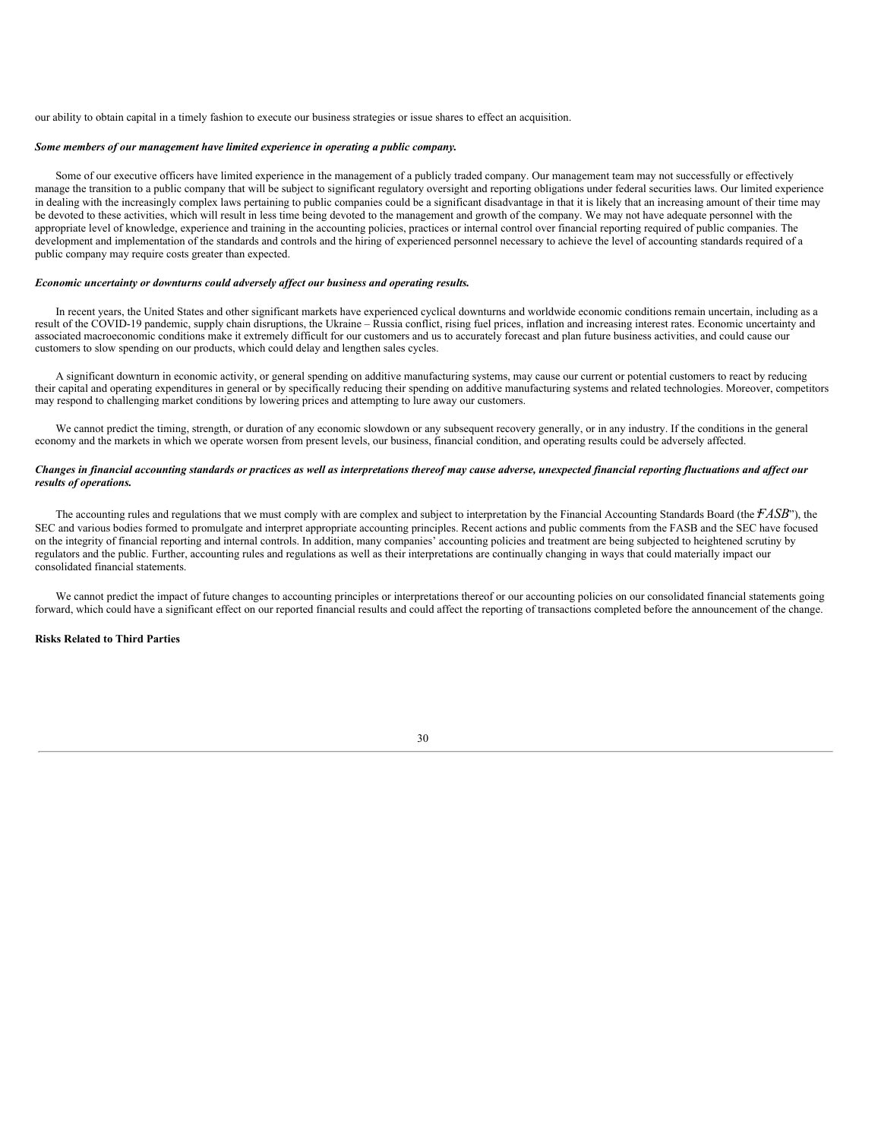our ability to obtain capital in a timely fashion to execute our business strategies or issue shares to effect an acquisition.

#### *Some members of our management have limited experience in operating a public company.*

Some of our executive officers have limited experience in the management of a publicly traded company. Our management team may not successfully or effectively manage the transition to a public company that will be subject to significant regulatory oversight and reporting obligations under federal securities laws. Our limited experience in dealing with the increasingly complex laws pertaining to public companies could be a significant disadvantage in that it is likely that an increasing amount of their time may be devoted to these activities, which will result in less time being devoted to the management and growth of the company. We may not have adequate personnel with the appropriate level of knowledge, experience and training in the accounting policies, practices or internal control over financial reporting required of public companies. The development and implementation of the standards and controls and the hiring of experienced personnel necessary to achieve the level of accounting standards required of a public company may require costs greater than expected.

## *Economic uncertainty or downturns could adversely af ect our business and operating results.*

In recent years, the United States and other significant markets have experienced cyclical downturns and worldwide economic conditions remain uncertain, including as a result of the COVID-19 pandemic, supply chain disruptions, the Ukraine – Russia conflict, rising fuel prices, inflation and increasing interest rates. Economic uncertainty and associated macroeconomic conditions make it extremely difficult for our customers and us to accurately forecast and plan future business activities, and could cause our customers to slow spending on our products, which could delay and lengthen sales cycles.

A significant downturn in economic activity, or general spending on additive manufacturing systems, may cause our current or potential customers to react by reducing their capital and operating expenditures in general or by specifically reducing their spending on additive manufacturing systems and related technologies. Moreover, competitors may respond to challenging market conditions by lowering prices and attempting to lure away our customers.

We cannot predict the timing, strength, or duration of any economic slowdown or any subsequent recovery generally, or in any industry. If the conditions in the general economy and the markets in which we operate worsen from present levels, our business, financial condition, and operating results could be adversely affected.

#### Changes in financial accounting standards or practices as well as interpretations thereof may cause adverse, unexpected financial reporting fluctuations and affect our *results of operations.*

The accounting rules and regulations that we must comply with are complex and subject to interpretation by the Financial Accounting Standards Board (the *FASB*"), the SEC and various bodies formed to promulgate and interpret appropriate accounting principles. Recent actions and public comments from the FASB and the SEC have focused on the integrity of financial reporting and internal controls. In addition, many companies' accounting policies and treatment are being subjected to heightened scrutiny by regulators and the public. Further, accounting rules and regulations as well as their interpretations are continually changing in ways that could materially impact our consolidated financial statements.

We cannot predict the impact of future changes to accounting principles or interpretations thereof or our accounting policies on our consolidated financial statements going forward, which could have a significant effect on our reported financial results and could affect the reporting of transactions completed before the announcement of the change.

## **Risks Related to Third Parties**

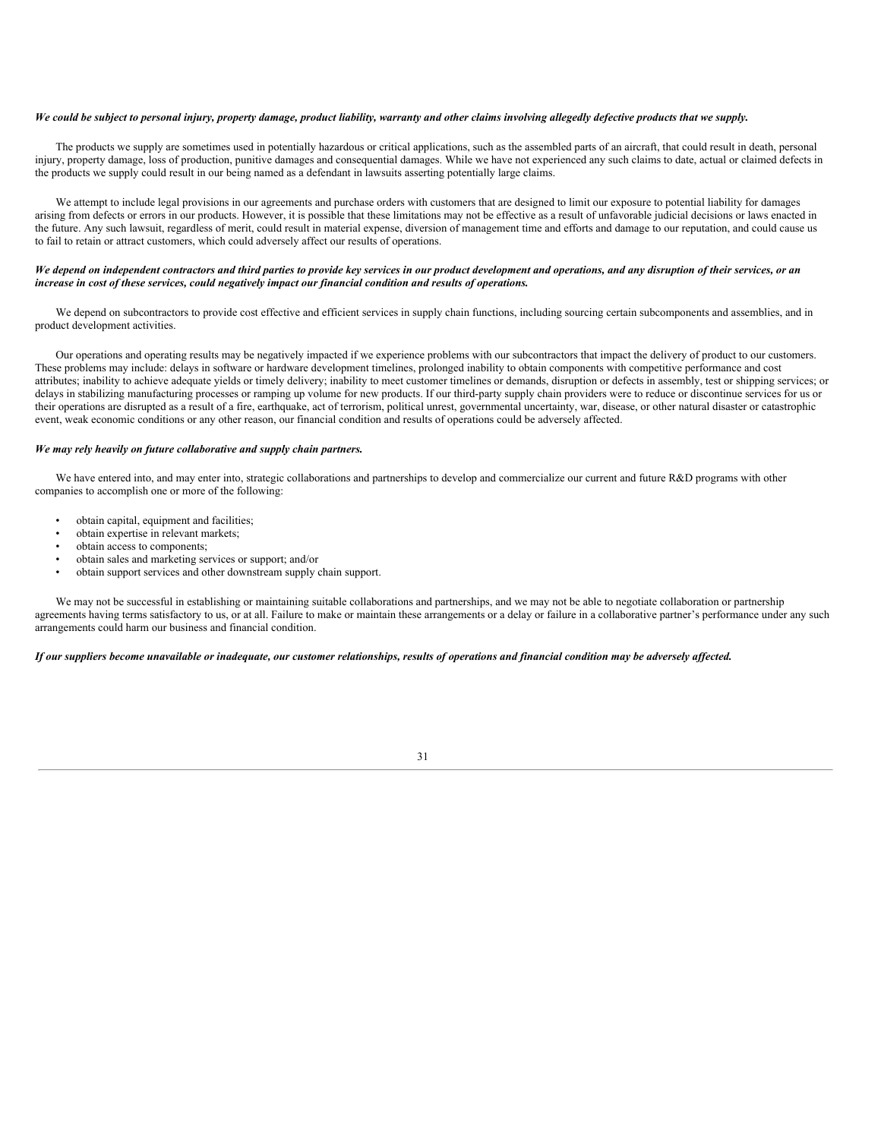## We could be subject to personal injury, property damage, product liability, warranty and other claims involving allegedly defective products that we supply.

The products we supply are sometimes used in potentially hazardous or critical applications, such as the assembled parts of an aircraft, that could result in death, personal injury, property damage, loss of production, punitive damages and consequential damages. While we have not experienced any such claims to date, actual or claimed defects in the products we supply could result in our being named as a defendant in lawsuits asserting potentially large claims.

We attempt to include legal provisions in our agreements and purchase orders with customers that are designed to limit our exposure to potential liability for damages arising from defects or errors in our products. However, it is possible that these limitations may not be effective as a result of unfavorable judicial decisions or laws enacted in the future. Any such lawsuit, regardless of merit, could result in material expense, diversion of management time and efforts and damage to our reputation, and could cause us to fail to retain or attract customers, which could adversely affect our results of operations.

#### We depend on independent contractors and third parties to provide key services in our product development and operations, and any disruption of their services, or an *increase in cost of these services, could negatively impact our financial condition and results of operations.*

We depend on subcontractors to provide cost effective and efficient services in supply chain functions, including sourcing certain subcomponents and assemblies, and in product development activities.

Our operations and operating results may be negatively impacted if we experience problems with our subcontractors that impact the delivery of product to our customers. These problems may include: delays in software or hardware development timelines, prolonged inability to obtain components with competitive performance and cost attributes; inability to achieve adequate yields or timely delivery; inability to meet customer timelines or demands, disruption or defects in assembly, test or shipping services; or delays in stabilizing manufacturing processes or ramping up volume for new products. If our third-party supply chain providers were to reduce or discontinue services for us or their operations are disrupted as a result of a fire, earthquake, act of terrorism, political unrest, governmental uncertainty, war, disease, or other natural disaster or catastrophic event, weak economic conditions or any other reason, our financial condition and results of operations could be adversely affected.

## *We may rely heavily on future collaborative and supply chain partners.*

We have entered into, and may enter into, strategic collaborations and partnerships to develop and commercialize our current and future R&D programs with other companies to accomplish one or more of the following:

- obtain capital, equipment and facilities;
- obtain expertise in relevant markets;
- obtain access to components;
- obtain sales and marketing services or support; and/or
- obtain support services and other downstream supply chain support.

We may not be successful in establishing or maintaining suitable collaborations and partnerships, and we may not be able to negotiate collaboration or partnership agreements having terms satisfactory to us, or at all. Failure to make or maintain these arrangements or a delay or failure in a collaborative partner's performance under any such arrangements could harm our business and financial condition.

#### If our suppliers become unavailable or inadequate, our customer relationships, results of operations and financial condition may be adversely affected.

#### 31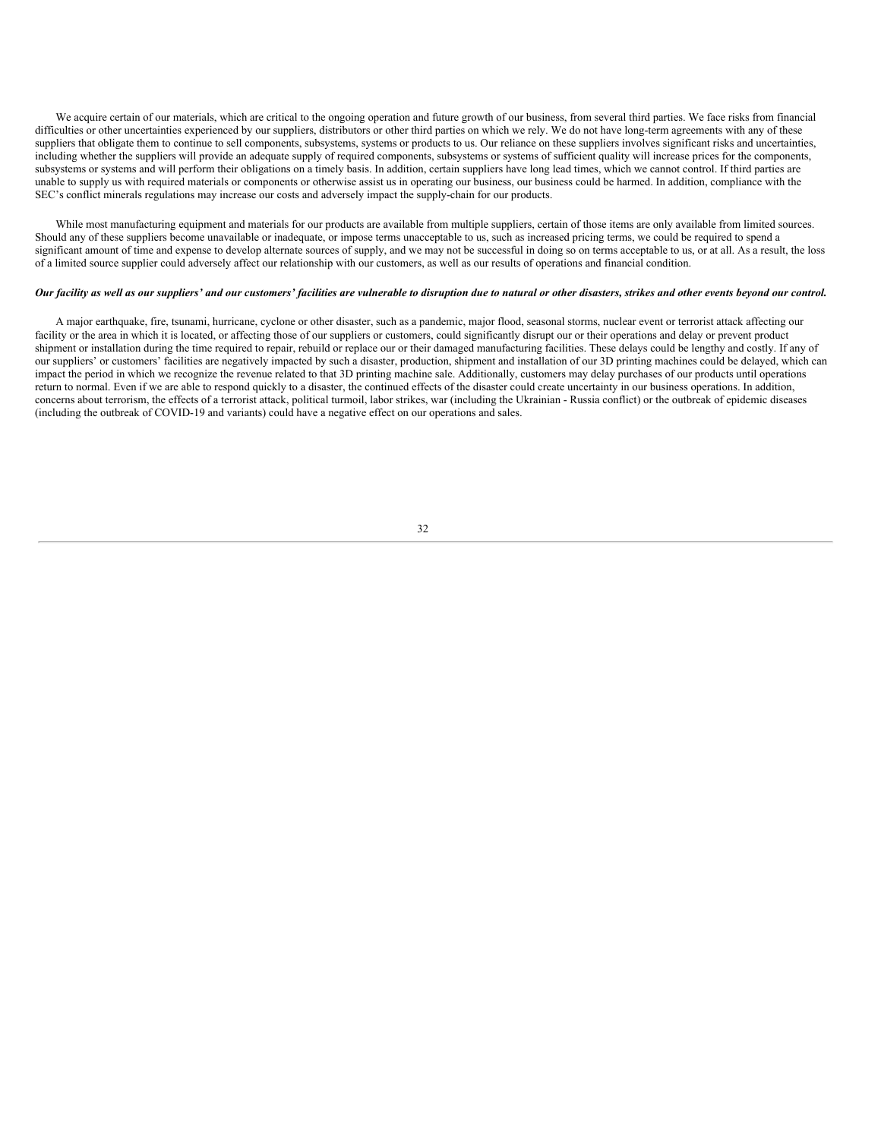We acquire certain of our materials, which are critical to the ongoing operation and future growth of our business, from several third parties. We face risks from financial difficulties or other uncertainties experienced by our suppliers, distributors or other third parties on which we rely. We do not have long-term agreements with any of these suppliers that obligate them to continue to sell components, subsystems, systems or products to us. Our reliance on these suppliers involves significant risks and uncertainties, including whether the suppliers will provide an adequate supply of required components, subsystems or systems of sufficient quality will increase prices for the components, subsystems or systems and will perform their obligations on a timely basis. In addition, certain suppliers have long lead times, which we cannot control. If third parties are unable to supply us with required materials or components or otherwise assist us in operating our business, our business could be harmed. In addition, compliance with the SEC's conflict minerals regulations may increase our costs and adversely impact the supply-chain for our products.

While most manufacturing equipment and materials for our products are available from multiple suppliers, certain of those items are only available from limited sources. Should any of these suppliers become unavailable or inadequate, or impose terms unacceptable to us, such as increased pricing terms, we could be required to spend a significant amount of time and expense to develop alternate sources of supply, and we may not be successful in doing so on terms acceptable to us, or at all. As a result, the loss of a limited source supplier could adversely affect our relationship with our customers, as well as our results of operations and financial condition.

## Our facility as well as our suppliers' and our customers' facilities are vulnerable to disruption due to natural or other disasters, strikes and other events beyond our control.

A major earthquake, fire, tsunami, hurricane, cyclone or other disaster, such as a pandemic, major flood, seasonal storms, nuclear event or terrorist attack affecting our facility or the area in which it is located, or affecting those of our suppliers or customers, could significantly disrupt our or their operations and delay or prevent product shipment or installation during the time required to repair, rebuild or replace our or their damaged manufacturing facilities. These delays could be lengthy and costly. If any of our suppliers' or customers' facilities are negatively impacted by such a disaster, production, shipment and installation of our 3D printing machines could be delayed, which can impact the period in which we recognize the revenue related to that 3D printing machine sale. Additionally, customers may delay purchases of our products until operations return to normal. Even if we are able to respond quickly to a disaster, the continued effects of the disaster could create uncertainty in our business operations. In addition, concerns about terrorism, the effects of a terrorist attack, political turmoil, labor strikes, war (including the Ukrainian - Russia conflict) or the outbreak of epidemic diseases (including the outbreak of COVID-19 and variants) could have a negative effect on our operations and sales.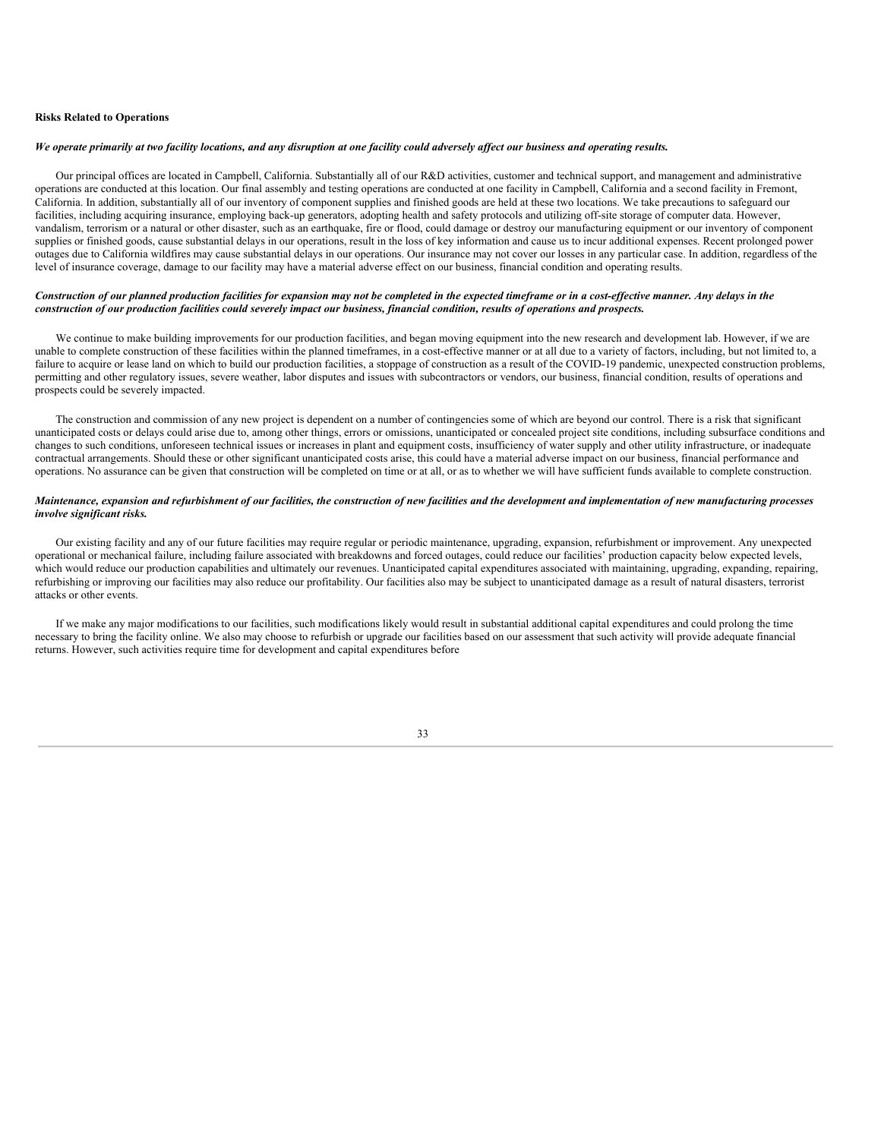## **Risks Related to Operations**

#### We operate primarily at two facility locations, and any disruption at one facility could adversely affect our business and operating results.

Our principal offices are located in Campbell, California. Substantially all of our R&D activities, customer and technical support, and management and administrative operations are conducted at this location. Our final assembly and testing operations are conducted at one facility in Campbell, California and a second facility in Fremont, California. In addition, substantially all of our inventory of component supplies and finished goods are held at these two locations. We take precautions to safeguard our facilities, including acquiring insurance, employing back-up generators, adopting health and safety protocols and utilizing off-site storage of computer data. However, vandalism, terrorism or a natural or other disaster, such as an earthquake, fire or flood, could damage or destroy our manufacturing equipment or our inventory of component supplies or finished goods, cause substantial delays in our operations, result in the loss of key information and cause us to incur additional expenses. Recent prolonged power outages due to California wildfires may cause substantial delays in our operations. Our insurance may not cover our losses in any particular case. In addition, regardless of the level of insurance coverage, damage to our facility may have a material adverse effect on our business, financial condition and operating results.

## Construction of our planned production facilities for expansion may not be completed in the expected timeframe or in a cost-effective manner. Any delays in the construction of our production facilities could severely impact our business, financial condition, results of operations and prospects.

We continue to make building improvements for our production facilities, and began moving equipment into the new research and development lab. However, if we are unable to complete construction of these facilities within the planned timeframes, in a cost-effective manner or at all due to a variety of factors, including, but not limited to, a failure to acquire or lease land on which to build our production facilities, a stoppage of construction as a result of the COVID-19 pandemic, unexpected construction problems, permitting and other regulatory issues, severe weather, labor disputes and issues with subcontractors or vendors, our business, financial condition, results of operations and prospects could be severely impacted.

The construction and commission of any new project is dependent on a number of contingencies some of which are beyond our control. There is a risk that significant unanticipated costs or delays could arise due to, among other things, errors or omissions, unanticipated or concealed project site conditions, including subsurface conditions and changes to such conditions, unforeseen technical issues or increases in plant and equipment costs, insufficiency of water supply and other utility infrastructure, or inadequate contractual arrangements. Should these or other significant unanticipated costs arise, this could have a material adverse impact on our business, financial performance and operations. No assurance can be given that construction will be completed on time or at all, or as to whether we will have sufficient funds available to complete construction.

## Maintenance, expansion and refurbishment of our facilities, the construction of new facilities and the development and implementation of new manufacturing processes *involve significant risks.*

Our existing facility and any of our future facilities may require regular or periodic maintenance, upgrading, expansion, refurbishment or improvement. Any unexpected operational or mechanical failure, including failure associated with breakdowns and forced outages, could reduce our facilities' production capacity below expected levels, which would reduce our production capabilities and ultimately our revenues. Unanticipated capital expenditures associated with maintaining, upgrading, expanding, repairing, refurbishing or improving our facilities may also reduce our profitability. Our facilities also may be subject to unanticipated damage as a result of natural disasters, terrorist attacks or other events.

If we make any major modifications to our facilities, such modifications likely would result in substantial additional capital expenditures and could prolong the time necessary to bring the facility online. We also may choose to refurbish or upgrade our facilities based on our assessment that such activity will provide adequate financial returns. However, such activities require time for development and capital expenditures before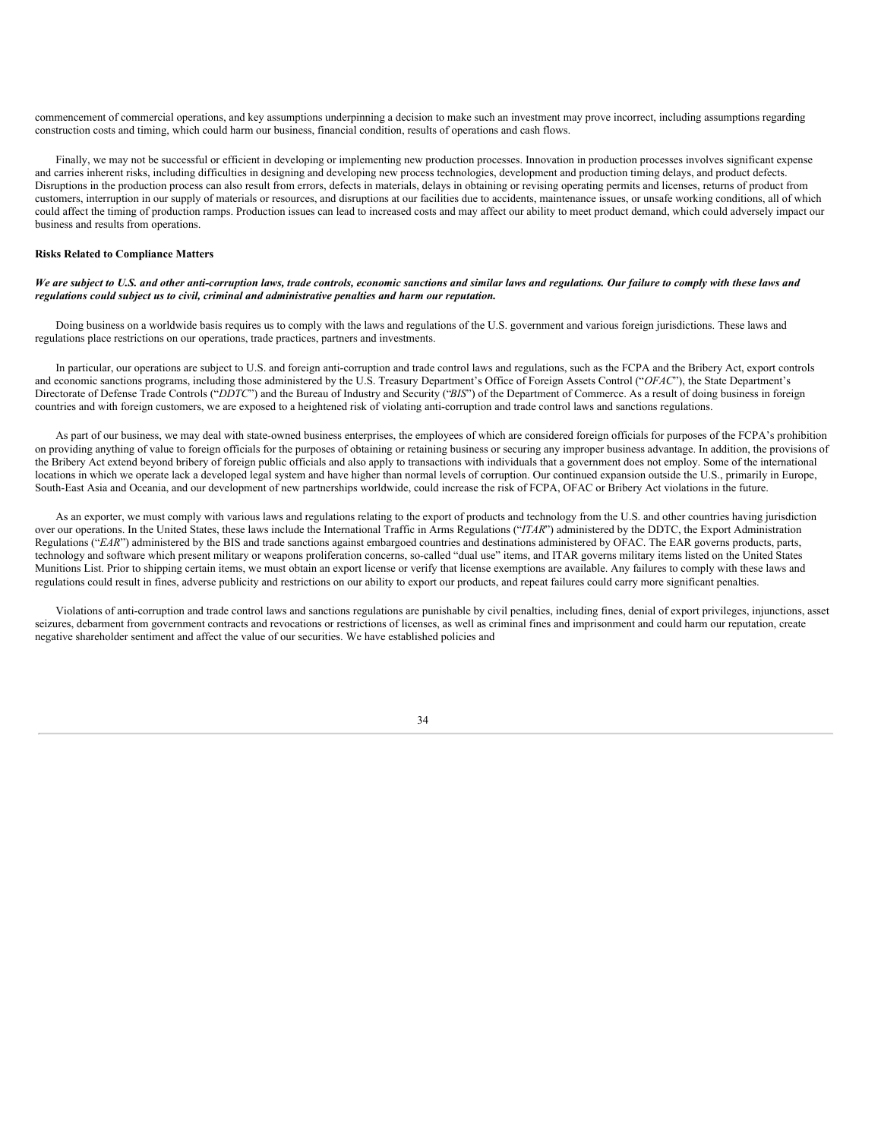commencement of commercial operations, and key assumptions underpinning a decision to make such an investment may prove incorrect, including assumptions regarding construction costs and timing, which could harm our business, financial condition, results of operations and cash flows.

Finally, we may not be successful or efficient in developing or implementing new production processes. Innovation in production processes involves significant expense and carries inherent risks, including difficulties in designing and developing new process technologies, development and production timing delays, and product defects. Disruptions in the production process can also result from errors, defects in materials, delays in obtaining or revising operating permits and licenses, returns of product from customers, interruption in our supply of materials or resources, and disruptions at our facilities due to accidents, maintenance issues, or unsafe working conditions, all of which could affect the timing of production ramps. Production issues can lead to increased costs and may affect our ability to meet product demand, which could adversely impact our business and results from operations.

## **Risks Related to Compliance Matters**

We are subject to U.S. and other anti-corruption laws, trade controls, economic sanctions and similar laws and regulations. Our failure to comply with these laws and *regulations could subject us to civil, criminal and administrative penalties and harm our reputation.*

Doing business on a worldwide basis requires us to comply with the laws and regulations of the U.S. government and various foreign jurisdictions. These laws and regulations place restrictions on our operations, trade practices, partners and investments.

In particular, our operations are subject to U.S. and foreign anti-corruption and trade control laws and regulations, such as the FCPA and the Bribery Act, export controls and economic sanctions programs, including those administered by the U.S. Treasury Department's Office of Foreign Assets Control ("*OFAC*"), the State Department's Directorate of Defense Trade Controls ("*DDTC*") and the Bureau of Industry and Security ("*BIS*") of the Department of Commerce. As a result of doing business in foreign countries and with foreign customers, we are exposed to a heightened risk of violating anti-corruption and trade control laws and sanctions regulations.

As part of our business, we may deal with state-owned business enterprises, the employees of which are considered foreign officials for purposes of the FCPA's prohibition on providing anything of value to foreign officials for the purposes of obtaining or retaining business or securing any improper business advantage. In addition, the provisions of the Bribery Act extend beyond bribery of foreign public officials and also apply to transactions with individuals that a government does not employ. Some of the international locations in which we operate lack a developed legal system and have higher than normal levels of corruption. Our continued expansion outside the U.S., primarily in Europe, South-East Asia and Oceania, and our development of new partnerships worldwide, could increase the risk of FCPA, OFAC or Bribery Act violations in the future.

As an exporter, we must comply with various laws and regulations relating to the export of products and technology from the U.S. and other countries having jurisdiction over our operations. In the United States, these laws include the International Traffic in Arms Regulations ("*ITAR*") administered by the DDTC, the Export Administration Regulations ("EAR") administered by the BIS and trade sanctions against embargoed countries and destinations administered by OFAC. The EAR governs products, parts, technology and software which present military or weapons proliferation concerns, so-called "dual use" items, and ITAR governs military items listed on the United States Munitions List. Prior to shipping certain items, we must obtain an export license or verify that license exemptions are available. Any failures to comply with these laws and regulations could result in fines, adverse publicity and restrictions on our ability to export our products, and repeat failures could carry more significant penalties.

Violations of anti-corruption and trade control laws and sanctions regulations are punishable by civil penalties, including fines, denial of export privileges, injunctions, asset seizures, debarment from government contracts and revocations or restrictions of licenses, as well as criminal fines and imprisonment and could harm our reputation, create negative shareholder sentiment and affect the value of our securities. We have established policies and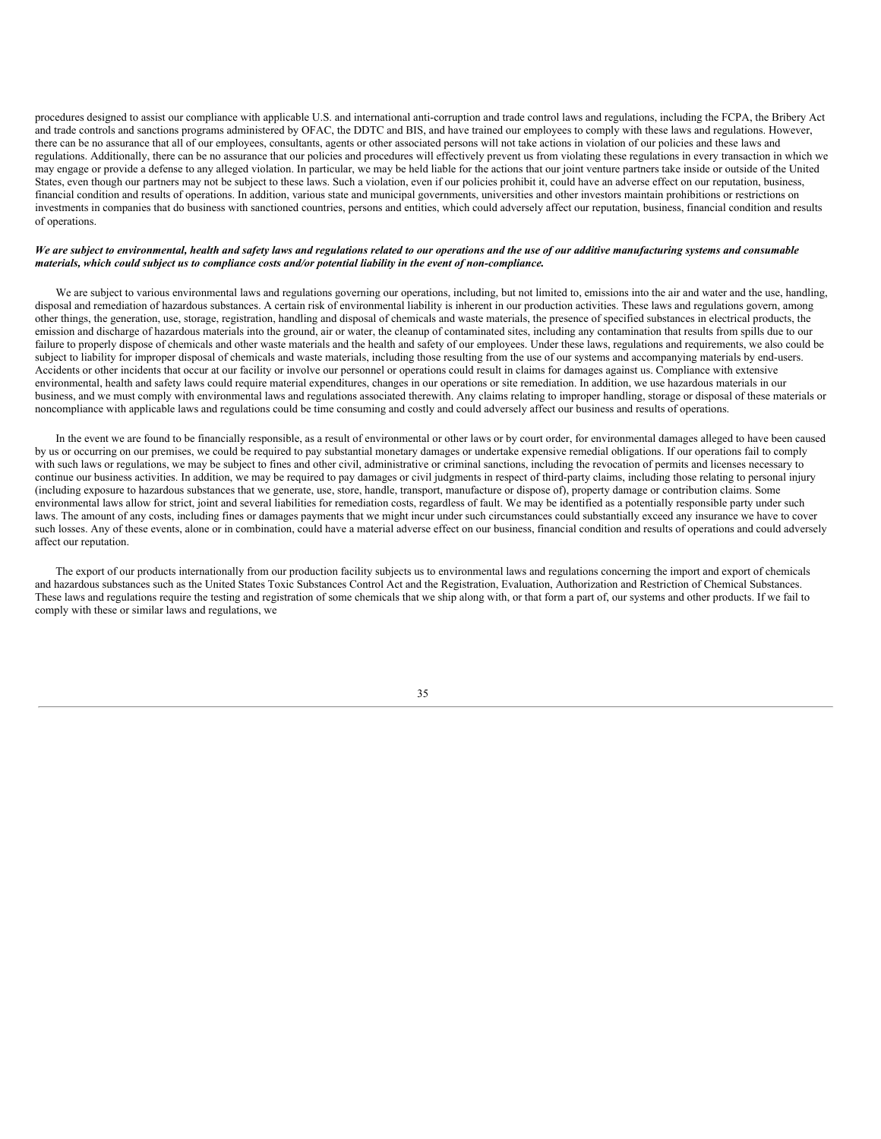procedures designed to assist our compliance with applicable U.S. and international anti-corruption and trade control laws and regulations, including the FCPA, the Bribery Act and trade controls and sanctions programs administered by OFAC, the DDTC and BIS, and have trained our employees to comply with these laws and regulations. However, there can be no assurance that all of our employees, consultants, agents or other associated persons will not take actions in violation of our policies and these laws and regulations. Additionally, there can be no assurance that our policies and procedures will effectively prevent us from violating these regulations in every transaction in which we may engage or provide a defense to any alleged violation. In particular, we may be held liable for the actions that our joint venture partners take inside or outside of the United States, even though our partners may not be subject to these laws. Such a violation, even if our policies prohibit it, could have an adverse effect on our reputation, business, financial condition and results of operations. In addition, various state and municipal governments, universities and other investors maintain prohibitions or restrictions on investments in companies that do business with sanctioned countries, persons and entities, which could adversely affect our reputation, business, financial condition and results of operations.

## We are subject to environmental, health and safety laws and regulations related to our operations and the use of our additive manufacturing systems and consumable *materials, which could subject us to compliance costs and/or potential liability in the event of non-compliance.*

We are subject to various environmental laws and regulations governing our operations, including, but not limited to, emissions into the air and water and the use, handling, disposal and remediation of hazardous substances. A certain risk of environmental liability is inherent in our production activities. These laws and regulations govern, among other things, the generation, use, storage, registration, handling and disposal of chemicals and waste materials, the presence of specified substances in electrical products, the emission and discharge of hazardous materials into the ground, air or water, the cleanup of contaminated sites, including any contamination that results from spills due to our failure to properly dispose of chemicals and other waste materials and the health and safety of our employees. Under these laws, regulations and requirements, we also could be subject to liability for improper disposal of chemicals and waste materials, including those resulting from the use of our systems and accompanying materials by end-users. Accidents or other incidents that occur at our facility or involve our personnel or operations could result in claims for damages against us. Compliance with extensive environmental, health and safety laws could require material expenditures, changes in our operations or site remediation. In addition, we use hazardous materials in our business, and we must comply with environmental laws and regulations associated therewith. Any claims relating to improper handling, storage or disposal of these materials or noncompliance with applicable laws and regulations could be time consuming and costly and could adversely affect our business and results of operations.

In the event we are found to be financially responsible, as a result of environmental or other laws or by court order, for environmental damages alleged to have been caused by us or occurring on our premises, we could be required to pay substantial monetary damages or undertake expensive remedial obligations. If our operations fail to comply with such laws or regulations, we may be subject to fines and other civil, administrative or criminal sanctions, including the revocation of permits and licenses necessary to continue our business activities. In addition, we may be required to pay damages or civil judgments in respect of third-party claims, including those relating to personal injury (including exposure to hazardous substances that we generate, use, store, handle, transport, manufacture or dispose of), property damage or contribution claims. Some environmental laws allow for strict, joint and several liabilities for remediation costs, regardless of fault. We may be identified as a potentially responsible party under such laws. The amount of any costs, including fines or damages payments that we might incur under such circumstances could substantially exceed any insurance we have to cover such losses. Any of these events, alone or in combination, could have a material adverse effect on our business, financial condition and results of operations and could adversely affect our reputation.

The export of our products internationally from our production facility subjects us to environmental laws and regulations concerning the import and export of chemicals and hazardous substances such as the United States Toxic Substances Control Act and the Registration, Evaluation, Authorization and Restriction of Chemical Substances. These laws and regulations require the testing and registration of some chemicals that we ship along with, or that form a part of, our systems and other products. If we fail to comply with these or similar laws and regulations, we

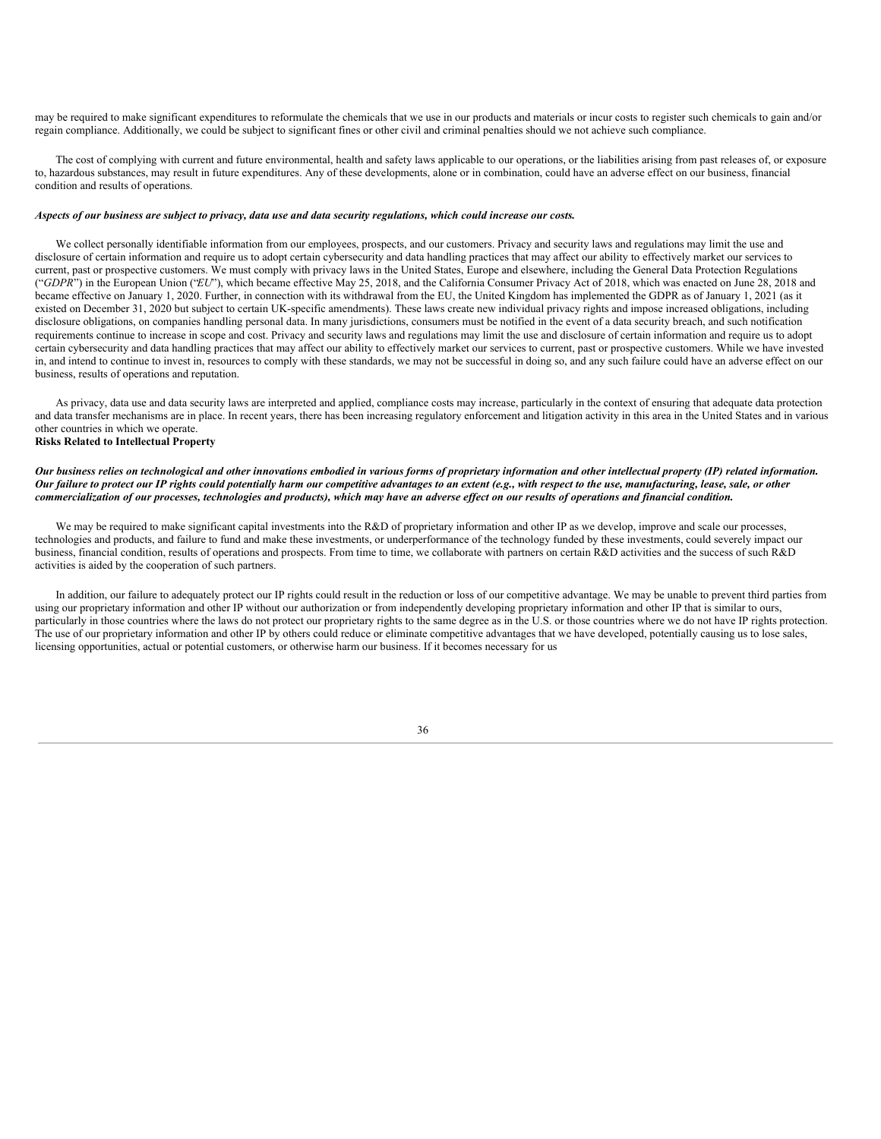may be required to make significant expenditures to reformulate the chemicals that we use in our products and materials or incur costs to register such chemicals to gain and/or regain compliance. Additionally, we could be subject to significant fines or other civil and criminal penalties should we not achieve such compliance.

The cost of complying with current and future environmental, health and safety laws applicable to our operations, or the liabilities arising from past releases of, or exposure to, hazardous substances, may result in future expenditures. Any of these developments, alone or in combination, could have an adverse effect on our business, financial condition and results of operations.

#### Aspects of our business are subject to privacy, data use and data security regulations, which could increase our costs.

We collect personally identifiable information from our employees, prospects, and our customers. Privacy and security laws and regulations may limit the use and disclosure of certain information and require us to adopt certain cybersecurity and data handling practices that may affect our ability to effectively market our services to current, past or prospective customers. We must comply with privacy laws in the United States, Europe and elsewhere, including the General Data Protection Regulations ("*GDPR*") in the European Union ("*EU*"), which became effective May 25, 2018, and the California Consumer Privacy Act of 2018, which was enacted on June 28, 2018 and became effective on January 1, 2020. Further, in connection with its withdrawal from the EU, the United Kingdom has implemented the GDPR as of January 1, 2021 (as it existed on December 31, 2020 but subject to certain UK-specific amendments). These laws create new individual privacy rights and impose increased obligations, including disclosure obligations, on companies handling personal data. In many jurisdictions, consumers must be notified in the event of a data security breach, and such notification requirements continue to increase in scope and cost. Privacy and security laws and regulations may limit the use and disclosure of certain information and require us to adopt certain cybersecurity and data handling practices that may affect our ability to effectively market our services to current, past or prospective customers. While we have invested in, and intend to continue to invest in, resources to comply with these standards, we may not be successful in doing so, and any such failure could have an adverse effect on our business, results of operations and reputation.

As privacy, data use and data security laws are interpreted and applied, compliance costs may increase, particularly in the context of ensuring that adequate data protection and data transfer mechanisms are in place. In recent years, there has been increasing regulatory enforcement and litigation activity in this area in the United States and in various other countries in which we operate. **Risks Related to Intellectual Property**

#### Our business relies on technological and other innovations embodied in various forms of proprietary information and other intellectual property (IP) related information. Our failure to protect our IP rights could potentially harm our competitive advantages to an extent (e.g., with respect to the use, manufacturing, lease, sale, or other commercialization of our processes, technologies and products), which may have an adverse effect on our results of operations and financial condition.

We may be required to make significant capital investments into the R&D of proprietary information and other IP as we develop, improve and scale our processes, technologies and products, and failure to fund and make these investments, or underperformance of the technology funded by these investments, could severely impact our business, financial condition, results of operations and prospects. From time to time, we collaborate with partners on certain R&D activities and the success of such R&D activities is aided by the cooperation of such partners.

In addition, our failure to adequately protect our IP rights could result in the reduction or loss of our competitive advantage. We may be unable to prevent third parties from using our proprietary information and other IP without our authorization or from independently developing proprietary information and other IP that is similar to ours, particularly in those countries where the laws do not protect our proprietary rights to the same degree as in the U.S. or those countries where we do not have IP rights protection. The use of our proprietary information and other IP by others could reduce or eliminate competitive advantages that we have developed, potentially causing us to lose sales, licensing opportunities, actual or potential customers, or otherwise harm our business. If it becomes necessary for us

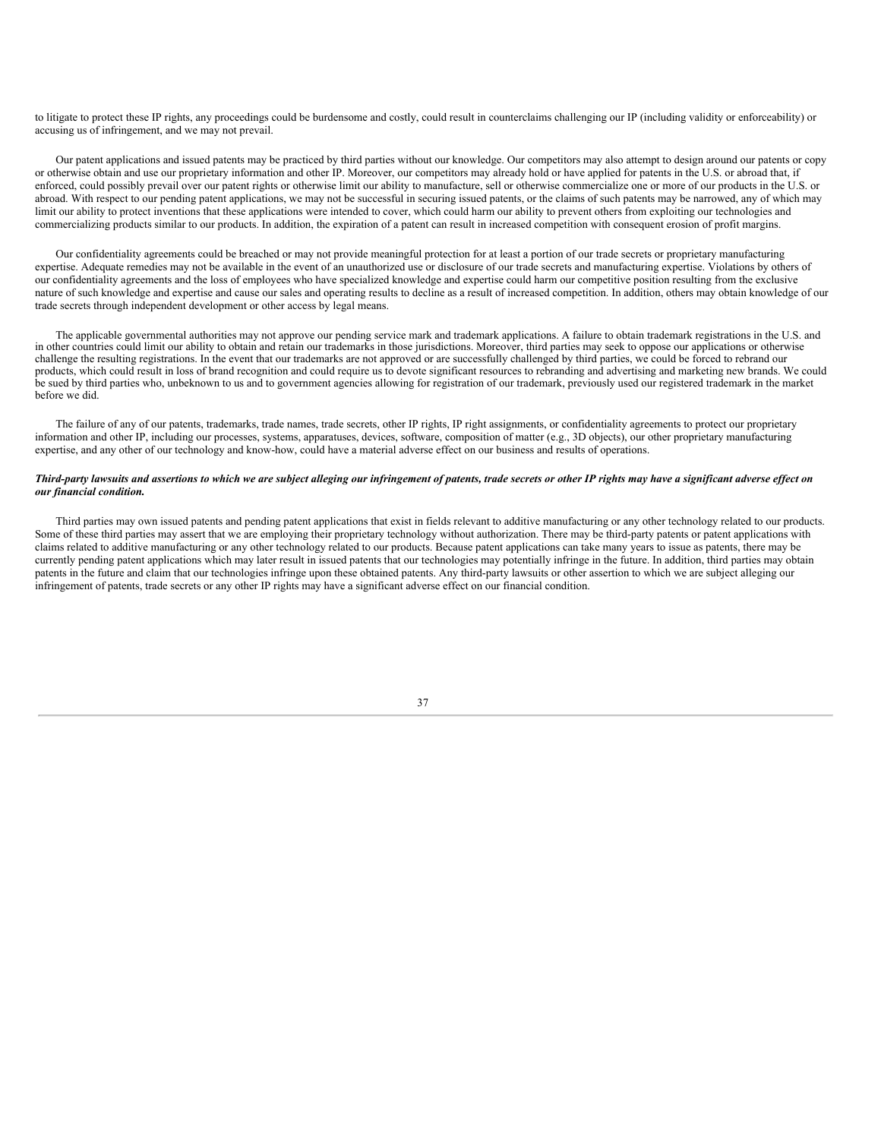to litigate to protect these IP rights, any proceedings could be burdensome and costly, could result in counterclaims challenging our IP (including validity or enforceability) or accusing us of infringement, and we may not prevail.

Our patent applications and issued patents may be practiced by third parties without our knowledge. Our competitors may also attempt to design around our patents or copy or otherwise obtain and use our proprietary information and other IP. Moreover, our competitors may already hold or have applied for patents in the U.S. or abroad that, if enforced, could possibly prevail over our patent rights or otherwise limit our ability to manufacture, sell or otherwise commercialize one or more of our products in the U.S. or abroad. With respect to our pending patent applications, we may not be successful in securing issued patents, or the claims of such patents may be narrowed, any of which may limit our ability to protect inventions that these applications were intended to cover, which could harm our ability to prevent others from exploiting our technologies and commercializing products similar to our products. In addition, the expiration of a patent can result in increased competition with consequent erosion of profit margins.

Our confidentiality agreements could be breached or may not provide meaningful protection for at least a portion of our trade secrets or proprietary manufacturing expertise. Adequate remedies may not be available in the event of an unauthorized use or disclosure of our trade secrets and manufacturing expertise. Violations by others of our confidentiality agreements and the loss of employees who have specialized knowledge and expertise could harm our competitive position resulting from the exclusive nature of such knowledge and expertise and cause our sales and operating results to decline as a result of increased competition. In addition, others may obtain knowledge of our trade secrets through independent development or other access by legal means.

The applicable governmental authorities may not approve our pending service mark and trademark applications. A failure to obtain trademark registrations in the U.S. and in other countries could limit our ability to obtain and retain our trademarks in those jurisdictions. Moreover, third parties may seek to oppose our applications or otherwise challenge the resulting registrations. In the event that our trademarks are not approved or are successfully challenged by third parties, we could be forced to rebrand our products, which could result in loss of brand recognition and could require us to devote significant resources to rebranding and advertising and marketing new brands. We could be sued by third parties who, unbeknown to us and to government agencies allowing for registration of our trademark, previously used our registered trademark in the market before we did.

The failure of any of our patents, trademarks, trade names, trade secrets, other IP rights, IP right assignments, or confidentiality agreements to protect our proprietary information and other IP, including our processes, systems, apparatuses, devices, software, composition of matter (e.g., 3D objects), our other proprietary manufacturing expertise, and any other of our technology and know-how, could have a material adverse effect on our business and results of operations.

## Third-party lawsuits and assertions to which we are subject alleging our infringement of patents, trade secrets or other IP rights may have a significant adverse effect on *our financial condition.*

Third parties may own issued patents and pending patent applications that exist in fields relevant to additive manufacturing or any other technology related to our products. Some of these third parties may assert that we are employing their proprietary technology without authorization. There may be third-party patents or patent applications with claims related to additive manufacturing or any other technology related to our products. Because patent applications can take many years to issue as patents, there may be currently pending patent applications which may later result in issued patents that our technologies may potentially infringe in the future. In addition, third parties may obtain patents in the future and claim that our technologies infringe upon these obtained patents. Any third-party lawsuits or other assertion to which we are subject alleging our infringement of patents, trade secrets or any other IP rights may have a significant adverse effect on our financial condition.

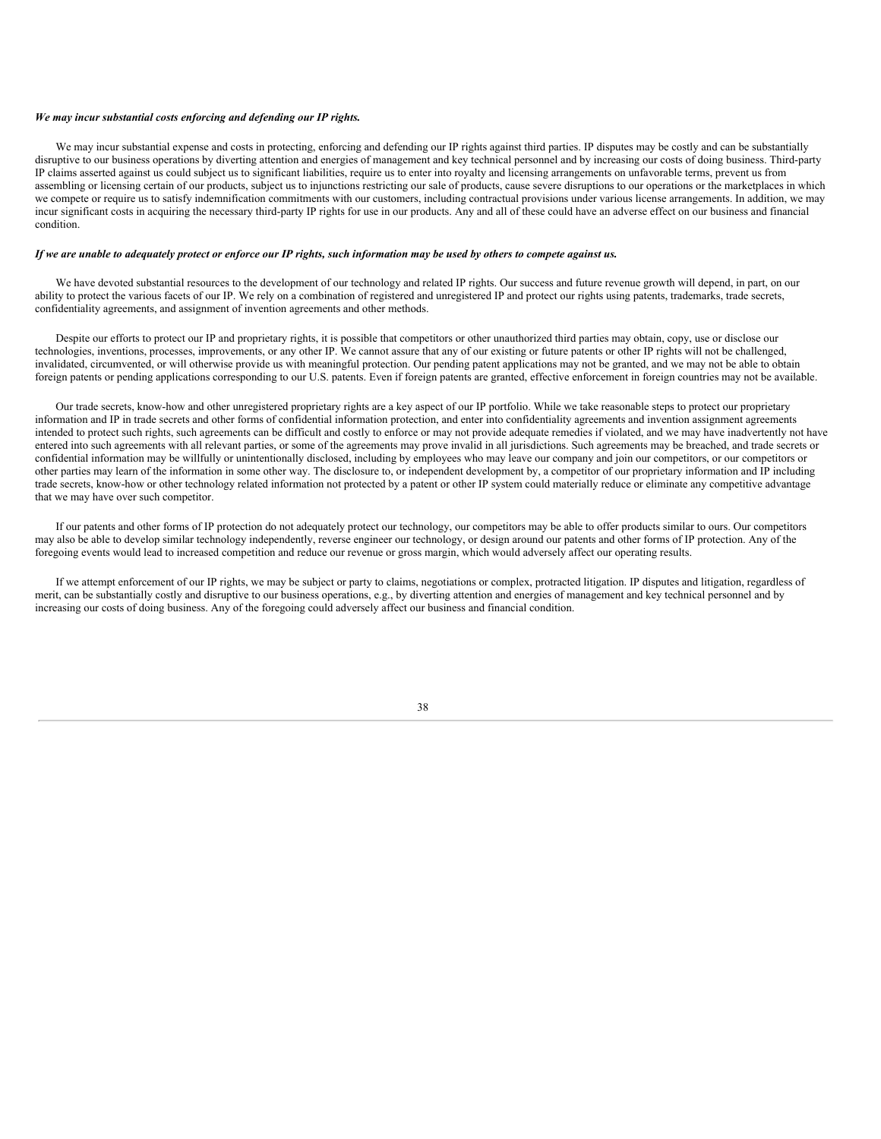## *We may incur substantial costs enforcing and defending our IP rights.*

We may incur substantial expense and costs in protecting, enforcing and defending our IP rights against third parties. IP disputes may be costly and can be substantially disruptive to our business operations by diverting attention and energies of management and key technical personnel and by increasing our costs of doing business. Third-party IP claims asserted against us could subject us to significant liabilities, require us to enter into royalty and licensing arrangements on unfavorable terms, prevent us from assembling or licensing certain of our products, subject us to injunctions restricting our sale of products, cause severe disruptions to our operations or the marketplaces in which we compete or require us to satisfy indemnification commitments with our customers, including contractual provisions under various license arrangements. In addition, we may incur significant costs in acquiring the necessary third-party IP rights for use in our products. Any and all of these could have an adverse effect on our business and financial condition.

## If we are unable to adequately protect or enforce our IP rights, such information may be used by others to compete against us.

We have devoted substantial resources to the development of our technology and related IP rights. Our success and future revenue growth will depend, in part, on our ability to protect the various facets of our IP. We rely on a combination of registered and unregistered IP and protect our rights using patents, trademarks, trade secrets, confidentiality agreements, and assignment of invention agreements and other methods.

Despite our efforts to protect our IP and proprietary rights, it is possible that competitors or other unauthorized third parties may obtain, copy, use or disclose our technologies, inventions, processes, improvements, or any other IP. We cannot assure that any of our existing or future patents or other IP rights will not be challenged, invalidated, circumvented, or will otherwise provide us with meaningful protection. Our pending patent applications may not be granted, and we may not be able to obtain foreign patents or pending applications corresponding to our U.S. patents. Even if foreign patents are granted, effective enforcement in foreign countries may not be available.

Our trade secrets, know-how and other unregistered proprietary rights are a key aspect of our IP portfolio. While we take reasonable steps to protect our proprietary information and IP in trade secrets and other forms of confidential information protection, and enter into confidentiality agreements and invention assignment agreements intended to protect such rights, such agreements can be difficult and costly to enforce or may not provide adequate remedies if violated, and we may have inadvertently not have entered into such agreements with all relevant parties, or some of the agreements may prove invalid in all jurisdictions. Such agreements may be breached, and trade secrets or confidential information may be willfully or unintentionally disclosed, including by employees who may leave our company and join our competitors, or our competitors or other parties may learn of the information in some other way. The disclosure to, or independent development by, a competitor of our proprietary information and IP including trade secrets, know-how or other technology related information not protected by a patent or other IP system could materially reduce or eliminate any competitive advantage that we may have over such competitor.

If our patents and other forms of IP protection do not adequately protect our technology, our competitors may be able to offer products similar to ours. Our competitors may also be able to develop similar technology independently, reverse engineer our technology, or design around our patents and other forms of IP protection. Any of the foregoing events would lead to increased competition and reduce our revenue or gross margin, which would adversely affect our operating results.

If we attempt enforcement of our IP rights, we may be subject or party to claims, negotiations or complex, protracted litigation. IP disputes and litigation, regardless of merit, can be substantially costly and disruptive to our business operations, e.g., by diverting attention and energies of management and key technical personnel and by increasing our costs of doing business. Any of the foregoing could adversely affect our business and financial condition.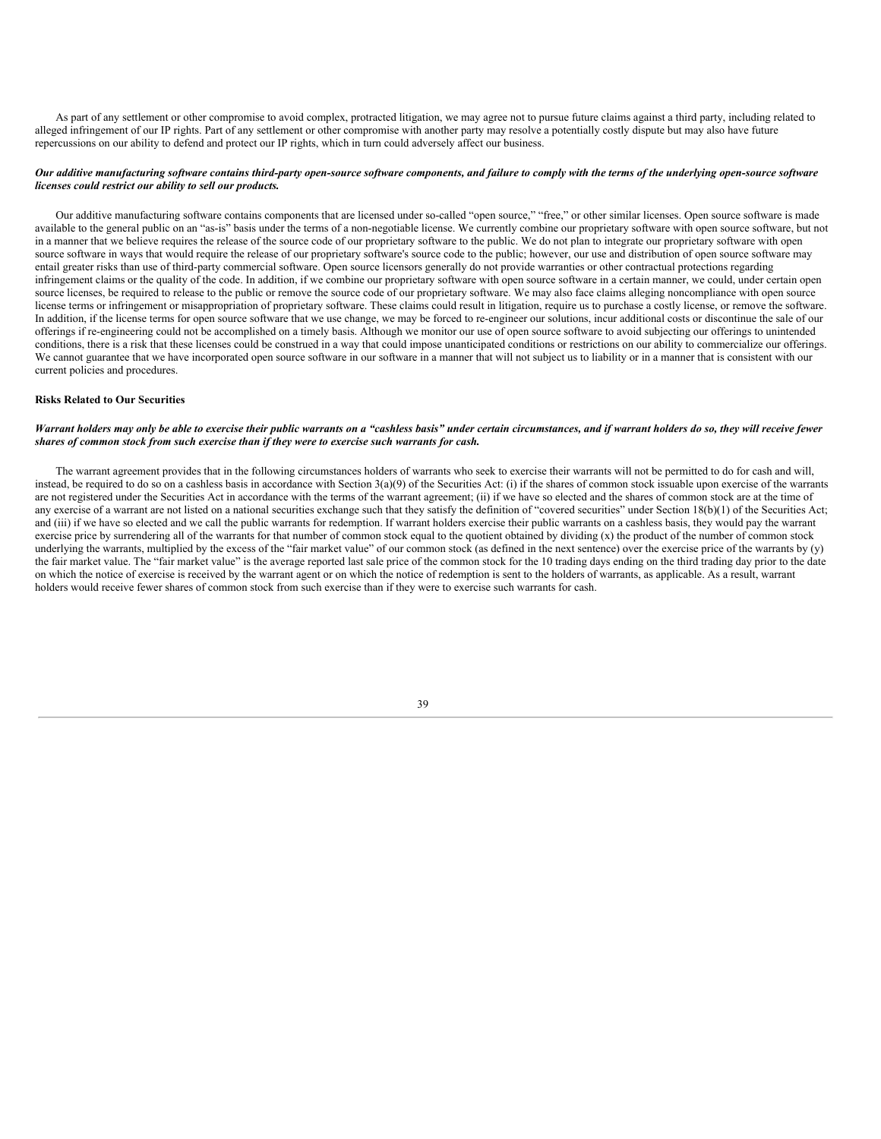As part of any settlement or other compromise to avoid complex, protracted litigation, we may agree not to pursue future claims against a third party, including related to alleged infringement of our IP rights. Part of any settlement or other compromise with another party may resolve a potentially costly dispute but may also have future repercussions on our ability to defend and protect our IP rights, which in turn could adversely affect our business.

#### Our additive manufacturing software contains third-party open-source software components, and failure to comply with the terms of the underlying open-source software *licenses could restrict our ability to sell our products.*

Our additive manufacturing software contains components that are licensed under so-called "open source," "free," or other similar licenses. Open source software is made available to the general public on an "as-is" basis under the terms of a non-negotiable license. We currently combine our proprietary software with open source software, but not in a manner that we believe requires the release of the source code of our proprietary software to the public. We do not plan to integrate our proprietary software with open source software in ways that would require the release of our proprietary software's source code to the public; however, our use and distribution of open source software may entail greater risks than use of third-party commercial software. Open source licensors generally do not provide warranties or other contractual protections regarding infringement claims or the quality of the code. In addition, if we combine our proprietary software with open source software in a certain manner, we could, under certain open source licenses, be required to release to the public or remove the source code of our proprietary software. We may also face claims alleging noncompliance with open source license terms or infringement or misappropriation of proprietary software. These claims could result in litigation, require us to purchase a costly license, or remove the software. In addition, if the license terms for open source software that we use change, we may be forced to re-engineer our solutions, incur additional costs or discontinue the sale of our offerings if re-engineering could not be accomplished on a timely basis. Although we monitor our use of open source software to avoid subjecting our offerings to unintended conditions, there is a risk that these licenses could be construed in a way that could impose unanticipated conditions or restrictions on our ability to commercialize our offerings. We cannot guarantee that we have incorporated open source software in our software in a manner that will not subject us to liability or in a manner that is consistent with our current policies and procedures.

#### **Risks Related to Our Securities**

#### Warrant holders may only be able to exercise their public warrants on a "cashless basis" under certain circumstances, and if warrant holders do so, they will receive fewer *shares of common stock from such exercise than if they were to exercise such warrants for cash.*

The warrant agreement provides that in the following circumstances holders of warrants who seek to exercise their warrants will not be permitted to do for cash and will, instead, be required to do so on a cashless basis in accordance with Section 3(a)(9) of the Securities Act: (i) if the shares of common stock issuable upon exercise of the warrants are not registered under the Securities Act in accordance with the terms of the warrant agreement; (ii) if we have so elected and the shares of common stock are at the time of any exercise of a warrant are not listed on a national securities exchange such that they satisfy the definition of "covered securities" under Section 18(b)(1) of the Securities Act; and (iii) if we have so elected and we call the public warrants for redemption. If warrant holders exercise their public warrants on a cashless basis, they would pay the warrant exercise price by surrendering all of the warrants for that number of common stock equal to the quotient obtained by dividing (x) the product of the number of common stock underlying the warrants, multiplied by the excess of the "fair market value" of our common stock (as defined in the next sentence) over the exercise price of the warrants by (y) the fair market value. The "fair market value" is the average reported last sale price of the common stock for the 10 trading days ending on the third trading day prior to the date on which the notice of exercise is received by the warrant agent or on which the notice of redemption is sent to the holders of warrants, as applicable. As a result, warrant holders would receive fewer shares of common stock from such exercise than if they were to exercise such warrants for cash.

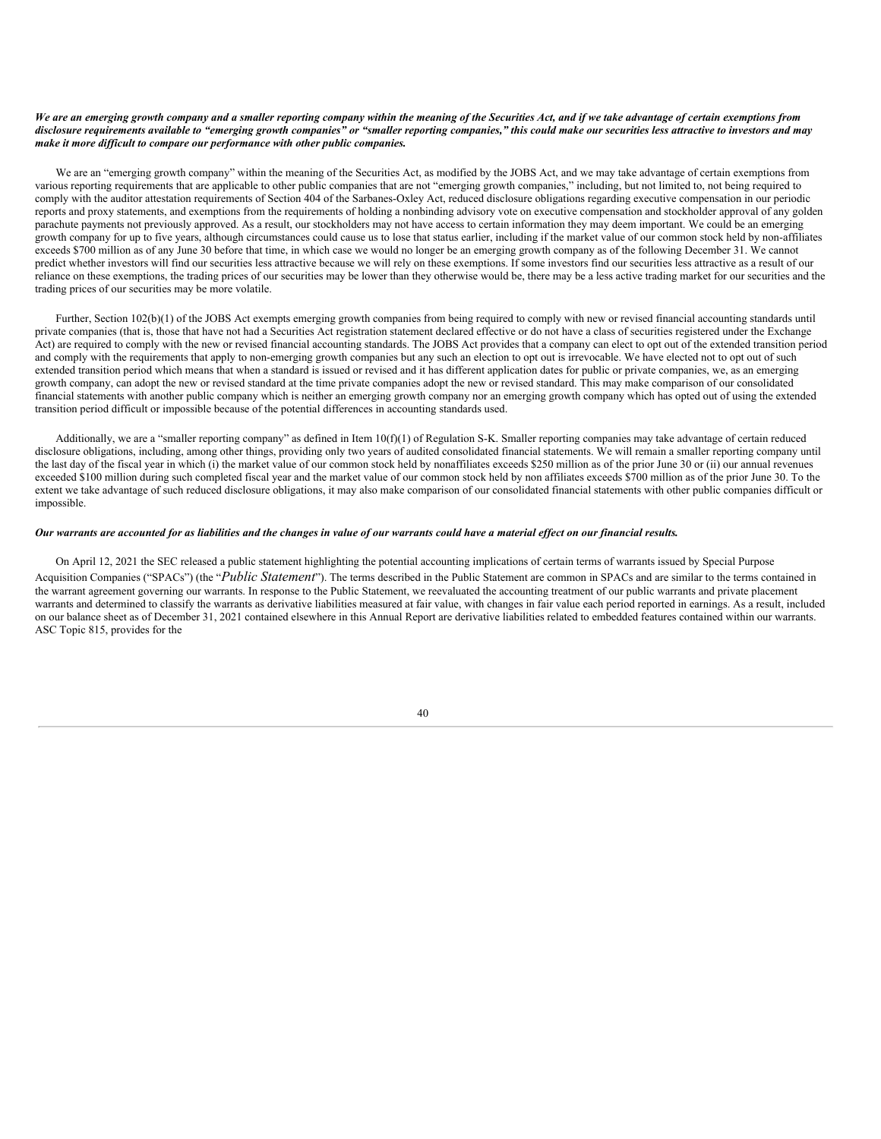## We are an emerging growth company and a smaller reporting company within the meaning of the Securities Act, and if we take advantage of certain exemptions from disclosure requirements available to "emerging growth companies" or "smaller reporting companies," this could make our securities less attractive to investors and may *make it more dif icult to compare our performance with other public companies.*

We are an "emerging growth company" within the meaning of the Securities Act, as modified by the JOBS Act, and we may take advantage of certain exemptions from various reporting requirements that are applicable to other public companies that are not "emerging growth companies," including, but not limited to, not being required to comply with the auditor attestation requirements of Section 404 of the Sarbanes-Oxley Act, reduced disclosure obligations regarding executive compensation in our periodic reports and proxy statements, and exemptions from the requirements of holding a nonbinding advisory vote on executive compensation and stockholder approval of any golden parachute payments not previously approved. As a result, our stockholders may not have access to certain information they may deem important. We could be an emerging growth company for up to five years, although circumstances could cause us to lose that status earlier, including if the market value of our common stock held by non-affiliates exceeds \$700 million as of any June 30 before that time, in which case we would no longer be an emerging growth company as of the following December 31. We cannot predict whether investors will find our securities less attractive because we will rely on these exemptions. If some investors find our securities less attractive as a result of our reliance on these exemptions, the trading prices of our securities may be lower than they otherwise would be, there may be a less active trading market for our securities and the trading prices of our securities may be more volatile.

Further, Section 102(b)(1) of the JOBS Act exempts emerging growth companies from being required to comply with new or revised financial accounting standards until private companies (that is, those that have not had a Securities Act registration statement declared effective or do not have a class of securities registered under the Exchange Act) are required to comply with the new or revised financial accounting standards. The JOBS Act provides that a company can elect to opt out of the extended transition period and comply with the requirements that apply to non-emerging growth companies but any such an election to opt out is irrevocable. We have elected not to opt out of such extended transition period which means that when a standard is issued or revised and it has different application dates for public or private companies, we, as an emerging growth company, can adopt the new or revised standard at the time private companies adopt the new or revised standard. This may make comparison of our consolidated financial statements with another public company which is neither an emerging growth company nor an emerging growth company which has opted out of using the extended transition period difficult or impossible because of the potential differences in accounting standards used.

Additionally, we are a "smaller reporting company" as defined in Item 10(f)(1) of Regulation S-K. Smaller reporting companies may take advantage of certain reduced disclosure obligations, including, among other things, providing only two years of audited consolidated financial statements. We will remain a smaller reporting company until the last day of the fiscal year in which (i) the market value of our common stock held by nonaffiliates exceeds \$250 million as of the prior June 30 or (ii) our annual revenues exceeded \$100 million during such completed fiscal year and the market value of our common stock held by non affiliates exceeds \$700 million as of the prior June 30. To the extent we take advantage of such reduced disclosure obligations, it may also make comparison of our consolidated financial statements with other public companies difficult or impossible.

## Our warrants are accounted for as liabilities and the changes in value of our warrants could have a material effect on our financial results.

On April 12, 2021 the SEC released a public statement highlighting the potential accounting implications of certain terms of warrants issued by Special Purpose Acquisition Companies ("SPACs") (the "*Public Statement*"). The terms described in the Public Statement are common in SPACs and are similar to the terms contained in the warrant agreement governing our warrants. In response to the Public Statement, we reevaluated the accounting treatment of our public warrants and private placement warrants and determined to classify the warrants as derivative liabilities measured at fair value, with changes in fair value each period reported in earnings. As a result, included on our balance sheet as of December 31, 2021 contained elsewhere in this Annual Report are derivative liabilities related to embedded features contained within our warrants. ASC Topic 815, provides for the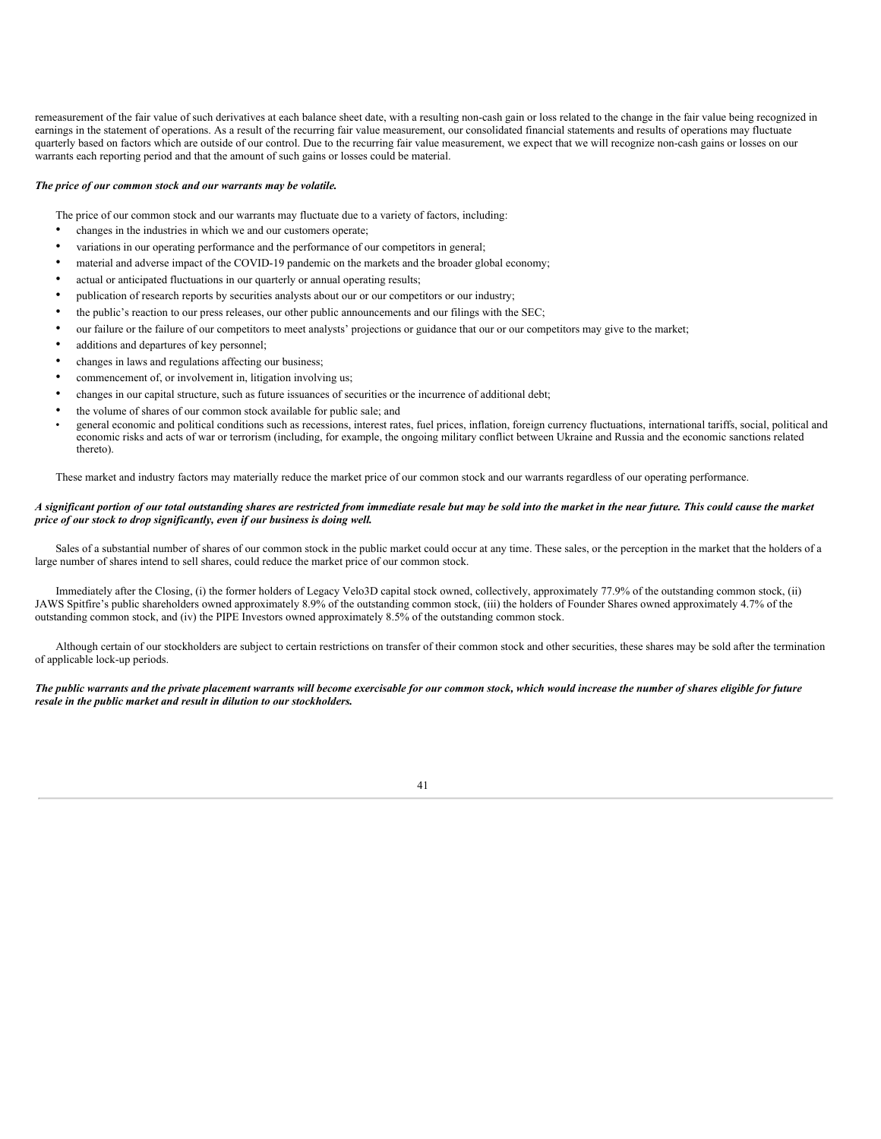remeasurement of the fair value of such derivatives at each balance sheet date, with a resulting non-cash gain or loss related to the change in the fair value being recognized in earnings in the statement of operations. As a result of the recurring fair value measurement, our consolidated financial statements and results of operations may fluctuate quarterly based on factors which are outside of our control. Due to the recurring fair value measurement, we expect that we will recognize non-cash gains or losses on our warrants each reporting period and that the amount of such gains or losses could be material.

#### *The price of our common stock and our warrants may be volatile.*

The price of our common stock and our warrants may fluctuate due to a variety of factors, including:

- changes in the industries in which we and our customers operate;
- variations in our operating performance and the performance of our competitors in general;
- material and adverse impact of the COVID-19 pandemic on the markets and the broader global economy;
- actual or anticipated fluctuations in our quarterly or annual operating results;
- publication of research reports by securities analysts about our or our competitors or our industry;
- the public's reaction to our press releases, our other public announcements and our filings with the SEC;
- our failure or the failure of our competitors to meet analysts' projections or guidance that our or our competitors may give to the market;
- additions and departures of key personnel;
- changes in laws and regulations affecting our business;
- commencement of, or involvement in, litigation involving us;
- changes in our capital structure, such as future issuances of securities or the incurrence of additional debt;
- the volume of shares of our common stock available for public sale; and
- general economic and political conditions such as recessions, interest rates, fuel prices, inflation, foreign currency fluctuations, international tariffs, social, political and economic risks and acts of war or terrorism (including, for example, the ongoing military conflict between Ukraine and Russia and the economic sanctions related thereto).

These market and industry factors may materially reduce the market price of our common stock and our warrants regardless of our operating performance.

## A significant portion of our total outstanding shares are restricted from immediate resale but may be sold into the market in the near future. This could cause the market *price of our stock to drop significantly, even if our business is doing well.*

Sales of a substantial number of shares of our common stock in the public market could occur at any time. These sales, or the perception in the market that the holders of a large number of shares intend to sell shares, could reduce the market price of our common stock.

Immediately after the Closing, (i) the former holders of Legacy Velo3D capital stock owned, collectively, approximately 77.9% of the outstanding common stock, (ii) JAWS Spitfire's public shareholders owned approximately 8.9% of the outstanding common stock, (iii) the holders of Founder Shares owned approximately 4.7% of the outstanding common stock, and (iv) the PIPE Investors owned approximately 8.5% of the outstanding common stock.

Although certain of our stockholders are subject to certain restrictions on transfer of their common stock and other securities, these shares may be sold after the termination of applicable lock-up periods.

The public warrants and the private placement warrants will become exercisable for our common stock, which would increase the number of shares eligible for future *resale in the public market and result in dilution to our stockholders.*

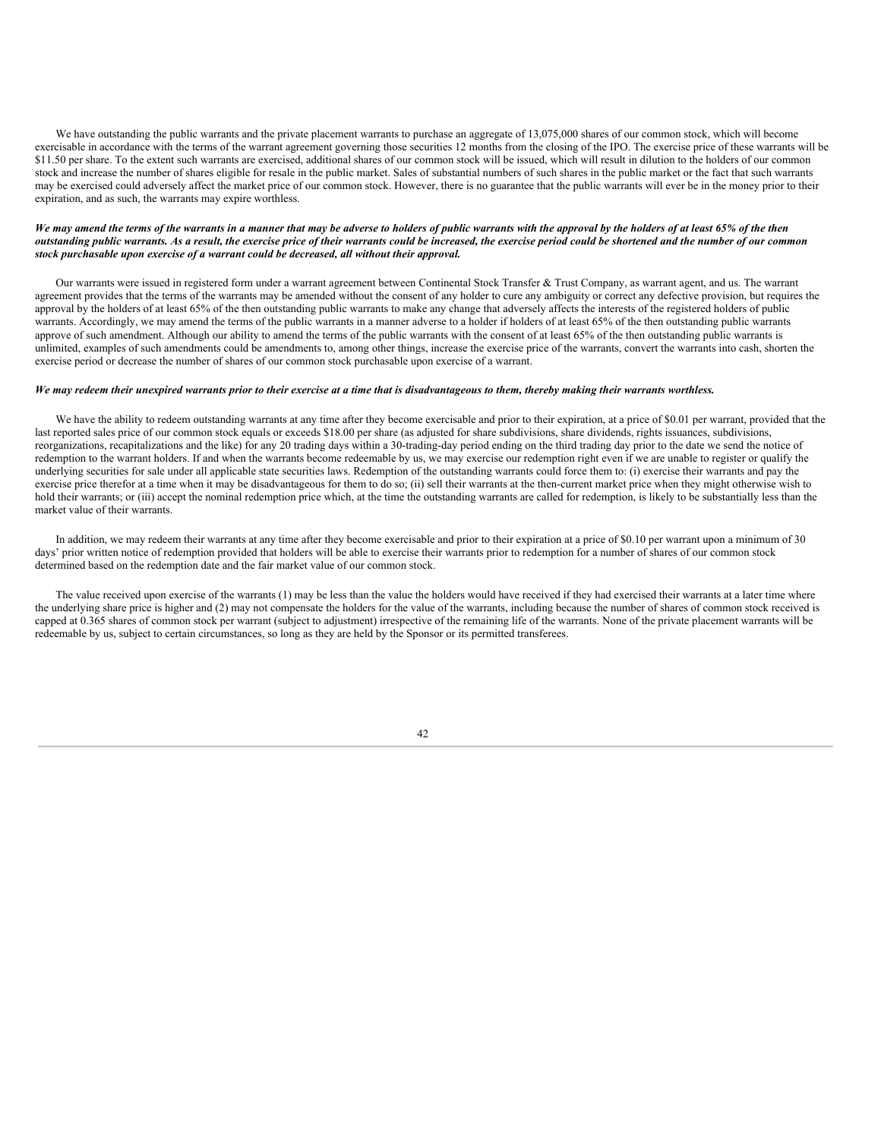We have outstanding the public warrants and the private placement warrants to purchase an aggregate of 13,075,000 shares of our common stock, which will become exercisable in accordance with the terms of the warrant agreement governing those securities 12 months from the closing of the IPO. The exercise price of these warrants will be \$11.50 per share. To the extent such warrants are exercised, additional shares of our common stock will be issued, which will result in dilution to the holders of our common stock and increase the number of shares eligible for resale in the public market. Sales of substantial numbers of such shares in the public market or the fact that such warrants may be exercised could adversely affect the market price of our common stock. However, there is no guarantee that the public warrants will ever be in the money prior to their expiration, and as such, the warrants may expire worthless.

### We may amend the terms of the warrants in a manner that may be adverse to holders of public warrants with the approval by the holders of at least 65% of the then outstanding public warrants. As a result, the exercise price of their warrants could be increased, the exercise period could be shortened and the number of our common *stock purchasable upon exercise of a warrant could be decreased, all without their approval.*

Our warrants were issued in registered form under a warrant agreement between Continental Stock Transfer & Trust Company, as warrant agent, and us. The warrant agreement provides that the terms of the warrants may be amended without the consent of any holder to cure any ambiguity or correct any defective provision, but requires the approval by the holders of at least 65% of the then outstanding public warrants to make any change that adversely affects the interests of the registered holders of public warrants. Accordingly, we may amend the terms of the public warrants in a manner adverse to a holder if holders of at least 65% of the then outstanding public warrants approve of such amendment. Although our ability to amend the terms of the public warrants with the consent of at least 65% of the then outstanding public warrants is unlimited, examples of such amendments could be amendments to, among other things, increase the exercise price of the warrants, convert the warrants into cash, shorten the exercise period or decrease the number of shares of our common stock purchasable upon exercise of a warrant.

#### We may redeem their unexpired warrants prior to their exercise at a time that is disadvantageous to them, thereby making their warrants worthless.

We have the ability to redeem outstanding warrants at any time after they become exercisable and prior to their expiration, at a price of \$0.01 per warrant, provided that the last reported sales price of our common stock equals or exceeds \$18.00 per share (as adjusted for share subdivisions, share dividends, rights issuances, subdivisions, reorganizations, recapitalizations and the like) for any 20 trading days within a 30-trading-day period ending on the third trading day prior to the date we send the notice of redemption to the warrant holders. If and when the warrants become redeemable by us, we may exercise our redemption right even if we are unable to register or qualify the underlying securities for sale under all applicable state securities laws. Redemption of the outstanding warrants could force them to: (i) exercise their warrants and pay the exercise price therefor at a time when it may be disadvantageous for them to do so; (ii) sell their warrants at the then-current market price when they might otherwise wish to hold their warrants; or (iii) accept the nominal redemption price which, at the time the outstanding warrants are called for redemption, is likely to be substantially less than the market value of their warrants.

In addition, we may redeem their warrants at any time after they become exercisable and prior to their expiration at a price of \$0.10 per warrant upon a minimum of 30 days' prior written notice of redemption provided that holders will be able to exercise their warrants prior to redemption for a number of shares of our common stock determined based on the redemption date and the fair market value of our common stock.

The value received upon exercise of the warrants (1) may be less than the value the holders would have received if they had exercised their warrants at a later time where the underlying share price is higher and (2) may not compensate the holders for the value of the warrants, including because the number of shares of common stock received is capped at 0.365 shares of common stock per warrant (subject to adjustment) irrespective of the remaining life of the warrants. None of the private placement warrants will be redeemable by us, subject to certain circumstances, so long as they are held by the Sponsor or its permitted transferees.

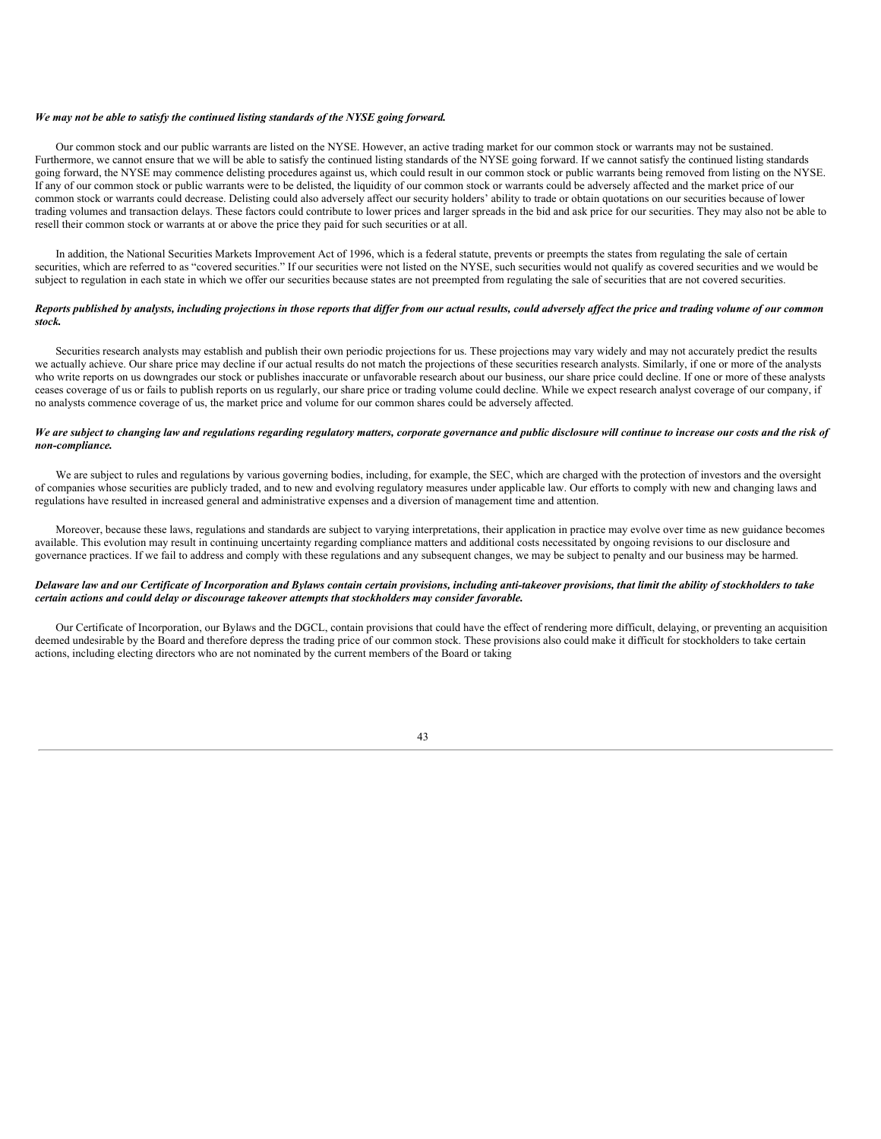#### *We may not be able to satisfy the continued listing standards of the NYSE going forward.*

Our common stock and our public warrants are listed on the NYSE. However, an active trading market for our common stock or warrants may not be sustained. Furthermore, we cannot ensure that we will be able to satisfy the continued listing standards of the NYSE going forward. If we cannot satisfy the continued listing standards going forward, the NYSE may commence delisting procedures against us, which could result in our common stock or public warrants being removed from listing on the NYSE. If any of our common stock or public warrants were to be delisted, the liquidity of our common stock or warrants could be adversely affected and the market price of our common stock or warrants could decrease. Delisting could also adversely affect our security holders' ability to trade or obtain quotations on our securities because of lower trading volumes and transaction delays. These factors could contribute to lower prices and larger spreads in the bid and ask price for our securities. They may also not be able to resell their common stock or warrants at or above the price they paid for such securities or at all.

In addition, the National Securities Markets Improvement Act of 1996, which is a federal statute, prevents or preempts the states from regulating the sale of certain securities, which are referred to as "covered securities." If our securities were not listed on the NYSE, such securities would not qualify as covered securities and we would be subject to regulation in each state in which we offer our securities because states are not preempted from regulating the sale of securities that are not covered securities.

## Reports published by analysts, including projections in those reports that differ from our actual results, could adversely affect the price and trading volume of our common *stock.*

Securities research analysts may establish and publish their own periodic projections for us. These projections may vary widely and may not accurately predict the results we actually achieve. Our share price may decline if our actual results do not match the projections of these securities research analysts. Similarly, if one or more of the analysts who write reports on us downgrades our stock or publishes inaccurate or unfavorable research about our business, our share price could decline. If one or more of these analysts ceases coverage of us or fails to publish reports on us regularly, our share price or trading volume could decline. While we expect research analyst coverage of our company, if no analysts commence coverage of us, the market price and volume for our common shares could be adversely affected.

### We are subject to changing law and regulations regarding regulatory matters, corporate governance and public disclosure will continue to increase our costs and the risk of *non-compliance.*

We are subject to rules and regulations by various governing bodies, including, for example, the SEC, which are charged with the protection of investors and the oversight of companies whose securities are publicly traded, and to new and evolving regulatory measures under applicable law. Our efforts to comply with new and changing laws and regulations have resulted in increased general and administrative expenses and a diversion of management time and attention.

Moreover, because these laws, regulations and standards are subject to varying interpretations, their application in practice may evolve over time as new guidance becomes available. This evolution may result in continuing uncertainty regarding compliance matters and additional costs necessitated by ongoing revisions to our disclosure and governance practices. If we fail to address and comply with these regulations and any subsequent changes, we may be subject to penalty and our business may be harmed.

## Delaware law and our Certificate of Incorporation and Bylaws contain certain provisions, including anti-takeover provisions, that limit the ability of stockholders to take *certain actions and could delay or discourage takeover attempts that stockholders may consider favorable.*

Our Certificate of Incorporation, our Bylaws and the DGCL, contain provisions that could have the effect of rendering more difficult, delaying, or preventing an acquisition deemed undesirable by the Board and therefore depress the trading price of our common stock. These provisions also could make it difficult for stockholders to take certain actions, including electing directors who are not nominated by the current members of the Board or taking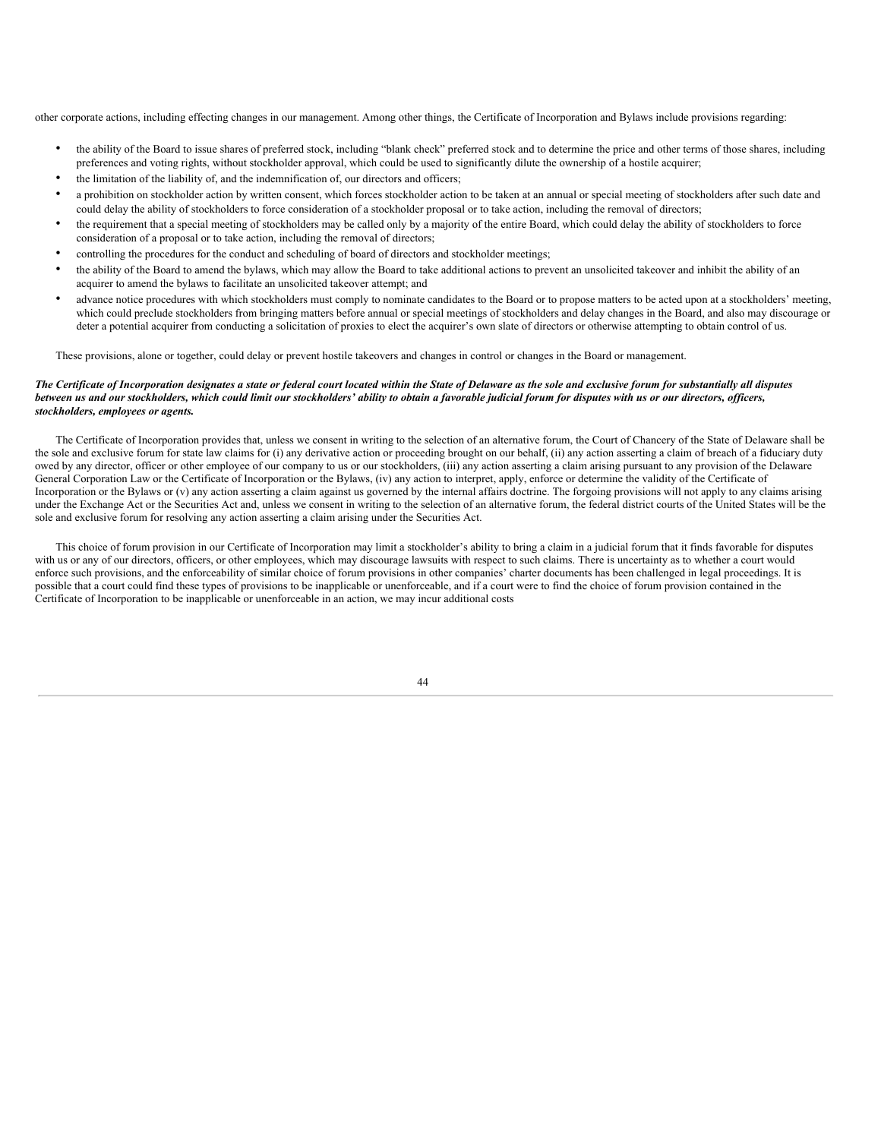other corporate actions, including effecting changes in our management. Among other things, the Certificate of Incorporation and Bylaws include provisions regarding:

- the ability of the Board to issue shares of preferred stock, including "blank check" preferred stock and to determine the price and other terms of those shares, including preferences and voting rights, without stockholder approval, which could be used to significantly dilute the ownership of a hostile acquirer;
- the limitation of the liability of, and the indemnification of, our directors and officers;
- a prohibition on stockholder action by written consent, which forces stockholder action to be taken at an annual or special meeting of stockholders after such date and could delay the ability of stockholders to force consideration of a stockholder proposal or to take action, including the removal of directors;
- the requirement that a special meeting of stockholders may be called only by a majority of the entire Board, which could delay the ability of stockholders to force consideration of a proposal or to take action, including the removal of directors;
- controlling the procedures for the conduct and scheduling of board of directors and stockholder meetings;
- the ability of the Board to amend the bylaws, which may allow the Board to take additional actions to prevent an unsolicited takeover and inhibit the ability of an acquirer to amend the bylaws to facilitate an unsolicited takeover attempt; and
- advance notice procedures with which stockholders must comply to nominate candidates to the Board or to propose matters to be acted upon at a stockholders' meeting, which could preclude stockholders from bringing matters before annual or special meetings of stockholders and delay changes in the Board, and also may discourage or deter a potential acquirer from conducting a solicitation of proxies to elect the acquirer's own slate of directors or otherwise attempting to obtain control of us.

These provisions, alone or together, could delay or prevent hostile takeovers and changes in control or changes in the Board or management.

## The Certificate of Incorporation designates a state or federal court located within the State of Delaware as the sole and exclusive forum for substantially all disputes between us and our stockholders, which could limit our stockholders' ability to obtain a favorable judicial forum for disputes with us or our directors, officers, *stockholders, employees or agents.*

The Certificate of Incorporation provides that, unless we consent in writing to the selection of an alternative forum, the Court of Chancery of the State of Delaware shall be the sole and exclusive forum for state law claims for (i) any derivative action or proceeding brought on our behalf, (ii) any action asserting a claim of breach of a fiduciary duty owed by any director, officer or other employee of our company to us or our stockholders, (iii) any action asserting a claim arising pursuant to any provision of the Delaware General Corporation Law or the Certificate of Incorporation or the Bylaws, (iv) any action to interpret, apply, enforce or determine the validity of the Certificate of Incorporation or the Bylaws or (v) any action asserting a claim against us governed by the internal affairs doctrine. The forgoing provisions will not apply to any claims arising under the Exchange Act or the Securities Act and, unless we consent in writing to the selection of an alternative forum, the federal district courts of the United States will be the sole and exclusive forum for resolving any action asserting a claim arising under the Securities Act.

This choice of forum provision in our Certificate of Incorporation may limit a stockholder's ability to bring a claim in a judicial forum that it finds favorable for disputes with us or any of our directors, officers, or other employees, which may discourage lawsuits with respect to such claims. There is uncertainty as to whether a court would enforce such provisions, and the enforceability of similar choice of forum provisions in other companies' charter documents has been challenged in legal proceedings. It is possible that a court could find these types of provisions to be inapplicable or unenforceable, and if a court were to find the choice of forum provision contained in the Certificate of Incorporation to be inapplicable or unenforceable in an action, we may incur additional costs

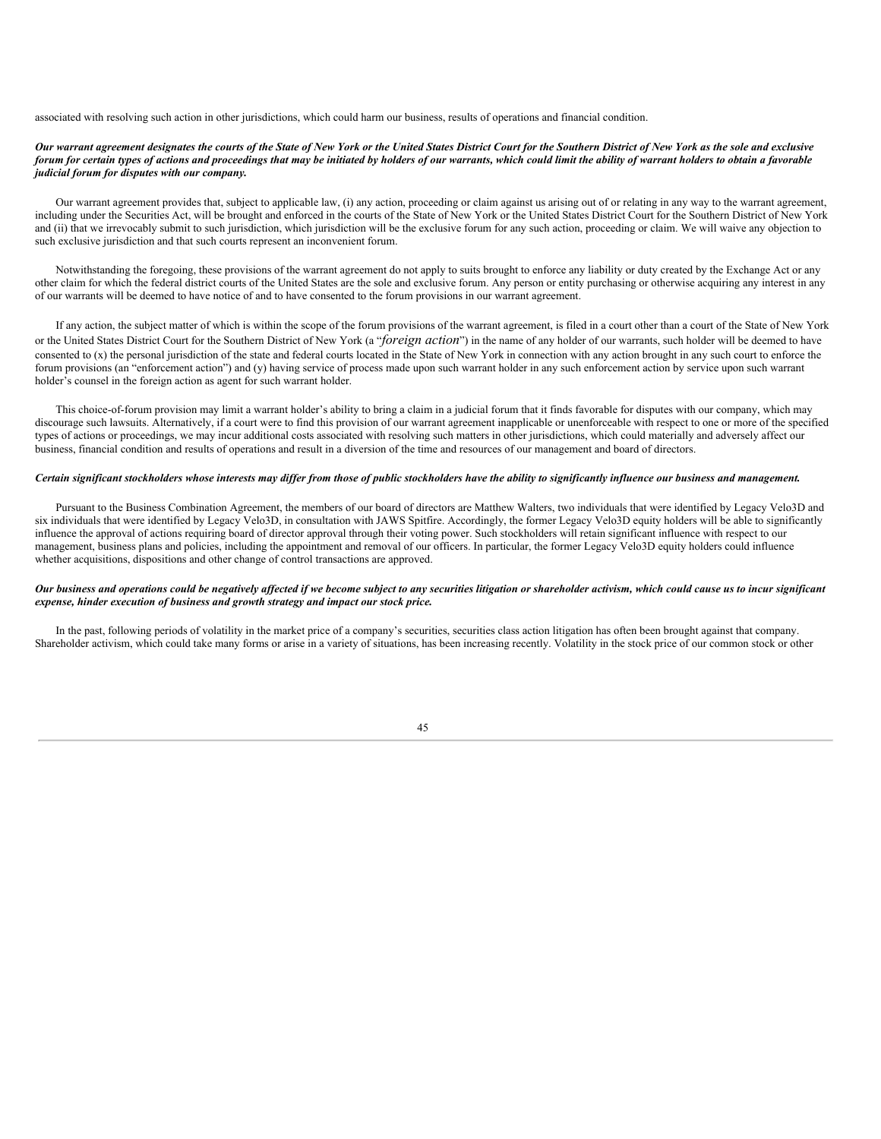associated with resolving such action in other jurisdictions, which could harm our business, results of operations and financial condition.

#### Our warrant agreement designates the courts of the State of New York or the United States District Court for the Southern District of New York as the sole and exclusive forum for certain types of actions and proceedings that may be initiated by holders of our warrants, which could limit the ability of warrant holders to obtain a favorable *judicial forum for disputes with our company.*

Our warrant agreement provides that, subject to applicable law, (i) any action, proceeding or claim against us arising out of or relating in any way to the warrant agreement, including under the Securities Act, will be brought and enforced in the courts of the State of New York or the United States District Court for the Southern District of New York and (ii) that we irrevocably submit to such jurisdiction, which jurisdiction will be the exclusive forum for any such action, proceeding or claim. We will waive any objection to such exclusive jurisdiction and that such courts represent an inconvenient forum.

Notwithstanding the foregoing, these provisions of the warrant agreement do not apply to suits brought to enforce any liability or duty created by the Exchange Act or any other claim for which the federal district courts of the United States are the sole and exclusive forum. Any person or entity purchasing or otherwise acquiring any interest in any of our warrants will be deemed to have notice of and to have consented to the forum provisions in our warrant agreement.

If any action, the subject matter of which is within the scope of the forum provisions of the warrant agreement, is filed in a court other than a court of the State of New York or the United States District Court for the Southern District of New York (a "*foreign action*") in the name of any holder of our warrants, such holder will be deemed to have consented to (x) the personal jurisdiction of the state and federal courts located in the State of New York in connection with any action brought in any such court to enforce the forum provisions (an "enforcement action") and (y) having service of process made upon such warrant holder in any such enforcement action by service upon such warrant holder's counsel in the foreign action as agent for such warrant holder.

This choice-of-forum provision may limit a warrant holder's ability to bring a claim in a judicial forum that it finds favorable for disputes with our company, which may discourage such lawsuits. Alternatively, if a court were to find this provision of our warrant agreement inapplicable or unenforceable with respect to one or more of the specified types of actions or proceedings, we may incur additional costs associated with resolving such matters in other jurisdictions, which could materially and adversely affect our business, financial condition and results of operations and result in a diversion of the time and resources of our management and board of directors.

## Certain significant stockholders whose interests may differ from those of public stockholders have the ability to significantly influence our business and management.

Pursuant to the Business Combination Agreement, the members of our board of directors are Matthew Walters, two individuals that were identified by Legacy Velo3D and six individuals that were identified by Legacy Velo3D, in consultation with JAWS Spitfire. Accordingly, the former Legacy Velo3D equity holders will be able to significantly influence the approval of actions requiring board of director approval through their voting power. Such stockholders will retain significant influence with respect to our management, business plans and policies, including the appointment and removal of our officers. In particular, the former Legacy Velo3D equity holders could influence whether acquisitions, dispositions and other change of control transactions are approved.

#### Our business and operations could be negatively affected if we become subject to any securities litigation or shareholder activism, which could cause us to incur significant *expense, hinder execution of business and growth strategy and impact our stock price.*

In the past, following periods of volatility in the market price of a company's securities, securities class action litigation has often been brought against that company. Shareholder activism, which could take many forms or arise in a variety of situations, has been increasing recently. Volatility in the stock price of our common stock or other

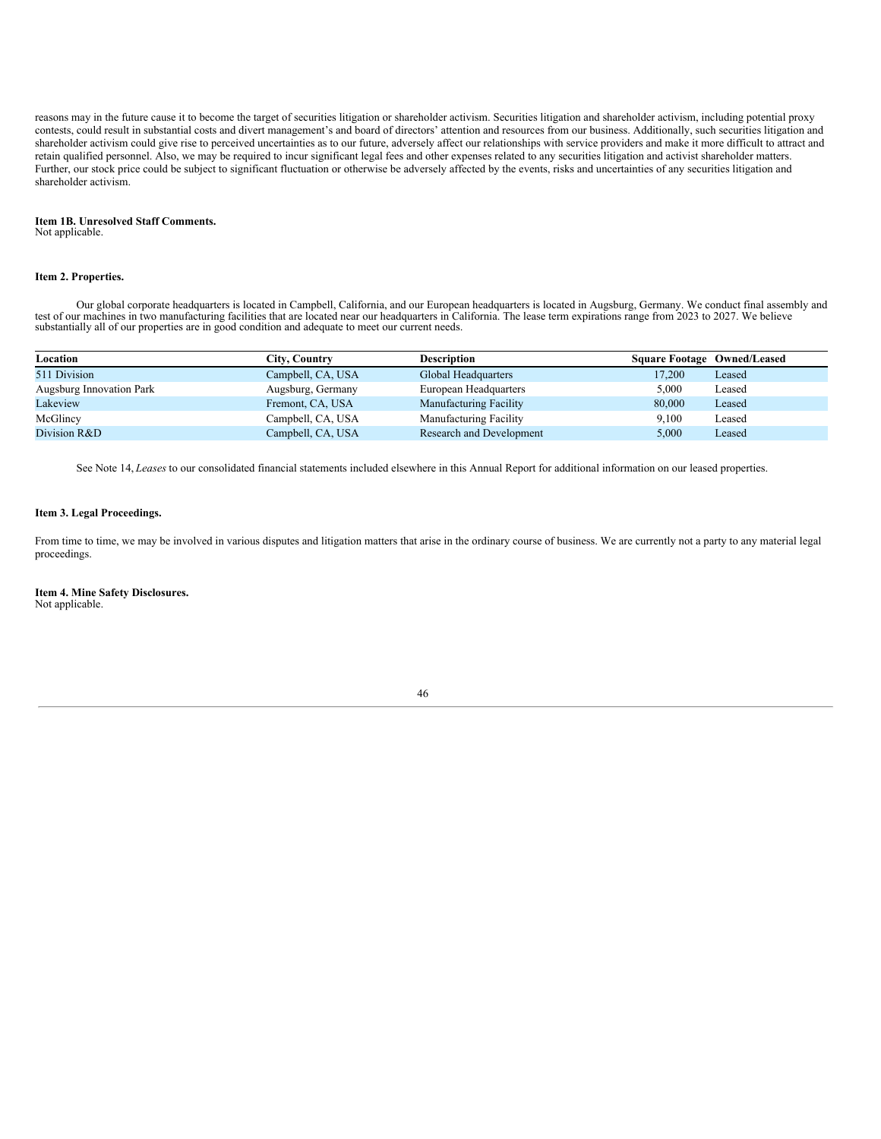reasons may in the future cause it to become the target of securities litigation or shareholder activism. Securities litigation and shareholder activism, including potential proxy contests, could result in substantial costs and divert management's and board of directors' attention and resources from our business. Additionally, such securities litigation and shareholder activism could give rise to perceived uncertainties as to our future, adversely affect our relationships with service providers and make it more difficult to attract and retain qualified personnel. Also, we may be required to incur significant legal fees and other expenses related to any securities litigation and activist shareholder matters. Further, our stock price could be subject to significant fluctuation or otherwise be adversely affected by the events, risks and uncertainties of any securities litigation and shareholder activism.

## **Item 1B. Unresolved Staff Comments.**

Not applicable.

#### **Item 2. Properties.**

Our global corporate headquarters is located in Campbell, California, and our European headquarters is located in Augsburg, Germany. We conduct final assembly and test of our machines in two manufacturing facilities that are located near our headquarters in California. The lease term expirations range from 2023 to 2027. We believe substantially all of our properties are in good condition and adequate to meet our current needs.

| Location                        | City, Country     | <b>Description</b>            | <b>Square Footage Owned/Leased</b> |        |
|---------------------------------|-------------------|-------------------------------|------------------------------------|--------|
| 511 Division                    | Campbell, CA, USA | Global Headquarters           | 17.200                             | Leased |
| <b>Augsburg Innovation Park</b> | Augsburg, Germany | European Headquarters         | 5.000                              | Leased |
| Lakeview                        | Fremont, CA, USA  | <b>Manufacturing Facility</b> | 80,000                             | Leased |
| McGlincy                        | Campbell, CA, USA | Manufacturing Facility        | 9.100                              | Leased |
| Division R&D                    | Campbell, CA, USA | Research and Development      | 5.000                              | Leased |

See Note 14, *Leases* to our consolidated financial statements included elsewhere in this Annual Report for additional information on our leased properties.

## **Item 3. Legal Proceedings.**

From time to time, we may be involved in various disputes and litigation matters that arise in the ordinary course of business. We are currently not a party to any material legal proceedings.

**Item 4. Mine Safety Disclosures.** Not applicable.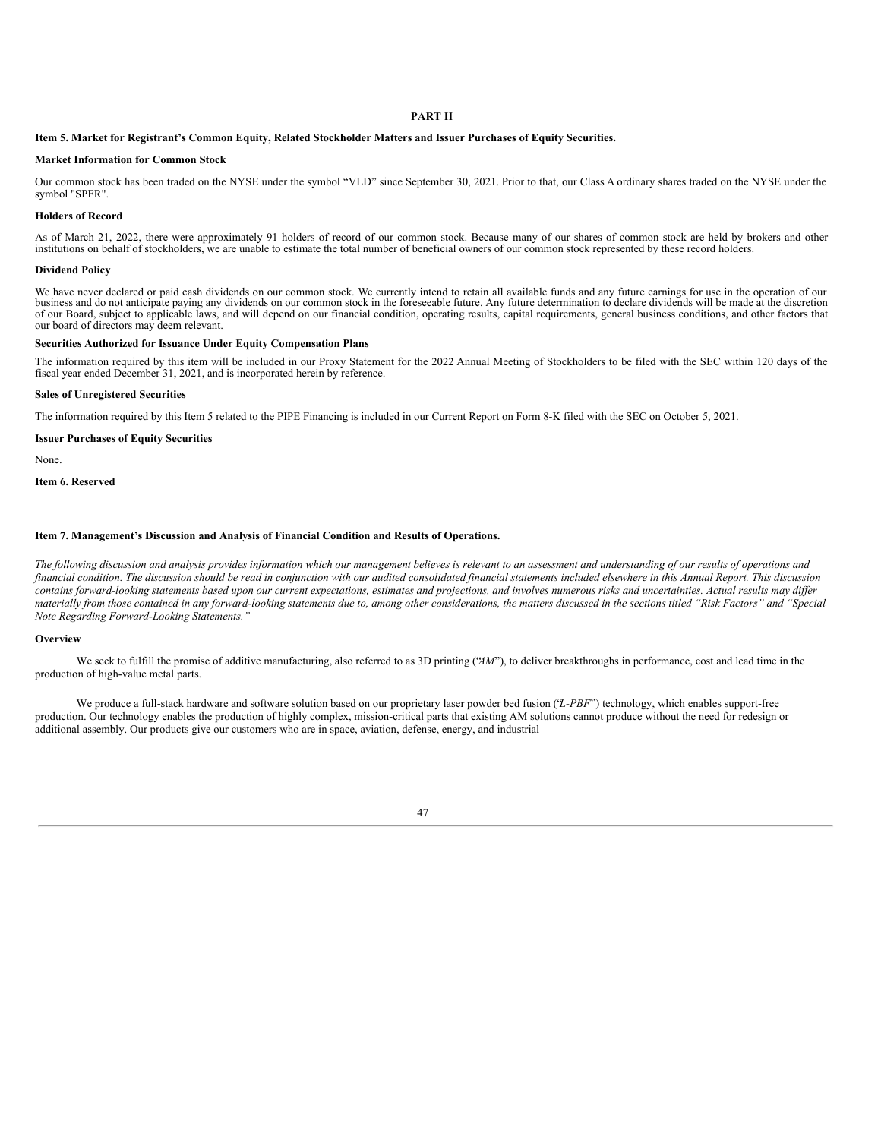#### **PART II**

#### Item 5. Market for Registrant's Common Equity, Related Stockholder Matters and Issuer Purchases of Equity Securities.

#### **Market Information for Common Stock**

Our common stock has been traded on the NYSE under the symbol "VLD" since September 30, 2021. Prior to that, our Class A ordinary shares traded on the NYSE under the symbol "SPFR".

#### **Holders of Record**

As of March 21, 2022, there were approximately 91 holders of record of our common stock. Because many of our shares of common stock are held by brokers and other institutions on behalf of stockholders, we are unable to estimate the total number of beneficial owners of our common stock represented by these record holders.

#### **Dividend Policy**

We have never declared or paid cash dividends on our common stock. We currently intend to retain all available funds and any future earnings for use in the operation of our business and do not anticipate paying any dividends on our common stock in the foreseeable future. Any future determination to declare dividends will be made at the discretion of our Board, subject to applicable laws, and will depend on our financial condition, operating results, capital requirements, general business conditions, and other factors that our board of directors may deem relevant.

#### **Securities Authorized for Issuance Under Equity Compensation Plans**

The information required by this item will be included in our Proxy Statement for the 2022 Annual Meeting of Stockholders to be filed with the SEC within 120 days of the fiscal year ended December 31, 2021, and is incorporated herein by reference.

#### **Sales of Unregistered Securities**

The information required by this Item 5 related to the PIPE Financing is included in our Current Report on Form 8-K filed with the SEC on October 5, 2021.

#### **Issuer Purchases of Equity Securities**

None.

**Item 6. Reserved**

## **Item 7. Management's Discussion and Analysis of Financial Condition and Results of Operations.**

The following discussion and analysis provides information which our management believes is relevant to an assessment and understanding of our results of operations and financial condition. The discussion should be read in conjunction with our audited consolidated financial statements included elsewhere in this Annual Report. This discussion contains forward-looking statements based upon our current expectations, estimates and projections, and involves numerous risks and uncertainties. Actual results may differ materially from those contained in any forward-looking statements due to, among other considerations, the matters discussed in the sections titled "Risk Factors" and "Special *Note Regarding Forward-Looking Statements."*

## **Overview**

We seek to fulfill the promise of additive manufacturing, also referred to as 3D printing (*'AM*"), to deliver breakthroughs in performance, cost and lead time in the production of high-value metal parts.

We produce a full-stack hardware and software solution based on our proprietary laser powder bed fusion ("*L-PBF*") technology, which enables support-free production. Our technology enables the production of highly complex, mission-critical parts that existing AM solutions cannot produce without the need for redesign or additional assembly. Our products give our customers who are in space, aviation, defense, energy, and industrial

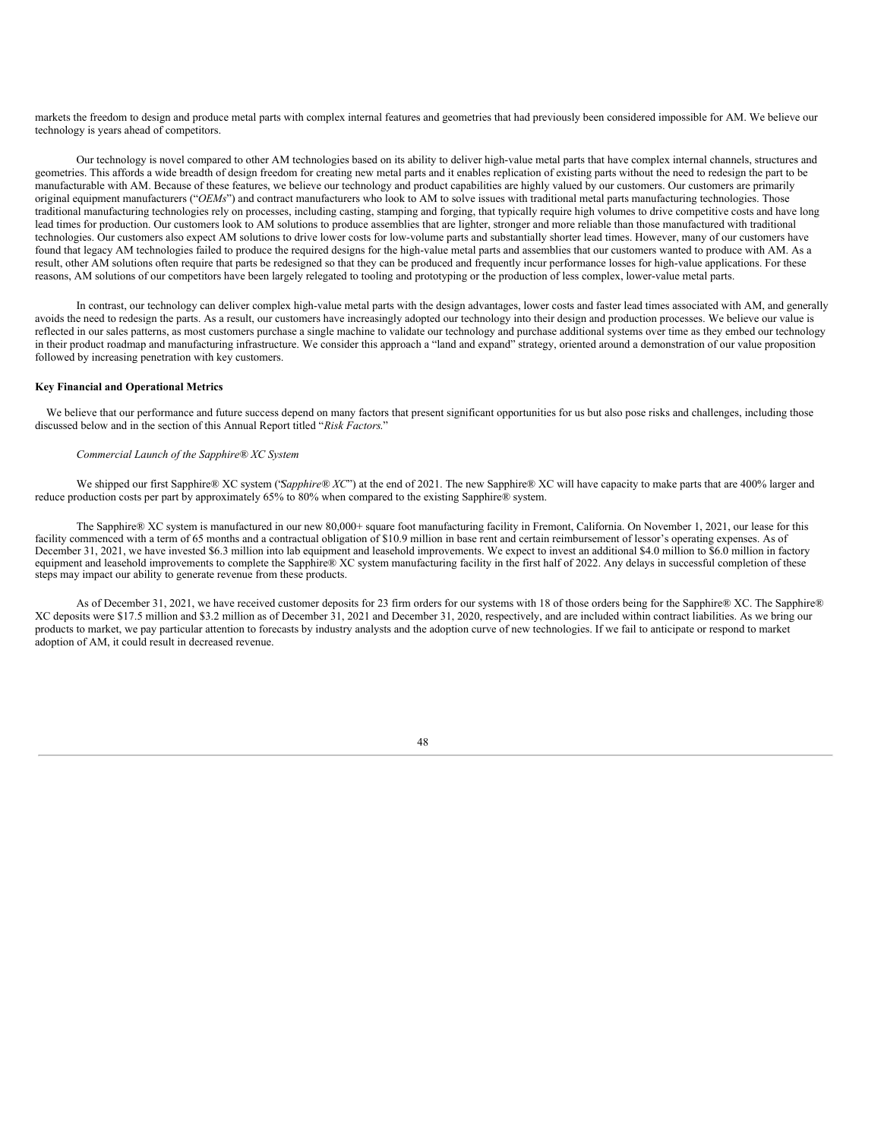markets the freedom to design and produce metal parts with complex internal features and geometries that had previously been considered impossible for AM. We believe our technology is years ahead of competitors.

Our technology is novel compared to other AM technologies based on its ability to deliver high-value metal parts that have complex internal channels, structures and geometries. This affords a wide breadth of design freedom for creating new metal parts and it enables replication of existing parts without the need to redesign the part to be manufacturable with AM. Because of these features, we believe our technology and product capabilities are highly valued by our customers. Our customers are primarily original equipment manufacturers ("*OEMs*") and contract manufacturers who look to AM to solve issues with traditional metal parts manufacturing technologies. Those traditional manufacturing technologies rely on processes, including casting, stamping and forging, that typically require high volumes to drive competitive costs and have long lead times for production. Our customers look to AM solutions to produce assemblies that are lighter, stronger and more reliable than those manufactured with traditional technologies. Our customers also expect AM solutions to drive lower costs for low-volume parts and substantially shorter lead times. However, many of our customers have found that legacy AM technologies failed to produce the required designs for the high-value metal parts and assemblies that our customers wanted to produce with AM. As a result, other AM solutions often require that parts be redesigned so that they can be produced and frequently incur performance losses for high-value applications. For these reasons, AM solutions of our competitors have been largely relegated to tooling and prototyping or the production of less complex, lower-value metal parts.

In contrast, our technology can deliver complex high-value metal parts with the design advantages, lower costs and faster lead times associated with AM, and generally avoids the need to redesign the parts. As a result, our customers have increasingly adopted our technology into their design and production processes. We believe our value is reflected in our sales patterns, as most customers purchase a single machine to validate our technology and purchase additional systems over time as they embed our technology in their product roadmap and manufacturing infrastructure. We consider this approach a "land and expand" strategy, oriented around a demonstration of our value proposition followed by increasing penetration with key customers.

## **Key Financial and Operational Metrics**

We believe that our performance and future success depend on many factors that present significant opportunities for us but also pose risks and challenges, including those discussed below and in the section of this Annual Report titled "*Risk Factors*."

#### *Commercial Launch of the Sapphire® XC System*

We shipped our first Sapphire® XC system ('*Sapphire® XC*") at the end of 2021. The new Sapphire® XC will have capacity to make parts that are 400% larger and reduce production costs per part by approximately 65% to 80% when compared to the existing Sapphire® system.

The Sapphire® XC system is manufactured in our new 80,000+ square foot manufacturing facility in Fremont, California. On November 1, 2021, our lease for this facility commenced with a term of 65 months and a contractual obligation of \$10.9 million in base rent and certain reimbursement of lessor's operating expenses. As of December 31, 2021, we have invested \$6.3 million into lab equipment and leasehold improvements. We expect to invest an additional \$4.0 million to \$6.0 million in factory equipment and leasehold improvements to complete the Sapphire® XC system manufacturing facility in the first half of 2022. Any delays in successful completion of these steps may impact our ability to generate revenue from these products.

As of December 31, 2021, we have received customer deposits for 23 firm orders for our systems with 18 of those orders being for the Sapphire® XC. The Sapphire® XC deposits were \$17.5 million and \$3.2 million as of December 31, 2021 and December 31, 2020, respectively, and are included within contract liabilities. As we bring our products to market, we pay particular attention to forecasts by industry analysts and the adoption curve of new technologies. If we fail to anticipate or respond to market adoption of AM, it could result in decreased revenue.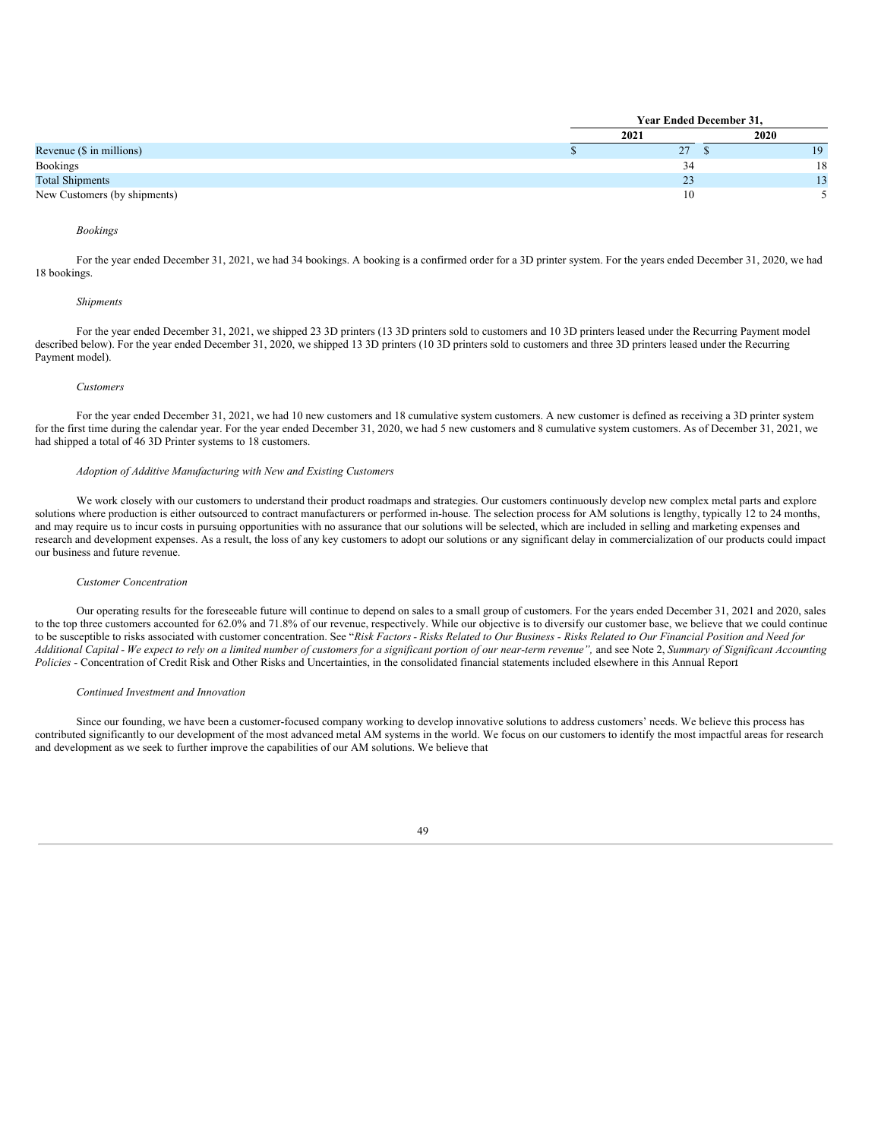|                              | rear Ended December 31, |      |  |  |  |  |
|------------------------------|-------------------------|------|--|--|--|--|
|                              | 2021                    | 2020 |  |  |  |  |
| Revenue (\$ in millions)     |                         | 19   |  |  |  |  |
| <b>Bookings</b>              | 34                      | 18   |  |  |  |  |
| <b>Total Shipments</b>       | 23                      |      |  |  |  |  |
| New Customers (by shipments) | 10                      |      |  |  |  |  |

**Year Ended December 31,**

#### *Bookings*

For the year ended December 31, 2021, we had 34 bookings. A booking is a confirmed order for a 3D printer system. For the years ended December 31, 2020, we had 18 bookings.

#### *Shipments*

For the year ended December 31, 2021, we shipped 23 3D printers (13 3D printers sold to customers and 10 3D printers leased under the Recurring Payment model described below). For the year ended December 31, 2020, we shipped 13 3D printers (10 3D printers sold to customers and three 3D printers leased under the Recurring Payment model).

#### *Customers*

For the year ended December 31, 2021, we had 10 new customers and 18 cumulative system customers. A new customer is defined as receiving a 3D printer system for the first time during the calendar year. For the year ended December 31, 2020, we had 5 new customers and 8 cumulative system customers. As of December 31, 2021, we had shipped a total of 46 3D Printer systems to 18 customers.

## *Adoption of Additive Manufacturing with New and Existing Customers*

We work closely with our customers to understand their product roadmaps and strategies. Our customers continuously develop new complex metal parts and explore solutions where production is either outsourced to contract manufacturers or performed in-house. The selection process for AM solutions is lengthy, typically 12 to 24 months, and may require us to incur costs in pursuing opportunities with no assurance that our solutions will be selected, which are included in selling and marketing expenses and research and development expenses. As a result, the loss of any key customers to adopt our solutions or any significant delay in commercialization of our products could impact our business and future revenue.

#### *Customer Concentration*

Our operating results for the foreseeable future will continue to depend on sales to a small group of customers. For the years ended December 31, 2021 and 2020, sales to the top three customers accounted for 62.0% and 71.8% of our revenue, respectively. While our objective is to diversify our customer base, we believe that we could continue to be susceptible to risks associated with customer concentration. See "Risk Factors - Risks Related to Our Business - Risks Related to Our Financial Position and Need for Additional Capital - We expect to rely on a limited number of customers for a significant portion of our near-term revenue", and see Note 2, Summary of Significant Accounting *Policies* - Concentration of Credit Risk and Other Risks and Uncertainties, in the consolidated financial statements included elsewhere in this Annual Repor*.*t

### *Continued Investment and Innovation*

Since our founding, we have been a customer-focused company working to develop innovative solutions to address customers' needs. We believe this process has contributed significantly to our development of the most advanced metal AM systems in the world. We focus on our customers to identify the most impactful areas for research and development as we seek to further improve the capabilities of our AM solutions. We believe that

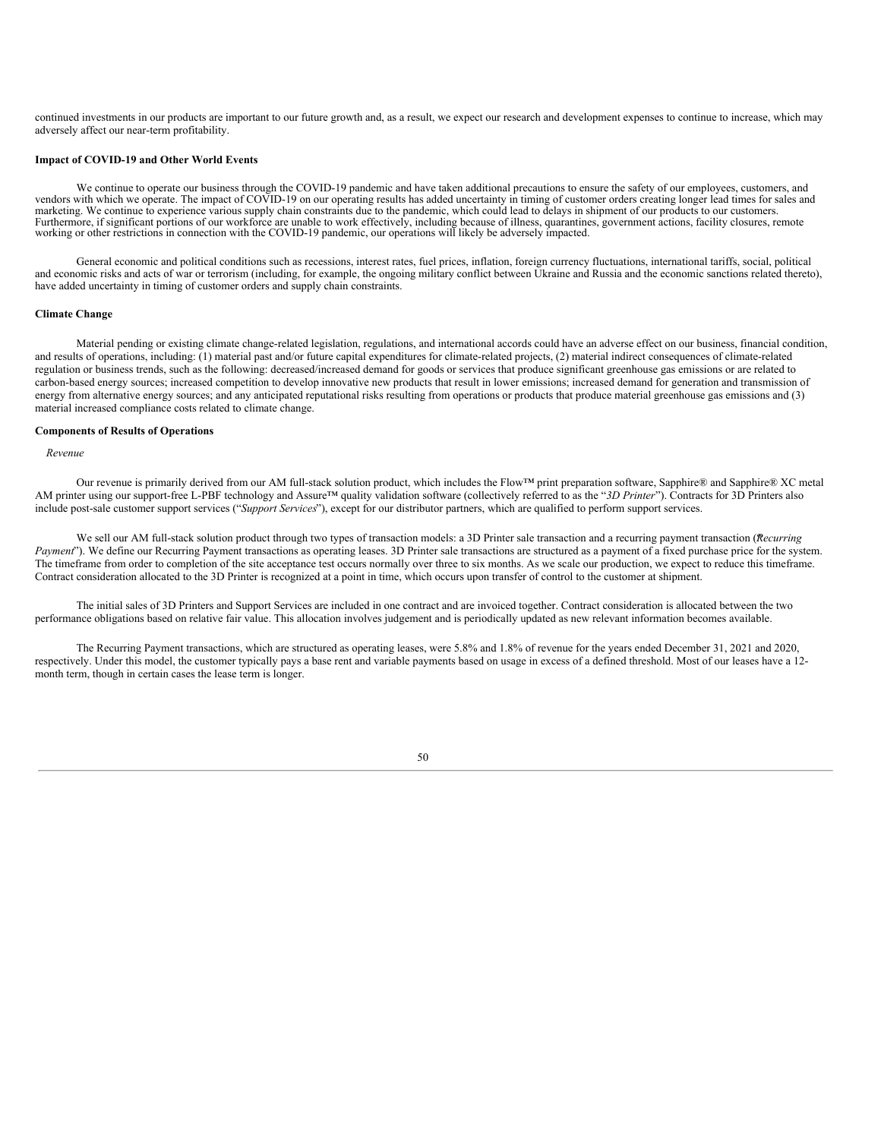continued investments in our products are important to our future growth and, as a result, we expect our research and development expenses to continue to increase, which may adversely affect our near-term profitability.

#### **Impact of COVID-19 and Other World Events**

We continue to operate our business through the COVID-19 pandemic and have taken additional precautions to ensure the safety of our employees, customers, and<br>vendors with which we operate. The impact of COVID-19 on our ope marketing. We continue to experience various supply chain constraints due to the pandemic, which could lead to delays in shipment of our products to our customers. Furthermore, if significant portions of our workforce are unable to work effectively, including because of illness, quarantines, government actions, facility closures, remote working or other restrictions in connection with the COVID-19 pandemic, our operations will likely be adversely impacted.

General economic and political conditions such as recessions, interest rates, fuel prices, inflation, foreign currency fluctuations, international tariffs, social, political and economic risks and acts of war or terrorism (including, for example, the ongoing military conflict between Ukraine and Russia and the economic sanctions related thereto), have added uncertainty in timing of customer orders and supply chain constraints.

## **Climate Change**

Material pending or existing climate change-related legislation, regulations, and international accords could have an adverse effect on our business, financial condition, and results of operations, including: (1) material past and/or future capital expenditures for climate-related projects, (2) material indirect consequences of climate-related regulation or business trends, such as the following: decreased/increased demand for goods or services that produce significant greenhouse gas emissions or are related to carbon-based energy sources; increased competition to develop innovative new products that result in lower emissions; increased demand for generation and transmission of energy from alternative energy sources; and any anticipated reputational risks resulting from operations or products that produce material greenhouse gas emissions and (3) material increased compliance costs related to climate change.

#### **Components of Results of Operations**

#### *Revenue*

Our revenue is primarily derived from our AM full-stack solution product, which includes the Flow™ print preparation software, Sapphire® and Sapphire® XC metal AM printer using our support-free L-PBF technology and Assure™ quality validation software (collectively referred to as the "*3D Printer*"). Contracts for 3D Printers also include post-sale customer support services ("*Support Services*"), except for our distributor partners, which are qualified to perform support services.

We sell our AM full-stack solution product through two types of transaction models: a 3D Printer sale transaction and a recurring payment transaction (*Recurring Payment*"). We define our Recurring Payment transactions as operating leases. 3D Printer sale transactions are structured as a payment of a fixed purchase price for the system. The timeframe from order to completion of the site acceptance test occurs normally over three to six months. As we scale our production, we expect to reduce this timeframe. Contract consideration allocated to the 3D Printer is recognized at a point in time, which occurs upon transfer of control to the customer at shipment.

The initial sales of 3D Printers and Support Services are included in one contract and are invoiced together. Contract consideration is allocated between the two performance obligations based on relative fair value. This allocation involves judgement and is periodically updated as new relevant information becomes available.

The Recurring Payment transactions, which are structured as operating leases, were 5.8% and 1.8% of revenue for the years ended December 31, 2021 and 2020, respectively. Under this model, the customer typically pays a base rent and variable payments based on usage in excess of a defined threshold. Most of our leases have a 12 month term, though in certain cases the lease term is longer.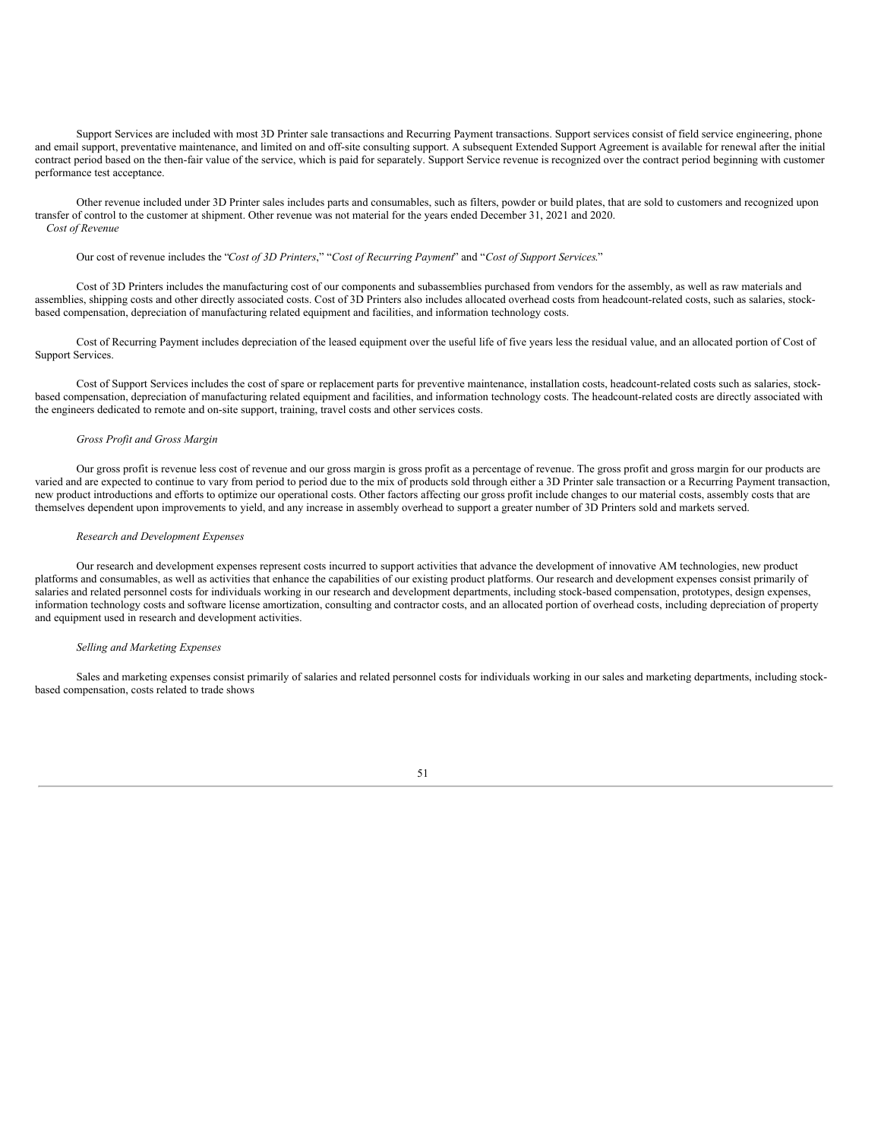Support Services are included with most 3D Printer sale transactions and Recurring Payment transactions. Support services consist of field service engineering, phone and email support, preventative maintenance, and limited on and off-site consulting support. A subsequent Extended Support Agreement is available for renewal after the initial contract period based on the then-fair value of the service, which is paid for separately. Support Service revenue is recognized over the contract period beginning with customer performance test acceptance.

Other revenue included under 3D Printer sales includes parts and consumables, such as filters, powder or build plates, that are sold to customers and recognized upon transfer of control to the customer at shipment. Other revenue was not material for the years ended December 31, 2021 and 2020. *Cost of Revenue*

Our cost of revenue includes the "*Cost of 3D Printers*," "*Cost of Recurring Payment*" and "*Cost of Support Services*."

Cost of 3D Printers includes the manufacturing cost of our components and subassemblies purchased from vendors for the assembly, as well as raw materials and assemblies, shipping costs and other directly associated costs. Cost of 3D Printers also includes allocated overhead costs from headcount-related costs, such as salaries, stockbased compensation, depreciation of manufacturing related equipment and facilities, and information technology costs.

Cost of Recurring Payment includes depreciation of the leased equipment over the useful life of five years less the residual value, and an allocated portion of Cost of Support Services.

Cost of Support Services includes the cost of spare or replacement parts for preventive maintenance, installation costs, headcount-related costs such as salaries, stockbased compensation, depreciation of manufacturing related equipment and facilities, and information technology costs. The headcount-related costs are directly associated with the engineers dedicated to remote and on-site support, training, travel costs and other services costs.

#### *Gross Profit and Gross Margin*

Our gross profit is revenue less cost of revenue and our gross margin is gross profit as a percentage of revenue. The gross profit and gross margin for our products are varied and are expected to continue to vary from period to period due to the mix of products sold through either a 3D Printer sale transaction or a Recurring Payment transaction, new product introductions and efforts to optimize our operational costs. Other factors affecting our gross profit include changes to our material costs, assembly costs that are themselves dependent upon improvements to yield, and any increase in assembly overhead to support a greater number of 3D Printers sold and markets served.

## *Research and Development Expenses*

Our research and development expenses represent costs incurred to support activities that advance the development of innovative AM technologies, new product platforms and consumables, as well as activities that enhance the capabilities of our existing product platforms. Our research and development expenses consist primarily of salaries and related personnel costs for individuals working in our research and development departments, including stock-based compensation, prototypes, design expenses, information technology costs and software license amortization, consulting and contractor costs, and an allocated portion of overhead costs, including depreciation of property and equipment used in research and development activities.

#### *Selling and Marketing Expenses*

Sales and marketing expenses consist primarily of salaries and related personnel costs for individuals working in our sales and marketing departments, including stockbased compensation, costs related to trade shows

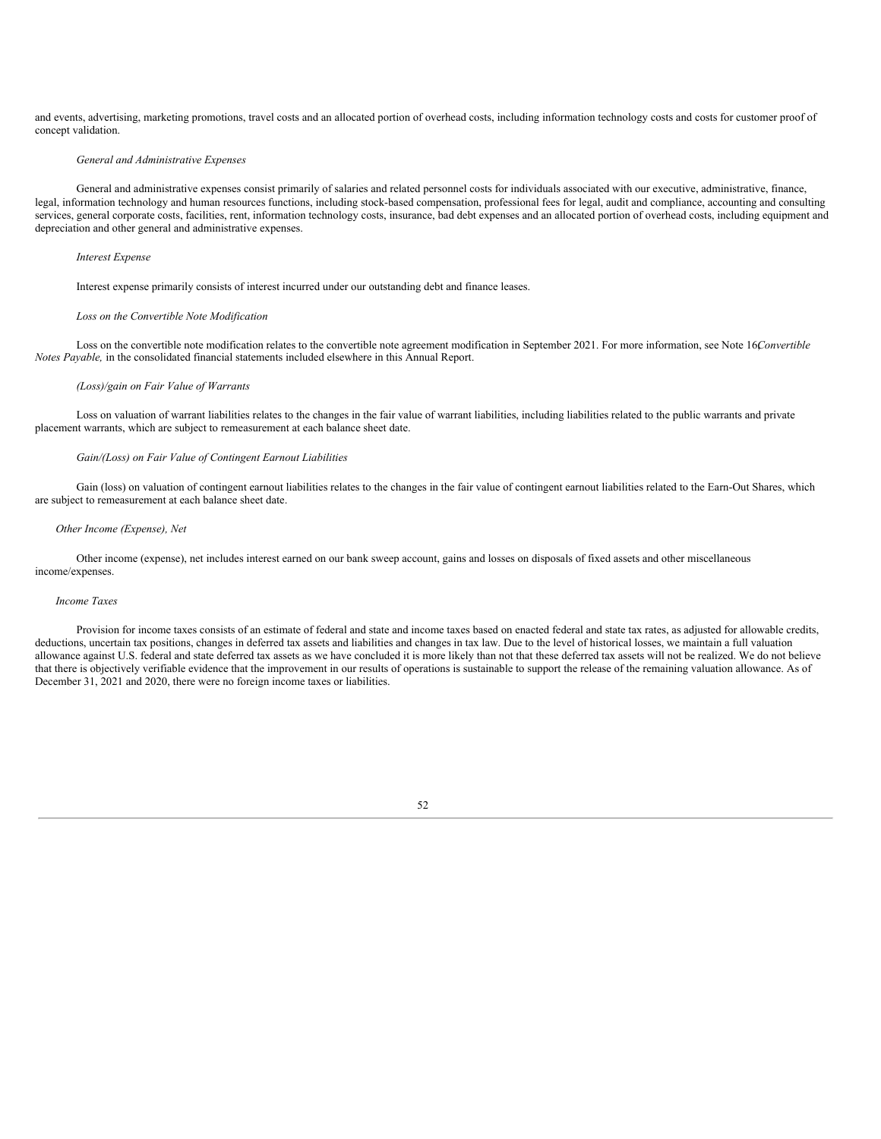and events, advertising, marketing promotions, travel costs and an allocated portion of overhead costs, including information technology costs and costs for customer proof of concept validation.

## *General and Administrative Expenses*

General and administrative expenses consist primarily of salaries and related personnel costs for individuals associated with our executive, administrative, finance, legal, information technology and human resources functions, including stock-based compensation, professional fees for legal, audit and compliance, accounting and consulting services, general corporate costs, facilities, rent, information technology costs, insurance, bad debt expenses and an allocated portion of overhead costs, including equipment and depreciation and other general and administrative expenses.

#### *Interest Expense*

Interest expense primarily consists of interest incurred under our outstanding debt and finance leases.

## *Loss on the Convertible Note Modification*

Loss on the convertible note modification relates to the convertible note agreement modification in September 2021. For more information, see Note 16*Convertible Notes Payable,* in the consolidated financial statements included elsewhere in this Annual Report.

## *(Loss)/gain on Fair Value of Warrants*

Loss on valuation of warrant liabilities relates to the changes in the fair value of warrant liabilities, including liabilities related to the public warrants and private placement warrants, which are subject to remeasurement at each balance sheet date.

#### *Gain/(Loss) on Fair Value of Contingent Earnout Liabilities*

Gain (loss) on valuation of contingent earnout liabilities relates to the changes in the fair value of contingent earnout liabilities related to the Earn-Out Shares, which are subject to remeasurement at each balance sheet date.

## *Other Income (Expense), Net*

Other income (expense), net includes interest earned on our bank sweep account, gains and losses on disposals of fixed assets and other miscellaneous income/expenses.

#### *Income Taxes*

Provision for income taxes consists of an estimate of federal and state and income taxes based on enacted federal and state tax rates, as adjusted for allowable credits, deductions, uncertain tax positions, changes in deferred tax assets and liabilities and changes in tax law. Due to the level of historical losses, we maintain a full valuation allowance against U.S. federal and state deferred tax assets as we have concluded it is more likely than not that these deferred tax assets will not be realized. We do not believe that there is objectively verifiable evidence that the improvement in our results of operations is sustainable to support the release of the remaining valuation allowance. As of December 31, 2021 and 2020, there were no foreign income taxes or liabilities.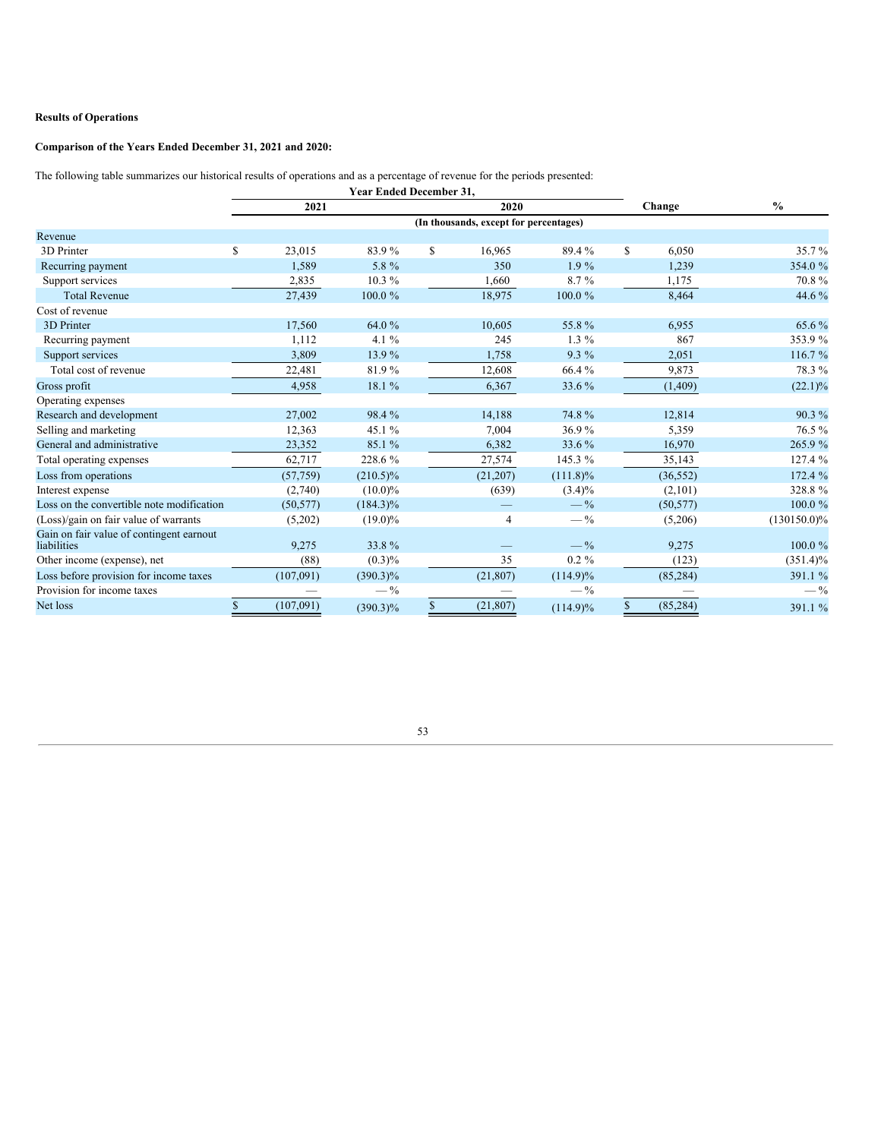# **Results of Operations**

# **Comparison of the Years Ended December 31, 2021 and 2020:**

The following table summarizes our historical results of operations and as a percentage of revenue for the periods presented:

|  | Year Ended December 31, |  |
|--|-------------------------|--|
|  |                         |  |

|                                                         | 2021 |           |                |    | 2020                                   |                 | Change          | $\frac{0}{0}$  |
|---------------------------------------------------------|------|-----------|----------------|----|----------------------------------------|-----------------|-----------------|----------------|
|                                                         |      |           |                |    | (In thousands, except for percentages) |                 |                 |                |
| Revenue                                                 |      |           |                |    |                                        |                 |                 |                |
| 3D Printer                                              | S.   | 23,015    | 83.9%          | S  | 16,965                                 | 89.4%           | \$<br>6,050     | 35.7%          |
| Recurring payment                                       |      | 1,589     | 5.8 %          |    | 350                                    | $1.9\%$         | 1,239           | 354.0%         |
| Support services                                        |      | 2,835     | 10.3%          |    | 1,660                                  | 8.7%            | 1,175           | 70.8%          |
| <b>Total Revenue</b>                                    |      | 27,439    | 100.0%         |    | 18,975                                 | 100.0%          | 8,464           | 44.6%          |
| Cost of revenue                                         |      |           |                |    |                                        |                 |                 |                |
| 3D Printer                                              |      | 17,560    | 64.0%          |    | 10,605                                 | 55.8%           | 6.955           | 65.6%          |
| Recurring payment                                       |      | 1,112     | 4.1 $%$        |    | 245                                    | $1.3\%$         | 867             | 353.9%         |
| Support services                                        |      | 3,809     | 13.9%          |    | 1,758                                  | $9.3\%$         | 2,051           | 116.7%         |
| Total cost of revenue                                   |      | 22,481    | 81.9%          |    | 12,608                                 | 66.4%           | 9,873           | 78.3%          |
| Gross profit                                            |      | 4,958     | 18.1 %         |    | 6,367                                  | 33.6 %          | (1,409)         | $(22.1)\%$     |
| Operating expenses                                      |      |           |                |    |                                        |                 |                 |                |
| Research and development                                |      | 27,002    | 98.4%          |    | 14,188                                 | 74.8%           | 12,814          | 90.3%          |
| Selling and marketing                                   |      | 12,363    | 45.1 %         |    | 7,004                                  | 36.9%           | 5,359           | 76.5%          |
| General and administrative                              |      | 23,352    | 85.1%          |    | 6,382                                  | 33.6%           | 16,970          | 265.9%         |
| Total operating expenses                                |      | 62,717    | 228.6%         |    | 27,574                                 | 145.3 %         | 35,143          | 127.4 %        |
| Loss from operations                                    |      | (57, 759) | $(210.5)\%$    |    | (21, 207)                              | $(111.8)\%$     | (36, 552)       | 172.4 %        |
| Interest expense                                        |      | (2,740)   | $(10.0)\%$     |    | (639)                                  | $(3.4)\%$       | (2,101)         | 328.8%         |
| Loss on the convertible note modification               |      | (50, 577) | $(184.3)\%$    |    |                                        | $-$ %           | (50, 577)       | 100.0%         |
| (Loss)/gain on fair value of warrants                   |      | (5,202)   | $(19.0)\%$     |    | $\overline{4}$                         | $-$ %           | (5,206)         | $(130150.0)\%$ |
| Gain on fair value of contingent earnout<br>liabilities |      | 9,275     | 33.8%          |    |                                        | $-$ %           | 9,275           | 100.0%         |
| Other income (expense), net                             |      | (88)      | $(0.3)\%$      |    | 35                                     | $0.2\%$         | (123)           | $(351.4)\%$    |
| Loss before provision for income taxes                  |      | (107,091) | $(390.3)\%$    |    | (21, 807)                              | $(114.9)\%$     | (85, 284)       | 391.1 %        |
| Provision for income taxes                              |      |           | $-\frac{9}{6}$ |    |                                        | $- \frac{6}{9}$ |                 | $-\frac{9}{6}$ |
| Net loss                                                | S    | (107,091) | $(390.3)\%$    | \$ | (21, 807)                              | $(114.9)\%$     | \$<br>(85, 284) | 391.1 %        |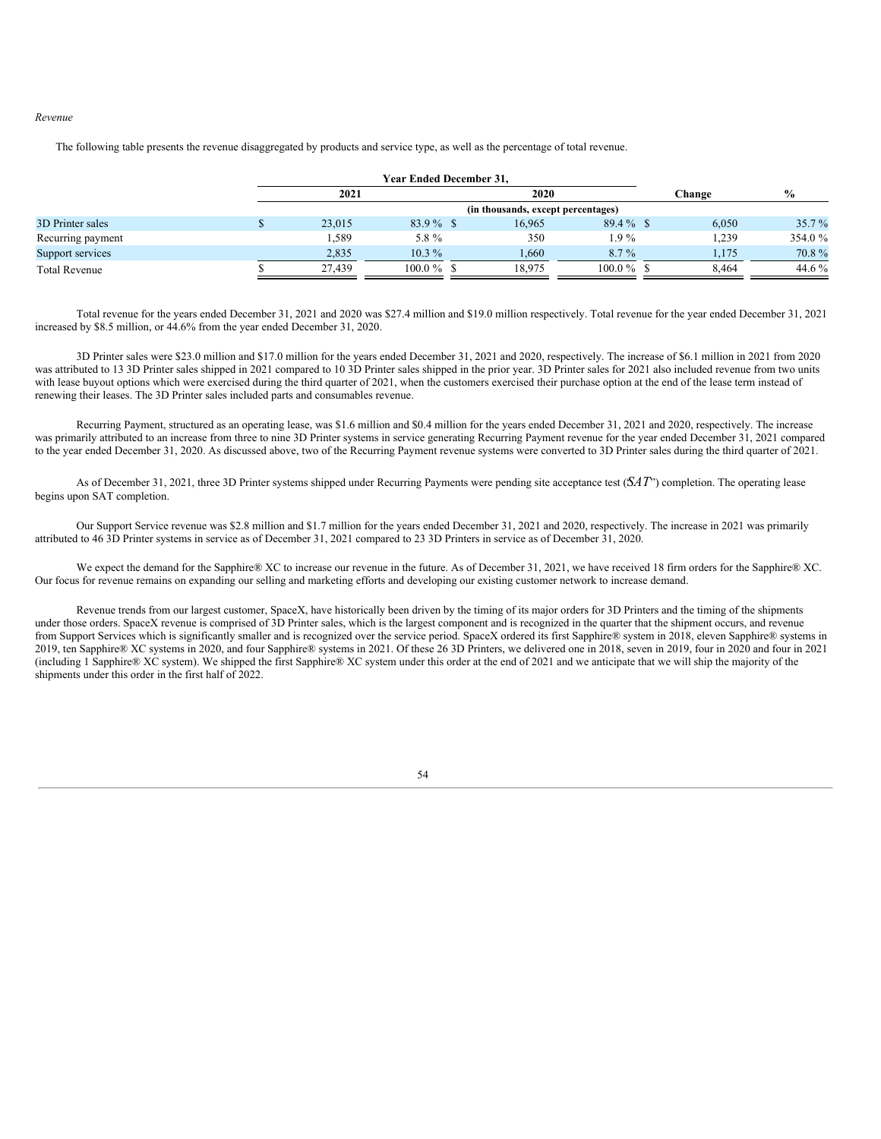*Revenue*

|                      |        | <b>Year Ended December 31.</b> |  |                                    |              |        |               |
|----------------------|--------|--------------------------------|--|------------------------------------|--------------|--------|---------------|
|                      | 2021   |                                |  | 2020                               |              | Change | $\frac{0}{0}$ |
|                      |        |                                |  | (in thousands, except percentages) |              |        |               |
| 3D Printer sales     | 23,015 | $83.9\%$ \$                    |  | 16,965                             | $89.4\%$ \$  | 6,050  | $35.7\%$      |
| Recurring payment    | . 589  | 5.8 %                          |  | 350                                | $1.9\%$      | 1,239  | 354.0 %       |
| Support services     | 2.835  | $10.3\%$                       |  | 1.660                              | $8.7\%$      | 1.175  | 70.8%         |
| <b>Total Revenue</b> | 27.439 | $100.0\%$ \$                   |  | 18.975                             | $100.0\%$ \$ | 8,464  | 44.6 %        |

The following table presents the revenue disaggregated by products and service type, as well as the percentage of total revenue.

Total revenue for the years ended December 31, 2021 and 2020 was \$27.4 million and \$19.0 million respectively. Total revenue for the year ended December 31, 2021 increased by \$8.5 million, or 44.6% from the year ended December 31, 2020.

3D Printer sales were \$23.0 million and \$17.0 million for the years ended December 31, 2021 and 2020, respectively. The increase of \$6.1 million in 2021 from 2020 was attributed to 13 3D Printer sales shipped in 2021 compared to 10 3D Printer sales shipped in the prior year. 3D Printer sales for 2021 also included revenue from two units with lease buyout options which were exercised during the third quarter of 2021, when the customers exercised their purchase option at the end of the lease term instead of renewing their leases. The 3D Printer sales included parts and consumables revenue.

Recurring Payment, structured as an operating lease, was \$1.6 million and \$0.4 million for the years ended December 31, 2021 and 2020, respectively. The increase was primarily attributed to an increase from three to nine 3D Printer systems in service generating Recurring Payment revenue for the year ended December 31, 2021 compared to the year ended December 31, 2020. As discussed above, two of the Recurring Payment revenue systems were converted to 3D Printer sales during the third quarter of 2021.

As of December 31, 2021, three 3D Printer systems shipped under Recurring Payments were pending site acceptance test ( $SAT$ ) completion. The operating lease begins upon SAT completion.

Our Support Service revenue was \$2.8 million and \$1.7 million for the years ended December 31, 2021 and 2020, respectively. The increase in 2021 was primarily attributed to 46 3D Printer systems in service as of December 31, 2021 compared to 23 3D Printers in service as of December 31, 2020.

We expect the demand for the Sapphire® XC to increase our revenue in the future. As of December 31, 2021, we have received 18 firm orders for the Sapphire® XC. Our focus for revenue remains on expanding our selling and marketing efforts and developing our existing customer network to increase demand.

Revenue trends from our largest customer, SpaceX, have historically been driven by the timing of its major orders for 3D Printers and the timing of the shipments under those orders. SpaceX revenue is comprised of 3D Printer sales, which is the largest component and is recognized in the quarter that the shipment occurs, and revenue from Support Services which is significantly smaller and is recognized over the service period. SpaceX ordered its first Sapphire® system in 2018, eleven Sapphire® systems in 2019, ten Sapphire® XC systems in 2020, and four Sapphire® systems in 2021. Of these 26 3D Printers, we delivered one in 2018, seven in 2019, four in 2020 and four in 2021 (including 1 Sapphire® XC system). We shipped the first Sapphire® XC system under this order at the end of 2021 and we anticipate that we will ship the majority of the shipments under this order in the first half of 2022.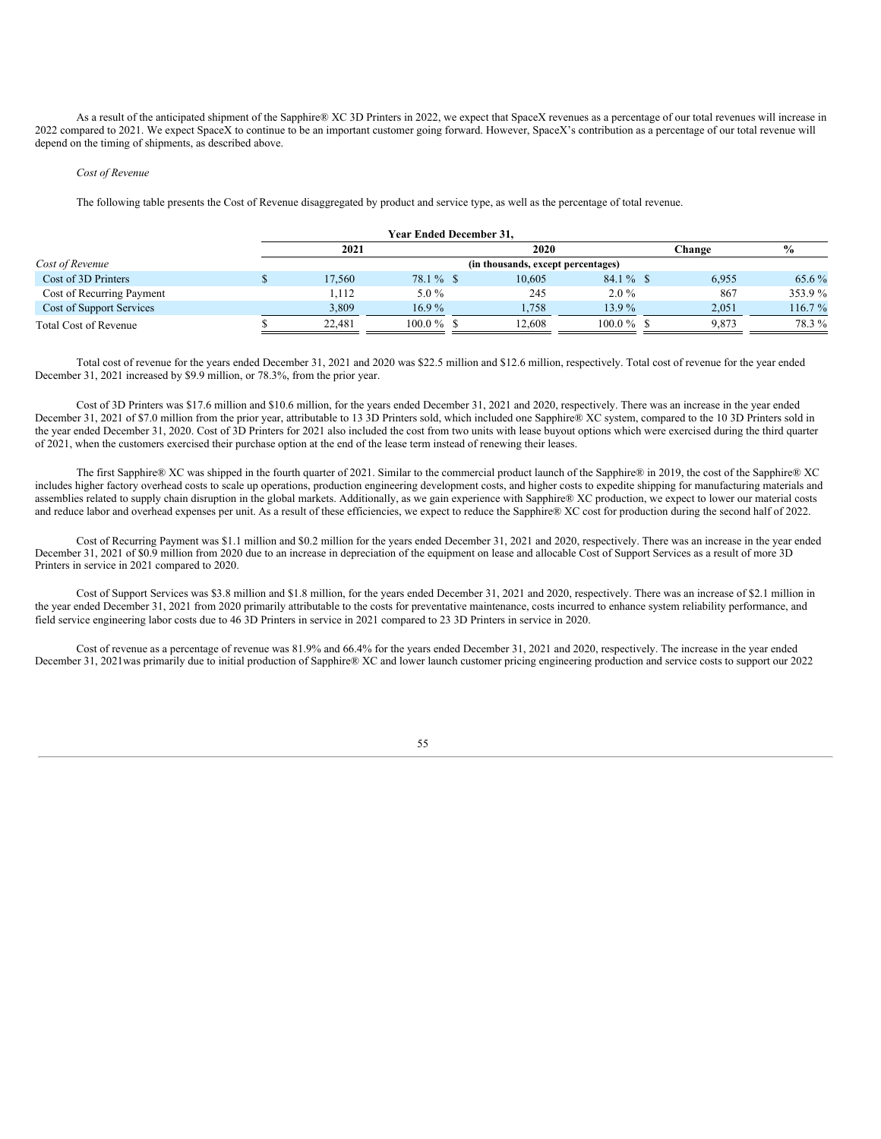As a result of the anticipated shipment of the Sapphire® XC 3D Printers in 2022, we expect that SpaceX revenues as a percentage of our total revenues will increase in 2022 compared to 2021. We expect SpaceX to continue to be an important customer going forward. However, SpaceX's contribution as a percentage of our total revenue will depend on the timing of shipments, as described above.

#### *Cost of Revenue*

The following table presents the Cost of Revenue disaggregated by product and service type, as well as the percentage of total revenue.

|                              |        | <b>Year Ended December 31.</b> |        |                                    |        |               |
|------------------------------|--------|--------------------------------|--------|------------------------------------|--------|---------------|
|                              | 2021   |                                | 2020   |                                    | Change | $\frac{6}{9}$ |
| Cost of Revenue              |        |                                |        | (in thousands, except percentages) |        |               |
| Cost of 3D Printers          | 17.560 | 78.1 % \$                      | 10.605 | $84.1\%$ \$                        | 6,955  | 65.6 %        |
| Cost of Recurring Payment    | 1.112  | $5.0\%$                        | 245    | $2.0\%$                            | 867    | 353.9 %       |
| Cost of Support Services     | 3.809  | $16.9\%$                       | 1.758  | 13.9%                              | 2.051  | 116.7%        |
| <b>Total Cost of Revenue</b> | 22.481 | $100.0\%$ \$                   | 12.608 | $100.0\%$ \$                       | 9.873  | 78.3 %        |

Total cost of revenue for the years ended December 31, 2021 and 2020 was \$22.5 million and \$12.6 million, respectively. Total cost of revenue for the year ended December 31, 2021 increased by \$9.9 million, or 78.3%, from the prior year.

Cost of 3D Printers was \$17.6 million and \$10.6 million, for the years ended December 31, 2021 and 2020, respectively. There was an increase in the year ended December 31, 2021 of \$7.0 million from the prior year, attributable to 13 3D Printers sold, which included one Sapphire® XC system, compared to the 10 3D Printers sold in the year ended December 31, 2020. Cost of 3D Printers for 2021 also included the cost from two units with lease buyout options which were exercised during the third quarter of 2021, when the customers exercised their purchase option at the end of the lease term instead of renewing their leases.

The first Sapphire® XC was shipped in the fourth quarter of 2021. Similar to the commercial product launch of the Sapphire® in 2019, the cost of the Sapphire® XC includes higher factory overhead costs to scale up operations, production engineering development costs, and higher costs to expedite shipping for manufacturing materials and assemblies related to supply chain disruption in the global markets. Additionally, as we gain experience with Sapphire® XC production, we expect to lower our material costs and reduce labor and overhead expenses per unit. As a result of these efficiencies, we expect to reduce the Sapphire® XC cost for production during the second half of 2022.

Cost of Recurring Payment was \$1.1 million and \$0.2 million for the years ended December 31, 2021 and 2020, respectively. There was an increase in the year ended December 31, 2021 of \$0.9 million from 2020 due to an increase in depreciation of the equipment on lease and allocable Cost of Support Services as a result of more 3D Printers in service in 2021 compared to 2020.

Cost of Support Services was \$3.8 million and \$1.8 million, for the years ended December 31, 2021 and 2020, respectively. There was an increase of \$2.1 million in the year ended December 31, 2021 from 2020 primarily attributable to the costs for preventative maintenance, costs incurred to enhance system reliability performance, and field service engineering labor costs due to 46 3D Printers in service in 2021 compared to 23 3D Printers in service in 2020.

Cost of revenue as a percentage of revenue was 81.9% and 66.4% for the years ended December 31, 2021 and 2020, respectively. The increase in the year ended December 31, 2021was primarily due to initial production of Sapphire® XC and lower launch customer pricing engineering production and service costs to support our 2022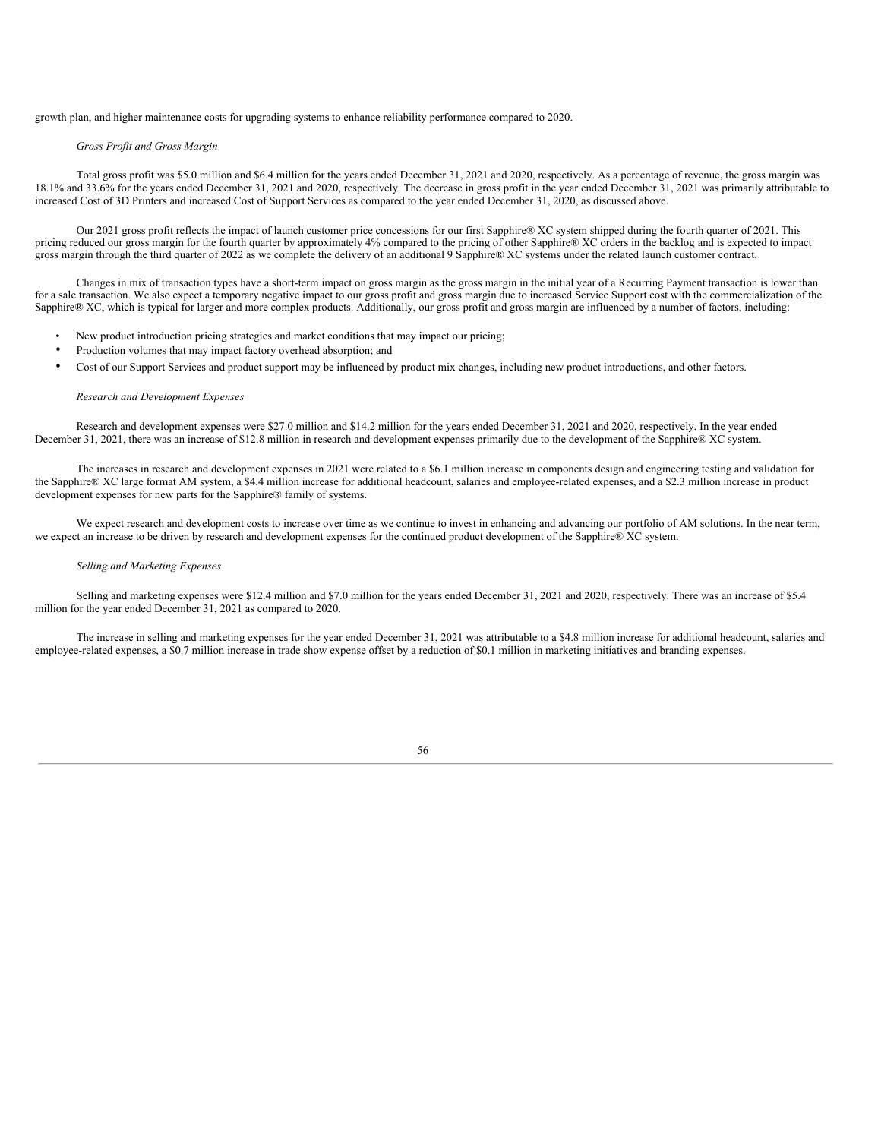growth plan, and higher maintenance costs for upgrading systems to enhance reliability performance compared to 2020.

#### *Gross Profit and Gross Margin*

Total gross profit was \$5.0 million and \$6.4 million for the years ended December 31, 2021 and 2020, respectively. As a percentage of revenue, the gross margin was 18.1% and 33.6% for the years ended December 31, 2021 and 2020, respectively. The decrease in gross profit in the year ended December 31, 2021 was primarily attributable to increased Cost of 3D Printers and increased Cost of Support Services as compared to the year ended December 31, 2020, as discussed above.

Our 2021 gross profit reflects the impact of launch customer price concessions for our first Sapphire® XC system shipped during the fourth quarter of 2021. This pricing reduced our gross margin for the fourth quarter by approximately 4% compared to the pricing of other Sapphire® XC orders in the backlog and is expected to impact gross margin through the third quarter of 2022 as we complete the delivery of an additional 9 Sapphire® XC systems under the related launch customer contract.

Changes in mix of transaction types have a short-term impact on gross margin as the gross margin in the initial year of a Recurring Payment transaction is lower than for a sale transaction. We also expect a temporary negative impact to our gross profit and gross margin due to increased Service Support cost with the commercialization of the Sapphire® XC, which is typical for larger and more complex products. Additionally, our gross profit and gross margin are influenced by a number of factors, including:

- New product introduction pricing strategies and market conditions that may impact our pricing;
- Production volumes that may impact factory overhead absorption; and
- Cost of our Support Services and product support may be influenced by product mix changes, including new product introductions, and other factors.

#### *Research and Development Expenses*

Research and development expenses were \$27.0 million and \$14.2 million for the years ended December 31, 2021 and 2020, respectively. In the year ended December 31, 2021, there was an increase of \$12.8 million in research and development expenses primarily due to the development of the Sapphire® XC system.

The increases in research and development expenses in 2021 were related to a \$6.1 million increase in components design and engineering testing and validation for the Sapphire® XC large format AM system, a \$4.4 million increase for additional headcount, salaries and employee-related expenses, and a \$2.3 million increase in product development expenses for new parts for the Sapphire® family of systems.

We expect research and development costs to increase over time as we continue to invest in enhancing and advancing our portfolio of AM solutions. In the near term, we expect an increase to be driven by research and development expenses for the continued product development of the Sapphire® XC system.

#### *Selling and Marketing Expenses*

Selling and marketing expenses were \$12.4 million and \$7.0 million for the years ended December 31, 2021 and 2020, respectively. There was an increase of \$5.4 million for the year ended December 31, 2021 as compared to 2020.

The increase in selling and marketing expenses for the year ended December 31, 2021 was attributable to a \$4.8 million increase for additional headcount, salaries and employee-related expenses, a \$0.7 million increase in trade show expense offset by a reduction of \$0.1 million in marketing initiatives and branding expenses.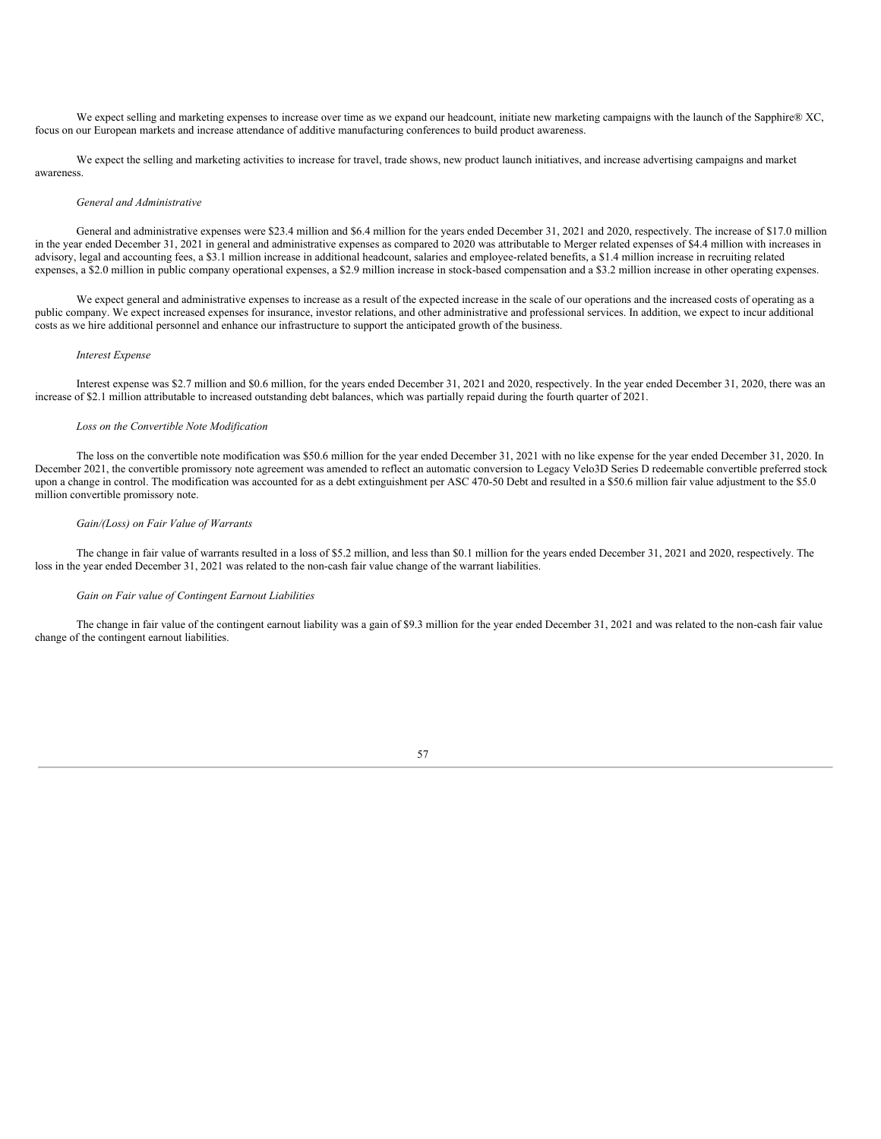We expect selling and marketing expenses to increase over time as we expand our headcount, initiate new marketing campaigns with the launch of the Sapphire® XC, focus on our European markets and increase attendance of additive manufacturing conferences to build product awareness.

We expect the selling and marketing activities to increase for travel, trade shows, new product launch initiatives, and increase advertising campaigns and market awareness.

#### *General and Administrative*

General and administrative expenses were \$23.4 million and \$6.4 million for the years ended December 31, 2021 and 2020, respectively. The increase of \$17.0 million in the year ended December 31, 2021 in general and administrative expenses as compared to 2020 was attributable to Merger related expenses of \$4.4 million with increases in advisory, legal and accounting fees, a \$3.1 million increase in additional headcount, salaries and employee-related benefits, a \$1.4 million increase in recruiting related expenses, a \$2.0 million in public company operational expenses, a \$2.9 million increase in stock-based compensation and a \$3.2 million increase in other operating expenses.

We expect general and administrative expenses to increase as a result of the expected increase in the scale of our operations and the increased costs of operating as a public company. We expect increased expenses for insurance, investor relations, and other administrative and professional services. In addition, we expect to incur additional costs as we hire additional personnel and enhance our infrastructure to support the anticipated growth of the business.

## *Interest Expense*

Interest expense was \$2.7 million and \$0.6 million, for the years ended December 31, 2021 and 2020, respectively. In the year ended December 31, 2020, there was an increase of \$2.1 million attributable to increased outstanding debt balances, which was partially repaid during the fourth quarter of 2021.

#### *Loss on the Convertible Note Modification*

The loss on the convertible note modification was \$50.6 million for the year ended December 31, 2021 with no like expense for the year ended December 31, 2020. In December 2021, the convertible promissory note agreement was amended to reflect an automatic conversion to Legacy Velo3D Series D redeemable convertible preferred stock upon a change in control. The modification was accounted for as a debt extinguishment per ASC 470-50 Debt and resulted in a \$50.6 million fair value adjustment to the \$5.0 million convertible promissory note.

#### *Gain/(Loss) on Fair Value of Warrants*

The change in fair value of warrants resulted in a loss of \$5.2 million, and less than \$0.1 million for the years ended December 31, 2021 and 2020, respectively. The loss in the year ended December 31, 2021 was related to the non-cash fair value change of the warrant liabilities.

## *Gain on Fair value of Contingent Earnout Liabilities*

The change in fair value of the contingent earnout liability was a gain of \$9.3 million for the year ended December 31, 2021 and was related to the non-cash fair value change of the contingent earnout liabilities.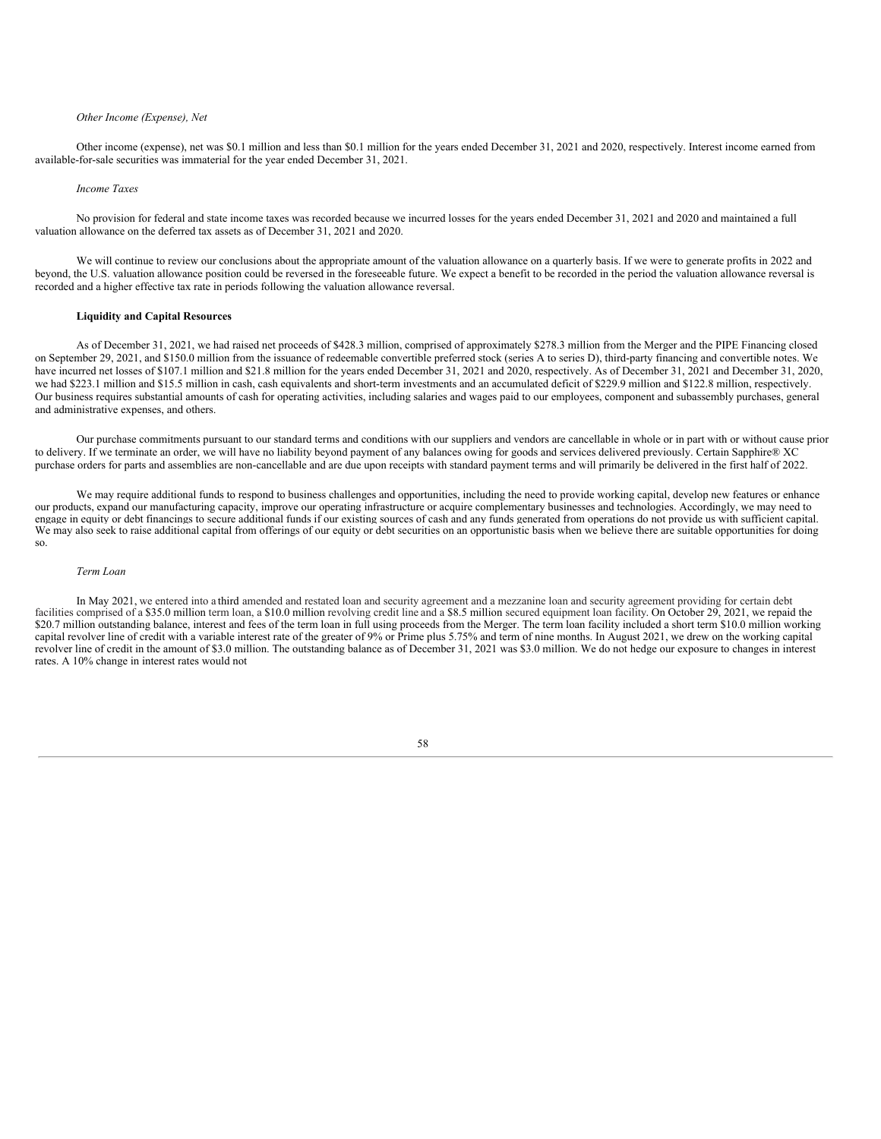## *Other Income (Expense), Net*

Other income (expense), net was \$0.1 million and less than \$0.1 million for the years ended December 31, 2021 and 2020, respectively. Interest income earned from available-for-sale securities was immaterial for the year ended December 31, 2021.

#### *Income Taxes*

No provision for federal and state income taxes was recorded because we incurred losses for the years ended December 31, 2021 and 2020 and maintained a full valuation allowance on the deferred tax assets as of December 31, 2021 and 2020.

We will continue to review our conclusions about the appropriate amount of the valuation allowance on a quarterly basis. If we were to generate profits in 2022 and beyond, the U.S. valuation allowance position could be reversed in the foreseeable future. We expect a benefit to be recorded in the period the valuation allowance reversal is recorded and a higher effective tax rate in periods following the valuation allowance reversal.

## **Liquidity and Capital Resources**

As of December 31, 2021, we had raised net proceeds of \$428.3 million, comprised of approximately \$278.3 million from the Merger and the PIPE Financing closed on September 29, 2021, and \$150.0 million from the issuance of redeemable convertible preferred stock (series A to series D), third-party financing and convertible notes. We have incurred net losses of \$107.1 million and \$21.8 million for the years ended December 31, 2021 and 2020, respectively. As of December 31, 2021 and December 31, 2020, we had \$223.1 million and \$15.5 million in cash, cash equivalents and short-term investments and an accumulated deficit of \$229.9 million and \$122.8 million, respectively. Our business requires substantial amounts of cash for operating activities, including salaries and wages paid to our employees, component and subassembly purchases, general and administrative expenses, and others.

Our purchase commitments pursuant to our standard terms and conditions with our suppliers and vendors are cancellable in whole or in part with or without cause prior to delivery. If we terminate an order, we will have no liability beyond payment of any balances owing for goods and services delivered previously. Certain Sapphire® XC purchase orders for parts and assemblies are non-cancellable and are due upon receipts with standard payment terms and will primarily be delivered in the first half of 2022.

We may require additional funds to respond to business challenges and opportunities, including the need to provide working capital, develop new features or enhance our products, expand our manufacturing capacity, improve our operating infrastructure or acquire complementary businesses and technologies. Accordingly, we may need to engage in equity or debt financings to secure additional funds if our existing sources of cash and any funds generated from operations do not provide us with sufficient capital. We may also seek to raise additional capital from offerings of our equity or debt securities on an opportunistic basis when we believe there are suitable opportunities for doing so.

## *Term Loan*

In May 2021, we entered into a third amended and restated loan and security agreement and a mezzanine loan and security agreement providing for certain debt facilities comprised of a \$35.0 million term loan, a \$10.0 million revolving credit line and a \$8.5 million secured equipment loan facility. On October 29, 2021, we repaid the \$20.7 million outstanding balance, interest and fees of the term loan in full using proceeds from the Merger. The term loan facility included a short term \$10.0 million working capital revolver line of credit with a variable interest rate of the greater of 9% or Prime plus 5.75% and term of nine months. In August 2021, we drew on the working capital revolver line of credit in the amount of \$3.0 million. The outstanding balance as of December 31, 2021 was \$3.0 million. We do not hedge our exposure to changes in interest rates. A 10% change in interest rates would not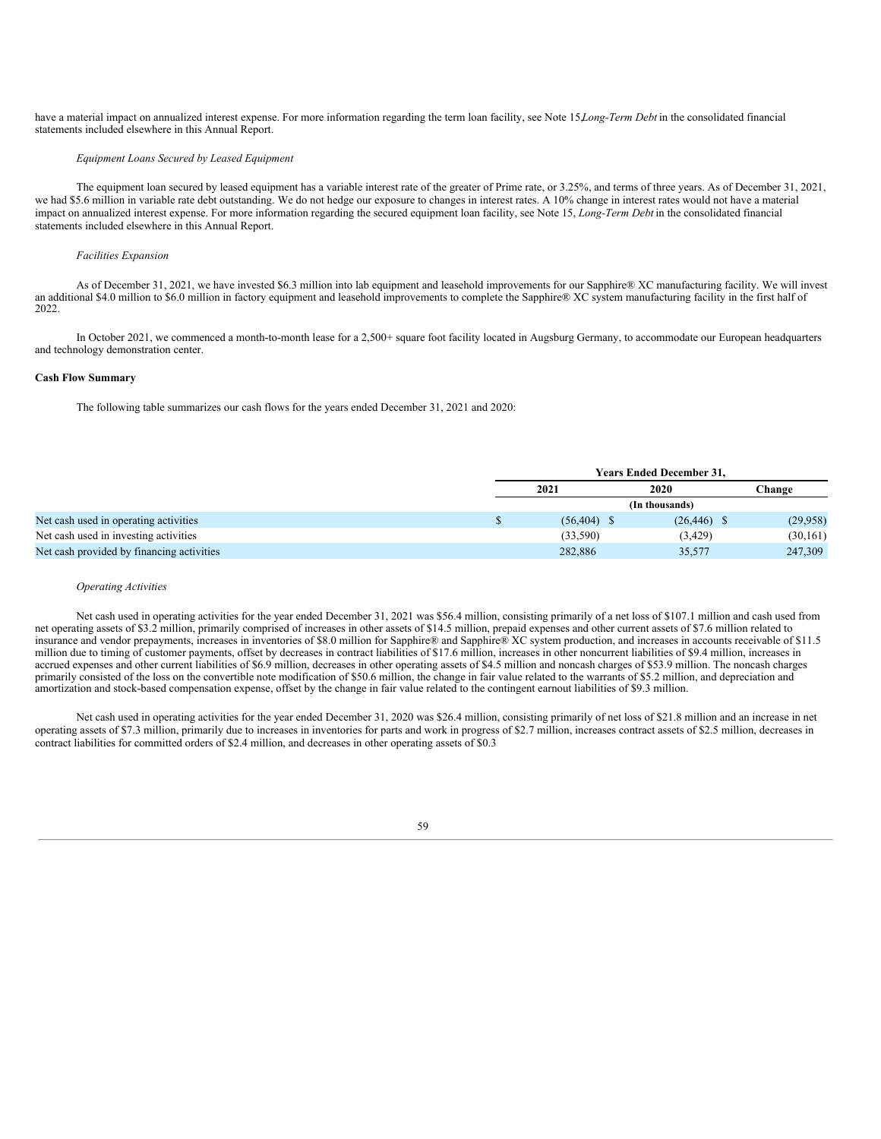have a material impact on annualized interest expense. For more information regarding the term loan facility, see Note 15,*Long-Term Debt* in the consolidated financial statements included elsewhere in this Annual Report.

#### *Equipment Loans Secured by Leased Equipment*

The equipment loan secured by leased equipment has a variable interest rate of the greater of Prime rate, or 3.25%, and terms of three years. As of December 31, 2021, we had \$5.6 million in variable rate debt outstanding. We do not hedge our exposure to changes in interest rates. A 10% change in interest rates would not have a material impact on annualized interest expense. For more information regarding the secured equipment loan facility, see Note 15, *Long-Term Debt* in the consolidated financial statements included elsewhere in this Annual Report.

## *Facilities Expansion*

As of December 31, 2021, we have invested \$6.3 million into lab equipment and leasehold improvements for our Sapphire® XC manufacturing facility. We will invest an additional \$4.0 million to \$6.0 million in factory equipment and leasehold improvements to complete the Sapphire® XC system manufacturing facility in the first half of 2022.

In October 2021, we commenced a month-to-month lease for a 2,500+ square foot facility located in Augsburg Germany, to accommodate our European headquarters and technology demonstration center.

## **Cash Flow Summary**

The following table summarizes our cash flows for the years ended December 31, 2021 and 2020:

|                                           |   | <b>Years Ended December 31.</b> |           |           |  |  |
|-------------------------------------------|---|---------------------------------|-----------|-----------|--|--|
|                                           |   | 2021                            | 2020      | Change    |  |  |
|                                           |   | (In thousands)                  |           |           |  |  |
| Net cash used in operating activities     | æ | $(56, 404)$ \$                  | (26, 446) | (29,958)  |  |  |
| Net cash used in investing activities     |   | (33, 590)                       | (3, 429)  | (30, 161) |  |  |
| Net cash provided by financing activities |   | 282,886                         | 35,577    | 247,309   |  |  |

#### *Operating Activities*

Net cash used in operating activities for the year ended December 31, 2021 was \$56.4 million, consisting primarily of a net loss of \$107.1 million and cash used from net operating assets of \$3.2 million, primarily comprised of increases in other assets of \$14.5 million, prepaid expenses and other current assets of \$7.6 million related to insurance and vendor prepayments, increases in inventories of \$8.0 million for Sapphire® and Sapphire® XC system production, and increases in accounts receivable of \$11.5 million due to timing of customer payments, offset by decreases in contract liabilities of \$17.6 million, increases in other noncurrent liabilities of \$9.4 million, increases in accrued expenses and other current liabilities of \$6.9 million, decreases in other operating assets of \$4.5 million and noncash charges of \$53.9 million. The noncash charges primarily consisted of the loss on the convertible note modification of \$50.6 million, the change in fair value related to the warrants of \$5.2 million, and depreciation and amortization and stock-based compensation expense, offset by the change in fair value related to the contingent earnout liabilities of \$9.3 million.

Net cash used in operating activities for the year ended December 31, 2020 was \$26.4 million, consisting primarily of net loss of \$21.8 million and an increase in net operating assets of \$7.3 million, primarily due to increases in inventories for parts and work in progress of \$2.7 million, increases contract assets of \$2.5 million, decreases in contract liabilities for committed orders of \$2.4 million, and decreases in other operating assets of \$0.3

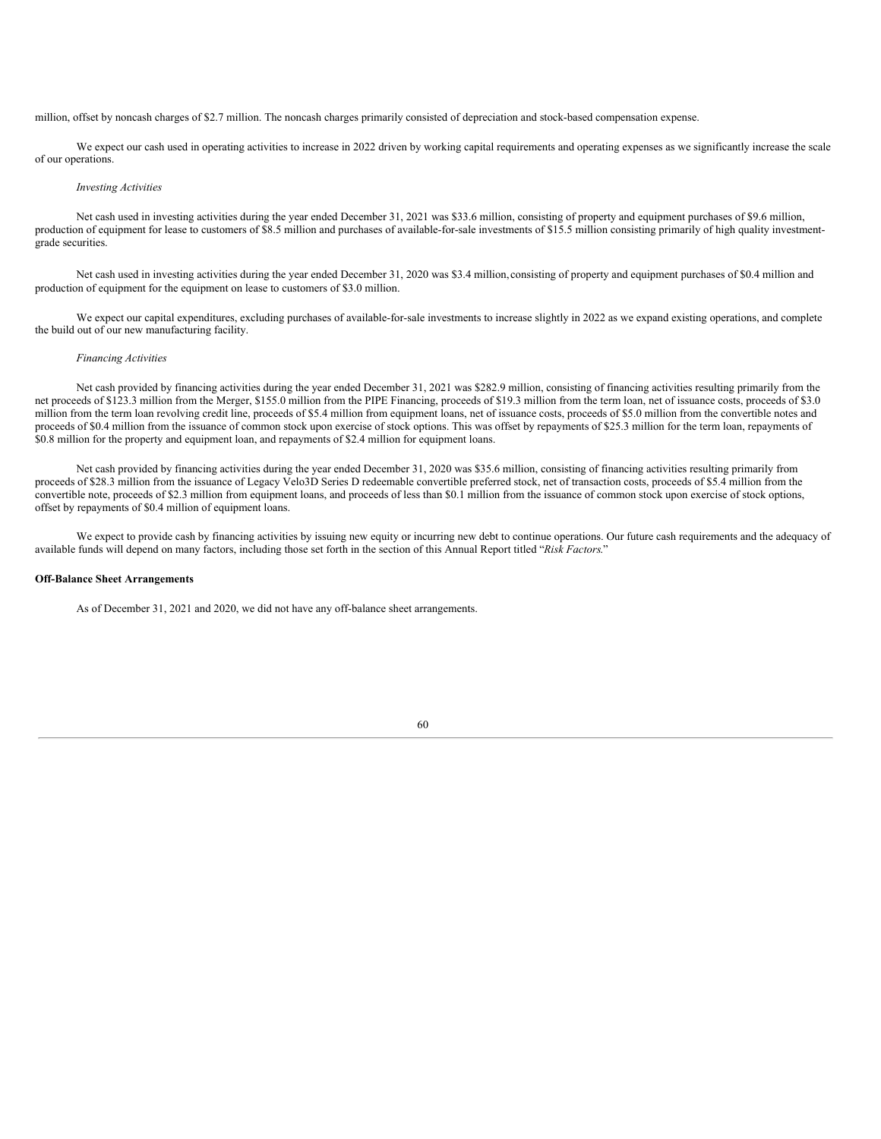million, offset by noncash charges of \$2.7 million. The noncash charges primarily consisted of depreciation and stock-based compensation expense.

We expect our cash used in operating activities to increase in 2022 driven by working capital requirements and operating expenses as we significantly increase the scale of our operations.

## *Investing Activities*

Net cash used in investing activities during the year ended December 31, 2021 was \$33.6 million, consisting of property and equipment purchases of \$9.6 million, production of equipment for lease to customers of \$8.5 million and purchases of available-for-sale investments of \$15.5 million consisting primarily of high quality investmentgrade securities.

Net cash used in investing activities during the year ended December 31, 2020 was \$3.4 million, consisting of property and equipment purchases of \$0.4 million and production of equipment for the equipment on lease to customers of \$3.0 million.

We expect our capital expenditures, excluding purchases of available-for-sale investments to increase slightly in 2022 as we expand existing operations, and complete the build out of our new manufacturing facility.

## *Financing Activities*

Net cash provided by financing activities during the year ended December 31, 2021 was \$282.9 million, consisting of financing activities resulting primarily from the net proceeds of \$123.3 million from the Merger, \$155.0 million from the PIPE Financing, proceeds of \$19.3 million from the term loan, net of issuance costs, proceeds of \$3.0 million from the term loan revolving credit line, proceeds of \$5.4 million from equipment loans, net of issuance costs, proceeds of \$5.0 million from the convertible notes and proceeds of \$0.4 million from the issuance of common stock upon exercise of stock options. This was offset by repayments of \$25.3 million for the term loan, repayments of \$0.8 million for the property and equipment loan, and repayments of \$2.4 million for equipment loans.

Net cash provided by financing activities during the year ended December 31, 2020 was \$35.6 million, consisting of financing activities resulting primarily from proceeds of \$28.3 million from the issuance of Legacy Velo3D Series D redeemable convertible preferred stock, net of transaction costs, proceeds of \$5.4 million from the convertible note, proceeds of \$2.3 million from equipment loans, and proceeds of less than \$0.1 million from the issuance of common stock upon exercise of stock options, offset by repayments of \$0.4 million of equipment loans.

We expect to provide cash by financing activities by issuing new equity or incurring new debt to continue operations. Our future cash requirements and the adequacy of available funds will depend on many factors, including those set forth in the section of this Annual Report titled "*Risk Factors*."

#### **Off-Balance Sheet Arrangements**

As of December 31, 2021 and 2020, we did not have any off-balance sheet arrangements.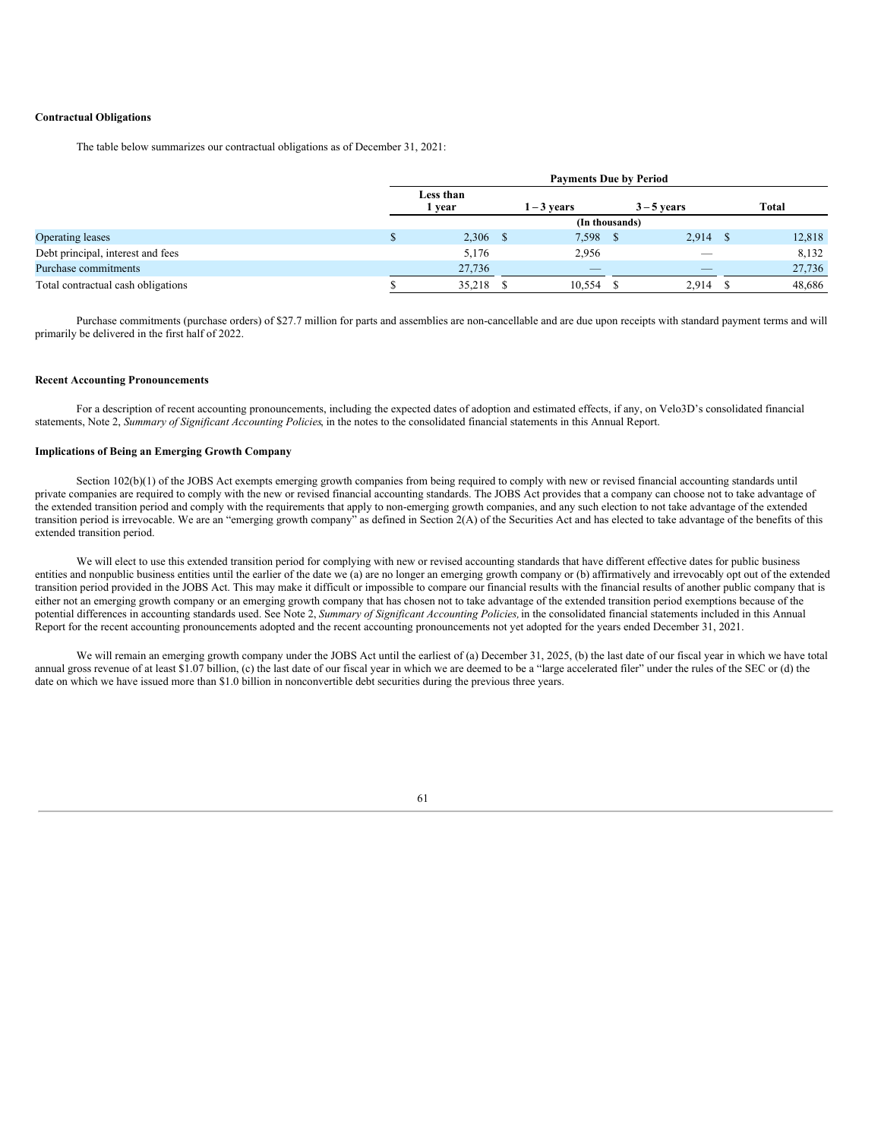## **Contractual Obligations**

The table below summarizes our contractual obligations as of December 31, 2021:

|                                    | <b>Payments Due by Period</b> |           |  |                          |  |               |        |
|------------------------------------|-------------------------------|-----------|--|--------------------------|--|---------------|--------|
|                                    |                               | Less than |  |                          |  |               |        |
|                                    |                               | l year    |  | $1 - 3$ years            |  | $3 - 5$ years | Total  |
|                                    |                               |           |  | (In thousands)           |  |               |        |
| <b>Operating leases</b>            |                               | 2,306     |  | 7,598 \$                 |  | 2,914         | 12,818 |
| Debt principal, interest and fees  |                               | 5,176     |  | 2,956                    |  | __            | 8,132  |
| Purchase commitments               |                               | 27,736    |  | $\overline{\phantom{a}}$ |  |               | 27,736 |
| Total contractual cash obligations |                               | 35,218    |  | 10,554                   |  | 2,914         | 48,686 |

Purchase commitments (purchase orders) of \$27.7 million for parts and assemblies are non-cancellable and are due upon receipts with standard payment terms and will primarily be delivered in the first half of 2022.

## **Recent Accounting Pronouncements**

For a description of recent accounting pronouncements, including the expected dates of adoption and estimated effects, if any, on Velo3D's consolidated financial statements, Note 2, *Summary of Significant Accounting Policies*, in the notes to the consolidated financial statements in this Annual Report.

## **Implications of Being an Emerging Growth Company**

Section 102(b)(1) of the JOBS Act exempts emerging growth companies from being required to comply with new or revised financial accounting standards until private companies are required to comply with the new or revised financial accounting standards. The JOBS Act provides that a company can choose not to take advantage of the extended transition period and comply with the requirements that apply to non-emerging growth companies, and any such election to not take advantage of the extended transition period is irrevocable. We are an "emerging growth company" as defined in Section 2(A) of the Securities Act and has elected to take advantage of the benefits of this extended transition period.

We will elect to use this extended transition period for complying with new or revised accounting standards that have different effective dates for public business entities and nonpublic business entities until the earlier of the date we (a) are no longer an emerging growth company or (b) affirmatively and irrevocably opt out of the extended transition period provided in the JOBS Act. This may make it difficult or impossible to compare our financial results with the financial results of another public company that is either not an emerging growth company or an emerging growth company that has chosen not to take advantage of the extended transition period exemptions because of the potential differences in accounting standards used. See Note 2, *Summary of Significant Accounting Policies,*in the consolidated financial statements included in this Annual Report for the recent accounting pronouncements adopted and the recent accounting pronouncements not yet adopted for the years ended December 31, 2021.

We will remain an emerging growth company under the JOBS Act until the earliest of (a) December 31, 2025, (b) the last date of our fiscal year in which we have total annual gross revenue of at least \$1.07 billion, (c) the last date of our fiscal year in which we are deemed to be a "large accelerated filer" under the rules of the SEC or (d) the date on which we have issued more than \$1.0 billion in nonconvertible debt securities during the previous three years.

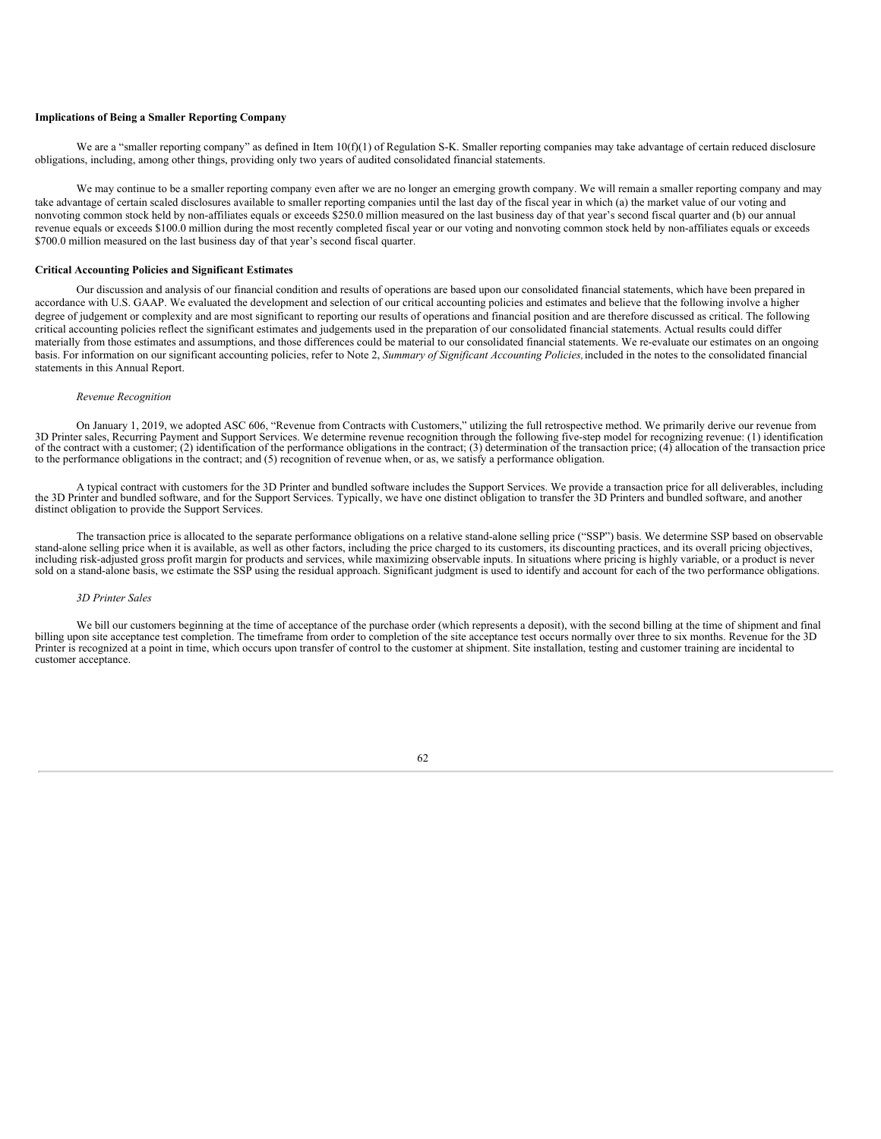## **Implications of Being a Smaller Reporting Company**

We are a "smaller reporting company" as defined in Item 10(f)(1) of Regulation S-K. Smaller reporting companies may take advantage of certain reduced disclosure obligations, including, among other things, providing only two years of audited consolidated financial statements.

We may continue to be a smaller reporting company even after we are no longer an emerging growth company. We will remain a smaller reporting company and may take advantage of certain scaled disclosures available to smaller reporting companies until the last day of the fiscal year in which (a) the market value of our voting and nonvoting common stock held by non-affiliates equals or exceeds \$250.0 million measured on the last business day of that year's second fiscal quarter and (b) our annual revenue equals or exceeds \$100.0 million during the most recently completed fiscal year or our voting and nonvoting common stock held by non-affiliates equals or exceeds \$700.0 million measured on the last business day of that year's second fiscal quarter.

#### **Critical Accounting Policies and Significant Estimates**

Our discussion and analysis of our financial condition and results of operations are based upon our consolidated financial statements, which have been prepared in accordance with U.S. GAAP. We evaluated the development and selection of our critical accounting policies and estimates and believe that the following involve a higher degree of judgement or complexity and are most significant to reporting our results of operations and financial position and are therefore discussed as critical. The following critical accounting policies reflect the significant estimates and judgements used in the preparation of our consolidated financial statements. Actual results could differ materially from those estimates and assumptions, and those differences could be material to our consolidated financial statements. We re-evaluate our estimates on an ongoing basis. For information on our significant accounting policies, refer to Note 2, *Summary of Significant Accounting Policies,*included in the notes to the consolidated financial statements in this Annual Report.

#### *Revenue Recognition*

On January 1, 2019, we adopted ASC 606, "Revenue from Contracts with Customers," utilizing the full retrospective method. We primarily derive our revenue from 3D Printer sales, Recurring Payment and Support Services. We determine revenue recognition through the following five-step model for recognizing revenue: (1) identification of the contract with a customer; (2) identification of the performance obligations in the contract; (3) determination of the transaction price; (4) allocation of the transaction price to the performance obligations in the contract; and (5) recognition of revenue when, or as, we satisfy a performance obligation.

A typical contract with customers for the 3D Printer and bundled software includes the Support Services. We provide a transaction price for all deliverables, including the 3D Printer and bundled software, and for the Suppo distinct obligation to provide the Support Services.

The transaction price is allocated to the separate performance obligations on a relative stand-alone selling price ("SSP") basis. We determine SSP based on observable stand-alone selling price when it is available, as well as other factors, including the price charged to its customers, its discounting practices, and its overall pricing objectives,<br>including risk-adjusted gross profit ma sold on a stand-alone basis, we estimate the SSP using the residual approach. Significant judgment is used to identify and account for each of the two performance obligations.

#### *3D Printer Sales*

We bill our customers beginning at the time of acceptance of the purchase order (which represents a deposit), with the second billing at the time of shipment and final billing upon site acceptance test completion. The timeframe from order to completion of the site acceptance test occurs normally over three to six months. Revenue for the 3D Printer is recognized at a point in time, which occurs upon transfer of control to the customer at shipment. Site installation, testing and customer training are incidental to customer acceptance.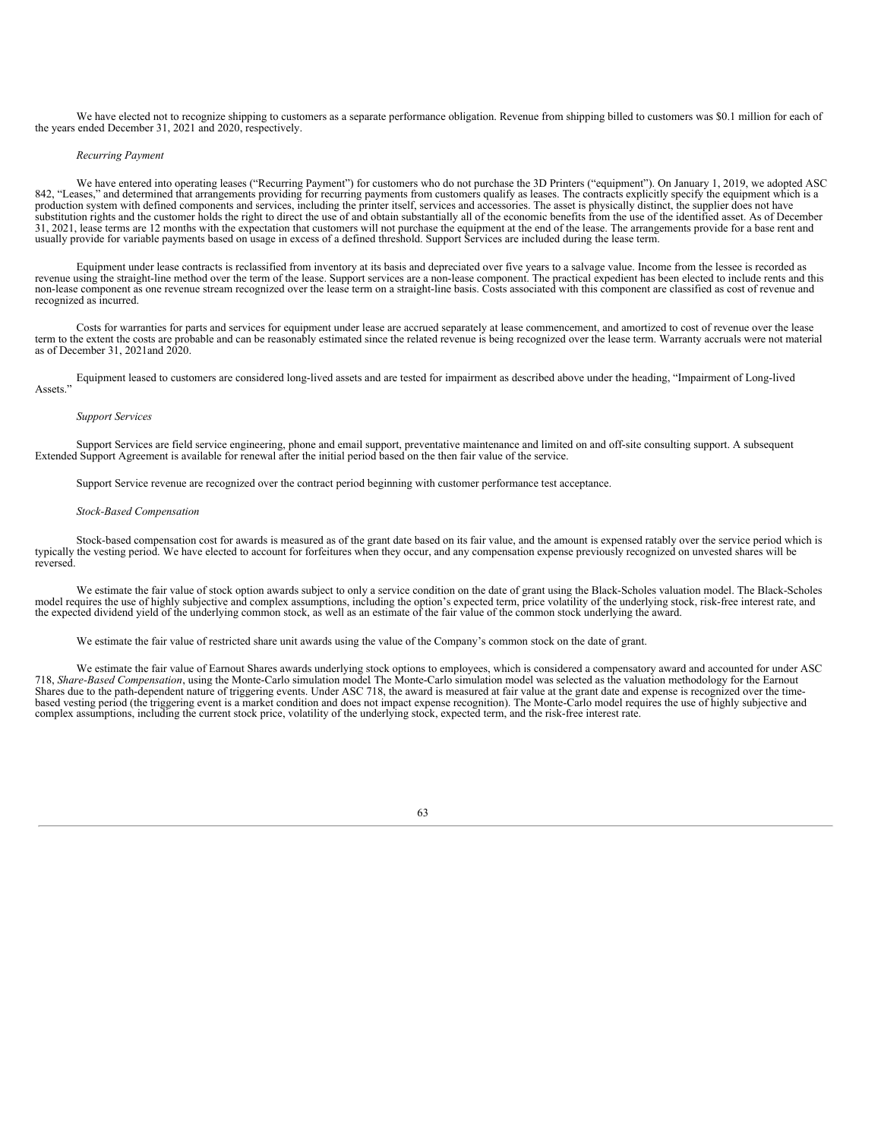We have elected not to recognize shipping to customers as a separate performance obligation. Revenue from shipping billed to customers was \$0.1 million for each of the years ended December 31, 2021 and 2020, respectively.

#### *Recurring Payment*

We have entered into operating leases ("Recurring Payment") for customers who do not purchase the 3D Printers ("equipment"). On January 1, 2019, we adopted ASC 842, "Leases," and determined that arrangements providing for recurring payments from customers qualify as leases. The contracts explicitly specify the equipment which is a production system with defined components and services, including the printer itself, services and accessories. The asset is physically distinct, the supplier does not have substitution rights and the customer holds the right to direct the use of and obtain substantially all of the economic benefits from the use of the identified asset. As of December 31, 2021, lease terms are 12 months with the expectation that customers will not purchase the equipment at the end of the lease. The arrangements provide for a base rent and usually provide for variable payments based on u

Equipment under lease contracts is reclassified from inventory at its basis and depreciated over five years to a salvage value. Income from the lessee is recorded as revenue using the straight-line method over the term of non-lease component as one revenue stream recognized over the lease term on a straight-line basis. Costs associated with this component are classified as cost of revenue and recognized as incurred.

Costs for warranties for parts and services for equipment under lease are accrued separately at lease commencement, and amortized to cost of revenue over the lease<br>term to the extent the costs are probable and can be reaso as of December 31, 2021and 2020.

Equipment leased to customers are considered long-lived assets and are tested for impairment as described above under the heading, "Impairment of Long-lived Assets."

#### *Support Services*

Support Services are field service engineering, phone and email support, preventative maintenance and limited on and off-site consulting support. A subsequent Extended Support Agreement is available for renewal after the i

Support Service revenue are recognized over the contract period beginning with customer performance test acceptance.

#### *Stock-Based Compensation*

Stock-based compensation cost for awards is measured as of the grant date based on its fair value, and the amount is expensed ratably over the service period which is typically the vesting period. We have elected to account for forfeitures when they occur, and any compensation expense previously recognized on unvested shares will be reversed.

We estimate the fair value of stock option awards subject to only a service condition on the date of grant using the Black-Scholes valuation model. The Black-Scholes model requires the use of highly subjective and complex assumptions, including the option's expected term, price volatility of the underlying stock, risk-free interest rate, and the expected dividend yield of the underlying common stock, as well as an estimate of the fair value of the common stock underlying the award.

We estimate the fair value of restricted share unit awards using the value of the Company's common stock on the date of grant.

We estimate the fair value of Earnout Shares awards underlying stock options to employees, which is considered a compensatory award and accounted for under ASC 718, Share-Based Compensation, using the Monte-Carlo simulatio Shares due to the path-dependent nature of triggering events. Under ASC 718, the award is measured at fair value at the grant date and expense is recognized over the timebased vesting period (the triggering event is a market condition and does not impact expense recognition). The Monte-Carlo model requires the use of highly subjective and complex assumptions, including the current stock price, volatility of the underlying stock, expected term, and the risk-free interest rate.

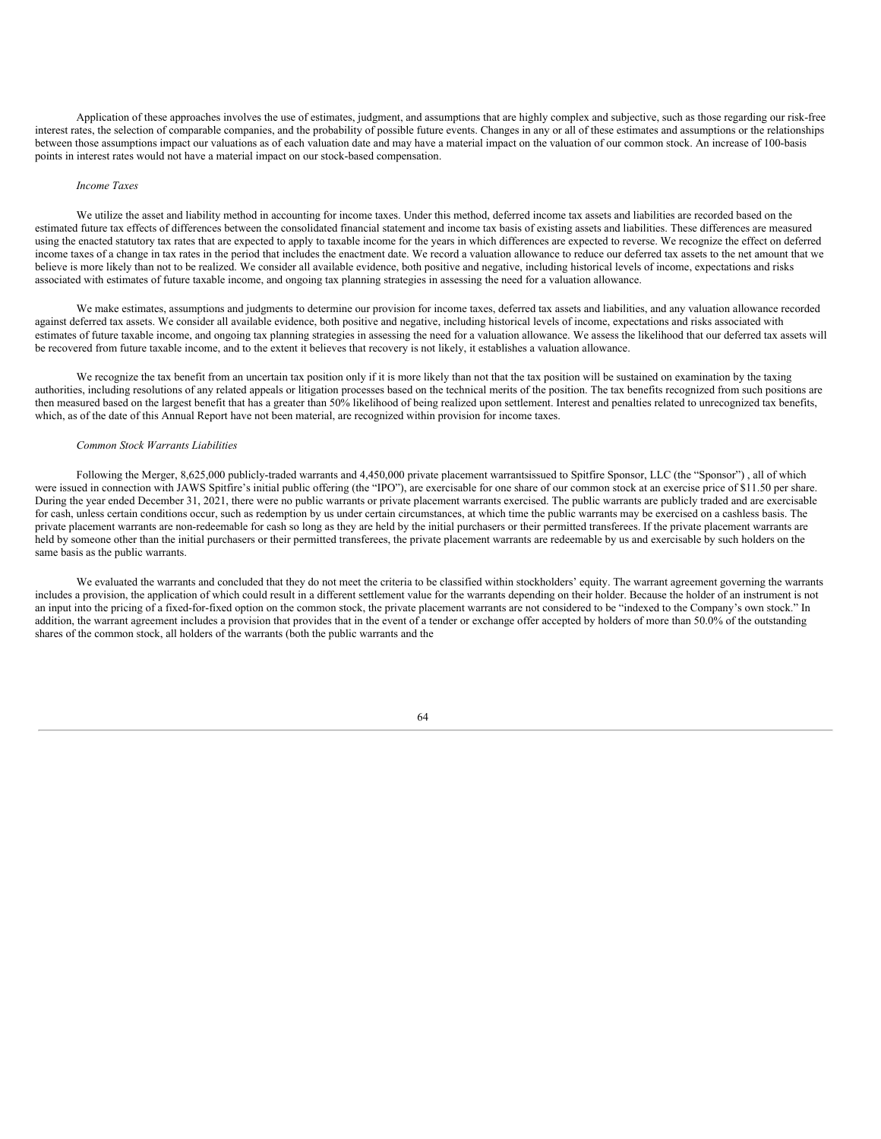Application of these approaches involves the use of estimates, judgment, and assumptions that are highly complex and subjective, such as those regarding our risk-free interest rates, the selection of comparable companies, and the probability of possible future events. Changes in any or all of these estimates and assumptions or the relationships between those assumptions impact our valuations as of each valuation date and may have a material impact on the valuation of our common stock. An increase of 100-basis points in interest rates would not have a material impact on our stock-based compensation.

#### *Income Taxes*

We utilize the asset and liability method in accounting for income taxes. Under this method, deferred income tax assets and liabilities are recorded based on the estimated future tax effects of differences between the consolidated financial statement and income tax basis of existing assets and liabilities. These differences are measured using the enacted statutory tax rates that are expected to apply to taxable income for the years in which differences are expected to reverse. We recognize the effect on deferred income taxes of a change in tax rates in the period that includes the enactment date. We record a valuation allowance to reduce our deferred tax assets to the net amount that we believe is more likely than not to be realized. We consider all available evidence, both positive and negative, including historical levels of income, expectations and risks associated with estimates of future taxable income, and ongoing tax planning strategies in assessing the need for a valuation allowance.

We make estimates, assumptions and judgments to determine our provision for income taxes, deferred tax assets and liabilities, and any valuation allowance recorded against deferred tax assets. We consider all available evidence, both positive and negative, including historical levels of income, expectations and risks associated with estimates of future taxable income, and ongoing tax planning strategies in assessing the need for a valuation allowance. We assess the likelihood that our deferred tax assets will be recovered from future taxable income, and to the extent it believes that recovery is not likely, it establishes a valuation allowance.

We recognize the tax benefit from an uncertain tax position only if it is more likely than not that the tax position will be sustained on examination by the taxing authorities, including resolutions of any related appeals or litigation processes based on the technical merits of the position. The tax benefits recognized from such positions are then measured based on the largest benefit that has a greater than 50% likelihood of being realized upon settlement. Interest and penalties related to unrecognized tax benefits, which, as of the date of this Annual Report have not been material, are recognized within provision for income taxes.

## *Common Stock Warrants Liabilities*

Following the Merger, 8,625,000 publicly-traded warrants and 4,450,000 private placement warrantsissued to Spitfire Sponsor, LLC (the "Sponsor"), all of which were issued in connection with JAWS Spitfire's initial public offering (the "IPO"), are exercisable for one share of our common stock at an exercise price of \$11.50 per share. During the year ended December 31, 2021, there were no public warrants or private placement warrants exercised. The public warrants are publicly traded and are exercisable for cash, unless certain conditions occur, such as redemption by us under certain circumstances, at which time the public warrants may be exercised on a cashless basis. The private placement warrants are non-redeemable for cash so long as they are held by the initial purchasers or their permitted transferees. If the private placement warrants are held by someone other than the initial purchasers or their permitted transferees, the private placement warrants are redeemable by us and exercisable by such holders on the same basis as the public warrants.

We evaluated the warrants and concluded that they do not meet the criteria to be classified within stockholders' equity. The warrant agreement governing the warrants includes a provision, the application of which could result in a different settlement value for the warrants depending on their holder. Because the holder of an instrument is not an input into the pricing of a fixed-for-fixed option on the common stock, the private placement warrants are not considered to be "indexed to the Company's own stock." In addition, the warrant agreement includes a provision that provides that in the event of a tender or exchange offer accepted by holders of more than 50.0% of the outstanding shares of the common stock, all holders of the warrants (both the public warrants and the

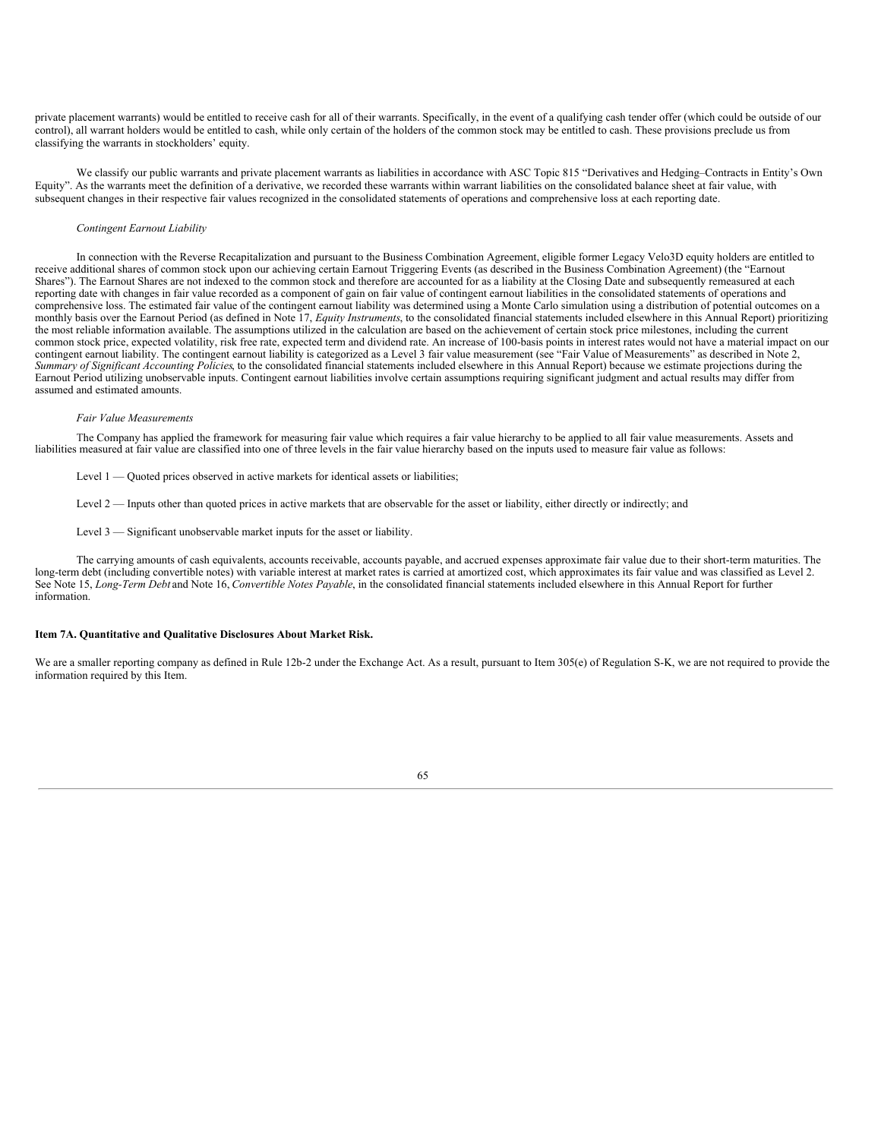private placement warrants) would be entitled to receive cash for all of their warrants. Specifically, in the event of a qualifying cash tender offer (which could be outside of our control), all warrant holders would be entitled to cash, while only certain of the holders of the common stock may be entitled to cash. These provisions preclude us from classifying the warrants in stockholders' equity.

We classify our public warrants and private placement warrants as liabilities in accordance with ASC Topic 815 "Derivatives and Hedging–Contracts in Entity's Own Equity". As the warrants meet the definition of a derivative, we recorded these warrants within warrant liabilities on the consolidated balance sheet at fair value, with subsequent changes in their respective fair values recognized in the consolidated statements of operations and comprehensive loss at each reporting date.

## *Contingent Earnout Liability*

In connection with the Reverse Recapitalization and pursuant to the Business Combination Agreement, eligible former Legacy Velo3D equity holders are entitled to receive additional shares of common stock upon our achieving certain Earnout Triggering Events (as described in the Business Combination Agreement) (the "Earnout Shares"). The Earnout Shares are not indexed to the common stock and therefore are accounted for as a liability at the Closing Date and subsequently remeasured at each reporting date with changes in fair value recorded as a component of gain on fair value of contingent earnout liabilities in the consolidated statements of operations and comprehensive loss. The estimated fair value of the contingent earnout liability was determined using a Monte Carlo simulation using a distribution of potential outcomes on a monthly basis over the Earnout Period (as defined in Note 17, *Equity Instruments*, to the consolidated financial statements included elsewhere in this Annual Report) prioritizing the most reliable information available. The assumptions utilized in the calculation are based on the achievement of certain stock price milestones, including the current common stock price, expected volatility, risk free rate, expected term and dividend rate. An increase of 100-basis points in interest rates would not have a material impact on our contingent earnout liability. The contingent earnout liability is categorized as a Level 3 fair value measurement (see "Fair Value of Measurements" as described in Note 2, *Summary of Significant Accounting Policies*, to the consolidated financial statements included elsewhere in this Annual Report) because we estimate projections during the Earnout Period utilizing unobservable inputs. Contingent earnout liabilities involve certain assumptions requiring significant judgment and actual results may differ from assumed and estimated amounts.

#### *Fair Value Measurements*

The Company has applied the framework for measuring fair value which requires a fair value hierarchy to be applied to all fair value measurements. Assets and liabilities measured at fair value are classified into one of three levels in the fair value hierarchy based on the inputs used to measure fair value as follows:

Level 1 — Quoted prices observed in active markets for identical assets or liabilities;

Level 2 — Inputs other than quoted prices in active markets that are observable for the asset or liability, either directly or indirectly; and

Level 3 — Significant unobservable market inputs for the asset or liability.

The carrying amounts of cash equivalents, accounts receivable, accounts payable, and accrued expenses approximate fair value due to their short-term maturities. The long-term debt (including convertible notes) with variable interest at market rates is carried at amortized cost, which approximates its fair value and was classified as Level 2. See Note 15, *Long-Term Debt* and Note 16, *Convertible Notes Payable*, in the consolidated financial statements included elsewhere in this Annual Report for further information.

#### **Item 7A. Quantitative and Qualitative Disclosures About Market Risk.**

We are a smaller reporting company as defined in Rule 12b-2 under the Exchange Act. As a result, pursuant to Item 305(e) of Regulation S-K, we are not required to provide the information required by this Item.

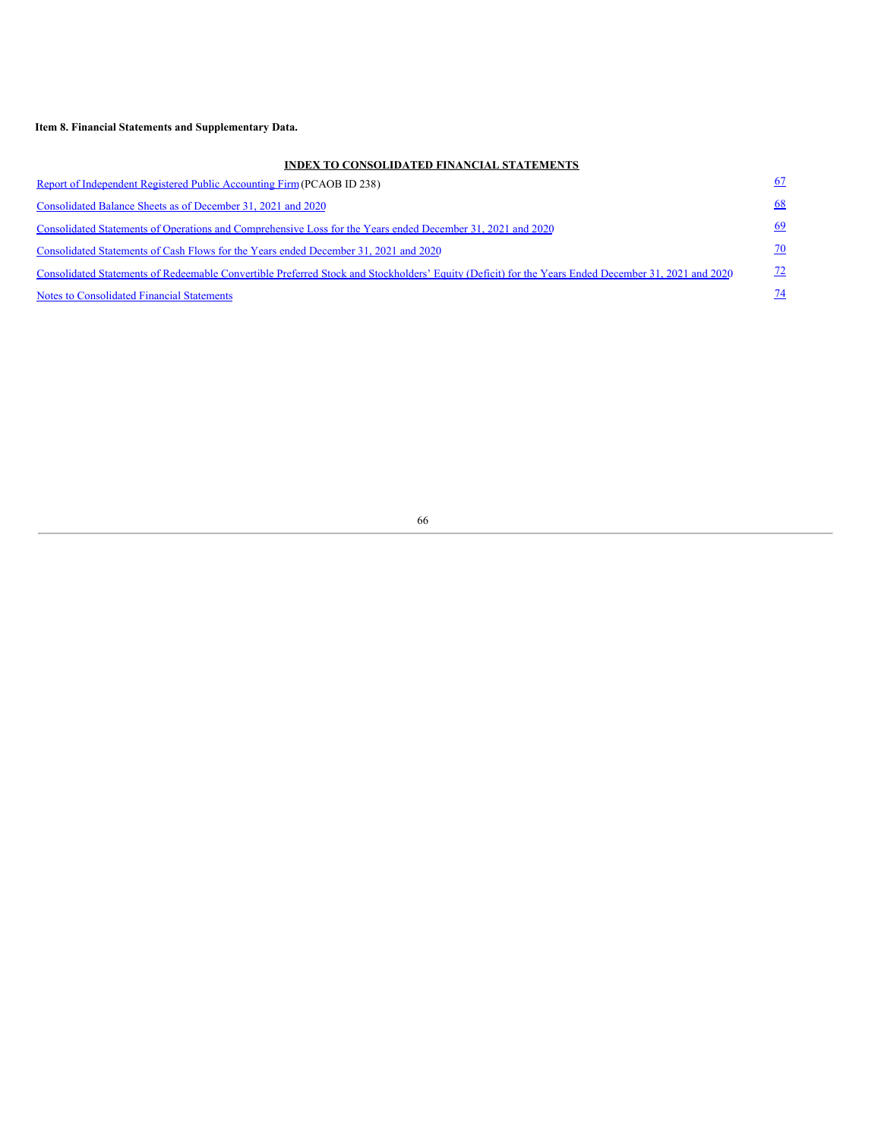# **Item 8. Financial Statements and Supplementary Data.**

# **INDEX TO CONSOLIDATED FINANCIAL STATEMENTS**

<span id="page-68-0"></span>

| Report of Independent Registered Public Accounting Firm (PCAOB ID 238)                                                                              | 67 |
|-----------------------------------------------------------------------------------------------------------------------------------------------------|----|
| Consolidated Balance Sheets as of December 31, 2021 and 2020                                                                                        | 68 |
| Consolidated Statements of Operations and Comprehensive Loss for the Years ended December 31, 2021 and 2020                                         | 69 |
| Consolidated Statements of Cash Flows for the Years ended December 31, 2021 and 2020                                                                | 70 |
| Consolidated Statements of Redeemable Convertible Preferred Stock and Stockholders' Equity (Deficit) for the Years Ended December 31, 2021 and 2020 | 72 |
| <b>Notes to Consolidated Financial Statements</b>                                                                                                   | 74 |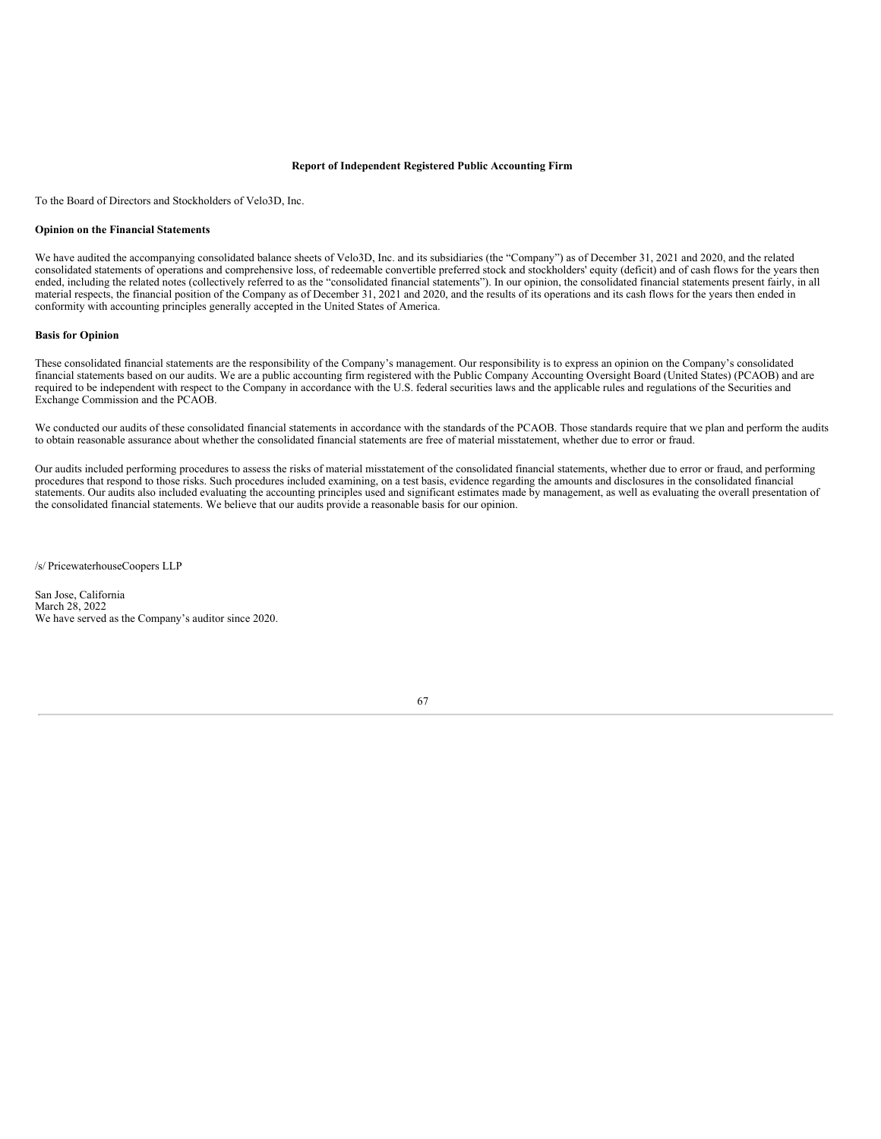#### **Report of Independent Registered Public Accounting Firm**

To the Board of Directors and Stockholders of Velo3D, Inc.

### **Opinion on the Financial Statements**

We have audited the accompanying consolidated balance sheets of Velo3D, Inc. and its subsidiaries (the "Company") as of December 31, 2021 and 2020, and the related consolidated statements of operations and comprehensive loss, of redeemable convertible preferred stock and stockholders' equity (deficit) and of cash flows for the years then ended, including the related notes (collectively referred to as the "consolidated financial statements"). In our opinion, the consolidated financial statements present fairly, in all material respects, the financial position of the Company as of December 31, 2021 and 2020, and the results of its operations and its cash flows for the years then ended in conformity with accounting principles generally accepted in the United States of America.

## **Basis for Opinion**

These consolidated financial statements are the responsibility of the Company's management. Our responsibility is to express an opinion on the Company's consolidated financial statements based on our audits. We are a public accounting firm registered with the Public Company Accounting Oversight Board (United States) (PCAOB) and are required to be independent with respect to the Company in accordance with the U.S. federal securities laws and the applicable rules and regulations of the Securities and Exchange Commission and the PCAOB.

We conducted our audits of these consolidated financial statements in accordance with the standards of the PCAOB. Those standards require that we plan and perform the audits to obtain reasonable assurance about whether the consolidated financial statements are free of material misstatement, whether due to error or fraud.

Our audits included performing procedures to assess the risks of material misstatement of the consolidated financial statements, whether due to error or fraud, and performing procedures that respond to those risks. Such procedures included examining, on a test basis, evidence regarding the amounts and disclosures in the consolidated financial statements. Our audits also included evaluating the accounting principles used and significant estimates made by management, as well as evaluating the overall presentation of the consolidated financial statements. We believe that our audits provide a reasonable basis for our opinion.

/s/ PricewaterhouseCoopers LLP

<span id="page-69-0"></span>San Jose, California March 28, 2022 We have served as the Company's auditor since 2020.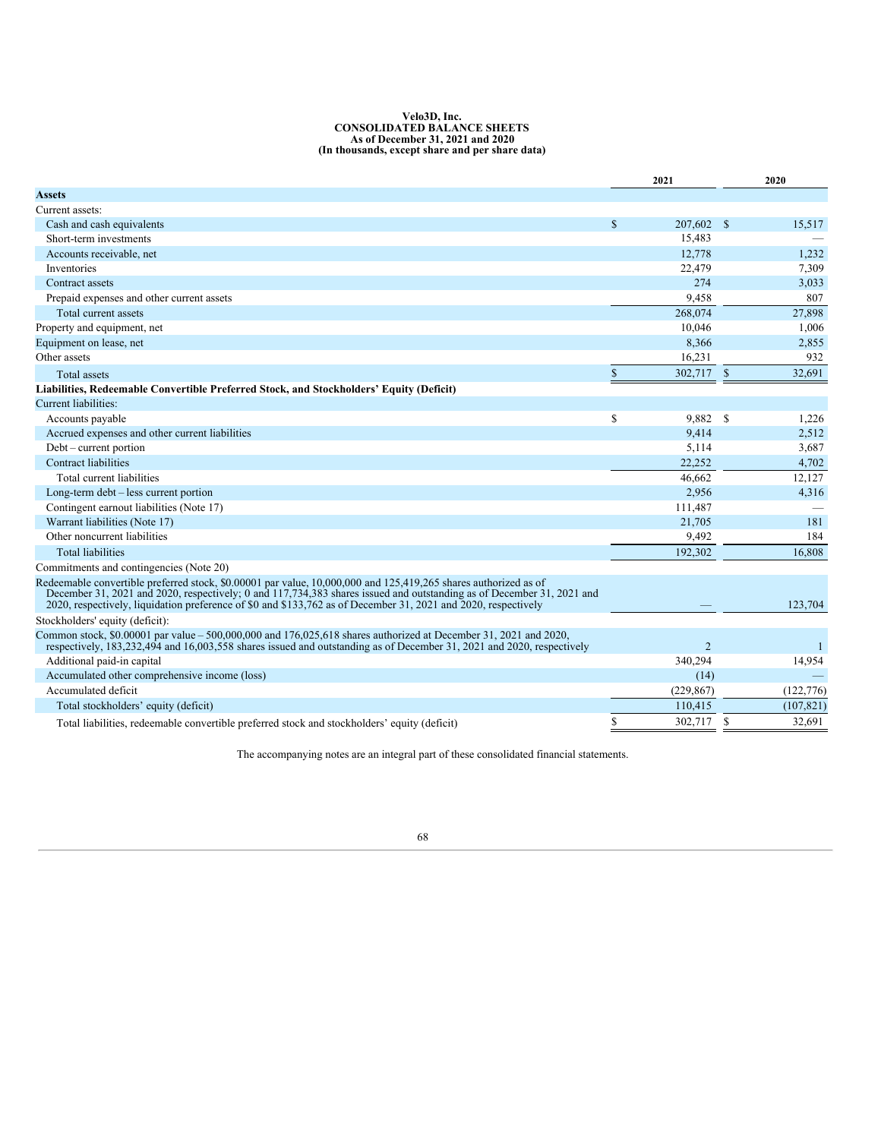# Velo3D, Inc.<br>CONSOLIDATED BALANCE SHEETS<br>As of December 31, 2021 and 2020<br>(In thousands, except share and per share data)

|                                                                                                                                                                                                                                                                                                                                                              |               | 2021           |               | 2020       |
|--------------------------------------------------------------------------------------------------------------------------------------------------------------------------------------------------------------------------------------------------------------------------------------------------------------------------------------------------------------|---------------|----------------|---------------|------------|
| <b>Assets</b>                                                                                                                                                                                                                                                                                                                                                |               |                |               |            |
| Current assets:                                                                                                                                                                                                                                                                                                                                              |               |                |               |            |
| Cash and cash equivalents                                                                                                                                                                                                                                                                                                                                    | $\mathsf{\$}$ | 207,602 \$     |               | 15,517     |
| Short-term investments                                                                                                                                                                                                                                                                                                                                       |               | 15.483         |               |            |
| Accounts receivable, net                                                                                                                                                                                                                                                                                                                                     |               | 12,778         |               | 1,232      |
| Inventories                                                                                                                                                                                                                                                                                                                                                  |               | 22,479         |               | 7,309      |
| Contract assets                                                                                                                                                                                                                                                                                                                                              |               | 274            |               | 3,033      |
| Prepaid expenses and other current assets                                                                                                                                                                                                                                                                                                                    |               | 9,458          |               | 807        |
| Total current assets                                                                                                                                                                                                                                                                                                                                         |               | 268,074        |               | 27,898     |
| Property and equipment, net                                                                                                                                                                                                                                                                                                                                  |               | 10,046         |               | 1,006      |
| Equipment on lease, net                                                                                                                                                                                                                                                                                                                                      |               | 8,366          |               | 2,855      |
| Other assets                                                                                                                                                                                                                                                                                                                                                 |               | 16,231         |               | 932        |
| Total assets                                                                                                                                                                                                                                                                                                                                                 | $\mathsf{\$}$ | 302,717        | $\mathsf{\$}$ | 32,691     |
| Liabilities, Redeemable Convertible Preferred Stock, and Stockholders' Equity (Deficit)                                                                                                                                                                                                                                                                      |               |                |               |            |
| Current liabilities:                                                                                                                                                                                                                                                                                                                                         |               |                |               |            |
| Accounts payable                                                                                                                                                                                                                                                                                                                                             | \$            | 9,882          | $\mathbf{s}$  | 1,226      |
| Accrued expenses and other current liabilities                                                                                                                                                                                                                                                                                                               |               | 9,414          |               | 2,512      |
| Debt – current portion                                                                                                                                                                                                                                                                                                                                       |               | 5,114          |               | 3,687      |
| <b>Contract liabilities</b>                                                                                                                                                                                                                                                                                                                                  |               | 22,252         |               | 4,702      |
| Total current liabilities                                                                                                                                                                                                                                                                                                                                    |               | 46,662         |               | 12,127     |
| Long-term debt – less current portion                                                                                                                                                                                                                                                                                                                        |               | 2.956          |               | 4.316      |
| Contingent earnout liabilities (Note 17)                                                                                                                                                                                                                                                                                                                     |               | 111,487        |               |            |
| Warrant liabilities (Note 17)                                                                                                                                                                                                                                                                                                                                |               | 21,705         |               | 181        |
| Other noncurrent liabilities                                                                                                                                                                                                                                                                                                                                 |               | 9,492          |               | 184        |
| <b>Total liabilities</b>                                                                                                                                                                                                                                                                                                                                     |               | 192,302        |               | 16.808     |
| Commitments and contingencies (Note 20)                                                                                                                                                                                                                                                                                                                      |               |                |               |            |
| Redeemable convertible preferred stock, \$0.00001 par value, 10,000,000 and 125,419,265 shares authorized as of<br>December 31, 2021 and 2020, respectively; 0 and 117, 734, 383 shares issued and outstanding as of December 31, 2021 and<br>2020, respectively, liquidation preference of \$0 and \$133,762 as of December 31, 2021 and 2020, respectively |               |                |               | 123,704    |
| Stockholders' equity (deficit):                                                                                                                                                                                                                                                                                                                              |               |                |               |            |
| Common stock, \$0.00001 par value – 500,000,000 and 176,025,618 shares authorized at December 31, 2021 and 2020,<br>respectively, 183,232,494 and 16,003,558 shares issued and outstanding as of December 31, 2021 and 2020, respectively                                                                                                                    |               | $\overline{2}$ |               | 1          |
| Additional paid-in capital                                                                                                                                                                                                                                                                                                                                   |               | 340,294        |               | 14,954     |
| Accumulated other comprehensive income (loss)                                                                                                                                                                                                                                                                                                                |               | (14)           |               |            |
| Accumulated deficit                                                                                                                                                                                                                                                                                                                                          |               | (229, 867)     |               | (122, 776) |
| Total stockholders' equity (deficit)                                                                                                                                                                                                                                                                                                                         |               | 110.415        |               | (107, 821) |
| Total liabilities, redeemable convertible preferred stock and stockholders' equity (deficit)                                                                                                                                                                                                                                                                 | \$            | 302,717        | <sup>\$</sup> | 32,691     |

<span id="page-70-0"></span>The accompanying notes are an integral part of these consolidated financial statements.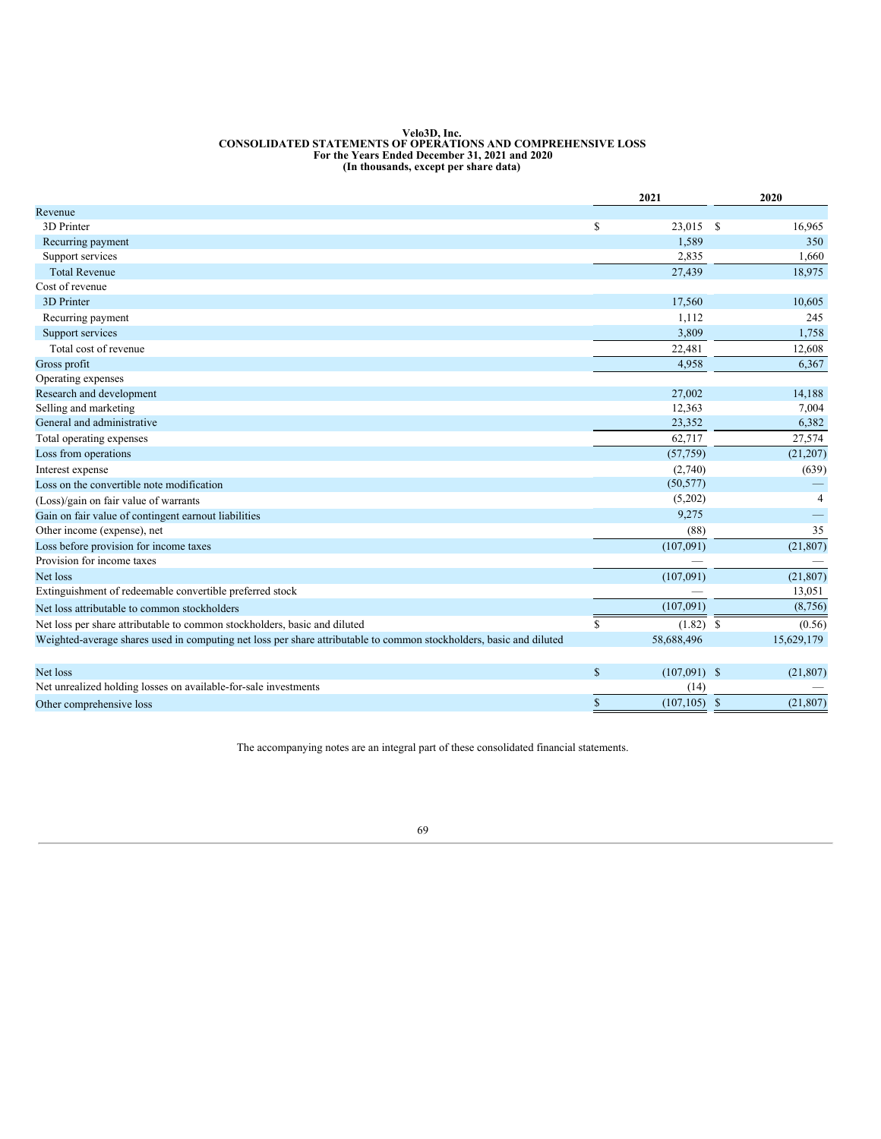# Velo3D, Inc.<br>CONSOLIDATED STATEMENTS OF OPERATIONS AND COMPREHENSIVE LOSS<br>For the Years Ended December 31, 2021 and 2020<br>(In thousands, except per share data)

|                                                                                                                     | 2021                  | 2020           |
|---------------------------------------------------------------------------------------------------------------------|-----------------------|----------------|
| Revenue                                                                                                             |                       |                |
| 3D Printer                                                                                                          | \$<br>23,015 \$       | 16,965         |
| Recurring payment                                                                                                   | 1,589                 | 350            |
| Support services                                                                                                    | 2,835                 | 1.660          |
| <b>Total Revenue</b>                                                                                                | 27,439                | 18,975         |
| Cost of revenue                                                                                                     |                       |                |
| 3D Printer                                                                                                          | 17,560                | 10,605         |
| Recurring payment                                                                                                   | 1,112                 | 245            |
| Support services                                                                                                    | 3,809                 | 1,758          |
| Total cost of revenue                                                                                               | 22,481                | 12,608         |
| Gross profit                                                                                                        | 4,958                 | 6,367          |
| Operating expenses                                                                                                  |                       |                |
| Research and development                                                                                            | 27,002                | 14,188         |
| Selling and marketing                                                                                               | 12,363                | 7,004          |
| General and administrative                                                                                          | 23,352                | 6,382          |
| Total operating expenses                                                                                            | 62,717                | 27,574         |
| Loss from operations                                                                                                | (57, 759)             | (21, 207)      |
| Interest expense                                                                                                    | (2,740)               | (639)          |
| Loss on the convertible note modification                                                                           | (50, 577)             |                |
| (Loss)/gain on fair value of warrants                                                                               | (5,202)               | $\overline{4}$ |
| Gain on fair value of contingent earnout liabilities                                                                | 9,275                 |                |
| Other income (expense), net                                                                                         | (88)                  | 35             |
| Loss before provision for income taxes                                                                              | (107,091)             | (21, 807)      |
| Provision for income taxes                                                                                          |                       |                |
| Net loss                                                                                                            | (107,091)             | (21, 807)      |
| Extinguishment of redeemable convertible preferred stock                                                            |                       | 13,051         |
| Net loss attributable to common stockholders                                                                        | (107,091)             | (8, 756)       |
| Net loss per share attributable to common stockholders, basic and diluted                                           | \$<br>$(1.82)$ \$     | (0.56)         |
| Weighted-average shares used in computing net loss per share attributable to common stockholders, basic and diluted | 58,688,496            | 15,629,179     |
| Net loss                                                                                                            | \$<br>$(107,091)$ \$  | (21, 807)      |
| Net unrealized holding losses on available-for-sale investments                                                     | (14)                  |                |
| Other comprehensive loss                                                                                            | \$<br>$(107, 105)$ \$ | (21, 807)      |

<span id="page-71-0"></span>The accompanying notes are an integral part of these consolidated financial statements.

| ۰.            |                               |
|---------------|-------------------------------|
| I<br>۰,<br>۰, | ×<br>¢<br>۰.<br>۰.<br>۰,<br>٧ |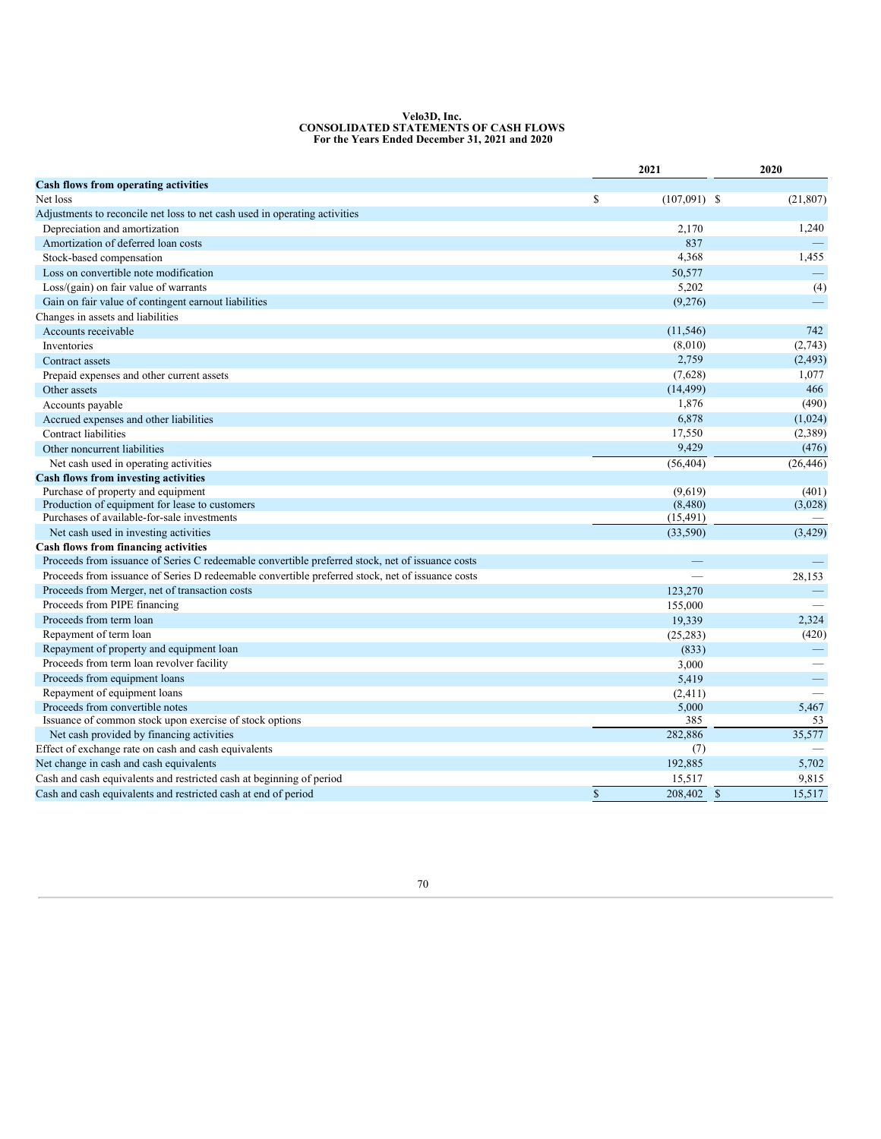## **Velo3D, Inc. CONSOLIDATED STATEMENTS OF CASH FLOWS For the Years Ended December 31, 2021 and 2020**

|                                                                                                  |              | 2021                     | 2020                     |  |  |
|--------------------------------------------------------------------------------------------------|--------------|--------------------------|--------------------------|--|--|
| <b>Cash flows from operating activities</b>                                                      |              |                          |                          |  |  |
| Net loss                                                                                         | S            | $(107,091)$ \$           | (21, 807)                |  |  |
| Adjustments to reconcile net loss to net cash used in operating activities                       |              |                          |                          |  |  |
| Depreciation and amortization                                                                    |              | 2,170                    | 1,240                    |  |  |
| Amortization of deferred loan costs                                                              |              | 837                      |                          |  |  |
| Stock-based compensation                                                                         |              | 4,368                    | 1,455                    |  |  |
| Loss on convertible note modification                                                            |              | 50,577                   |                          |  |  |
| $Loss/(gain)$ on fair value of warrants                                                          |              | 5,202                    | (4)                      |  |  |
| Gain on fair value of contingent earnout liabilities                                             |              | (9,276)                  | <u>—</u>                 |  |  |
| Changes in assets and liabilities                                                                |              |                          |                          |  |  |
| Accounts receivable                                                                              |              | (11, 546)                | 742                      |  |  |
| Inventories                                                                                      |              | (8,010)                  | (2,743)                  |  |  |
| Contract assets                                                                                  |              | 2,759                    | (2, 493)                 |  |  |
| Prepaid expenses and other current assets                                                        |              | (7,628)                  | 1,077                    |  |  |
| Other assets                                                                                     |              | (14, 499)                | 466                      |  |  |
| Accounts payable                                                                                 |              | 1,876                    | (490)                    |  |  |
| Accrued expenses and other liabilities                                                           |              | 6,878                    | (1,024)                  |  |  |
| <b>Contract liabilities</b>                                                                      |              | 17,550                   | (2,389)                  |  |  |
| Other noncurrent liabilities                                                                     |              | 9.429                    | (476)                    |  |  |
| Net cash used in operating activities                                                            |              | (56, 404)                | (26, 446)                |  |  |
| <b>Cash flows from investing activities</b>                                                      |              |                          |                          |  |  |
| Purchase of property and equipment                                                               |              | (9,619)                  | (401)                    |  |  |
| Production of equipment for lease to customers                                                   |              | (8, 480)                 | (3,028)                  |  |  |
| Purchases of available-for-sale investments                                                      |              | (15, 491)                |                          |  |  |
| Net cash used in investing activities                                                            |              | (33,590)                 | (3, 429)                 |  |  |
| Cash flows from financing activities                                                             |              |                          |                          |  |  |
| Proceeds from issuance of Series C redeemable convertible preferred stock, net of issuance costs |              |                          |                          |  |  |
| Proceeds from issuance of Series D redeemable convertible preferred stock, net of issuance costs |              |                          | 28,153                   |  |  |
| Proceeds from Merger, net of transaction costs                                                   |              | 123,270                  |                          |  |  |
| Proceeds from PIPE financing                                                                     |              | 155,000                  |                          |  |  |
| Proceeds from term loan                                                                          |              | 19,339                   | 2,324                    |  |  |
| Repayment of term loan                                                                           |              | (25, 283)                | (420)                    |  |  |
| Repayment of property and equipment loan                                                         |              | (833)                    |                          |  |  |
| Proceeds from term loan revolver facility                                                        |              | 3,000                    |                          |  |  |
| Proceeds from equipment loans                                                                    |              | 5,419                    |                          |  |  |
| Repayment of equipment loans                                                                     |              | (2, 411)                 | $\overline{\phantom{0}}$ |  |  |
| Proceeds from convertible notes                                                                  |              | 5,000                    | 5,467                    |  |  |
| Issuance of common stock upon exercise of stock options                                          |              | 385                      | 53                       |  |  |
| Net cash provided by financing activities                                                        |              | 282,886                  | 35,577                   |  |  |
| Effect of exchange rate on cash and cash equivalents                                             |              | (7)                      |                          |  |  |
| Net change in cash and cash equivalents                                                          |              | 192,885                  | 5,702                    |  |  |
| Cash and cash equivalents and restricted cash at beginning of period                             |              | 15,517                   | 9,815                    |  |  |
| Cash and cash equivalents and restricted cash at end of period                                   | $\mathbb{S}$ | 208,402<br>$\mathcal{S}$ | 15,517                   |  |  |
|                                                                                                  |              |                          |                          |  |  |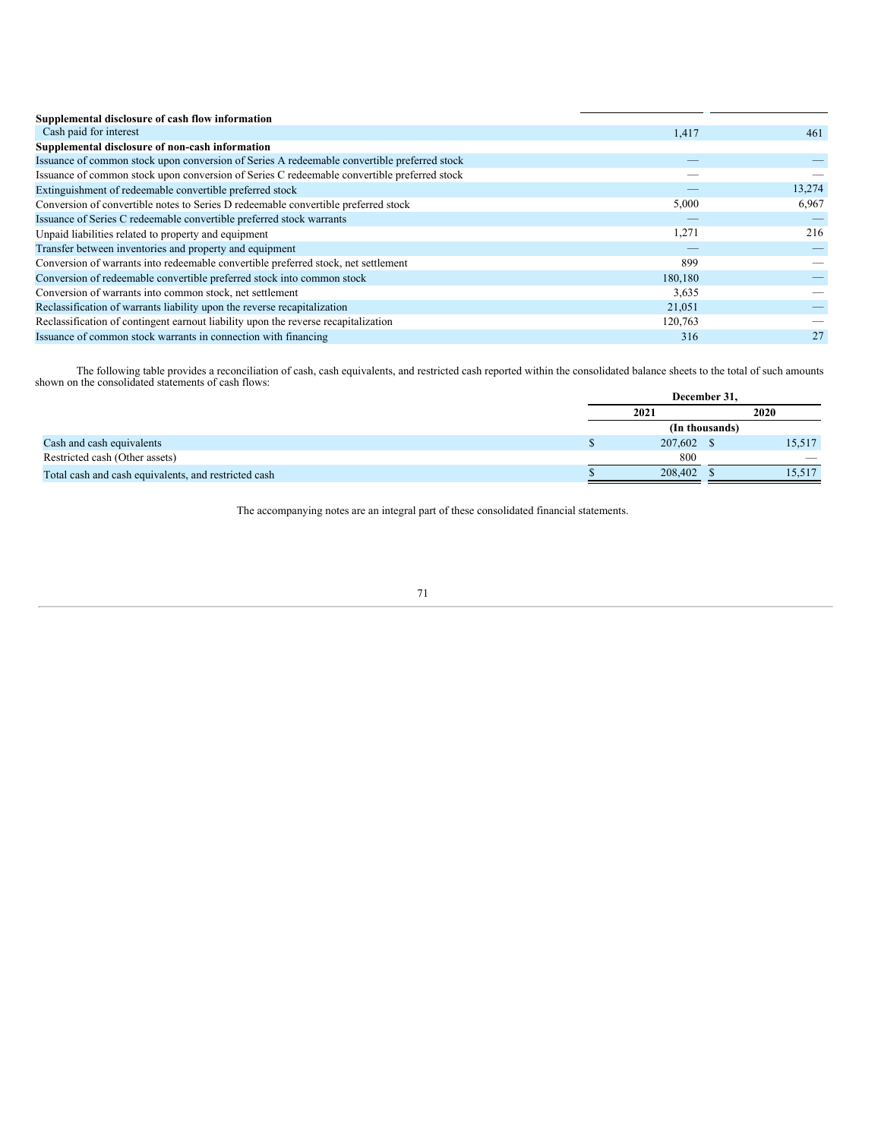| Supplemental disclosure of cash flow information                                            |         |        |
|---------------------------------------------------------------------------------------------|---------|--------|
| Cash paid for interest                                                                      | 1,417   | 461    |
| Supplemental disclosure of non-cash information                                             |         |        |
| Issuance of common stock upon conversion of Series A redeemable convertible preferred stock |         |        |
| Issuance of common stock upon conversion of Series C redeemable convertible preferred stock |         |        |
| Extinguishment of redeemable convertible preferred stock                                    |         | 13,274 |
| Conversion of convertible notes to Series D redeemable convertible preferred stock          | 5,000   | 6,967  |
| Issuance of Series C redeemable convertible preferred stock warrants                        |         |        |
| Unpaid liabilities related to property and equipment                                        | 1,271   | 216    |
| Transfer between inventories and property and equipment                                     |         |        |
| Conversion of warrants into redeemable convertible preferred stock, net settlement          | 899     |        |
| Conversion of redeemable convertible preferred stock into common stock                      | 180,180 |        |
| Conversion of warrants into common stock, net settlement                                    | 3,635   |        |
| Reclassification of warrants liability upon the reverse recapitalization                    | 21,051  |        |
| Reclassification of contingent earnout liability upon the reverse recapitalization          | 120,763 |        |
| Issuance of common stock warrants in connection with financing                              | 316     | 27     |

The following table provides a reconciliation of cash, cash equivalents, and restricted cash reported within the consolidated balance sheets to the total of such amounts shown on the consolidated statements of cash flows:

|                                                      |  | December 31. |  |        |  |
|------------------------------------------------------|--|--------------|--|--------|--|
|                                                      |  | 2021         |  | 2020   |  |
|                                                      |  |              |  |        |  |
| Cash and cash equivalents                            |  | 207,602      |  | 15,517 |  |
| Restricted cash (Other assets)                       |  | 800          |  |        |  |
| Total cash and cash equivalents, and restricted cash |  | 208,402      |  | 15,517 |  |

The accompanying notes are an integral part of these consolidated financial statements.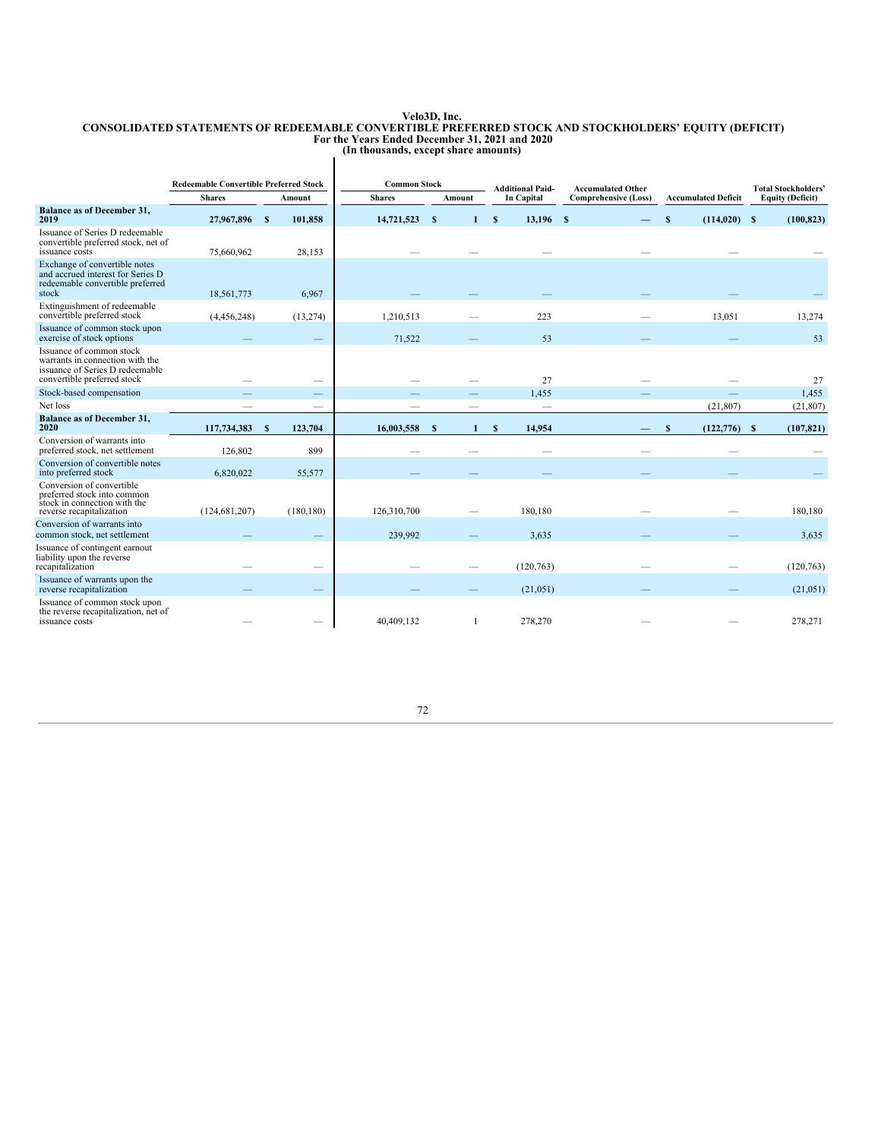# Velo3D, Inc.<br>CONSOLIDATED STATEMENTS OF REDEEMABLE CONVERTIBLE PREFERRED STOCK AND STOCKHOLDERS' EQUITY (DEFICIT)<br>For the Years Ended December 31, 2021 and 2020<br>(In thousands, except share amounts)

| <b>Redeemable Convertible Preferred Stock</b>                                                                                 |                 | <b>Common Stock</b>      |               |        |                                       |                                                         |                            |                                                       |
|-------------------------------------------------------------------------------------------------------------------------------|-----------------|--------------------------|---------------|--------|---------------------------------------|---------------------------------------------------------|----------------------------|-------------------------------------------------------|
|                                                                                                                               | <b>Shares</b>   | Amount                   | <b>Shares</b> | Amount | <b>Additional Paid-</b><br>In Capital | <b>Accumulated Other</b><br><b>Comprehensive (Loss)</b> | <b>Accumulated Deficit</b> | <b>Total Stockholders'</b><br><b>Equity (Deficit)</b> |
| <b>Balance as of December 31,</b><br>2019                                                                                     | 27,967,896      | 101,858<br><b>S</b>      | 14,721,523    | S<br>1 | 13.196 S<br><b>S</b>                  |                                                         | $(114, 020)$ \$<br>S       | (100, 823)                                            |
| Issuance of Series D redeemable<br>convertible preferred stock, net of<br>issuance costs                                      | 75,660,962      | 28,153                   |               |        |                                       |                                                         |                            |                                                       |
| Exchange of convertible notes<br>and accrued interest for Series D<br>redeemable convertible preferred<br>stock               | 18,561,773      | 6,967                    |               |        |                                       |                                                         |                            |                                                       |
| Extinguishment of redeemable<br>convertible preferred stock                                                                   | (4,456,248)     | (13, 274)                | 1,210,513     |        | 223                                   |                                                         | 13,051                     | 13,274                                                |
| Issuance of common stock upon<br>exercise of stock options                                                                    |                 |                          | 71,522        |        | 53                                    |                                                         |                            | 53                                                    |
| Issuance of common stock<br>warrants in connection with the<br>issuance of Series D redeemable<br>convertible preferred stock |                 | --                       |               |        | 27                                    |                                                         |                            | 27                                                    |
| Stock-based compensation                                                                                                      |                 |                          |               |        | 1,455                                 |                                                         |                            | 1,455                                                 |
| Net loss                                                                                                                      |                 | $\overline{\phantom{0}}$ |               |        |                                       |                                                         | (21, 807)                  | (21, 807)                                             |
| <b>Balance as of December 31,</b><br>2020                                                                                     | 117,734,383     | 123,704<br>S             | 16,003,558    | S<br>1 | 14,954<br>S                           |                                                         | $(122,776)$ \$<br>S        | (107, 821)                                            |
| Conversion of warrants into<br>preferred stock, net settlement                                                                | 126,802         | 899                      |               |        |                                       |                                                         |                            |                                                       |
| Conversion of convertible notes<br>into preferred stock                                                                       | 6,820,022       | 55,577                   |               |        |                                       |                                                         |                            |                                                       |
| Conversion of convertible<br>preferred stock into common<br>stock in connection with the<br>reverse recapitalization          | (124, 681, 207) | (180, 180)               | 126,310,700   |        | 180,180                               |                                                         |                            | 180,180                                               |
| Conversion of warrants into<br>common stock, net settlement                                                                   |                 |                          | 239,992       |        | 3,635                                 |                                                         |                            | 3,635                                                 |
| Issuance of contingent earnout<br>liability upon the reverse<br>recapitalization                                              |                 | --                       |               |        | (120, 763)                            |                                                         |                            | (120, 763)                                            |
| Issuance of warrants upon the<br>reverse recapitalization                                                                     |                 |                          |               |        | (21,051)                              |                                                         |                            | (21,051)                                              |
| Issuance of common stock upon<br>the reverse recapitalization, net of<br>issuance costs                                       |                 |                          | 40.409.132    | 1      | 278,270                               |                                                         |                            | 278,271                                               |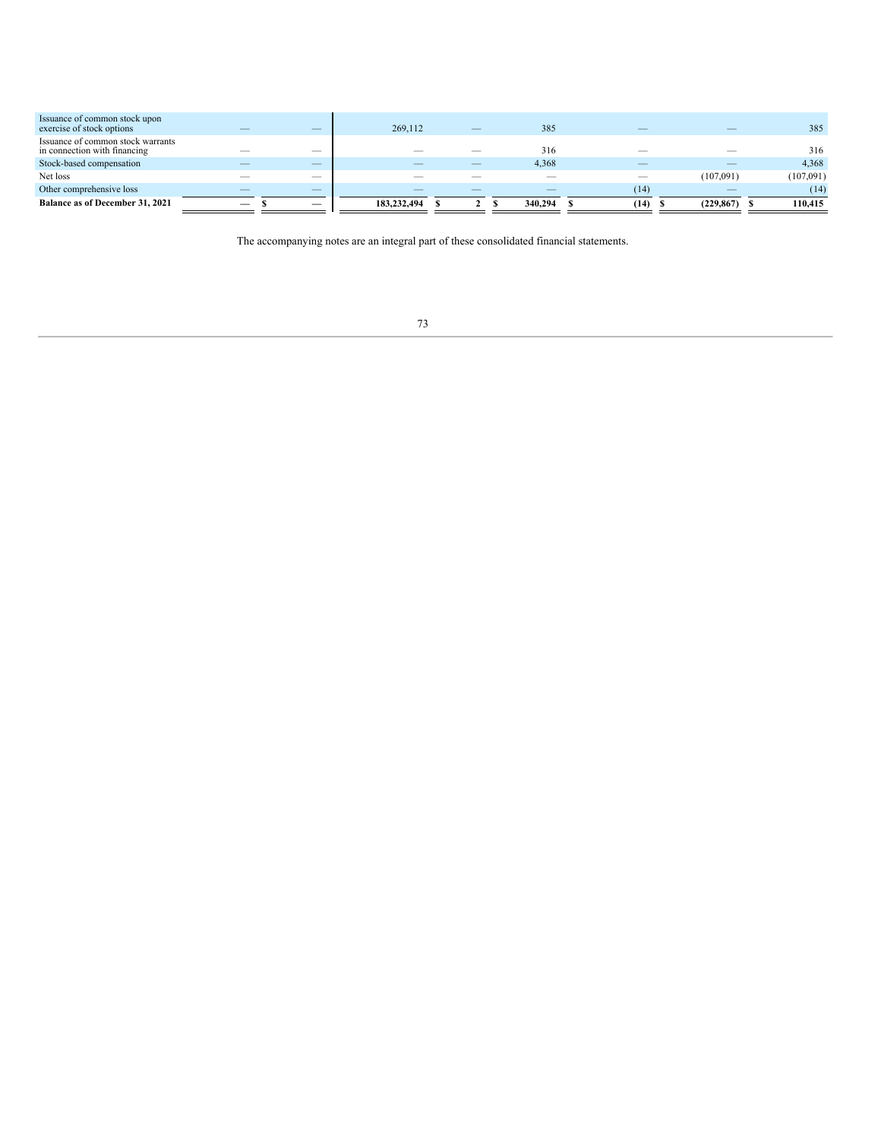| Balance as of December 31, 2021                                   | $\overline{\phantom{a}}$ | $\overline{\phantom{a}}$ | 183,232,494 |    | 340.294 | (14) | (229, 867) | 110.415   |
|-------------------------------------------------------------------|--------------------------|--------------------------|-------------|----|---------|------|------------|-----------|
| Other comprehensive loss                                          |                          | __                       |             |    |         | (14) |            | (14)      |
| Net loss                                                          |                          | $\overline{\phantom{a}}$ | __          | __ | $\sim$  | $-$  | (107,091)  | (107,091) |
| Stock-based compensation                                          |                          | _                        |             |    | 4,368   |      |            | 4,368     |
| Issuance of common stock warrants<br>in connection with financing |                          | $\overline{\phantom{a}}$ | __          | __ | 316     | $-$  |            | 316       |
| Issuance of common stock upon<br>exercise of stock options        |                          | $\overline{\phantom{a}}$ | 269,112     | __ | 385     |      |            | 385       |

The accompanying notes are an integral part of these consolidated financial statements.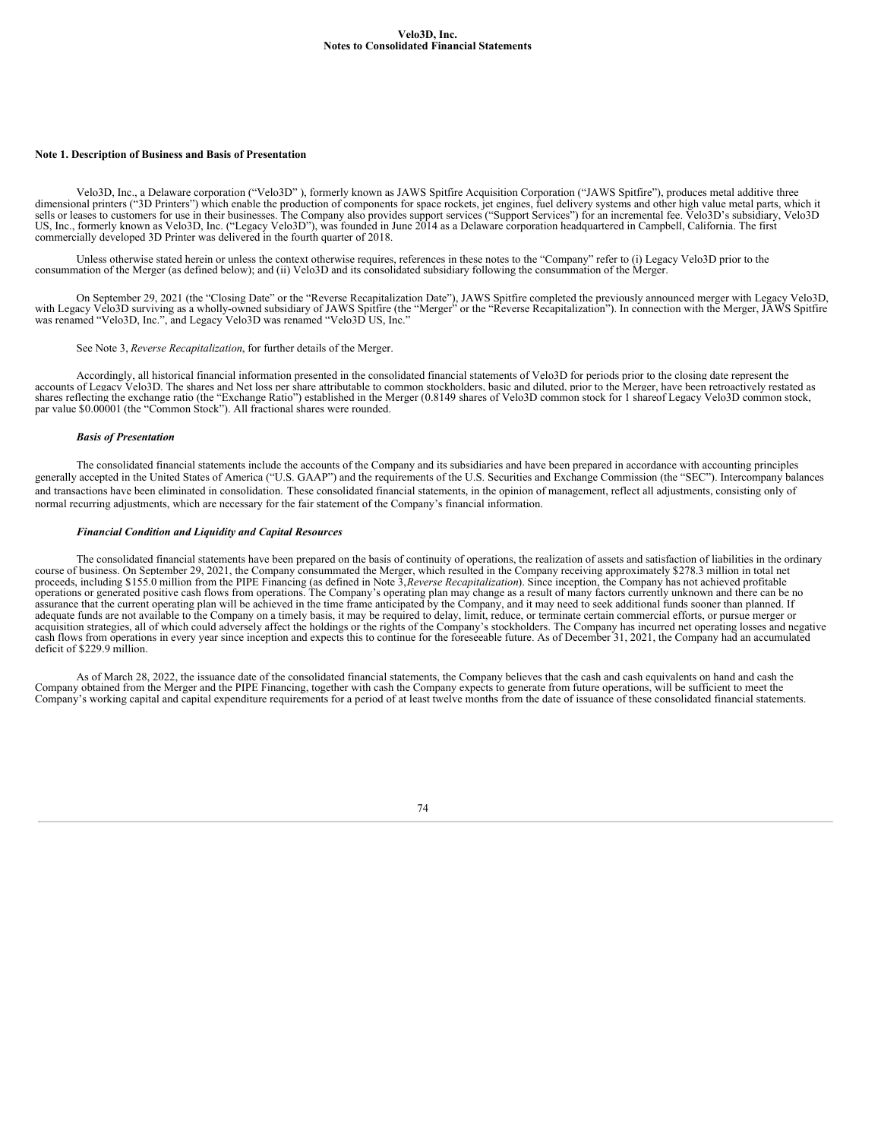#### **Note 1. Description of Business and Basis of Presentation**

Velo3D, Inc., a Delaware corporation ("Velo3D" ), formerly known as JAWS Spitfire Acquisition Corporation ("JAWS Spitfire"), produces metal additive three dimensional printers ("3D Printers") which enable the production of components for space rockets, jet engines, fuel delivery systems and other high value metal parts, which it sells or leases to customers for use in their businesses. The Company also provides support services ("Support Services") for an incremental fee. Velo3D's subsidiary, Velo3D<br>US, Inc., formerly known as Velo3D, Inc. ("Legac commercially developed 3D Printer was delivered in the fourth quarter of 2018.

Unless otherwise stated herein or unless the context otherwise requires, references in these notes to the "Company" refer to (i) Legacy Velo3D prior to the consummation of the Merger (as defined below); and (ii) Velo3D and

On September 29, 2021 (the "Closing Date" or the "Reverse Recapitalization Date"), JAWS Spitfire completed the previously announced merger with Legacy Velo3D, with Legacy Velo3D surviving as a wholly-owned subsidiary of JA

See Note 3, *Reverse Recapitalization*, for further details of the Merger.

Accordingly, all historical financial information presented in the consolidated financial statements of Velo3D for periods prior to the closing date represent the accounts of Legacy Velo3D. The shares and Net loss per share attributable to common stockholders, basic and diluted, prior to the Merger, have been retroactively restated as shares reflecting the exchange ratio (the "Exchange Ratio") established in the Merger (0.8149 shares of Velo3D common stock for 1 shareof Legacy Velo3D common stock, par value \$0.00001 (the "Common Stock"). All fractional shares were rounded.

### *Basis of Presentation*

The consolidated financial statements include the accounts of the Company and its subsidiaries and have been prepared in accordance with accounting principles generally accepted in the United States of America ("U.S. GAAP") and the requirements of the U.S. Securities and Exchange Commission (the "SEC"). Intercompany balances and transactions have been eliminated in consolidation. These consolidated financial statements, in the opinion of management, reflect all adjustments, consisting only of normal recurring adjustments, which are necessary for the fair statement of the Company's financial information.

### *Financial Condition and Liquidity and Capital Resources*

The consolidated financial statements have been prepared on the basis of continuity of operations, the realization of assets and satisfaction of liabilities in the ordinary course of business. On September 29, 2021, the Co proceeds, including \$155.0 million from the PIPE Financing (as defined in Note 3,*Reverse Recapitalization*). Since inception, the Company has not achieved profitable operations or generated positive cash flows from operations. The Company's operating plan may change as a result of many factors currently unknown and there can be no assurance that the current operating plan will be achieved in the time frame anticipated by the Company, and it may need to seek additional funds sooner than planned. If adequate funds are not available to the Company on a acquisition strategies, all of which could adversely affect the holdings or the rights of the Company's stockholders. The Company has incurred net operating losses and negative cash flows from operations in every year since inception and expects this to continue for the foreseeable future. As of December 31, 2021, the Company had an accumulated deficit of \$229.9 million.

As of March 28, 2022, the issuance date of the consolidated financial statements, the Company believes that the cash and cash equivalents on hand and cash the Company obtained from the Merger and the PIPE Financing, together with cash the Company expects to generate from future operations, will be sufficient to meet the Company's working capital and capital expenditure requirements for a period of at least twelve months from the date of issuance of these consolidated financial statements.

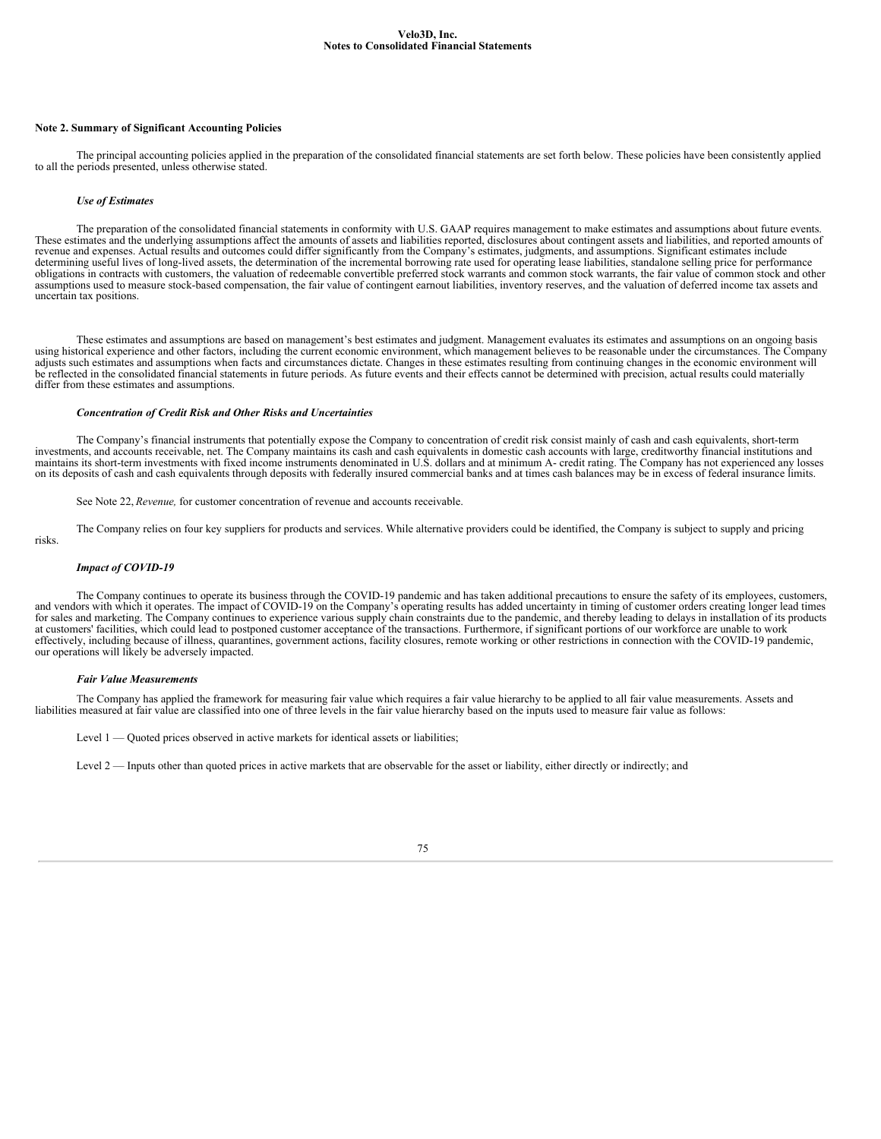### **Note 2. Summary of Significant Accounting Policies**

The principal accounting policies applied in the preparation of the consolidated financial statements are set forth below. These policies have been consistently applied to all the periods presented, unless otherwise stated.

#### *Use of Estimates*

The preparation of the consolidated financial statements in conformity with U.S. GAAP requires management to make estimates and assumptions about future events. These estimates and the underlying assumptions affect the amounts of assets and liabilities reported, disclosures about contingent assets and liabilities, and reported amounts of revenue and expenses. Actual results and outcomes could differ significantly from the Company's estimates, judgments, and assumptions. Significant estimates include determining useful lives of long-lived assets, the determination of the incremental borrowing rate used for operating lease liabilities, standalone selling price for performance obligations in contracts with customers, the valuation of redeemable convertible preferred stock warrants and common stock warrants, the fair value of common stock and other assumptions used to measure stock-based compensation, the fair value of contingent earnout liabilities, inventory reserves, and the valuation of deferred income tax assets and uncertain tax positions.

These estimates and assumptions are based on management's best estimates and judgment. Management evaluates its estimates and assumptions on an ongoing basis using historical experience and other factors, including the current economic environment, which management believes to be reasonable under the circumstances. The Company adjusts such estimates and assumptions when facts and circumstances dictate. Changes in these estimates resulting from continuing changes in the economic environment will be reflected in the consolidated financial statements in future periods. As future events and their effects cannot be determined with precision, actual results could materially differ from these estimates and assumptions.

### *Concentration of Credit Risk and Other Risks and Uncertainties*

The Company's financial instruments that potentially expose the Company to concentration of credit risk consist mainly of cash and cash equivalents, short-term investments, and accounts receivable, net. The Company maintains its cash and cash equivalents in domestic cash accounts with large, creditworthy financial institutions and<br>maintains its short-term investments with fixed i on its deposits of cash and cash equivalents through deposits with federally insured commercial banks and at times cash balances may be in excess of federal insurance limits.

See Note 22, *Revenue,* for customer concentration of revenue and accounts receivable.

The Company relies on four key suppliers for products and services. While alternative providers could be identified, the Company is subject to supply and pricing risks.

### *Impact of COVID-19*

The Company continues to operate its business through the COVID-19 pandemic and has taken additional precautions to ensure the safety of its employees, customers, and vendors with which it operates. The impact of COVID-19 on the Company's operating results has added uncertainty in timing of customer orders creating longer lead times for sales and marketing. The Company continues to experience various supply chain constraints due to the pandemic, and thereby leading to delays in installation of its products at customers' facilities, which could lead to postponed customer acceptance of the transactions. Furthermore, if significant portions of our workforce are unable to work effectively, including because of illness, quarantines, government actions, facility closures, remote working or other restrictions in connection with the COVID-19 pandemic, our operations will likely be adversely impacted.

### *Fair Value Measurements*

The Company has applied the framework for measuring fair value which requires a fair value hierarchy to be applied to all fair value measurements. Assets and liabilities measured at fair value are classified into one of th

Level  $1$  — Quoted prices observed in active markets for identical assets or liabilities;

Level 2 — Inputs other than quoted prices in active markets that are observable for the asset or liability, either directly or indirectly; and

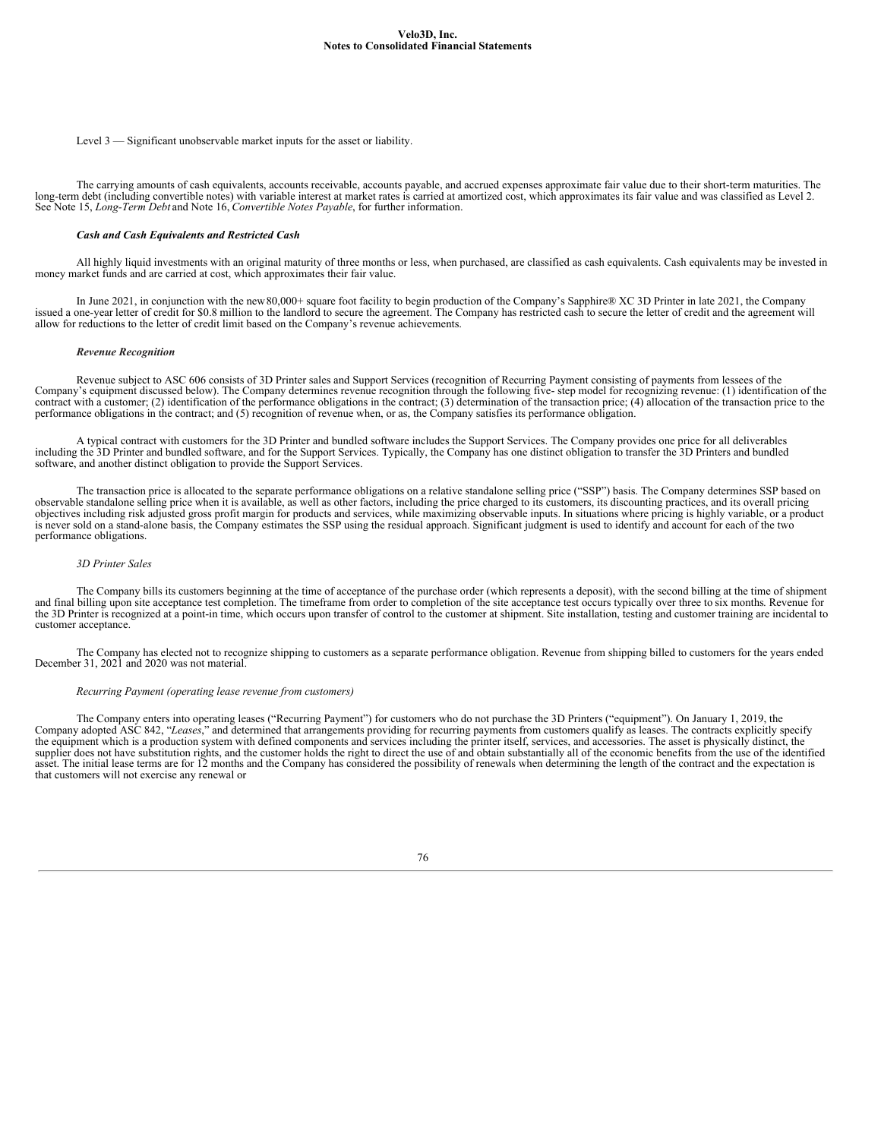Level 3 — Significant unobservable market inputs for the asset or liability.

The carrying amounts of cash equivalents, accounts receivable, accounts payable, and accrued expenses approximate fair value due to their short-term maturities. The long-term debt (including convertible notes) with variable interest at market rates is carried at amortized cost, which approximates its fair value and was classified as Level 2. See Note 15, *Long-Term Debt* and Note 16, *Convertible Notes Payable*, for further information.

### *Cash and Cash Equivalents and Restricted Cash*

All highly liquid investments with an original maturity of three months or less, when purchased, are classified as cash equivalents. Cash equivalents may be invested in money market funds and are carried at cost, which approximates their fair value.

In June 2021, in conjunction with the new 80,000+ square foot facility to begin production of the Company's Sapphire® XC 3D Printer in late 2021, the Company<br>issued a one-year letter of credit for \$0.8 million to the landl allow for reductions to the letter of credit limit based on the Company's revenue achievements.

#### *Revenue Recognition*

Revenue subject to ASC 606 consists of 3D Printer sales and Support Services (recognition of Recurring Payment consisting of payments from lessees of the Company's equipment discussed below). The Company determines revenue recognition through the following five- step model for recognizing revenue: (1) identification of the contract with a customer; (2) identification of the performance obligations in the contract; (3) determination of the transaction price; (4) allocation of the transaction price to the performance obligations in the contract; and (5) recognition of revenue when, or as, the Company satisfies its performance obligation.

A typical contract with customers for the 3D Printer and bundled software includes the Support Services. The Company provides one price for all deliverables including the 3D Printer and bundled software, and for the Support Services. Typically, the Company has one distinct obligation to transfer the 3D Printers and bundled software, and another distinct obligation to provide the Support Services.

The transaction price is allocated to the separate performance obligations on a relative standalone selling price ("SSP") basis. The Company determines SSP based on observable standalone selling price when it is available, objectives including risk adjusted gross profit margin for products and services, while maximizing observable inputs. In situations where pricing is highly variable, or a product is never sold on a stand-alone basis, the C performance obligations.

### *3D Printer Sales*

The Company bills its customers beginning at the time of acceptance of the purchase order (which represents a deposit), with the second billing at the time of shipment and final billing upon site acceptance test completion. The timeframe from order to completion of the site acceptance test occurs typically over three to six months. Revenue for the 3D Printer is recognized at a point-in time, which occurs upon transfer of control to the customer at shipment. Site installation, testing and customer training are incidental to customer acceptance.

The Company has elected not to recognize shipping to customers as a separate performance obligation. Revenue from shipping billed to customers for the years ended December 31, 2021 and 2020 was not material.

### *Recurring Payment (operating lease revenue from customers)*

The Company enters into operating leases ("Recurring Payment") for customers who do not purchase the 3D Printers ("equipment"). On January 1, 2019, the<br>Company adopted ASC 842, "*Leases*," and determined that arrangements asset. The initial lease terms are for 12 months and the Company has considered the possibility of renewals when determining the length of the contract and the expectation is that customers will not exercise any renewal or

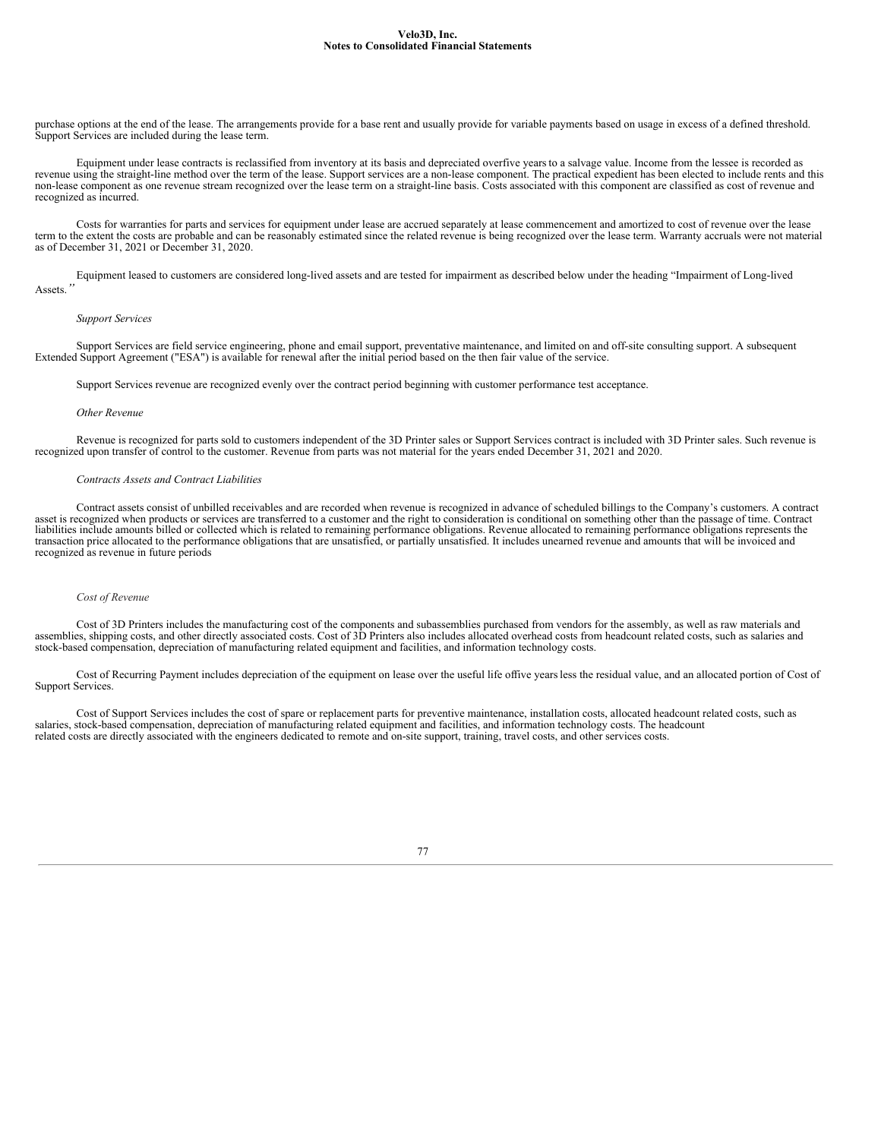purchase options at the end of the lease. The arrangements provide for a base rent and usually provide for variable payments based on usage in excess of a defined threshold.<br>Support Services are included during the lease t

Equipment under lease contracts is reclassified from inventory at its basis and depreciated overfive yearsto a salvage value. Income from the lessee is recorded as revenue using the straight-line method over the term of the lease. Support services are a non-lease component. The practical expedient has been elected to include rents and this non-lease component as one revenue stream recognized over the lease term on a straight-line basis. Costs associated with this component are classified as cost of revenue and recognized as incurred.

Costs for warranties for parts and services for equipment under lease are accrued separately at lease commencement and amortized to cost of revenue over the lease term to the extent the costs are probable and can be reasonably estimated since the related revenue is being recognized over the lease term. Warranty accruals were not material as of December 31, 2021 or December 31, 2020.

Equipment leased to customers are considered long-lived assets and are tested for impairment as described below under the heading "Impairment of Long-lived Assets.*"*

### *Support Services*

Support Services are field service engineering, phone and email support, preventative maintenance, and limited on and off-site consulting support. A subsequent Extended Support Agreement ("ESA") is available for renewal after the initial period based on the then fair value of the service.

Support Services revenue are recognized evenly over the contract period beginning with customer performance test acceptance.

### *Other Revenue*

Revenue is recognized for parts sold to customers independent of the 3D Printer sales or Support Services contract is included with 3D Printer sales. Such revenue is recognized upon transfer of control to the customer. Revenue from parts was not material for the years ended December 31, 2021 and 2020.

### *Contracts Assets and Contract Liabilities*

Contract assets consist of unbilled receivables and are recorded when revenue is recognized in advance of scheduled billings to the Company's customers. A contract asset is recognized when products or services are transferred to a customer and the right to consideration is conditional on something other than the passage of time. Contract liabilities include amounts billed or collected which is related to remaining performance obligations. Revenue allocated to remaining performance obligations represents the transaction price allocated to the performance obligations that are unsatisfied, or partially unsatisfied. It includes unearned revenue and amounts that will be invoiced and recognized as revenue in future periods

#### *Cost of Revenue*

Cost of 3D Printers includes the manufacturing cost of the components and subassemblies purchased from vendors for the assembly, as well as raw materials and assemblies, shipping costs, and other directly associated costs. stock-based compensation, depreciation of manufacturing related equipment and facilities, and information technology costs.

Cost of Recurring Payment includes depreciation of the equipment on lease over the useful life offive yearsless the residual value, and an allocated portion of Cost of Support Services.

Cost of Support Services includes the cost of spare or replacement parts for preventive maintenance, installation costs, allocated headcount related costs, such as salaries, stock-based compensation, depreciation of manufacturing related equipment and facilities, and information technology costs. The headcount related costs are directly associated with the engineers dedicated to remote and on-site support, training, travel costs, and other services costs.

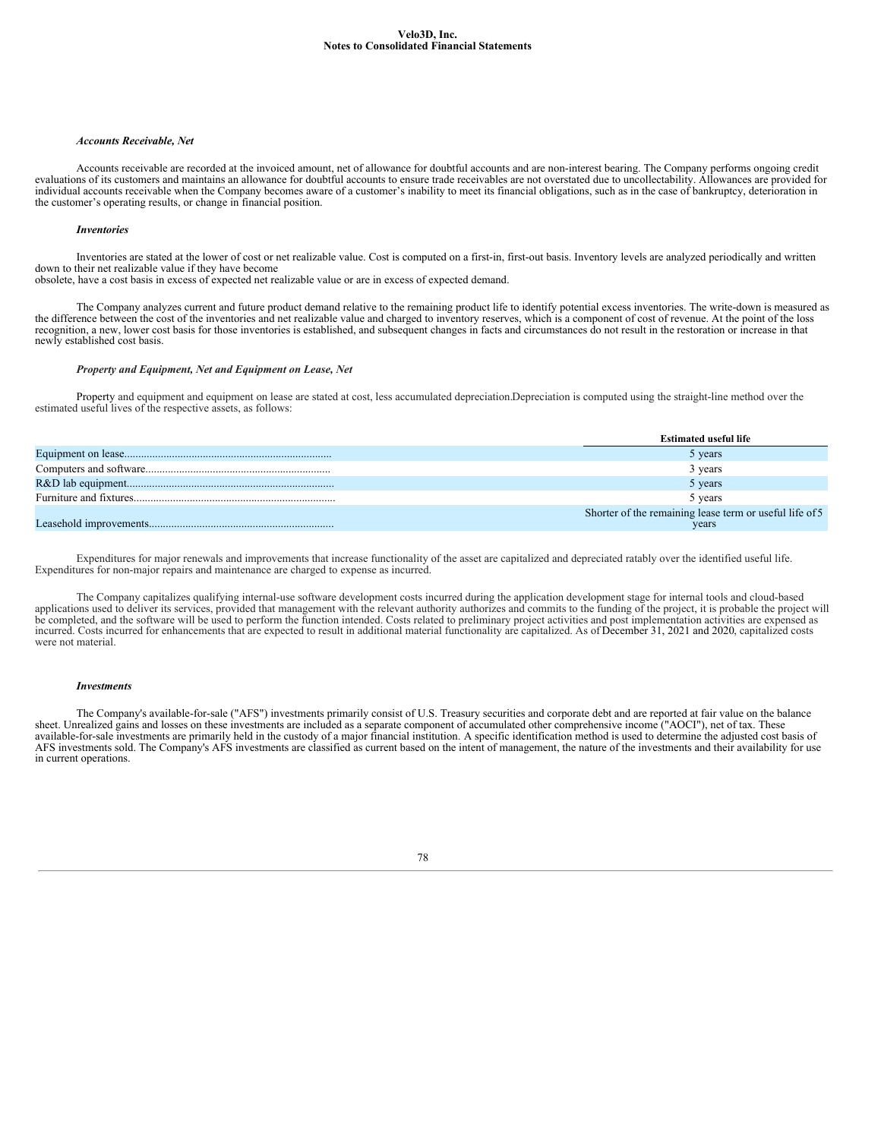### *Accounts Receivable, Net*

Accounts receivable are recorded at the invoiced amount, net of allowance for doubtful accounts and are non-interest bearing. The Company performs ongoing credit evaluations of its customers and maintains an allowance for the customer's operating results, or change in financial position.

#### *Inventories*

Inventories are stated at the lower of cost or net realizable value. Cost is computed on a first-in, first-out basis. Inventory levels are analyzed periodically and written down to their net realizable value if they have become

obsolete, have a cost basis in excess of expected net realizable value or are in excess of expected demand.

The Company analyzes current and future product demand relative to the remaining product life to identify potential excess inventories. The write-down is measured as the difference between the cost of the inventories and net realizable value and charged to inventory reserves, which is a component of cost of revenue. At the point of the loss recognition, a new, lower cost basis for those inventories is established, and subsequent changes in facts and circumstances do not result in the restoration or increase in that newly established cost basis.

### *Property and Equipment, Net and Equipment on Lease, Net*

Property and equipment and equipment on lease are stated at cost, less accumulated depreciation.Depreciation is computed using the straight-line method over the estimated useful lives of the respective assets, as follows:

| Estimated useful life                                   |
|---------------------------------------------------------|
| 5 years                                                 |
| 3 years                                                 |
| 5 years                                                 |
| 5 years                                                 |
| Shorter of the remaining lease term or useful life of 5 |
| years                                                   |

Expenditures for major renewals and improvements that increase functionality of the asset are capitalized and depreciated ratably over the identified useful life. Expenditures for non-major repairs and maintenance are charged to expense as incurred.

The Company capitalizes qualifying internal-use software development costs incurred during the application development stage for internal tools and cloud-based applications used to deliver its services, provided that management with the relevant authority authorizes and commits to the funding of the project, it is probable the project will<br>be completed, and the software will be u were not material.

### *Investments*

The Company's available-for-sale ("AFS") investments primarily consist of U.S. Treasury securities and corporate debt and are reported at fair value on the balance sheet. Unrealized gains and losses on these investments are included as a separate component of accumulated other comprehensive income ("AOCI"), net of tax. These available-for-sale investments are primarily held in the custody of a major financial institution. A specific identification method is used to determine the adjusted cost basis of AFS investments sold. The Company's AFS investments are classified as current based on the intent of management, the nature of the investments and their availability for use in current operations.

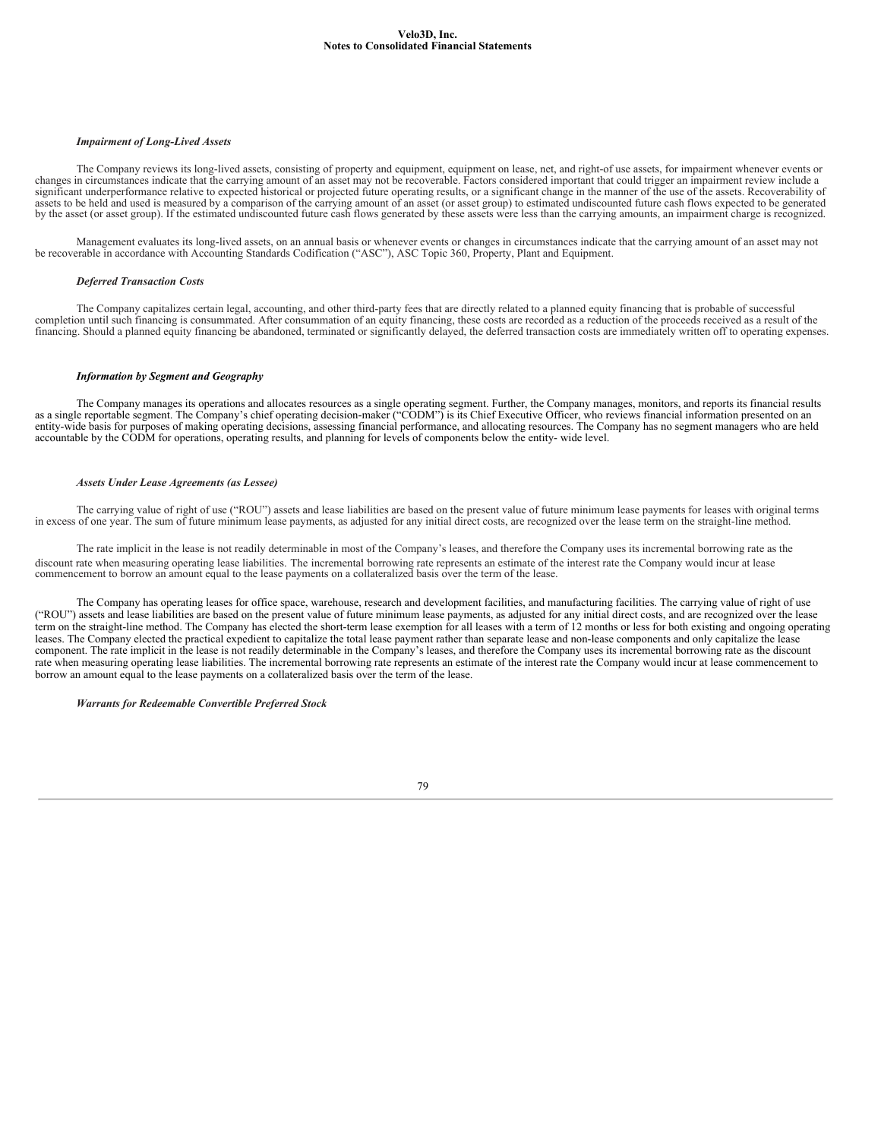### *Impairment of Long-Lived Assets*

The Company reviews its long-lived assets, consisting of property and equipment, equipment on lease, net, and right-of use assets, for impairment whenever events or changes in circumstances indicate that the carrying amount of an asset may not be recoverable. Factors considered important that could trigger an impairment review include a significant underperformance relative to expected historical or projected future operating results, or a significant change in the manner of the use of the assets. Recoverability of assets to be held and used is measured by a comparison of the carrying amount of an asset (or asset group) to estimated undiscounted future cash flows expected to be generated by the asset (or asset (or asset group). If th

Management evaluates its long-lived assets, on an annual basis or whenever events or changes in circumstances indicate that the carrying amount of an asset may not be recoverable in accordance with Accounting Standards Codification ("ASC"), ASC Topic 360, Property, Plant and Equipment.

### *Deferred Transaction Costs*

The Company capitalizes certain legal, accounting, and other third-party fees that are directly related to a planned equity financing that is probable of successful completion until such financing is consummated. After con financing. Should a planned equity financing be abandoned, terminated or significantly delayed, the deferred transaction costs are immediately written off to operating expenses.

### *Information by Segment and Geography*

The Company manages its operations and allocates resources as a single operating segment. Further, the Company manages, monitors, and reports its financial results as a single reportable segment. The Company's chief operat entity-wide basis for purposes of making operating decisions, assessing financial performance, and allocating resources. The Company has no segment managers who are held accountable by the CODM for operations, operating re

### *Assets Under Lease Agreements (as Lessee)*

The carrying value of right of use ("ROU") assets and lease liabilities are based on the present value of future minimum lease payments for leases with original terms in excess of one year. The sum of future minimum lease payments, as adjusted for any initial direct costs, are recognized over the lease term on the straight-line method.

The rate implicit in the lease is not readily determinable in most of the Company's leases, and therefore the Company uses its incremental borrowing rate as the discount rate when measuring operating lease liabilities. The incremental borrowing rate represents an estimate of the interest rate the Company would incur at lease commencement to borrow an amount equal to the lease payments on a collateralized basis over the term of the lease.

The Company has operating leases for office space, warehouse, research and development facilities, and manufacturing facilities. The carrying value of right of use ("ROU") assets and lease liabilities are based on the present value of future minimum lease payments, as adjusted for any initial direct costs, and are recognized over the lease term on the straight-line method. The Company has elected the short-term lease exemption for all leases with a term of 12 months or less for both existing and ongoing operating leases. The Company elected the practical expedient to capitalize the total lease payment rather than separate lease and non-lease components and only capitalize the lease component. The rate implicit in the lease is not readily determinable in the Company's leases, and therefore the Company uses its incremental borrowing rate as the discount rate when measuring operating lease liabilities. The incremental borrowing rate represents an estimate of the interest rate the Company would incur at lease commencement to borrow an amount equal to the lease payments on a collateralized basis over the term of the lease.

### *Warrants for Redeemable Convertible Preferred Stock*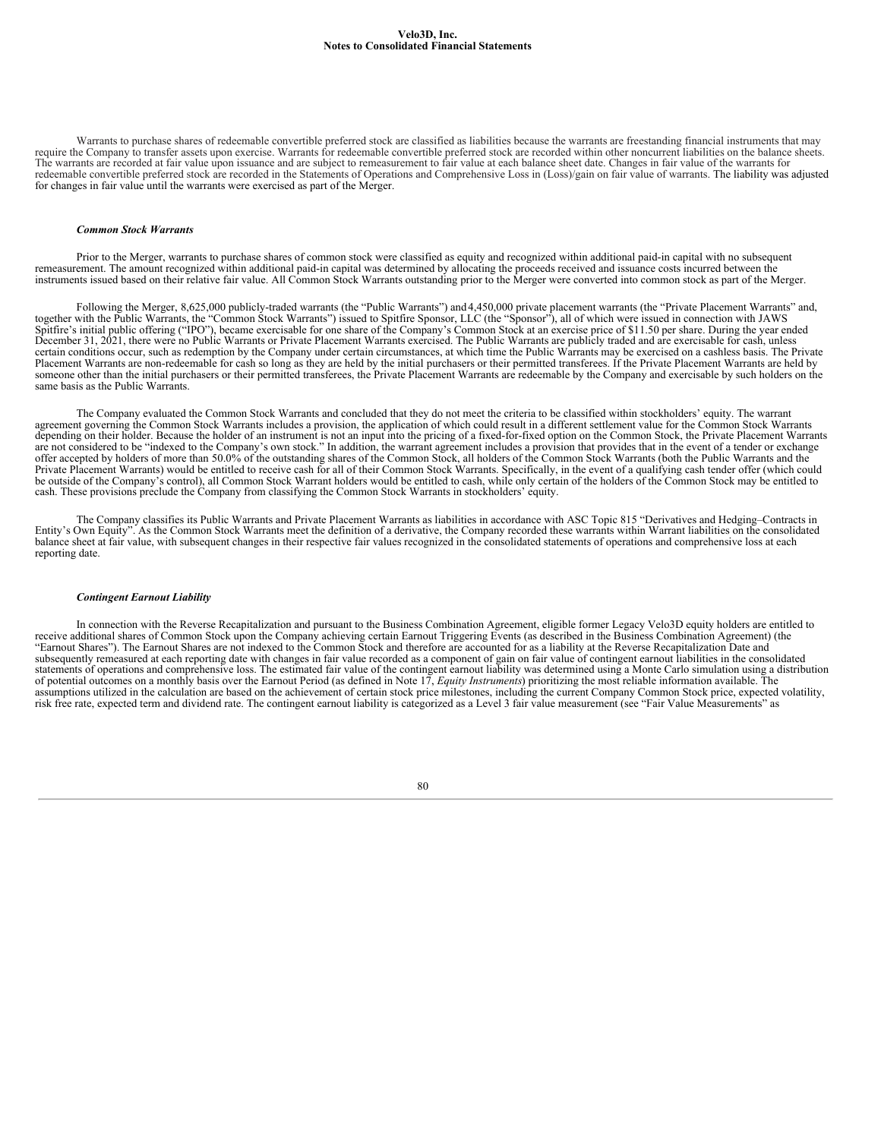Warrants to purchase shares of redeemable convertible preferred stock are classified as liabilities because the warrants are freestanding financial instruments that may require the Company to transfer assets upon exercise. Warrants for redeemable convertible preferred stock are recorded within other noncurrent liabilities on the balance sheets. The warrants are recorded at fair value upon issuance and are subject to remeasurement to fair value at each balance sheet date. Changes in fair value of the warrants for redeemable convertible preferred stock are recorded in the Statements of Operations and Comprehensive Loss in (Loss)/gain on fair value of warrants. The liability was adjusted for changes in fair value until the warrants were exercised as part of the Merger.

### *Common Stock Warrants*

Prior to the Merger, warrants to purchase shares of common stock were classified as equity and recognized within additional paid-in capital with no subsequent remeasurement. The amount recognized within additional paid-in capital was determined by allocating the proceeds received and issuance costs incurred between the instruments issued based on their relative fair value. All Common Stock Warrants outstanding prior to the Merger were converted into common stock as part of the Merger.

Following the Merger, 8,625,000 publicly-traded warrants (the "Public Warrants") and 4,450,000 private placement warrants (the "Private Placement Warrants" and, together with the Public Warrants, the "Common Stock Warrants") issued to Spitfire Sponsor, LLC (the "Sponsor"), all of which were issued in connection with JAWS<br>Spitfire's initial public offering ("IPO"), became exercisab December 31, 2021, there were no Public Warrants or Private Placement Warrants exercised. The Public Warrants are publicly traded and are exercisable for cash, unless certain conditions occur, such as redemption by the Company under certain circumstances, at which time the Public Warrants may be exercised on a cashless basis. The Private Placement Warrants are non-redeemable for cash so long as they are held by the initial purchasers or their permitted transferees. If the Private Placement Warrants are held by someone other than the initial purchasers or their permitted transferees, the Private Placement Warrants are redeemable by the Company and exercisable by such holders on the same basis as the Public Warrants.

The Company evaluated the Common Stock Warrants and concluded that they do not meet the criteria to be classified within stockholders' equity. The warrant agreement governing the Common Stock Warrants includes a provision, the application of which could result in a different settlement value for the Common Stock Warrants depending on their holder. Because the holder of an instrument is not an input into the pricing of a fixed-for-fixed option on the Common Stock, the Private Placement Warrants are not considered to be "indexed to the Compa Private Placement Warrants) would be entitled to receive cash for all of their Common Stock Warrants. Specifically, in the event of a qualifying cash tender offer (which could be outside of the Company's control), all Common Stock Warrant holders would be entitled to cash, while only certain of the holders of the Common Stock may be entitled to cash. These provisions preclude the Company from classifying the Common Stock Warrants in stockholders' equity.

The Company classifies its Public Warrants and Private Placement Warrants as liabilities in accordance with ASC Topic 815 "Derivatives and Hedging–Contracts in Entity's Own Equity". As the Common Stock Warrants meet the definition of a derivative, the Company recorded these warrants within Warrant liabilities on the consolidated balance sheet at fair value, with subsequent changes in their respective fair values recognized in the consolidated statements of operations and comprehensive loss at each reporting date.

#### *Contingent Earnout Liability*

In connection with the Reverse Recapitalization and pursuant to the Business Combination Agreement, eligible former Legacy Velo3D equity holders are entitled to receive additional shares of Common Stock upon the Company achieving certain Earnout Triggering Events (as described in the Business Combination Agreement) (the "Earnout Shares"). The Earnout Shares are not indexed to the Common Stock and therefore are accounted for as a liability at the Reverse Recapitalization Date and subsequently remeasured at each reporting date with changes in fair value recorded as a component of gain on fair value of contingent earnout liabilities in the consolidated<br>statements of operations and comprehensive loss. risk free rate, expected term and dividend rate. The contingent earnout liability is categorized as a Level 3 fair value measurement (see "Fair Value Measurements" as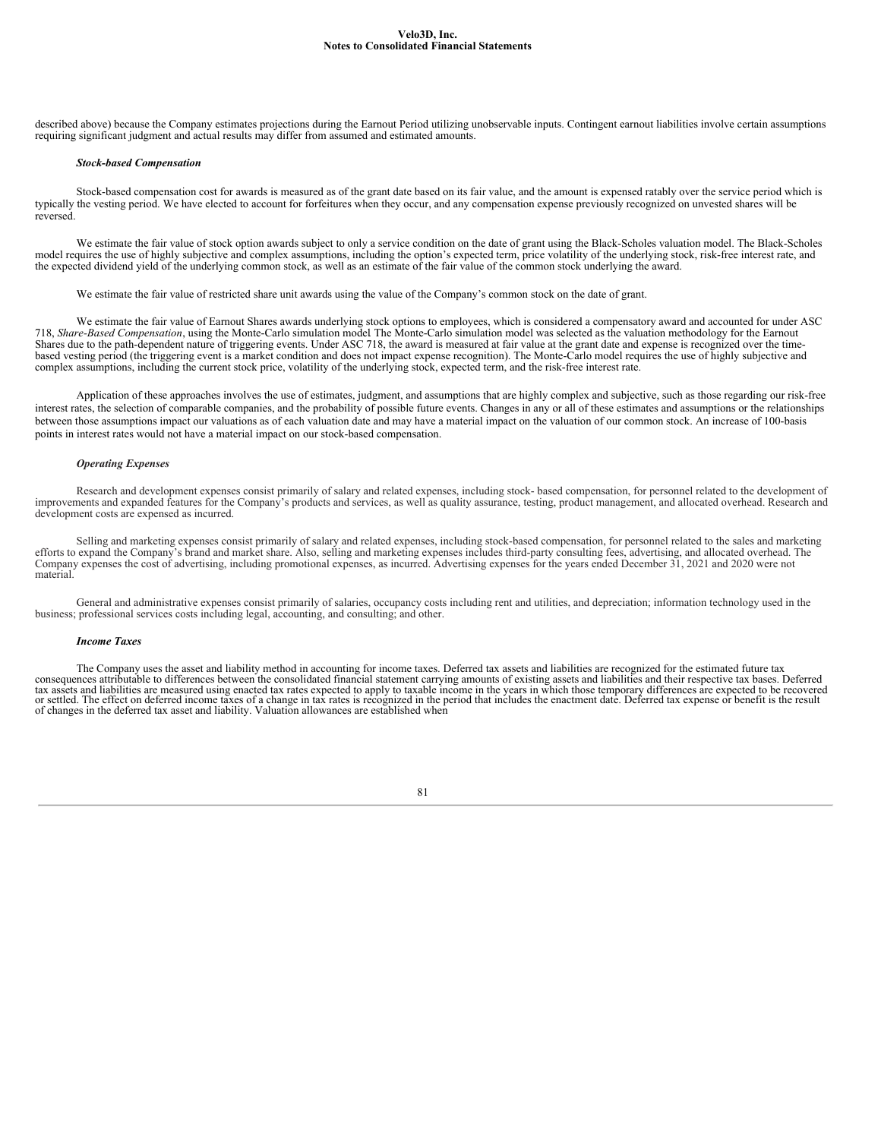described above) because the Company estimates projections during the Earnout Period utilizing unobservable inputs. Contingent earnout liabilities involve certain assumptions requiring significant judgment and actual results may differ from assumed and estimated amounts.

### *Stock-based Compensation*

Stock-based compensation cost for awards is measured as of the grant date based on its fair value, and the amount is expensed ratably over the service period which is typically the vesting period. We have elected to account for forfeitures when they occur, and any compensation expense previously recognized on unvested shares will be reversed.

We estimate the fair value of stock option awards subject to only a service condition on the date of grant using the Black-Scholes valuation model. The Black-Scholes model requires the use of highly subjective and complex assumptions, including the option's expected term, price volatility of the underlying stock, risk-free interest rate, and the expected dividend yield of the underlying common stock, as well as an estimate of the fair value of the common stock underlying the award.

We estimate the fair value of restricted share unit awards using the value of the Company's common stock on the date of grant.

We estimate the fair value of Earnout Shares awards underlying stock options to employees, which is considered a compensatory award and accounted for under ASC 718, Share-Based Compensation, using the Monte-Carlo simulatio Shares due to the path-dependent nature of triggering events. Under ASC 718, the award is measured at fair value at the grant date and expense is recognized over the timebased vesting period (the triggering event is a market condition and does not impact expense recognition). The Monte-Carlo model requires the use of highly subjective and complex assumptions, including the current stock price, volatility of the underlying stock, expected term, and the risk-free interest rate.

Application of these approaches involves the use of estimates, judgment, and assumptions that are highly complex and subjective, such as those regarding our risk-free interest rates, the selection of comparable companies, and the probability of possible future events. Changes in any or all of these estimates and assumptions or the relationships between those assumptions impact our valuations as of each valuation date and may have a material impact on the valuation of our common stock. An increase of 100-basis points in interest rates would not have a material impact on our stock-based compensation.

### *Operating Expenses*

Research and development expenses consist primarily of salary and related expenses, including stock- based compensation, for personnel related to the development of improvements and expanded features for the Company's products and services, as well as quality assurance, testing, product management, and allocated overhead. Research and development costs are expensed as incurred.

Selling and marketing expenses consist primarily of salary and related expenses, including stock-based compensation, for personnel related to the sales and marketing efforts to expand the Company's brand and market share. Also, selling and marketing expenses includes third-party consulting fees, advertising, and allocated overhead. The Company expenses the cost of advertising, including promotional expenses, as incurred. Advertising expenses for the years ended December 31, 2021 and 2020 were not material.

General and administrative expenses consist primarily of salaries, occupancy costs including rent and utilities, and depreciation; information technology used in the business; professional services costs including legal, accounting, and consulting; and other.

### *Income Taxes*

The Company uses the asset and liability method in accounting for income taxes. Deferred tax assets and liabilities are recognized for the estimated future tax<br>consequences attributable to differences between the consolida tax assets and liabilities are measured using enacted tax rates expected to apply to taxable income in the years in which those temporary differences are expected to be recovered or settled. The effect on deferred income t of changes in the deferred tax asset and liability. Valuation allowances are established when

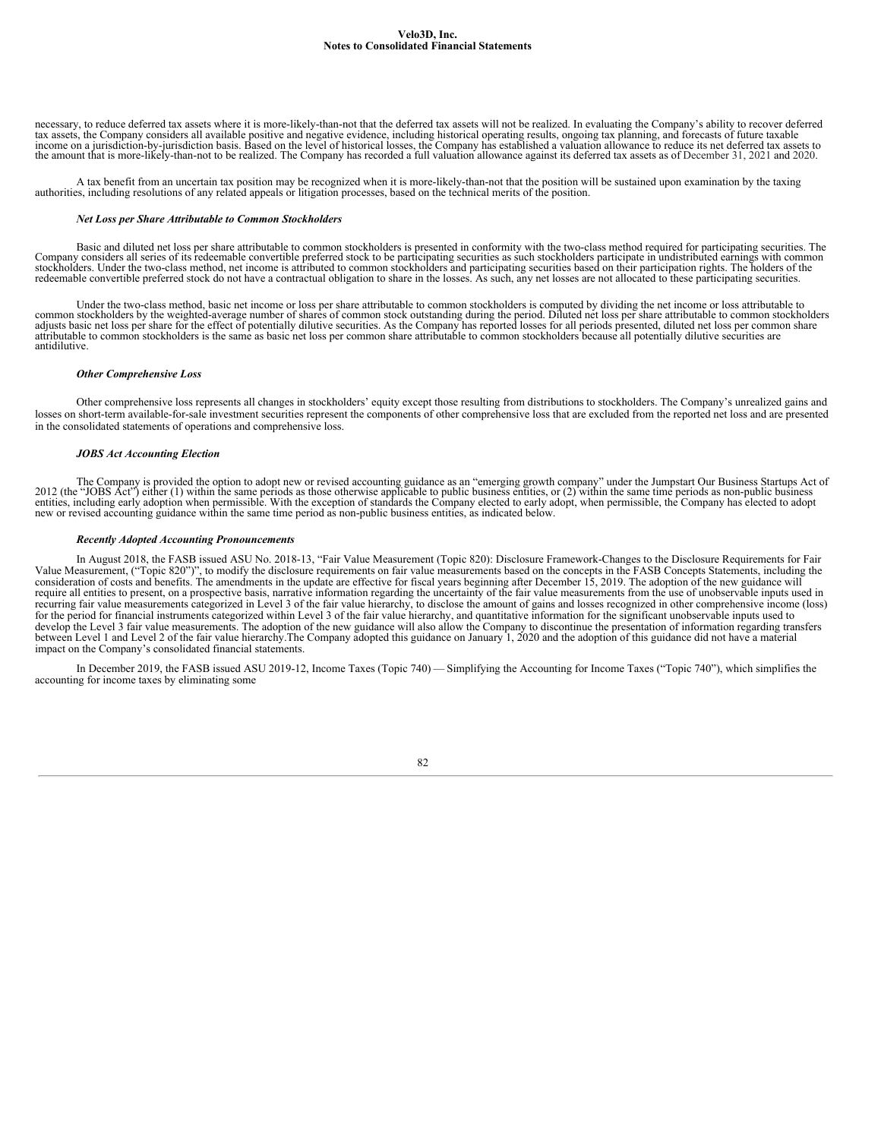necessary, to reduce deferred tax assets where it is more-likely-than-not that the deferred tax assets will not be realized. In evaluating the Company's ability to recover deferred tax assets, the Company considers all ava the amount that is more-likely-than-not to be realized. The Company has recorded a full valuation allowance against its deferred tax assets as of December 31, 2021 and 2020.

A tax benefit from an uncertain tax position may be recognized when it is more-likely-than-not that the position will be sustained upon examination by the taxing authorities, including resolutions of any related appeals or litigation processes, based on the technical merits of the position.

### *Net Loss per Share Attributable to Common Stockholders*

Basic and diluted net loss per share attributable to common stockholders is presented in conformity with the two-class method required for participating securities. The Company considers all series of its redeemable convertible preferred stock to be participating securities as such stockholders participate in undistributed earnings with common stockholders. Under the two-class method, net income is attributed to common stockholders and participating securities based on their participation rights. The holders of the redeemable convertible preferred stock do not h

Under the two-class method, basic net income or loss per share attributable to common stockholders is computed by dividing the net income or loss attributable to common stockholders by the weighted-average number of shares of common stock outstanding during the period. Diluted net loss per share attributable to common stockholders<br>adjusts basic net loss per share for the effect of attributable to common stockholders is the same as basic net loss per common share attributable to common stockholders because all potentially dilutive securities are antidilutive.

### *Other Comprehensive Loss*

Other comprehensive loss represents all changes in stockholders' equity except those resulting from distributions to stockholders. The Company's unrealized gains and losses on short-term available-for-sale investment securities represent the components of other comprehensive loss that are excluded from the reported net loss and are presented in the consolidated statements of operations and comprehensive loss.

### *JOBS Act Accounting Election*

The Company is provided the option to adopt new or revised accounting guidance as an "emerging growth company" under the Jumpstart Our Business Startups Act of<br>2012 (the "JOBS Act") either (1) within the same periods as th

### *Recently Adopted Accounting Pronouncements*

In August 2018, the FASB issued ASU No. 2018-13, "Fair Value Measurement (Topic 820): Disclosure Framework-Changes to the Disclosure Requirements for Fair Value Measurement, ("Topic 820")", to modify the disclosure requirements on fair value measurements based on the concepts in the FASB Concepts Statements, including the consideration of costs and benefits. The amendments i require all entities to present, on a prospective basis, narrative information regarding the uncertainty of the fair value measurements from the use of unobservable inputs used in recurring fair value measurements categorized in Level 3 of the fair value hierarchy, to disclose the amount of gains and losses recognized in other comprehensive income (loss) for the period for financial instruments categorized within Level 3 of the fair value hierarchy, and quantitative information for the significant unobservable inputs used to develop the Level 3 fair value measurements. The adoption of the new guidance will also allow the Company to discontinue the presentation of information regarding transfers between Level 1 and Level 2 of the fair value hierarchy. The Company adopted this guidance on January 1, 2020 and the adoption of this guidance did not have a material impact on the Company's consolidated financial statements.

In December 2019, the FASB issued ASU 2019-12, Income Taxes (Topic 740) — Simplifying the Accounting for Income Taxes ("Topic 740"), which simplifies the accounting for income taxes by eliminating some

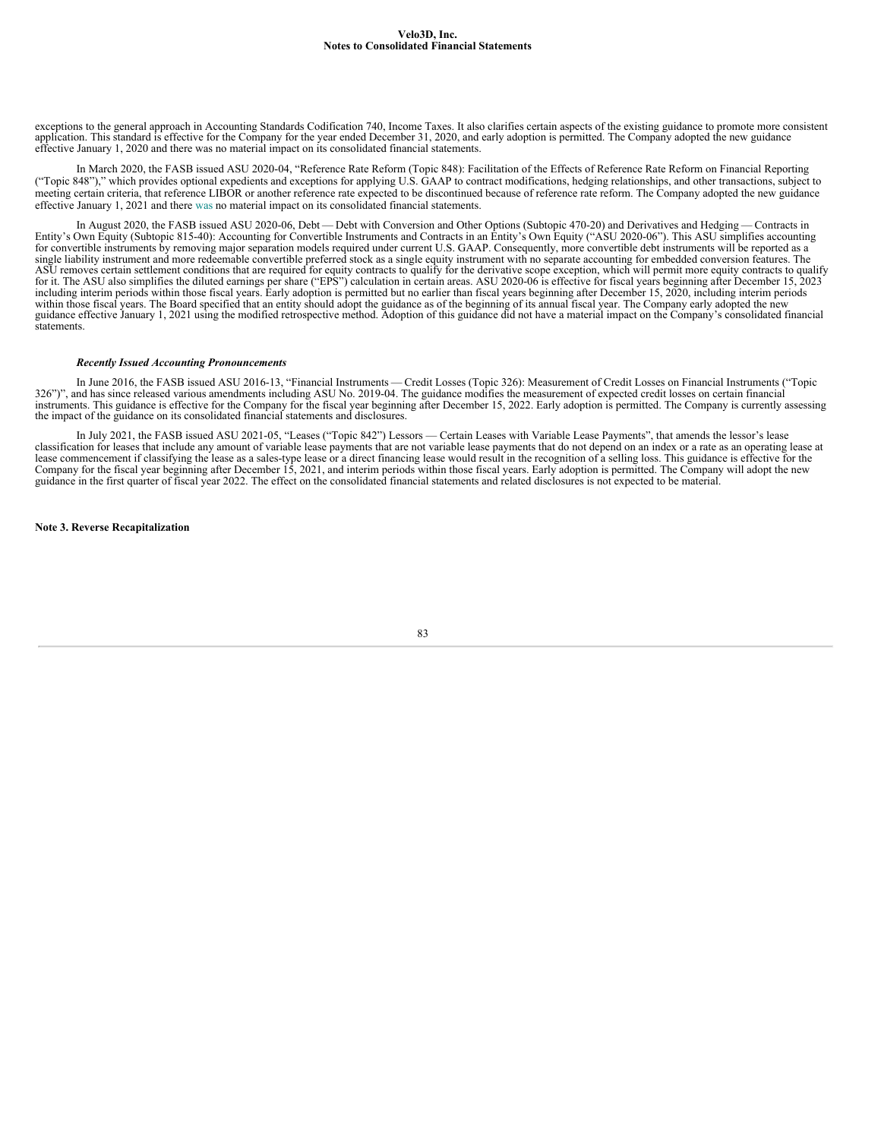exceptions to the general approach in Accounting Standards Codification 740, Income Taxes. It also clarifies certain aspects of the existing guidance to promote more consistent application. This standard is effective for the Company for the year ended December 31, 2020, and early adoption is permitted. The Company adopted the new guidance effective January 1, 2020 and there was no material impact on its consolidated financial statements.

In March 2020, the FASB issued ASU 2020-04, "Reference Rate Reform (Topic 848): Facilitation of the Effects of Reference Rate Reform on Financial Reporting ("Topic 848")," which provides optional expedients and exceptions for applying U.S. GAAP to contract modifications, hedging relationships, and other transactions, subject to meeting certain criteria, that reference LIBOR or another reference rate expected to be discontinued because of reference rate reform. The Company adopted the new guidance effective January 1, 2021 and there was no material impact on its consolidated financial statements.

In August 2020, the FASB issued ASU 2020-06. Debt — Debt with Conversion and Other Options (Subtopic 470-20) and Derivatives and Hedging — Contracts in Entity's Own Equity (Subtopic 815-40): Accounting for Convertible Instruments and Contracts in an Entity's Own Equity ("ASU 2020-06"). This ASU simplifies accounting<br>for convertible instruments by removing major separation single liability instrument and more redeemable convertible preferred stock as a single equity instrument with no separate accounting for embedded conversion features. The<br>ASU removes certain settlement conditions that are for it. The ASU also simplifies the diluted earnings per share ("EPS") calculation in certain areas. ASU 2020-06 is effective for fiscal years beginning after December 15, 2023 including interim periods within those fiscal years. Early adoption is permitted but no earlier than fiscal years beginning after December 15, 2020, including interim periods within those fiscal years. The Board specified guidance effective January 1, 2021 using the modified retrospective method. Adoption of this guidance did not have a material impact on the Company's consolidated financial statements.

### *Recently Issued Accounting Pronouncements*

In June 2016, the FASB issued ASU 2016-13, "Financial Instruments — Credit Losses (Topic 326): Measurement of Credit Losses on Financial Instruments ("Topic 326")", and has since released various amendments including ASU N instruments. This guidance is effective for the Company for the fiscal year beginning after December 15, 2022. Early adoption is permitted. The Company is currently assessing the impact of the guidance on its consolidated financial statements and disclosures.

In July 2021, the FASB issued ASU 2021-05, "Leases ("Topic 842") Lessors — Certain Leases with Variable Lease Payments", that amends the lessor's lease classification for leases that include any amount of variable lease payments that are not variable lease payments that do not depend on an index or a rate as an operating lease at lease commencement if classifying the lease as a sales-type lease or a direct financing lease would result in the recognition of a selling loss. This guidance is effective for the Company for the fiscal year beginning after December 15, 2021, and interim periods within those fiscal years. Early adoption is permitted. The Company will adopt the new guidance in the first quarter of fiscal year 2022. The effect on the consolidated financial statements and related disclosures is not expected to be material.

### **Note 3. Reverse Recapitalization**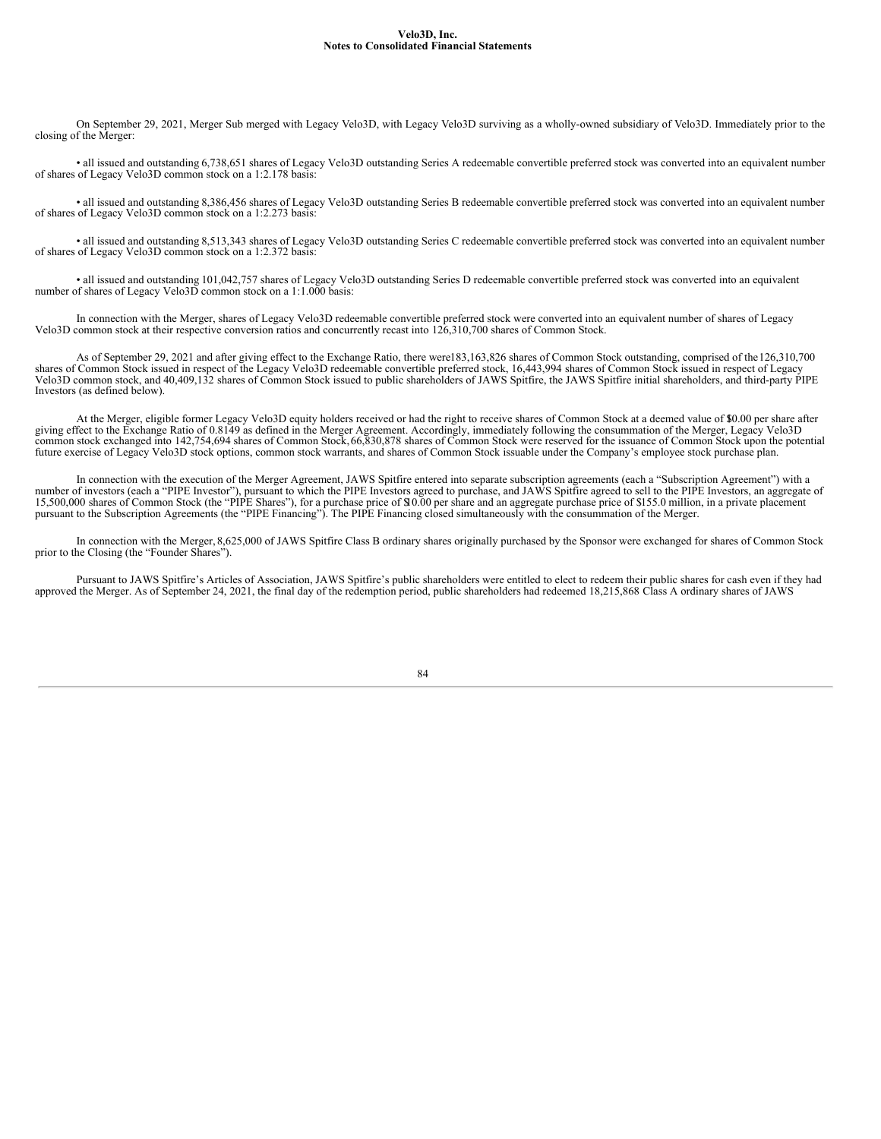On September 29, 2021, Merger Sub merged with Legacy Velo3D, with Legacy Velo3D surviving as a wholly-owned subsidiary of Velo3D. Immediately prior to the closing of the Merger:

• all issued and outstanding 6,738,651 shares of Legacy Velo3D outstanding Series A redeemable convertible preferred stock was converted into an equivalent number of shares of Legacy Velo3D common stock on a 1:2.178 basis:

• all issued and outstanding 8,386,456 shares of Legacy Velo3D outstanding Series B redeemable convertible preferred stock was converted into an equivalent number of shares of Legacy Velo3D common stock on a 1:2.273 basis:

• all issued and outstanding 8,513,343 shares of Legacy Velo3D outstanding Series C redeemable convertible preferred stock was converted into an equivalent number of shares of Legacy Velo3D common stock on a 1:2.372 basis:

• all issued and outstanding 101,042,757 shares of Legacy Velo3D outstanding Series D redeemable convertible preferred stock was converted into an equivalent number of shares of Legacy Velo3D common stock on a 1:1.000 basis:

In connection with the Merger, shares of Legacy Velo3D redeemable convertible preferred stock were converted into an equivalent number of shares of Legacy Velo3D common stock at their respective conversion ratios and concurrently recast into 126,310,700 shares of Common Stock.

As of September 29, 2021 and after giving effect to the Exchange Ratio, there were183,163,826 shares of Common Stock outstanding, comprised of the 126,310,700 shares of Common Stock issued in respect of the Legacy Velo3D r Velo3D common stock, and 40,409,132 shares of Common Stock issued to public shareholders of JAWS Spitfire, the JAWS Spitfire initial shareholders, and third-party PIPE Investors (as defined below).

At the Merger, eligible former Legacy Velo3D equity holders received or had the right to receive shares of Common Stock at a deemed value of \$0.00 per share after<br>giving effect to the Exchange Ratio of 0.8149 as defined in future exercise of Legacy Velo3D stock options, common stock warrants, and shares of Common Stock issuable under the Company's employee stock purchase plan.

In connection with the execution of the Merger Agreement, JAWS Spitfire entered into separate subscription agreements (each a "Subscription Agreement") with a<br>number of investors (each a "PIPE Investor"), pursuant to which

In connection with the Merger, 8,625,000 of JAWS Spitfire Class B ordinary shares originally purchased by the Sponsor were exchanged for shares of Common Stock prior to the Closing (the "Founder Shares").

Pursuant to JAWS Spitfire's Articles of Association, JAWS Spitfire's public shareholders were entitled to elect to redeem their public shares for cash even if they had approved the Merger. As of September 24, 2021, the final day of the redemption period, public shareholders had redeemed 18,215,868 Class A ordinary shares of JAWS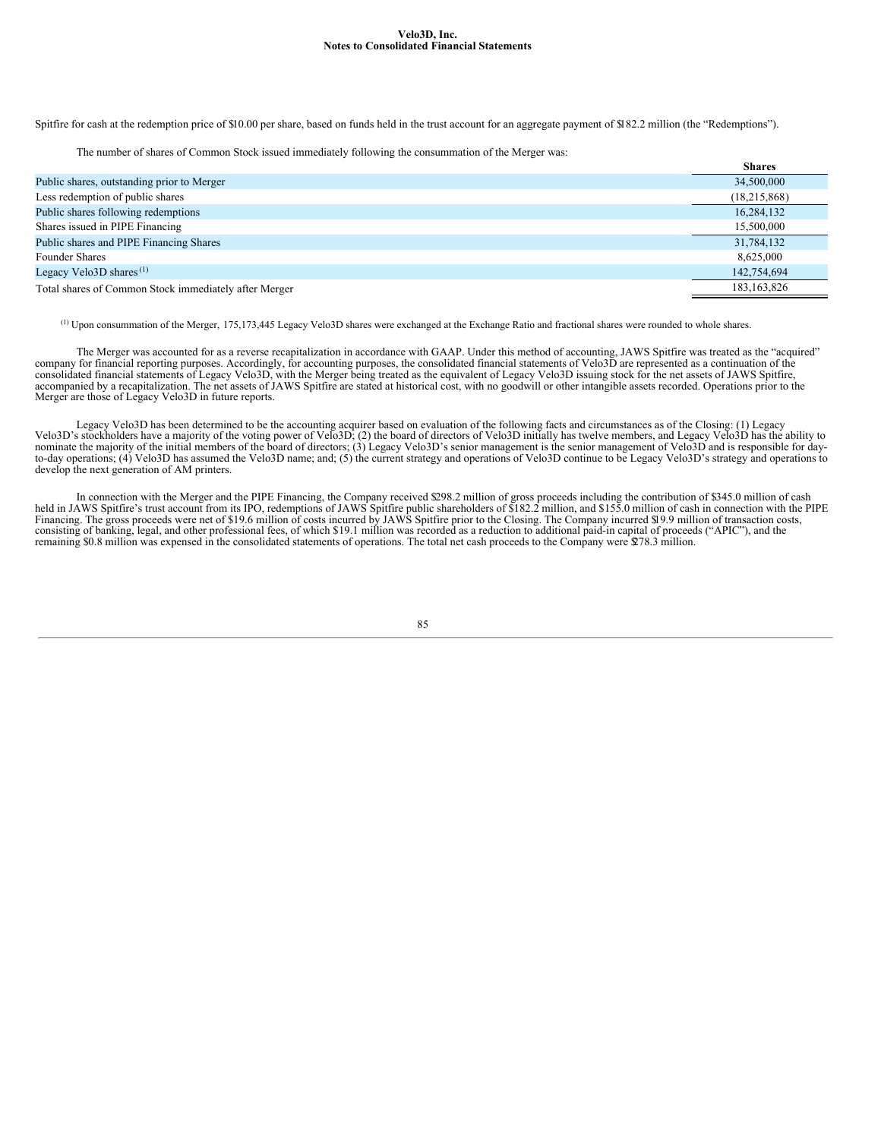Spitfire for cash at the redemption price of \$10.00 per share, based on funds held in the trust account for an aggregate payment of \$182.2 million (the "Redemptions").

The number of shares of Common Stock issued immediately following the consummation of the Merger was:

|                                                       | <b>Shares</b> |
|-------------------------------------------------------|---------------|
| Public shares, outstanding prior to Merger            | 34,500,000    |
| Less redemption of public shares                      | (18,215,868)  |
| Public shares following redemptions                   | 16,284,132    |
| Shares issued in PIPE Financing                       | 15,500,000    |
| Public shares and PIPE Financing Shares               | 31,784,132    |
| <b>Founder Shares</b>                                 | 8,625,000     |
| Legacy Velo3D shares <sup>(1)</sup>                   | 142,754,694   |
| Total shares of Common Stock immediately after Merger | 183, 163, 826 |

 $^{(1)}$  Upon consummation of the Merger, 175,173,445 Legacy Velo3D shares were exchanged at the Exchange Ratio and fractional shares were rounded to whole shares.

The Merger was accounted for as a reverse recapitalization in accordance with GAAP. Under this method of accounting, JAWS Spitfire was treated as the "acquired" company for financial reporting purposes. Accordingly, for ac consolidated financial statements of Legacy Velo3D, with the Merger being treated as the equivalent of Legacy Velo3D issuing stock for the net assets of JAWS Spitfire, accompanied by a recapitalization. The net assets of JAWS Spitfire are stated at historical cost, with no goodwill or other intangible assets recorded. Operations prior to the Merger are those of Legacy Velo3D in future re

Legacy Velo3D has been determined to be the accounting acquirer based on evaluation of the following facts and circumstances as of the Closing: (1) Legacy Velo3D's stockholders have a majority of the voting power of Velo3D; (2) the board of directors of Velo3D initially has twelve members, and Legacy Velo3D has the ability to nominate the majority of the initial members of t to-day operations; (4) Velo3D has assumed the Velo3D name; and; (5) the current strategy and operations of Velo3D continue to be Legacy Velo3D's strategy and operations to develop the next generation of AM printers.

In connection with the Merger and the PIPE Financing, the Company received \$298.2 million of gross proceeds including the contribution of \$345.0 million of cash<br>held in JAWS Spitfire's trust account from its IPO, redemptio consisting of banking, legal, and other professional fees, of which \$19.1 million was recorded as a reduction to additional paid-in capital of proceeds ("APIC"), and the remaining \$0.8 million was expensed in the consolidated statements of operations. The total net cash proceeds to the Company were \$278.3 million.

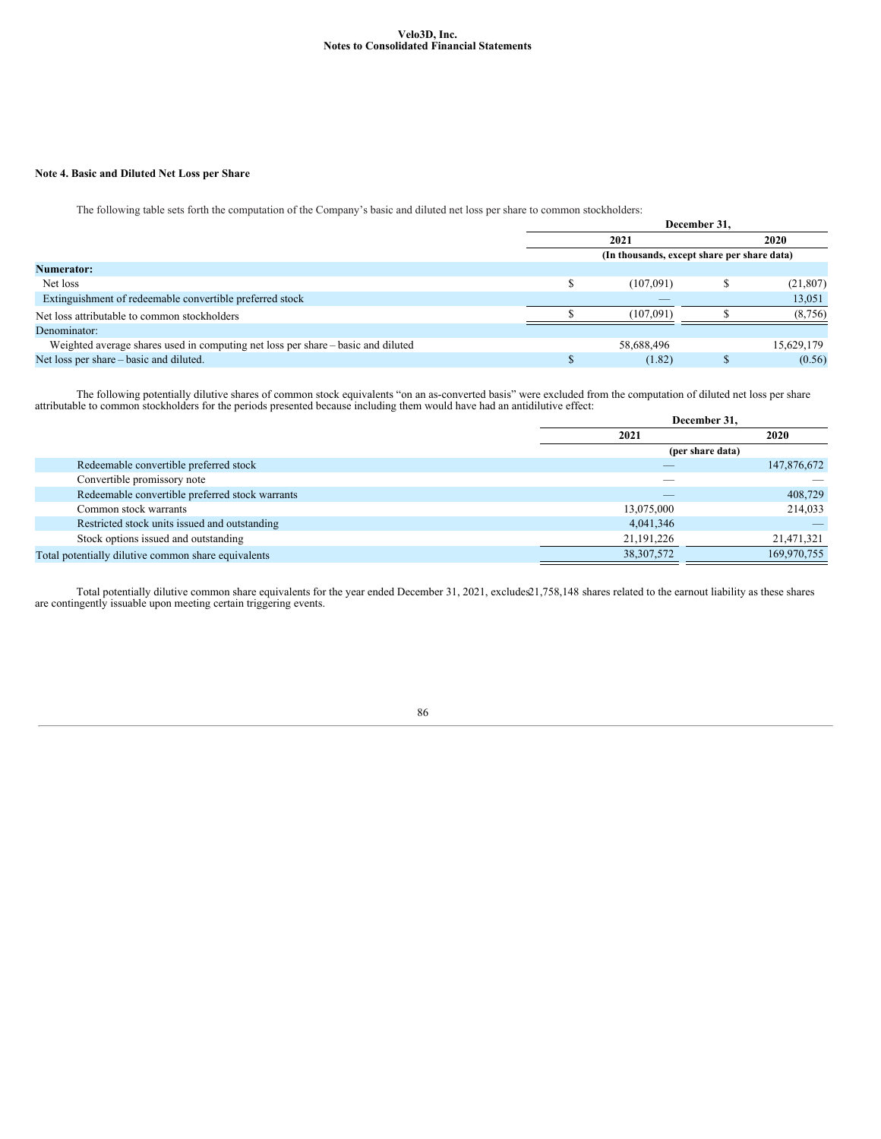### **Note 4. Basic and Diluted Net Loss per Share**

The following table sets forth the computation of the Company's basic and diluted net loss per share to common stockholders:

|                                                                                  | December 31.                                |  |             |  |  |
|----------------------------------------------------------------------------------|---------------------------------------------|--|-------------|--|--|
|                                                                                  | 2021                                        |  | <b>2020</b> |  |  |
|                                                                                  | (In thousands, except share per share data) |  |             |  |  |
| <b>Numerator:</b>                                                                |                                             |  |             |  |  |
| Net loss                                                                         | (107,091)                                   |  | (21, 807)   |  |  |
| Extinguishment of redeemable convertible preferred stock                         | _                                           |  | 13,051      |  |  |
| Net loss attributable to common stockholders                                     | (107.091)                                   |  | (8,756)     |  |  |
| Denominator:                                                                     |                                             |  |             |  |  |
| Weighted average shares used in computing net loss per share – basic and diluted | 58,688,496                                  |  | 15,629,179  |  |  |
| Net loss per share – basic and diluted.                                          | (1.82)                                      |  | (0.56)      |  |  |

The following potentially dilutive shares of common stock equivalents "on an as-converted basis" were excluded from the computation of diluted net loss per share attributable to common stockholders for the periods presented because including them would have had an antidilutive effect: **December 31,**

|                                                     | December 31. |                  |  |
|-----------------------------------------------------|--------------|------------------|--|
|                                                     | 2021         | <b>2020</b>      |  |
|                                                     |              | (per share data) |  |
| Redeemable convertible preferred stock              |              | 147,876,672      |  |
| Convertible promissory note                         | __           |                  |  |
| Redeemable convertible preferred stock warrants     | _            | 408,729          |  |
| Common stock warrants                               | 13,075,000   | 214,033          |  |
| Restricted stock units issued and outstanding       | 4,041,346    |                  |  |
| Stock options issued and outstanding                | 21, 191, 226 | 21,471,321       |  |
| Total potentially dilutive common share equivalents | 38, 307, 572 | 169,970,755      |  |
|                                                     |              |                  |  |

Total potentially dilutive common share equivalents for the year ended December 31, 2021, excludes21,758,148 shares related to the earnout liability as these shares are contingently issuable upon meeting certain triggering events.

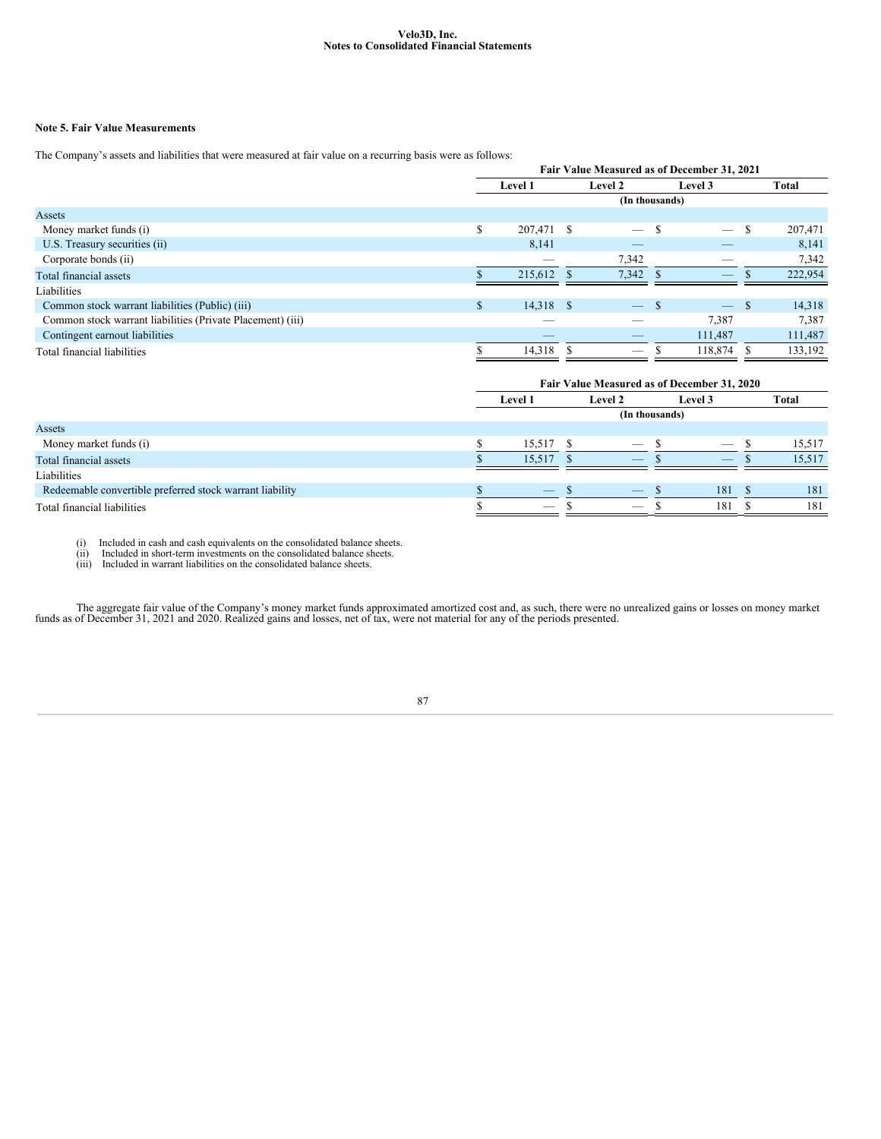### **Note 5. Fair Value Measurements**

The Company's assets and liabilities that were measured at fair value on a recurring basis were as follows:

|                                                            | Fair Value Measured as of December 31, 2021 |                          |  |                                 |      |                                 |               |              |
|------------------------------------------------------------|---------------------------------------------|--------------------------|--|---------------------------------|------|---------------------------------|---------------|--------------|
|                                                            |                                             | <b>Level 1</b>           |  | Level 2                         |      | Level 3                         |               | <b>Total</b> |
|                                                            |                                             |                          |  | (In thousands)                  |      |                                 |               |              |
| Assets                                                     |                                             |                          |  |                                 |      |                                 |               |              |
| Money market funds (i)                                     | \$                                          | 207,471 \$               |  | $\hspace{0.1mm}-\hspace{0.1mm}$ |      | $\overline{\phantom{0}}$        | \$.           | 207,471      |
| U.S. Treasury securities (ii)                              |                                             | 8,141                    |  |                                 |      |                                 |               | 8,141        |
| Corporate bonds (ii)                                       |                                             |                          |  | 7,342                           |      |                                 |               | 7,342        |
| Total financial assets                                     |                                             | 215,612 \$               |  | 7,342 \$                        |      | $\hspace{0.1mm}-\hspace{0.1mm}$ |               | 222,954      |
| Liabilities                                                |                                             |                          |  |                                 |      |                                 |               |              |
| Common stock warrant liabilities (Public) (iii)            | \$                                          | $14,318$ \$              |  |                                 | - \$ | $\overline{\phantom{m}}$        | <sup>\$</sup> | 14,318       |
| Common stock warrant liabilities (Private Placement) (iii) |                                             | $\overline{\phantom{a}}$ |  | _                               |      | 7,387                           |               | 7,387        |
| Contingent earnout liabilities                             |                                             | $\qquad \qquad - \qquad$ |  |                                 |      | 111,487                         |               | 111,487      |
| Total financial liabilities                                |                                             | 14,318                   |  | $\overline{\phantom{a}}$        |      | 118,874                         |               | 133,192      |

|                                                          | Fair Value Measured as of December 31, 2020 |                                 |  |                                 |  |                                 |              |        |
|----------------------------------------------------------|---------------------------------------------|---------------------------------|--|---------------------------------|--|---------------------------------|--------------|--------|
|                                                          |                                             | Level 1                         |  | Level 2                         |  | <b>Level 3</b>                  |              | Total  |
|                                                          |                                             |                                 |  | (In thousands)                  |  |                                 |              |        |
| Assets                                                   |                                             |                                 |  |                                 |  |                                 |              |        |
| Money market funds (i)                                   |                                             | 15,517                          |  | $\hspace{0.1mm}-\hspace{0.1mm}$ |  | $\hspace{0.1mm}-\hspace{0.1mm}$ |              | 15,517 |
| Total financial assets                                   |                                             | 15.517                          |  | $\overline{\phantom{a}}$        |  |                                 |              | 15,517 |
| Liabilities                                              |                                             |                                 |  |                                 |  |                                 |              |        |
| Redeemable convertible preferred stock warrant liability |                                             | $\hspace{0.1mm}-\hspace{0.1mm}$ |  | $\overline{\phantom{a}}$        |  | 181                             | <sup>S</sup> | 181    |
| Total financial liabilities                              |                                             | $\overline{\phantom{a}}$        |  | $\overline{\phantom{a}}$        |  | 181                             |              | 181    |

(i) Included in cash and cash equivalents on the consolidated balance sheets.<br>(ii) Included in short-term investments on the consolidated balance sheets.<br>(iii) Included in warrant liabilities on the consolidated balance sh

The aggregate fair value of the Company's money market funds approximated amortized cost and, as such, there were no unrealized gains or losses on money market funds as of December 31, 2021 and 2020. Realized gains and los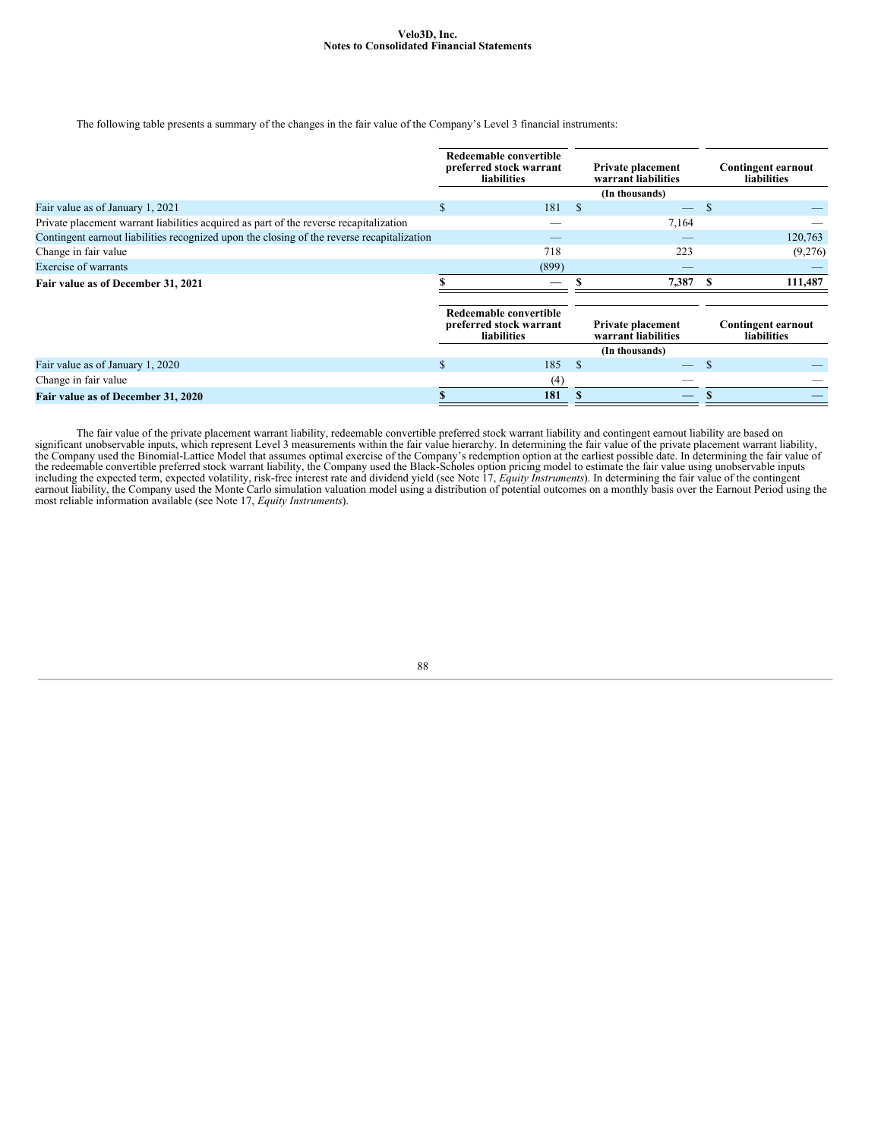The following table presents a summary of the changes in the fair value of the Company's Level 3 financial instruments:

|                                                                                            | Redeemable convertible<br>preferred stock warrant<br>liabilities | Private placement<br>warrant liabilities | Contingent earnout<br>liabilities |
|--------------------------------------------------------------------------------------------|------------------------------------------------------------------|------------------------------------------|-----------------------------------|
|                                                                                            |                                                                  | (In thousands)                           |                                   |
| Fair value as of January 1, 2021                                                           | 181<br>S                                                         | -S                                       | \$                                |
| Private placement warrant liabilities acquired as part of the reverse recapitalization     |                                                                  | 7,164                                    |                                   |
| Contingent earnout liabilities recognized upon the closing of the reverse recapitalization |                                                                  |                                          | 120,763                           |
| Change in fair value                                                                       | 718                                                              | 223                                      | (9,276)                           |
| Exercise of warrants                                                                       | (899)                                                            |                                          |                                   |
| Fair value as of December 31, 2021                                                         |                                                                  | 7,387                                    | 111,487<br>\$.                    |
|                                                                                            | Redeemable convertible<br>preferred stock warrant<br>liabilities | Private placement<br>warrant liabilities | Contingent earnout<br>liabilities |
|                                                                                            |                                                                  | (In thousands)                           |                                   |
| Fair value as of January 1, 2020                                                           | 185<br>\$.                                                       | -S                                       | \$                                |
| Change in fair value                                                                       | (4)                                                              |                                          |                                   |
| Fair value as of December 31, 2020                                                         | 181                                                              |                                          |                                   |

The fair value of the private placement warrant liability, redeemable convertible preferred stock warrant liability and contingent earnout liability are based on<br>significant unobservable inputs, which represent Level 3 mea exercing the Company used the Monte Carlo simulation valuation model using a distribution of potential outcomes on a monthly basis over the Earnout Period using the exercise of the Company used the Monte Carlo simulation v most reliable information available (see Note 17, *Equity Instruments*).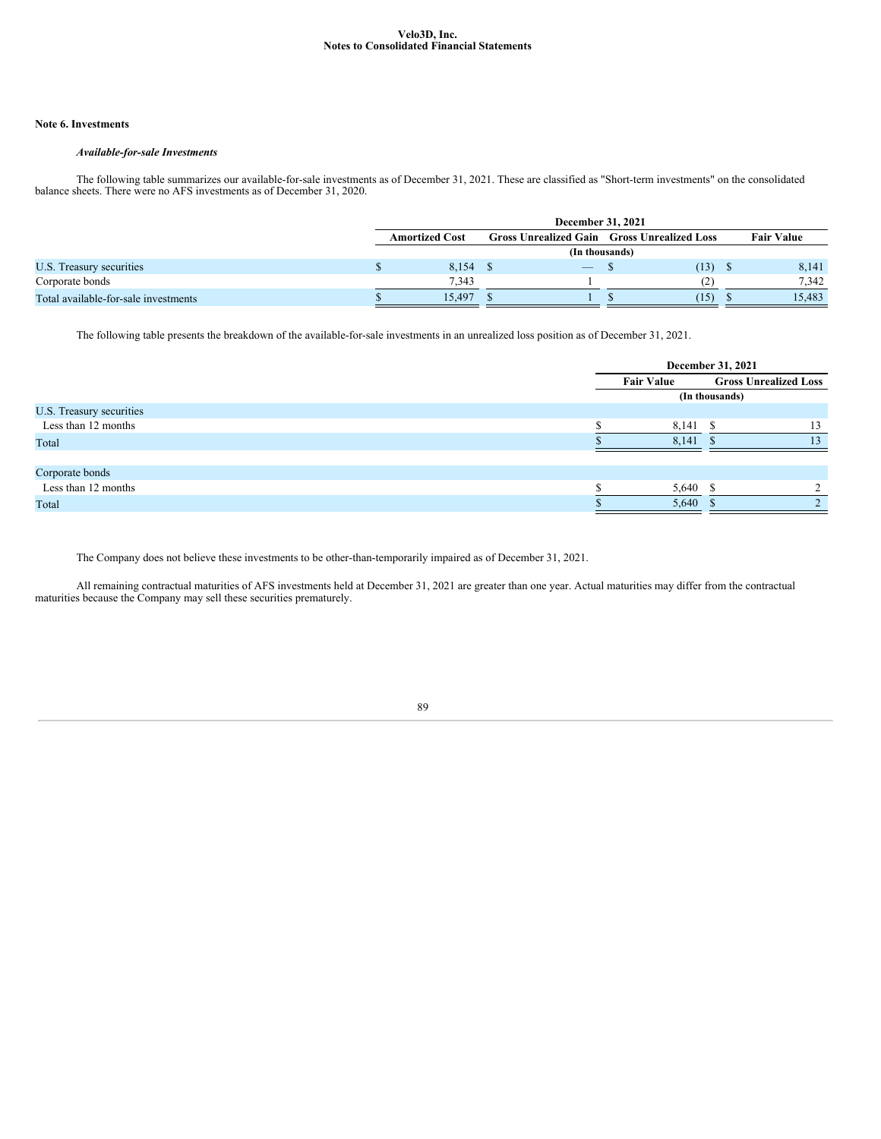### **Note 6. Investments**

### *Available-for-sale Investments*

The following table summarizes our available-for-sale investments as of December 31, 2021. These are classified as "Short-term investments" on the consolidated balance sheets. There were no AFS investments as of December 3

|                                      | December 31, 2021     |  |                                                    |  |      |                   |
|--------------------------------------|-----------------------|--|----------------------------------------------------|--|------|-------------------|
|                                      | <b>Amortized Cost</b> |  | <b>Gross Unrealized Gain Gross Unrealized Loss</b> |  |      | <b>Fair Value</b> |
|                                      |                       |  | (In thousands)                                     |  |      |                   |
| U.S. Treasury securities             | 8,154                 |  | $\hspace{0.1mm}-\hspace{0.1mm}$                    |  | (13) | 8,141             |
| Corporate bonds                      | 7.343                 |  |                                                    |  | (2)  | 7.342             |
| Total available-for-sale investments | 15.497                |  |                                                    |  | (15) | 15.483            |

The following table presents the breakdown of the available-for-sale investments in an unrealized loss position as of December 31, 2021.

|                          | December 31, 2021 |                              |  |
|--------------------------|-------------------|------------------------------|--|
|                          | <b>Fair Value</b> | <b>Gross Unrealized Loss</b> |  |
|                          |                   | (In thousands)               |  |
| U.S. Treasury securities |                   |                              |  |
| Less than 12 months      | 8,141 \$          | 13                           |  |
| Total                    | 8,141             | 13                           |  |
|                          |                   |                              |  |
| Corporate bonds          |                   |                              |  |
| Less than 12 months      | 5,640 \$          |                              |  |
| Total                    | $5,640$ \;        |                              |  |
|                          |                   |                              |  |

The Company does not believe these investments to be other-than-temporarily impaired as of December 31, 2021.

All remaining contractual maturities of AFS investments held at December 31, 2021 are greater than one year. Actual maturities may differ from the contractual maturities because the Company may sell these securities prematurely.

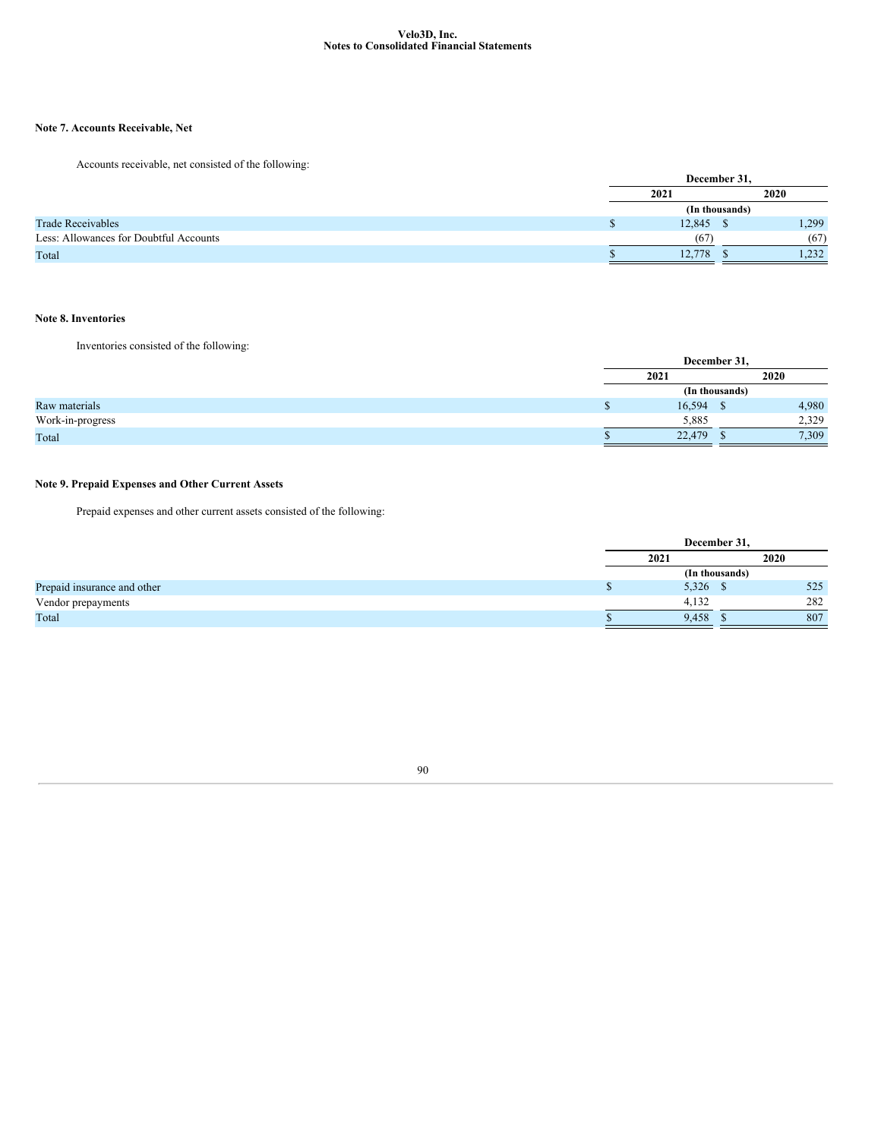### **Note 7. Accounts Receivable, Net**

Accounts receivable, net consisted of the following:

|                                        | December 31. |                |       |
|----------------------------------------|--------------|----------------|-------|
|                                        | 2021         |                | 2020  |
|                                        |              | (In thousands) |       |
| <b>Trade Receivables</b>               |              | 12,845         | 1,299 |
| Less: Allowances for Doubtful Accounts |              | (67)           | (67)  |
| Total                                  |              | 12.778         | .232  |

### **Note 8. Inventories**

Inventories consisted of the following:

|                  | December 31,   |       |  |  |
|------------------|----------------|-------|--|--|
|                  | 2021           | 2020  |  |  |
|                  | (In thousands) |       |  |  |
| Raw materials    | 16,594         | 4,980 |  |  |
| Work-in-progress | 5,885          | 2,329 |  |  |
| Total            | 22,479         | 7,309 |  |  |

### **Note 9. Prepaid Expenses and Other Current Assets**

Prepaid expenses and other current assets consisted of the following:

|                             | December 31.   |      |  |
|-----------------------------|----------------|------|--|
|                             | 2021           | 2020 |  |
|                             | (In thousands) |      |  |
| Prepaid insurance and other | 5,326          | 525  |  |
| Vendor prepayments          | 4,132          | 282  |  |
| Total                       | 9,458          | 807  |  |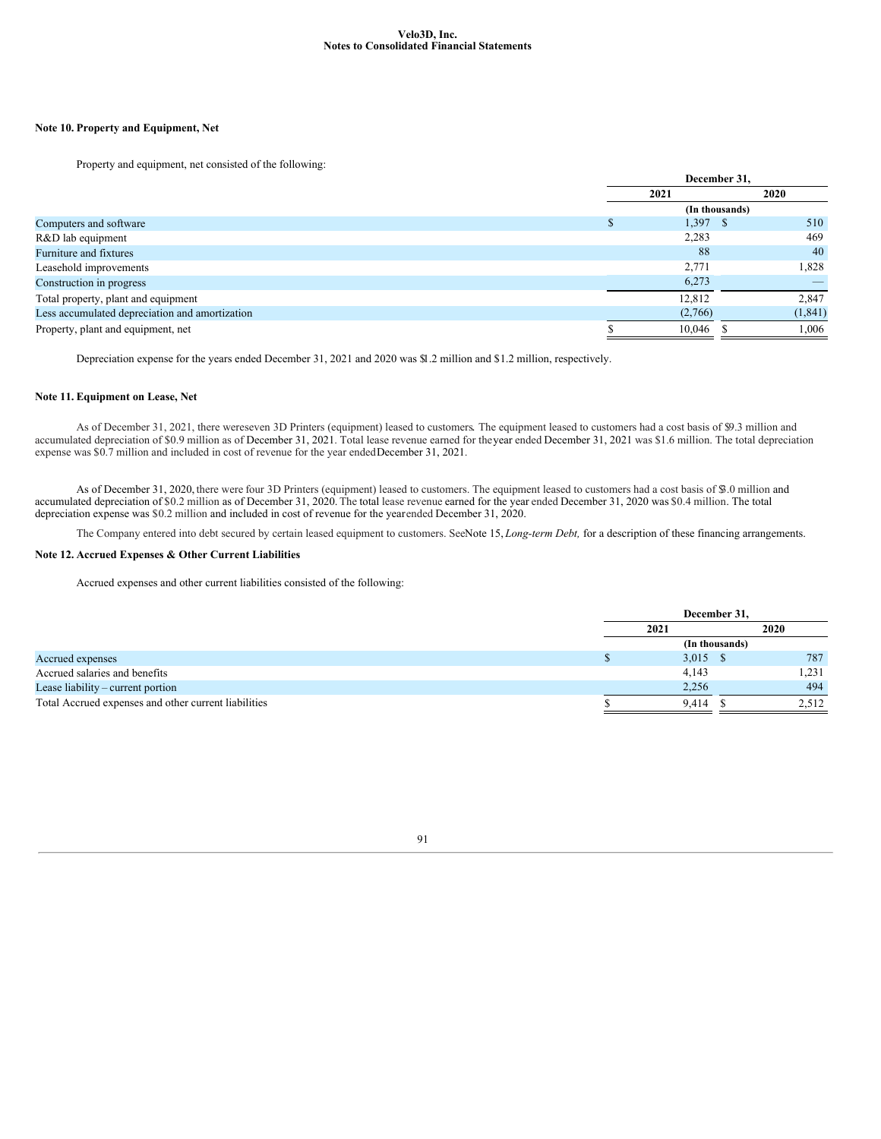### **Note 10. Property and Equipment, Net**

Property and equipment, net consisted of the following:

|                                                | December 31, |                |  |                          |
|------------------------------------------------|--------------|----------------|--|--------------------------|
|                                                | 2021         |                |  | 2020                     |
|                                                |              | (In thousands) |  |                          |
| Computers and software                         |              | $1,397$ \$     |  | 510                      |
| R&D lab equipment                              |              | 2,283          |  | 469                      |
| Furniture and fixtures                         |              | 88             |  | 40                       |
| Leasehold improvements                         |              | 2,771          |  | 1,828                    |
| Construction in progress                       |              | 6,273          |  | $\overline{\phantom{a}}$ |
| Total property, plant and equipment            |              | 12.812         |  | 2,847                    |
| Less accumulated depreciation and amortization |              | (2,766)        |  | (1, 841)                 |
| Property, plant and equipment, net             |              | 10.046         |  | 1.006                    |
|                                                |              |                |  |                          |

Depreciation expense for the years ended December 31, 2021 and 2020 was \$1.2 million and \$1.2 million, respectively.

### **Note 11. Equipment on Lease, Net**

As of December 31, 2021, there wereseven 3D Printers (equipment) leased to customers. The equipment leased to customers had a cost basis of \$9.3 million and accumulated depreciation of \$0.9 million as of December 31, 2021. Total lease revenue earned for theyear ended December 31, 2021 was \$1.6 million. The total depreciation expense was \$0.7 million and included in cost of revenue for the year endedDecember 31, 2021.

As of December 31, 2020, there were four 3D Printers (equipment) leased to customers. The equipment leased to customers had a cost basis of \$3.0 million and accumulated depreciation of \$0.2 million as of December 31, 2020. The total lease revenue earned for the year ended December 31, 2020 was \$0.4 million. The total depreciation expense was \$0.2 million and included in cost of revenue for the yearended December 31, 2020.

The Company entered into debt secured by certain leased equipment to customers. SeeNote 15, *Long-term Debt,* for a description of these financing arrangements.

### **Note 12. Accrued Expenses & Other Current Liabilities**

Accrued expenses and other current liabilities consisted of the following:

|                                                      | December 31,   |       |  |
|------------------------------------------------------|----------------|-------|--|
|                                                      | 2021           | 2020  |  |
|                                                      | (In thousands) |       |  |
| Accrued expenses                                     | $3,015$ \$     | 787   |  |
| Accrued salaries and benefits                        | 4,143          | 1,231 |  |
| Lease liability – current portion                    | 2.256          | 494   |  |
| Total Accrued expenses and other current liabilities | 9.414          | 2.512 |  |

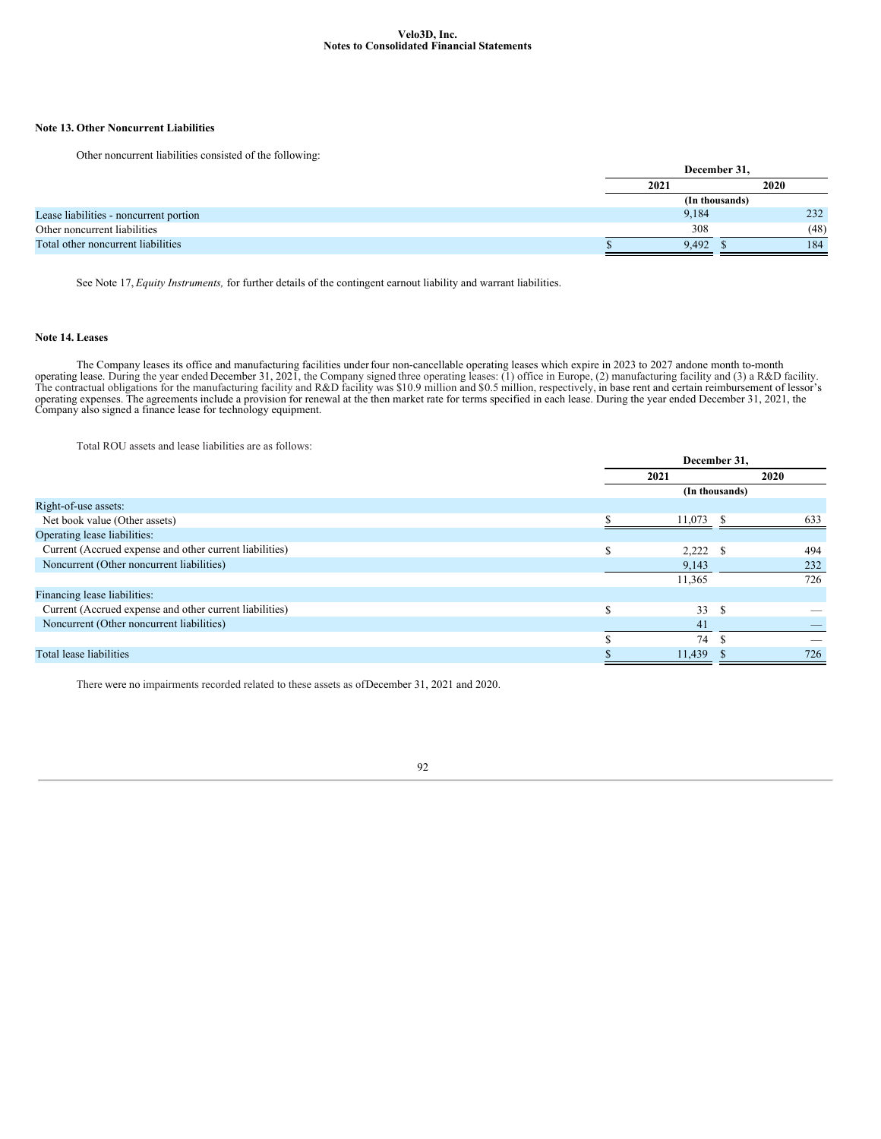### **Note 13. Other Noncurrent Liabilities**

Other noncurrent liabilities consisted of the following:

| December 31, |     |                                  |
|--------------|-----|----------------------------------|
| 2021         |     | 2020                             |
|              |     |                                  |
|              |     | 232                              |
|              | 308 | (48)                             |
|              |     | 184                              |
|              |     | (In thousands)<br>9,184<br>9.492 |

See Note 17, *Equity Instruments,* for further details of the contingent earnout liability and warrant liabilities.

### **Note 14. Leases**

The Company leases its office and manufacturing facilities under four non-cancellable operating leases which expire in 2023 to 2027 andone month to-month<br>operating lease. During the year ended December 31, 2021, the Compan

Total ROU assets and lease liabilities are as follows:

|                                                         | December 31. |            |                |     |
|---------------------------------------------------------|--------------|------------|----------------|-----|
|                                                         | 2021         |            | 2020           |     |
|                                                         |              |            | (In thousands) |     |
| Right-of-use assets:                                    |              |            |                |     |
| Net book value (Other assets)                           |              | 11,073     |                | 633 |
| Operating lease liabilities:                            |              |            |                |     |
| Current (Accrued expense and other current liabilities) | Φ            | $2,222$ \$ |                | 494 |
| Noncurrent (Other noncurrent liabilities)               |              | 9,143      |                | 232 |
|                                                         |              | 11,365     |                | 726 |
| Financing lease liabilities:                            |              |            |                |     |
| Current (Accrued expense and other current liabilities) |              | 33         | - \$           |     |
| Noncurrent (Other noncurrent liabilities)               |              | 41         |                |     |
|                                                         |              | 74         | -S             |     |
| Total lease liabilities                                 |              | 11,439     |                | 726 |

There were no impairments recorded related to these assets as ofDecember 31, 2021 and 2020.

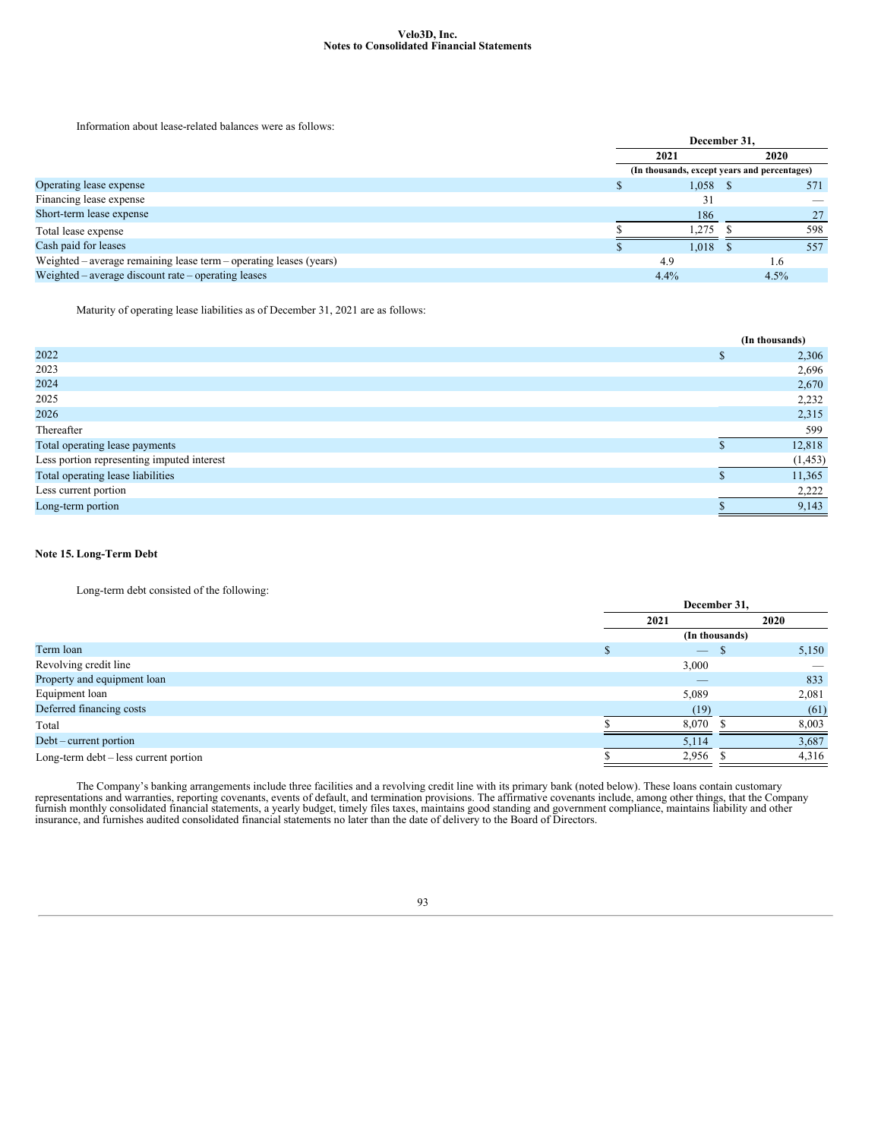Information about lease-related balances were as follows:

|                                                                    | December 31, |                                              |
|--------------------------------------------------------------------|--------------|----------------------------------------------|
|                                                                    | 2021         | 2020                                         |
|                                                                    |              | (In thousands, except years and percentages) |
| Operating lease expense                                            | 1,058        | 571                                          |
| Financing lease expense                                            | 31           | __                                           |
| Short-term lease expense                                           | 186          | 27                                           |
| Total lease expense                                                | 1.275        | 598                                          |
| Cash paid for leases                                               | 1,018        | 557                                          |
| Weighted - average remaining lease term - operating leases (years) | 4.9          | 1.6                                          |
| Weighted $-$ average discount rate $-$ operating leases            | 4.4%         | 4.5%                                         |

Maturity of operating lease liabilities as of December 31, 2021 are as follows:

|                                            | (In thousands) |
|--------------------------------------------|----------------|
| 2022                                       | 2,306          |
| 2023                                       | 2,696          |
| 2024                                       | 2,670          |
| 2025                                       | 2,232          |
| 2026                                       | 2,315          |
| Thereafter                                 | 599            |
| Total operating lease payments             | 12,818         |
| Less portion representing imputed interest | (1, 453)       |
| Total operating lease liabilities          | 11,365         |
| Less current portion                       | 2,222          |
| Long-term portion                          | 9,143          |

### **Note 15. Long-Term Debt**

Long-term debt consisted of the following:

|                                       |      | December 31,                             |
|---------------------------------------|------|------------------------------------------|
|                                       | 2021 | 2020                                     |
|                                       |      | (In thousands)                           |
| Term loan                             |      | 5,150<br>$\hspace{0.1mm}-\hspace{0.1mm}$ |
| Revolving credit line                 |      | 3,000                                    |
| Property and equipment loan           |      | 833                                      |
| Equipment loan                        |      | 2,081<br>5,089                           |
| Deferred financing costs              |      | (19)<br>(61)                             |
| Total                                 |      | 8,003<br>8,070                           |
| $Debt$ – current portion              |      | 3,687<br>5,114                           |
| Long-term debt – less current portion |      | 2,956 \$<br>4,316                        |
|                                       |      |                                          |

The Company's banking arrangements include three facilities and a revolving credit line with its primary bank (noted below). These loans contain customary representations and warranties, reporting covenants, events of default, and termination provisions. The affirmative covenants include, among other things, that the Company furnish monthly consolidated financial statements, insurance, and furnishes audited consolidated financial statements no later than the date of delivery to the Board of Directors.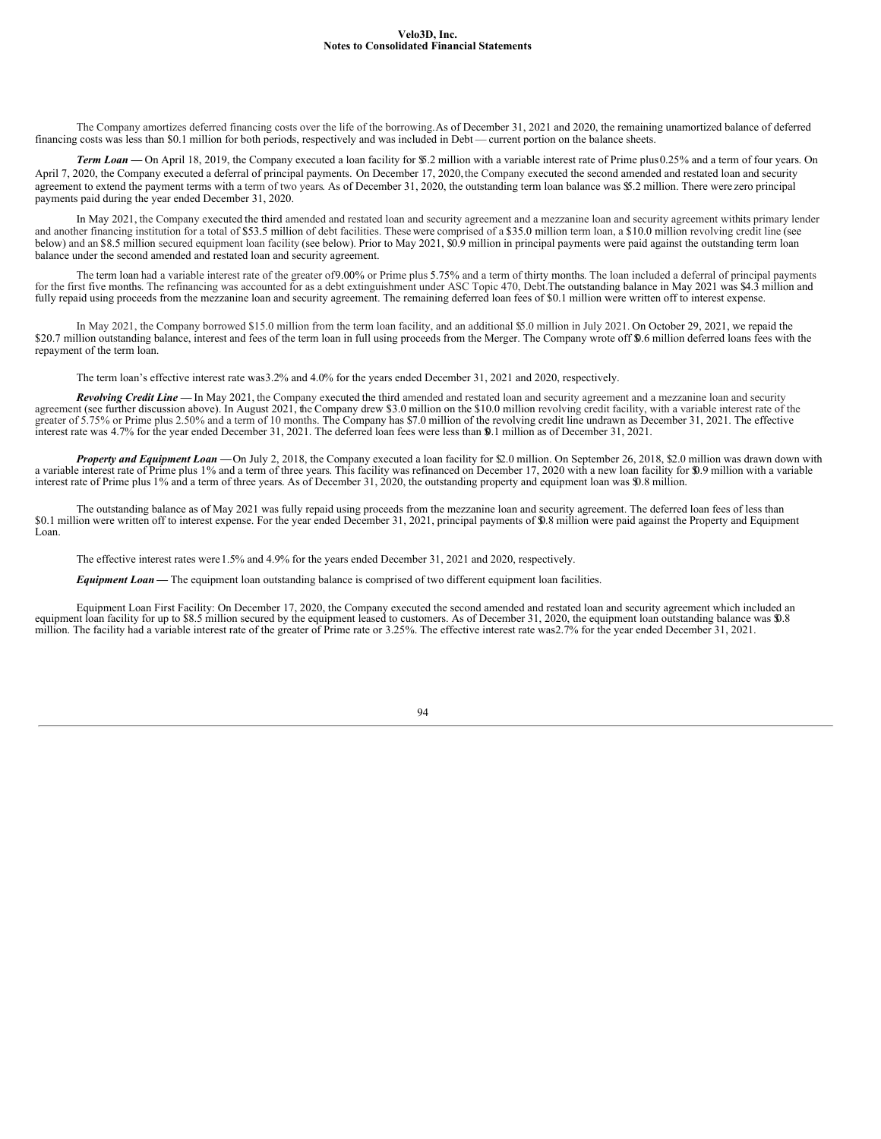The Company amortizes deferred financing costs over the life of the borrowing.As of December 31, 2021 and 2020, the remaining unamortized balance of deferred financing costs was less than \$0.1 million for both periods, respectively and was included in Debt — current portion on the balance sheets.

*Term Loan —* On April 18, 2019, the Company executed a loan facility for \$5.2 million with a variable interest rate of Prime plus0.25% and a term of four years. On April 7, 2020, the Company executed a deferral of principal payments. On December 17, 2020, the Company executed the second amended and restated loan and security agreement to extend the payment terms with a term of two years. As of December 31, 2020, the outstanding term loan balance was \$5.2 million. There were zero principal payments paid during the year ended December 31, 2020.

In May 2021, the Company executed the third amended and restated loan and security agreement and a mezzanine loan and security agreement withits primary lender and another financing institution for a total of \$53.5 million of debt facilities. These were comprised of a \$35.0 million term loan, a \$10.0 million revolving credit line (see below) and an \$8.5 million secured equipment loan facility (see below). Prior to May 2021, \$0.9 million in principal payments were paid against the outstanding term loan balance under the second amended and restated loan and security agreement.

The term loan had a variable interest rate of the greater of 9.00% or Prime plus 5.75% and a term of thirty months. The loan included a deferral of principal payments for the first five months. The refinancing was accounte fully repaid using proceeds from the mezzanine loan and security agreement. The remaining deferred loan fees of \$0.1 million were written off to interest expense.

In May 2021, the Company borrowed \$15.0 million from the term loan facility, and an additional \$5.0 million in July 2021. On October 29, 2021, we repaid the \$20.7 million outstanding balance, interest and fees of the term loan in full using proceeds from the Merger. The Company wrote off \$0.6 million deferred loans fees with the repayment of the term loan.

The term loan's effective interest rate was3.2% and 4.0% for the years ended December 31, 2021 and 2020, respectively.

*Revolving Credit Line* — In May 2021, the Company executed the third amended and restated loan and security agreement and a mezzanine loan and security agreement (see further discussion above). In August 2021, the Company drew \$3.0 million on the \$10.0 million revolving credit facility, with a variable interest rate of the greater of 5.75% or Prime plus 2.50% and a term of 10 months. The Company has \$7.0 million of the revolving credit line undrawn as December 31, 2021. The effective interest rate was 4.7% for the year ended December 31, 2021. The deferred loan fees were less than \$0.1 million as of December 31, 2021.

*Property and Equipment Loan* —On July 2, 2018, the Company executed a loan facility for \$2.0 million. On September 26, 2018, \$2.0 million was drawn down with a variable interest rate of Prime plus 1% and a term of three years. This facility was refinanced on December 17, 2020 with a new loan facility for \$0.9 million with a variable interest rate of Prime plus 1% and a term of

The outstanding balance as of May 2021 was fully repaid using proceeds from the mezzanine loan and security agreement. The deferred loan fees of less than<br>\$0.1 million were written off to interest expense. For the year end Loan.

The effective interest rates were 1.5% and 4.9% for the years ended December 31, 2021 and 2020, respectively.

*Equipment Loan* — The equipment loan outstanding balance is comprised of two different equipment loan facilities.

Equipment Loan First Facility: On December 17, 2020, the Company executed the second amended and restated loan and security agreement which included an equipment loan facility for up to \$8.5 million secured by the equipment leased to customers. As of December 31, 2020, the equipment loan outstanding balance was \$0.8 million. The facility had a variable interest rate of the greater of Prime rate or 3.25%. The effective interest rate was2.7% for the year ended December 31, 2021.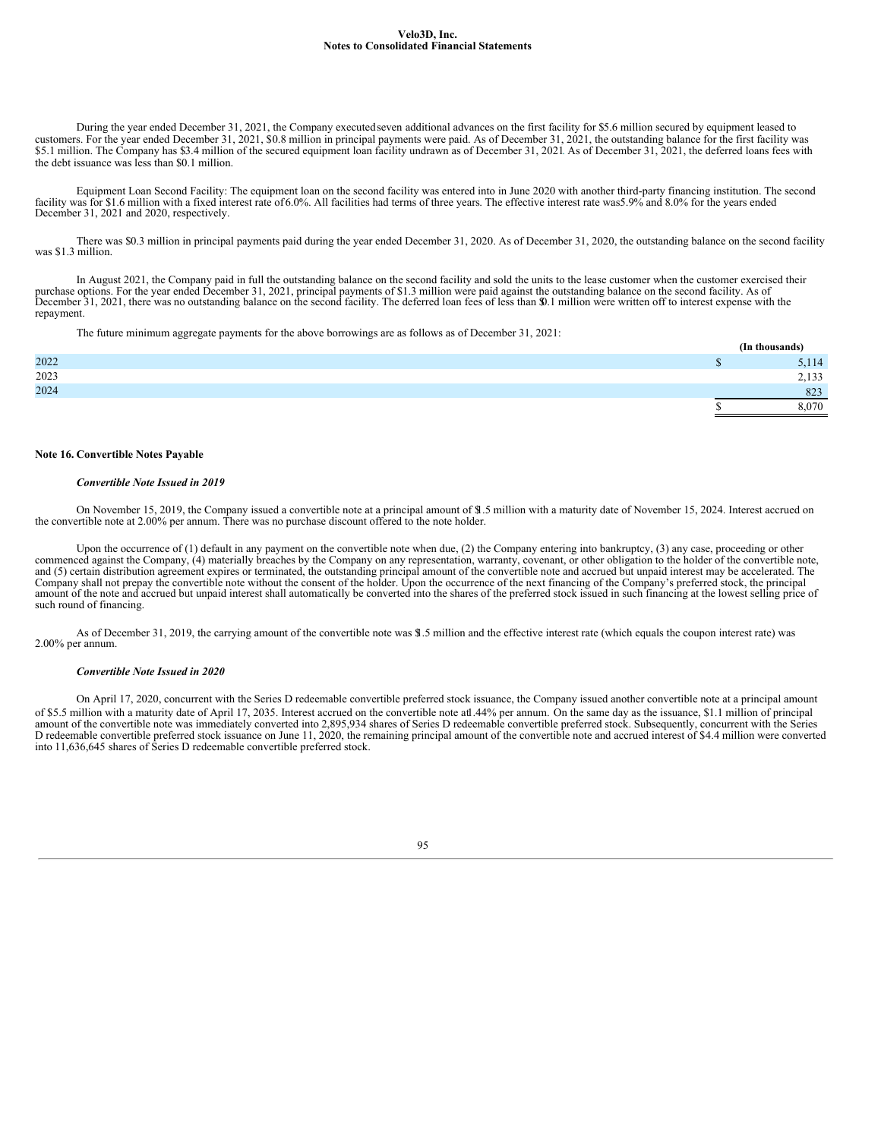During the year ended December 31, 2021, the Company executedseven additional advances on the first facility for \$5.6 million secured by equipment leased to customers. For the year ended December 31, 2021, \$0.8 million in principal payments were paid. As of December 31, 2021, the outstanding balance for the first facility was \$5.1 million. The Company has \$3.4 million of the secured equipment loan facility undrawn as of December 31, 2021. As of December 31, 2021, the deferred loans fees with the debt issuance was less than \$0.1 million.

Equipment Loan Second Facility: The equipment loan on the second facility was entered into in June 2020 with another third-party financing institution. The second facility was for \$1.6 million with a fixed interest rate of 6.0%. All facilities had terms of three years. The effective interest rate was5.9% and 8.0% for the years ended December 31, 2021 and 2020, respectively.

There was \$0.3 million in principal payments paid during the year ended December 31, 2020. As of December 31, 2020, the outstanding balance on the second facility was \$1.3 million.

In August 2021, the Company paid in full the outstanding balance on the second facility and sold the units to the lease customer when the customer exercised their purchase options. For the year ended December 31, 2021, principal payments of \$1.3 million were paid against the outstanding balance on the second facility. As of December 31, 2021, there was no outstanding balance on the second facility. The deferred loan fees of less than \$0.1 million were written off to interest expense with the repayment.

The future minimum aggregate payments for the above borrowings are as follows as of December 31, 2021:

|      |  | _______ | (In thousands) |
|------|--|---------|----------------|
| 2022 |  |         | 5,114          |
| 2023 |  |         | 2.133<br>ر ريد |
| 2024 |  |         | 823            |
|      |  |         | .070           |

#### **Note 16. Convertible Notes Payable**

### *Convertible Note Issued in 2019*

On November 15, 2019, the Company issued a convertible note at a principal amount of \$1.5 million with a maturity date of November 15, 2024. Interest accrued on the convertible note at 2.00% per annum. There was no purchase discount offered to the note holder.

Upon the occurrence of (1) default in any payment on the convertible note when due, (2) the Company entering into bankruptcy, (3) any case, proceeding or other commenced against the Company, (4) materially breaches by the Company on any representation, warranty, covenant, or other obligation to the holder of the convertible note, and (5) certain distribution agreement expires or Company shall not prepay the convertible note without the consent of the holder. Upon the occurrence of the next financing of the Company's preferred stock, the principal amount of the note and accrued but unpaid interest shall automatically be converted into the shares of the preferred stock issued in such financing at the lowest selling price of such round of financing.

As of December 31, 2019, the carrying amount of the convertible note was \$1.5 million and the effective interest rate (which equals the coupon interest rate) was 2.00% per annum.

### *Convertible Note Issued in 2020*

On April 17, 2020, concurrent with the Series D redeemable convertible preferred stock issuance, the Company issued another convertible note at a principal amount of \$5.5 million with a maturity date of April 17, 2035. Interest accrued on the convertible note at1.44% per annum. On the same day as the issuance, \$1.1 million of principal amount of the convertible note was immediately converted into 2,895,934 shares of Series D redeemable convertible preferred stock. Subsequently, concurrent with the Series D redeemable convertible preferred stock issuance on June 11, 2020, the remaining principal amount of the convertible note and accrued interest of \$4.4 million were converted into 11,636,645 shares of Series D redeemable convertible preferred stock.

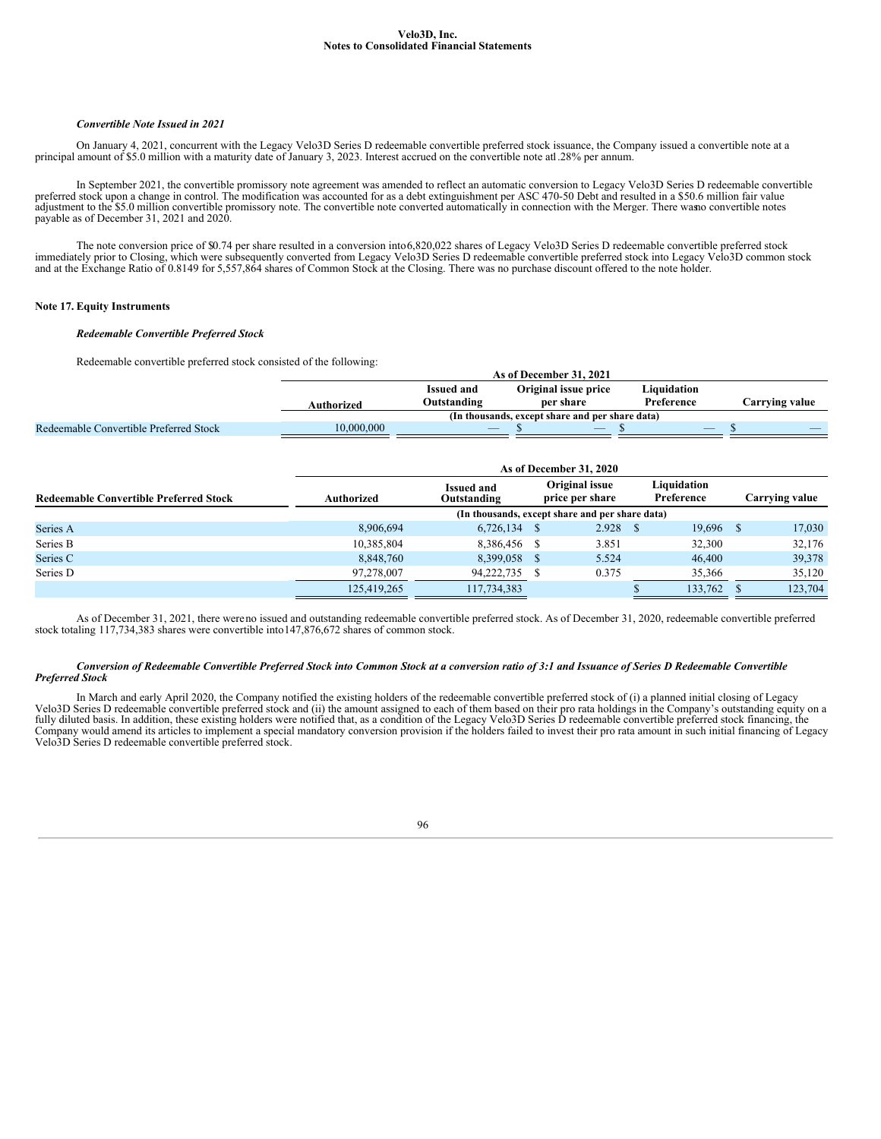### *Convertible Note Issued in 2021*

On January 4, 2021, concurrent with the Legacy Velo3D Series D redeemable convertible preferred stock issuance, the Company issued a convertible note at a principal amount of \$5.0 million with a maturity date of January 3, 2023. Interest accrued on the convertible note atl 28% per annum.

In September 2021, the convertible promissory note agreement was amended to reflect an automatic conversion to Legacy Velo3D Series D redeemable convertible preferred stock upon a change in control. The modification was accounted for as a debt extinguishment per ASC 470-50 Debt and resulted in a \$50.6 million fair value adjustment to the \$5.0 million convertible promissory note. The convertible note converted automatically in connection with the Merger. There wasno convertible notes payable as of December 31, 2021 and 2020.

The note conversion price of \$0.74 per share resulted in a conversion into6,820,022 shares of Legacy Velo3D Series D redeemable convertible preferred stock immediately prior to Closing, which were subsequently converted from Legacy Velo3D Series D redeemable convertible preferred stock into Legacy Velo3D common stock<br>and at the Exchange Ratio of 0.8149 for 5,557,864 shares of

### **Note 17. Equity Instruments**

### *Redeemable Convertible Preferred Stock*

Redeemable convertible preferred stock consisted of the following:

|                                        |            |                                  | As of December 31, 2021                         |                           |                |
|----------------------------------------|------------|----------------------------------|-------------------------------------------------|---------------------------|----------------|
|                                        | Authorized | <b>Issued and</b><br>Outstanding | Original issue price<br>per share               | Liauidation<br>Preference | Carrying value |
|                                        |            |                                  | (In thousands, except share and per share data) |                           |                |
| Redeemable Convertible Preferred Stock | 10.000.000 | $-$                              | $\overline{\phantom{a}}$                        | $\overline{\phantom{a}}$  | _              |

|                                        | As of December 31, 2020                         |                                  |              |                                   |  |                           |    |                       |
|----------------------------------------|-------------------------------------------------|----------------------------------|--------------|-----------------------------------|--|---------------------------|----|-----------------------|
| Redeemable Convertible Preferred Stock | Authorized                                      | <b>Issued and</b><br>Outstanding |              | Original issue<br>price per share |  | Liauidation<br>Preference |    | <b>Carrying value</b> |
|                                        | (In thousands, except share and per share data) |                                  |              |                                   |  |                           |    |                       |
| Series A                               | 8,906,694                                       | 6,726,134                        |              | $2.928$ \$                        |  | 19.696                    | -S | 17,030                |
| Series B                               | 10,385,804                                      | 8.386.456                        |              | 3.851                             |  | 32,300                    |    | 32,176                |
| Series C                               | 8,848,760                                       | 8,399,058                        | <sup>S</sup> | 5.524                             |  | 46,400                    |    | 39,378                |
| Series D                               | 97,278,007                                      | 94,222,735                       |              | 0.375                             |  | 35,366                    |    | 35,120                |
|                                        | 125,419,265                                     | 117,734,383                      |              |                                   |  | 133,762                   |    | 123,704               |

As of December 31, 2021, there wereno issued and outstanding redeemable convertible preferred stock. As of December 31, 2020, redeemable convertible preferred stock totaling 117,734,383 shares were convertible into147,876,672 shares of common stock.

### Conversion of Redeemable Convertible Preferred Stock into Common Stock at a conversion ratio of 3:1 and Issuance of Series D Redeemable Convertible *Preferred Stock*

In March and early April 2020, the Company notified the existing holders of the redeemable convertible preferred stock of (i) a planned initial closing of Legacy Velo3D Series D redeemable convertible preferred stock and (ii) the amount assigned to each of them based on their pro rata holdings in the Company's outstanding equity on a fully diluted basis. In addition, these existing holders were notified that, as a condition of the Legacy Velo3D Series D redeemable convertible preferred stock financing, the<br>Company would amend its articles to implement Velo3D Series D redeemable convertible preferred stock.

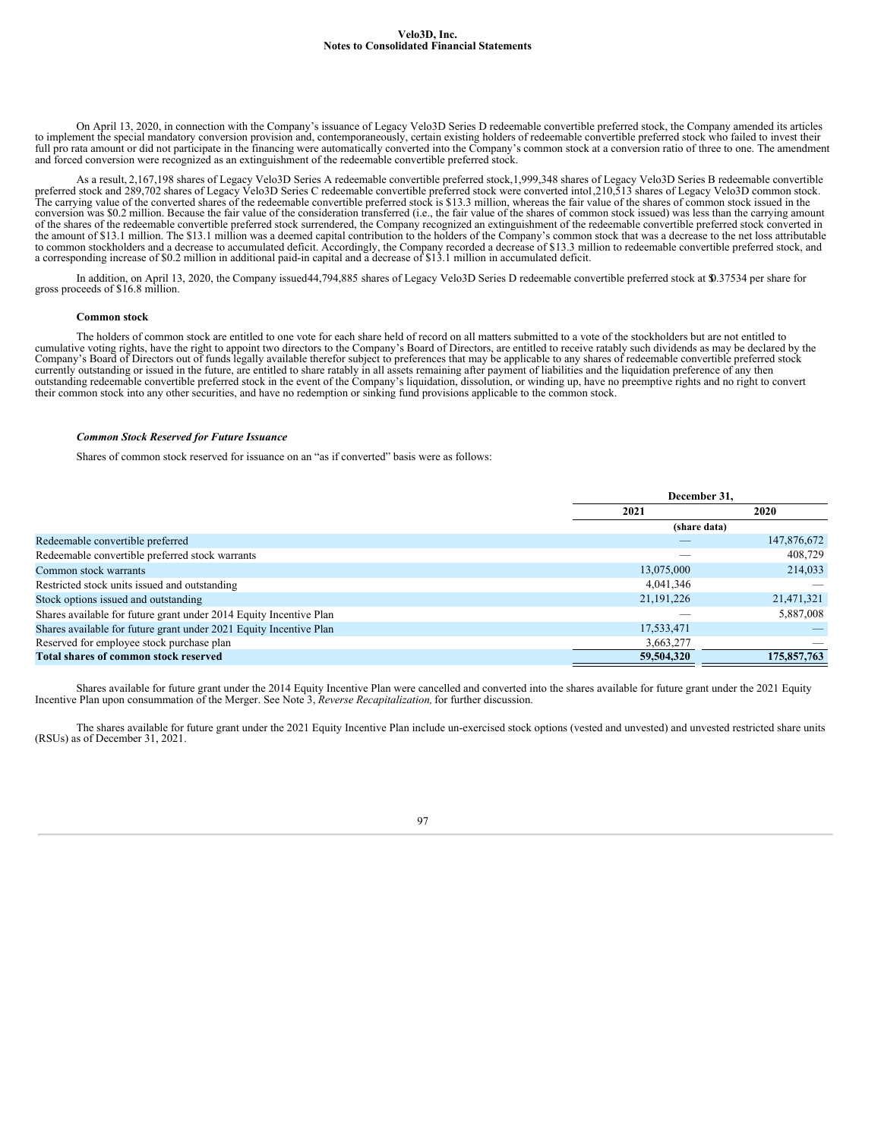On April 13, 2020, in connection with the Company's issuance of Legacy Velo3D Series D redeemable convertible preferred stock, the Company amended its articles to implement the special mandatory conversion provision and, contemporaneously, certain existing holders of redeemable convertible preferred stock who failed to invest their full pro rata amount or did not participate in the financing were automatically converted into the Company's common stock at a conversion ratio of three to one. The amendment and forced conversion were recognized as an extinguishment of the redeemable convertible preferred stock.

As a result, 2,167,198 shares of Legacy Velo3D Series A redeemable convertible preferred stock, 1,999,348 shares of Legacy Velo3D Series B redeemable convertible preferred stock were converted into 1,210,513 shares of Lega The carrying value of the converted shares of the redeemable convertible preferred stock is \$13.3 million, whereas the fair value of the shares of common stock issued in the conversion was \$0.2 million. Because the fair value of the consideration transferred (i.e., the fair value of the shares of common stock issued) was less than the carrying amount of the shares of the redeemable convertible preferred stock surrendered, the Company recognized an extinguishment of the redeemable convertible preferred stock converted in<br>the amount of \$13.1 million. The \$13.1 million wa to common stockholders and a decrease to accumulated deficit. Accordingly, the Company recorded a decrease of \$13.3 million to redeemable convertible preferred stock, and a corresponding increase of \$0.2 million in additional paid-in capital and a decrease of \$13.1 million in accumulated deficit.

In addition, on April 13, 2020, the Company issued44,794,885 shares of Legacy Velo3D Series D redeemable convertible preferred stock at \$0.37534 per share for gross proceeds of \$16.8 million.

### **Common stock**

The holders of common stock are entitled to one vote for each share held of record on all matters submitted to a vote of the stockholders but are not entitled to cumulative voting rights, have the right to appoint two directors to the Company's Board of Directors, are entitled to receive ratably such dividends as may be declared by the Company's Board of Directors out of funds legally available therefor subject to preferences that may be applicable to any shares of redeemable convertible preferred stock currently outstanding or issued in the future, are entitled to share ratably in all assets remaining after payment of liabilities and the liquidation preference of any then outstanding redeemable convertible preferred stock in the event of the Company's liquidation, dissolution, or winding up, have no preemptive rights and no right to convert their common stock into any other securities, and have no redemption or sinking fund provisions applicable to the common stock.

### *Common Stock Reserved for Future Issuance*

Shares of common stock reserved for issuance on an "as if converted" basis were as follows:

|                                                                    | December 31. |              |  |
|--------------------------------------------------------------------|--------------|--------------|--|
|                                                                    | 2021         | 2020         |  |
|                                                                    |              | (share data) |  |
| Redeemable convertible preferred                                   |              | 147,876,672  |  |
| Redeemable convertible preferred stock warrants                    |              | 408,729      |  |
| Common stock warrants                                              | 13,075,000   | 214,033      |  |
| Restricted stock units issued and outstanding                      | 4,041,346    |              |  |
| Stock options issued and outstanding                               | 21, 191, 226 | 21,471,321   |  |
| Shares available for future grant under 2014 Equity Incentive Plan |              | 5,887,008    |  |
| Shares available for future grant under 2021 Equity Incentive Plan | 17,533,471   |              |  |
| Reserved for employee stock purchase plan                          | 3,663,277    |              |  |
| <b>Total shares of common stock reserved</b>                       | 59,504,320   | 175,857,763  |  |

Shares available for future grant under the 2014 Equity Incentive Plan were cancelled and converted into the shares available for future grant under the 2021 Equity Incentive Plan upon consummation of the Merger. See Note 3, *Reverse Recapitalization,* for further discussion.

The shares available for future grant under the 2021 Equity Incentive Plan include un-exercised stock options (vested and unvested) and unvested restricted share units (RSUs) as of December 31, 2021.

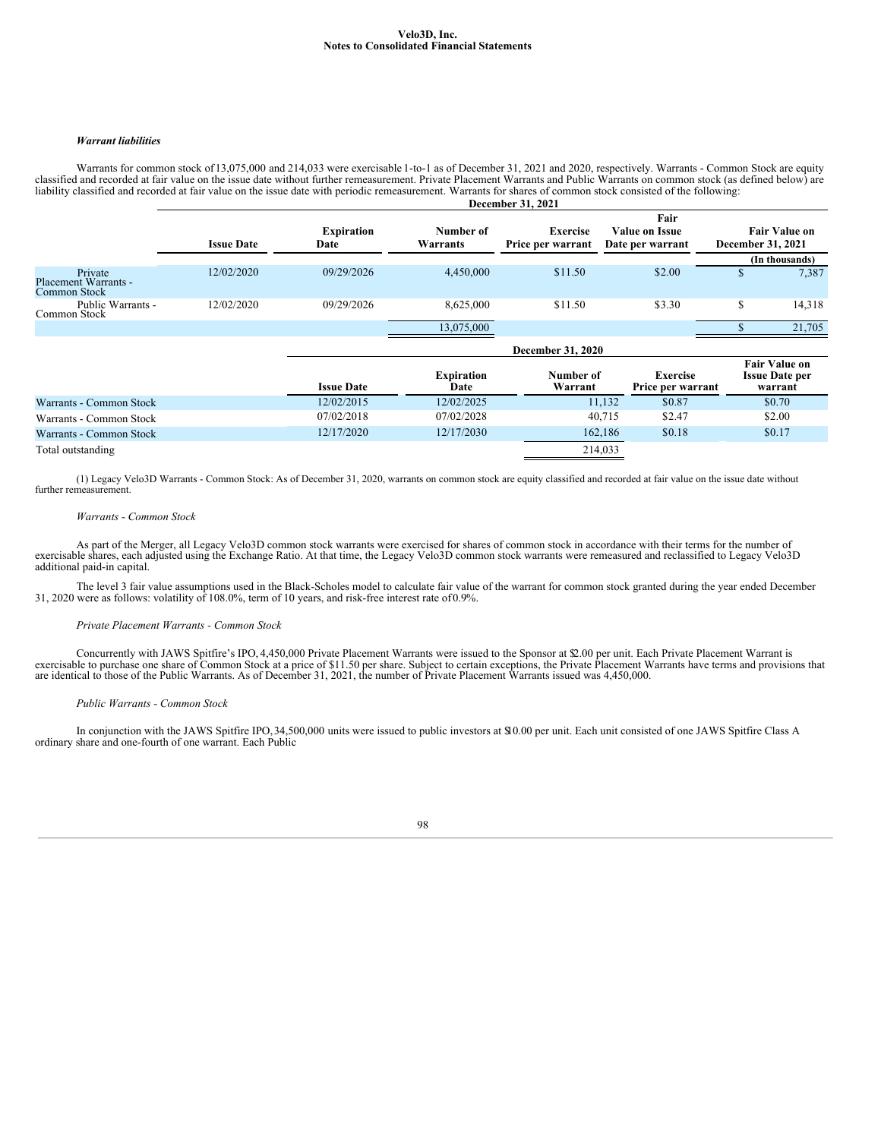### *Warrant liabilities*

Warrants for common stock of 13,075,000 and 214,033 were exercisable 1-to-1 as of December 31, 2021 and 2020, respectively. Warrants - Common Stock are equity classified and recorded at fair value on the issue date without liability classified and recorded at fair value on the issue date with periodic remeasurement. Warrants for shares of common stock consisted of the following: **December 31, 2021**

|                                                        |                   |                           |                           | DUUUDUL JI, 4041                     |                                            |                                                          |
|--------------------------------------------------------|-------------------|---------------------------|---------------------------|--------------------------------------|--------------------------------------------|----------------------------------------------------------|
|                                                        | <b>Issue Date</b> | <b>Expiration</b><br>Date | Number of<br>Warrants     | <b>Exercise</b><br>Price per warrant | Fair<br>Value on Issue<br>Date per warrant | <b>Fair Value on</b><br>December 31, 2021                |
|                                                        |                   |                           |                           |                                      |                                            | (In thousands)                                           |
| Private<br>Placement Warrants -<br><b>Common Stock</b> | 12/02/2020        | 09/29/2026                | 4,450,000                 | \$11.50                              | \$2.00                                     | \$<br>7,387                                              |
| Public Warrants -<br>Common Stock                      | 12/02/2020        | 09/29/2026                | 8,625,000                 | \$11.50                              | \$3.30                                     | \$<br>14,318                                             |
|                                                        |                   |                           | 13,075,000                |                                      |                                            | 21,705                                                   |
|                                                        |                   |                           |                           | <b>December 31, 2020</b>             |                                            |                                                          |
|                                                        |                   | <b>Issue Date</b>         | <b>Expiration</b><br>Date | Number of<br>Warrant                 | <b>Exercise</b><br>Price per warrant       | <b>Fair Value on</b><br><b>Issue Date per</b><br>warrant |
| Warrants - Common Stock                                |                   | 12/02/2015                | 12/02/2025                |                                      | \$0.87<br>11,132                           | \$0.70                                                   |
| Warrants - Common Stock                                |                   | 07/02/2018                | 07/02/2028                |                                      | \$2.47<br>40,715                           | \$2.00                                                   |
| Warrants - Common Stock                                |                   | 12/17/2020                | 12/17/2030                |                                      | \$0.18<br>162,186                          | \$0.17                                                   |
| Total outstanding                                      |                   |                           |                           |                                      | 214,033                                    |                                                          |

(1) Legacy Velo3D Warrants - Common Stock: As of December 31, 2020, warrants on common stock are equity classified and recorded at fair value on the issue date without further remeasurement.

### *Warrants - Common Stock*

As part of the Merger, all Legacy Velo3D common stock warrants were exercised for shares of common stock in accordance with their terms for the number of exercisable shares, each adjusted using the Exchange Ratio. At that time, the Legacy Velo3D common stock warrants were remeasured and reclassified to Legacy Velo3D additional paid-in capital.

The level 3 fair value assumptions used in the Black-Scholes model to calculate fair value of the warrant for common stock granted during the year ended December 31, 2020 were as follows: volatility of 108.0%, term of 10 y

### *Private Placement Warrants - Common Stock*

Concurrently with JAWS Spitfire's IPO, 4,450,000 Private Placement Warrants were issued to the Sponsor at \$2.00 per unit. Each Private Placement Warrant is exercisable to purchase one share of Common Stock at a price of \$11.50 per share. Subject to certain exceptions, the Private Placement Warrants have terms and provisions that<br>are identical to those of the Public Warrants.

### *Public Warrants - Common Stock*

In conjunction with the JAWS Spitfire IPO,34,500,000 units were issued to public investors at \$10.00 per unit. Each unit consisted of one JAWS Spitfire Class A ordinary share and one-fourth of one warrant. Each Public

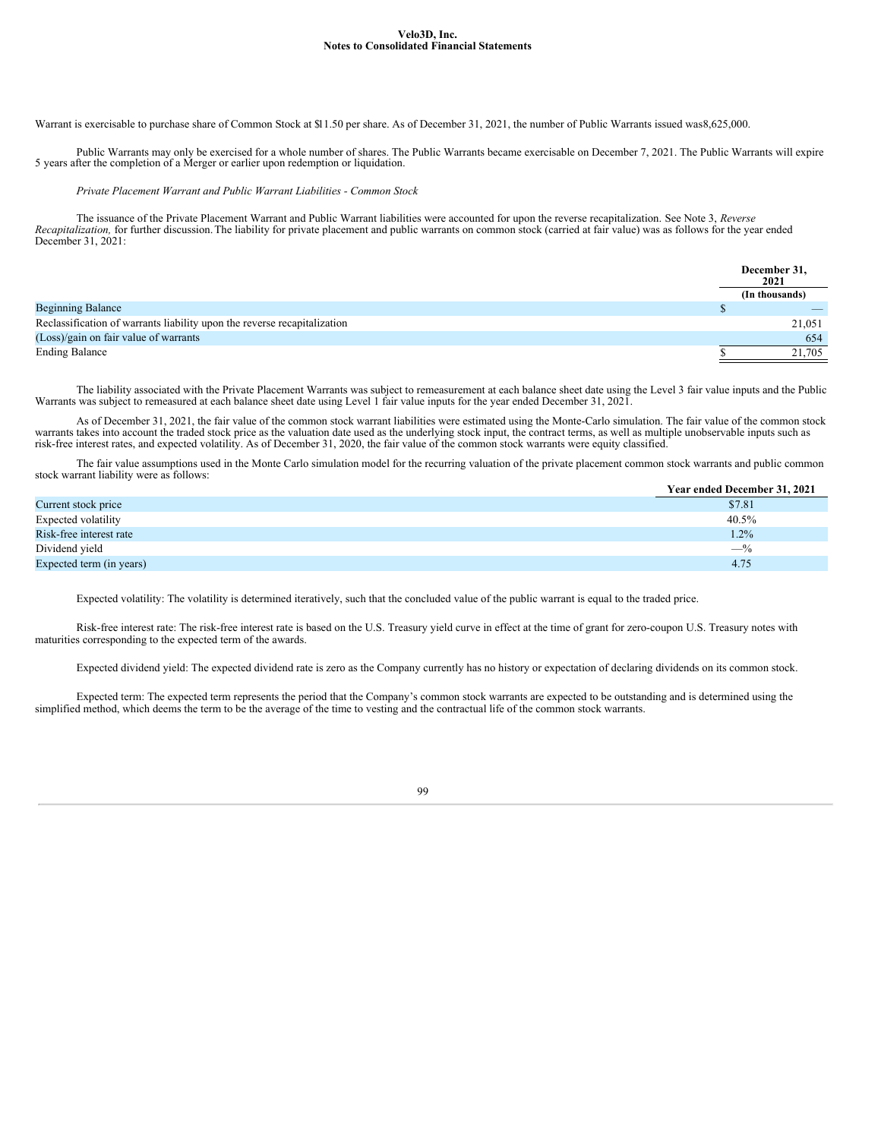Warrant is exercisable to purchase share of Common Stock at \$11.50 per share. As of December 31, 2021, the number of Public Warrants issued was8,625,000.

Public Warrants may only be exercised for a whole number of shares. The Public Warrants became exercisable on December 7, 2021. The Public Warrants will expire 5 years after the completion of a Merger or earlier upon redemption or liquidation.

### *Private Placement Warrant and Public Warrant Liabilities - Common Stock*

The issuance of the Private Placement Warrant and Public Warrant liabilities were accounted for upon the reverse recapitalization. See Note 3, *Reverse Recapitalization,* for further discussion.The liability for private placement and public warrants on common stock (carried at fair value) was as follows for the year ended December 31, 2021:

|                                                                          | December 31,<br>2021 |
|--------------------------------------------------------------------------|----------------------|
|                                                                          | (In thousands)       |
| <b>Beginning Balance</b>                                                 |                      |
| Reclassification of warrants liability upon the reverse recapitalization | 21.051               |
| (Loss)/gain on fair value of warrants                                    | 654                  |
| <b>Ending Balance</b>                                                    | 21,705               |

The liability associated with the Private Placement Warrants was subject to remeasurement at each balance sheet date using the Level 3 fair value inputs and the Public Warrants was subject to remeasured at each balance sheet date using Level 1 fair value inputs for the year ended December 31, 2021.

As of December 31, 2021, the fair value of the common stock warrant liabilities were estimated using the Monte-Carlo simulation. The fair value of the common stock warrants takes into account the traded stock price as the valuation date used as the underlying stock input, the contract terms, as well as multiple unobservable inputs such as risk-free interest rates, and expected volatility. As of December 31, 2020, the fair value of the common stock warrants were equity classified.

The fair value assumptions used in the Monte Carlo simulation model for the recurring valuation of the private placement common stock warrants and public common stock warrant liability were as follows:

|                          | Year ended December 31, 2021 |
|--------------------------|------------------------------|
| Current stock price      | \$7.81                       |
| Expected volatility      | 40.5%                        |
| Risk-free interest rate  | 1.2%                         |
| Dividend yield           | $-$ %                        |
| Expected term (in years) | 4.75                         |

Expected volatility: The volatility is determined iteratively, such that the concluded value of the public warrant is equal to the traded price.

Risk-free interest rate: The risk-free interest rate is based on the U.S. Treasury yield curve in effect at the time of grant for zero-coupon U.S. Treasury notes with maturities corresponding to the expected term of the awards.

Expected dividend yield: The expected dividend rate is zero as the Company currently has no history or expectation of declaring dividends on its common stock.

Expected term: The expected term represents the period that the Company's common stock warrants are expected to be outstanding and is determined using the simplified method, which deems the term to be the average of the time to vesting and the contractual life of the common stock warrants.

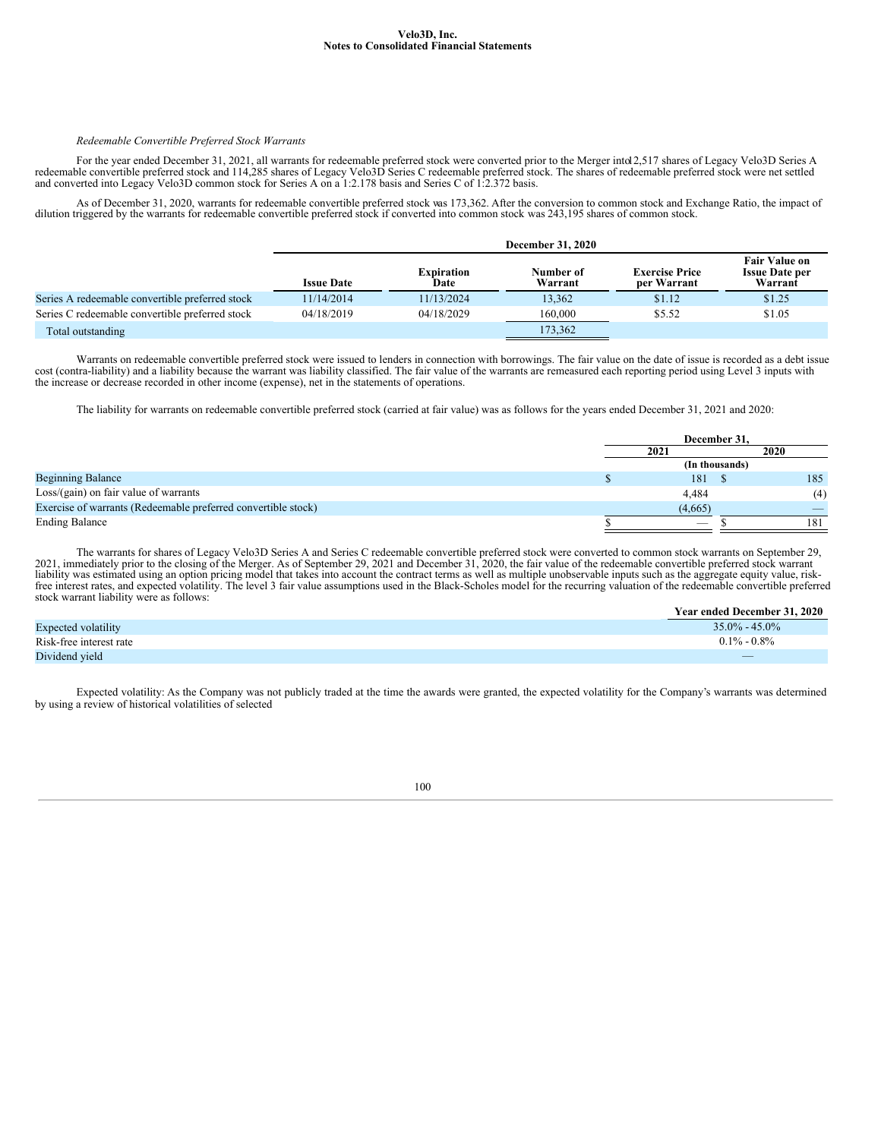### *Redeemable Convertible Preferred Stock Warrants*

For the year ended December 31, 2021, all warrants for redeemable preferred stock were converted prior to the Merger into12,517 shares of Legacy Velo3D Series A redeemable convertible preferred stock and 114,285 shares of Legacy Velo3D Series C redeemable preferred stock. The shares of redeemable preferred stock were net settled<br>and converted into Legacy Velo3D common stock for Se

As of December 31, 2020, warrants for redeemable convertible preferred stock was 173,362. After the conversion to common stock and Exchange Ratio, the impact of dilution triggered by the warrants for redeemable convertible preferred stock if converted into common stock was 243,195 shares of common stock.

|                                                 | <b>December 31, 2020</b> |                           |                      |                                      |                                                          |
|-------------------------------------------------|--------------------------|---------------------------|----------------------|--------------------------------------|----------------------------------------------------------|
|                                                 | <b>Issue Date</b>        | <b>Expiration</b><br>Date | Number of<br>Warrant | <b>Exercise Price</b><br>per Warrant | <b>Fair Value on</b><br><b>Issue Date per</b><br>Warrant |
| Series A redeemable convertible preferred stock | 11/14/2014               | 11/13/2024                | 13.362               | \$1.12                               | \$1.25                                                   |
| Series C redeemable convertible preferred stock | 04/18/2019               | 04/18/2029                | 160,000              | \$5.52                               | \$1.05                                                   |
| Total outstanding                               |                          |                           | 173.362              |                                      |                                                          |

Warrants on redeemable convertible preferred stock were issued to lenders in connection with borrowings. The fair value on the date of issue is recorded as a debt issue cost (contra-liability) and a liability because the warrant was liability classified. The fair value of the warrants are remeasured each reporting period using Level 3 inputs with the increase or decrease recorded in other income (expense), net in the statements of operations.

The liability for warrants on redeemable convertible preferred stock (carried at fair value) was as follows for the years ended December 31, 2021 and 2020:

|                                                               |              | December 31,             |     |  |
|---------------------------------------------------------------|--------------|--------------------------|-----|--|
|                                                               | 2020<br>2021 |                          |     |  |
|                                                               |              | (In thousands)           |     |  |
| <b>Beginning Balance</b>                                      |              | 181                      | 185 |  |
| $Loss/(gain)$ on fair value of warrants                       |              | 4,484                    | (4) |  |
| Exercise of warrants (Redeemable preferred convertible stock) |              | (4,665)                  |     |  |
| <b>Ending Balance</b>                                         |              | $\overline{\phantom{a}}$ | 181 |  |

The warrants for shares of Legacy Velo3D Series A and Series C redeemable convertible preferred stock were converted to common stock warrants on September 29, 2021, immediately prior to the closing of the Merger. As of September 29, 2021 and December 31, 2020, the fair value of the redeemable convertible preferred stock warrant<br>liability was estimated using an option pricing mod free interest rates, and expected volatility. The level 3 fair value assumptions used in the Black-Scholes model for the recurring valuation of the redeemable convertible preferred stock warrant liability were as follows:

|                            | Year ended December 31, 2020 |
|----------------------------|------------------------------|
| <b>Expected volatility</b> | $35.0\% - 45.0\%$            |
| Risk-free interest rate    | $0.1\% - 0.8\%$              |
| Dividend yield             | $-$                          |

Expected volatility: As the Company was not publicly traded at the time the awards were granted, the expected volatility for the Company's warrants was determined by using a review of historical volatilities of selected

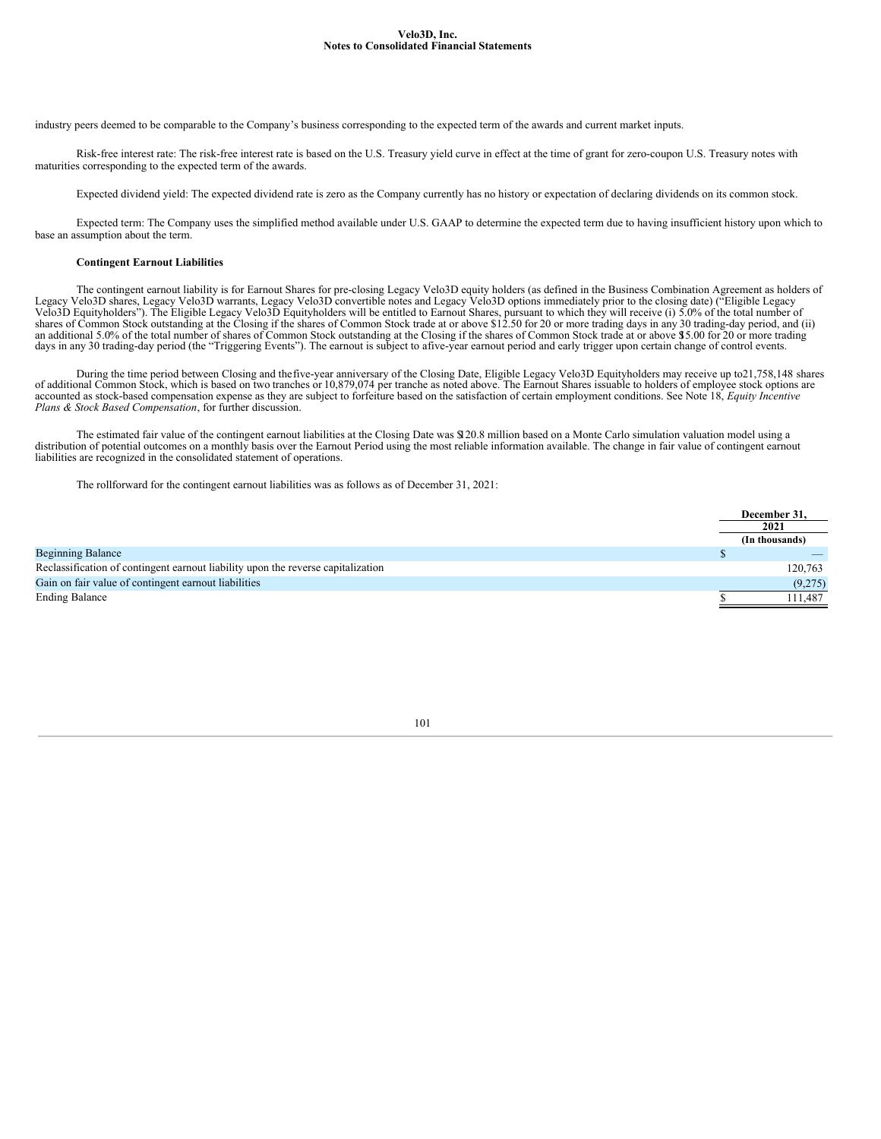industry peers deemed to be comparable to the Company's business corresponding to the expected term of the awards and current market inputs.

Risk-free interest rate: The risk-free interest rate is based on the U.S. Treasury yield curve in effect at the time of grant for zero-coupon U.S. Treasury notes with maturities corresponding to the expected term of the awards.

Expected dividend yield: The expected dividend rate is zero as the Company currently has no history or expectation of declaring dividends on its common stock.

Expected term: The Company uses the simplified method available under U.S. GAAP to determine the expected term due to having insufficient history upon which to base an assumption about the term.

### **Contingent Earnout Liabilities**

The contingent earnout liability is for Earnout Shares for pre-closing Legacy Velo3D equity holders (as defined in the Business Combination Agreement as holders of Legacy Velo3D shares, Legacy Velo3D warrants, Legacy Velo3D convertible notes and Legacy Velo3D options immediately prior to the closing date) ("Eligible Legacy<br>Velo3D Equityholders"). The Eligible Legacy Velo3D Equityhold an additional 5.0% of the total number of shares of Common Stock outstanding at the Closing if the shares of Common Stock trade at or above \$5.00 for 20 or more trading days in any 30 trading-day period (the "Triggering Ev

During the time period between Closing and the five-year anniversary of the Closing Date, Eligible Legacy Velo3D Equityholders may receive up to21,758,148 shares of additional Common Stock, which is based on two tranches o accounted as stock-based compensation expense as they are subject to forfeiture based on the satisfaction of certain employment conditions. See Note 18, Equity Incentive Plans & Stock Based Compensation, for further discus

The estimated fair value of the contingent earnout liabilities at the Closing Date was \$120.8 million based on a Monte Carlo simulation valuation model using a distribution of potential outcomes on a monthly basis over the liabilities are recognized in the consolidated statement of operations.

The rollforward for the contingent earnout liabilities was as follows as of December 31, 2021:

|                                                                                  | December 31. |                |
|----------------------------------------------------------------------------------|--------------|----------------|
|                                                                                  | 2021         |                |
|                                                                                  |              | (In thousands) |
| <b>Beginning Balance</b>                                                         |              |                |
| Reclassification of contingent earnout liability upon the reverse capitalization |              | 120,763        |
| Gain on fair value of contingent earnout liabilities                             |              | (9,275)        |
| <b>Ending Balance</b>                                                            |              | 111,487        |

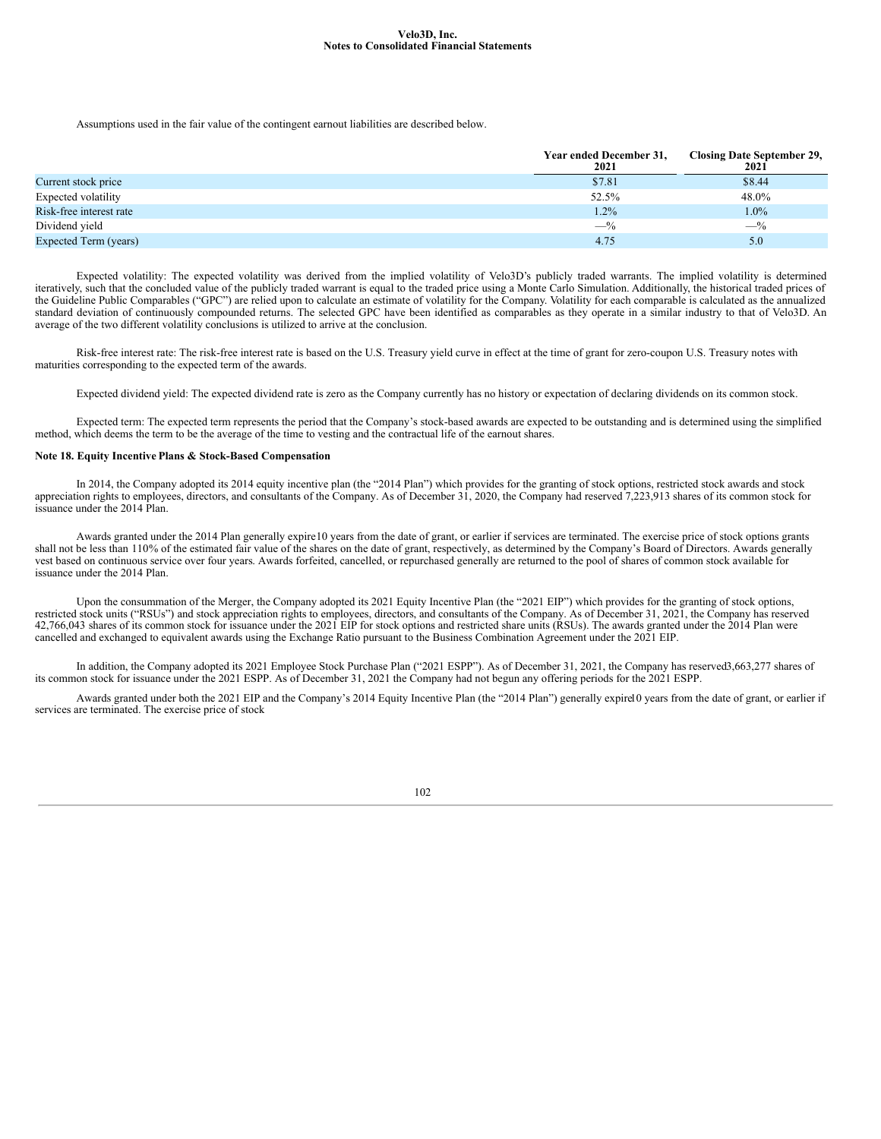Assumptions used in the fair value of the contingent earnout liabilities are described below.

|                         | Year ended December 31,<br>2021 | <b>Closing Date September 29,</b><br>2021 |
|-------------------------|---------------------------------|-------------------------------------------|
| Current stock price     | \$7.81                          | \$8.44                                    |
| Expected volatility     | 52.5%                           | 48.0%                                     |
| Risk-free interest rate | $1.2\%$                         | 1.0%                                      |
| Dividend yield          | $-$ %                           | $-$ %                                     |
| Expected Term (years)   | 4.75                            | 5.0                                       |

Expected volatility: The expected volatility was derived from the implied volatility of Velo3D's publicly traded warrants. The implied volatility is determined iteratively, such that the concluded value of the publicly traded warrant is equal to the traded price using a Monte Carlo Simulation. Additionally, the historical traded prices of the Guideline Public Comparables ("GPC") are relied upon to calculate an estimate of volatility for the Company. Volatility for each comparable is calculated as the annualized standard deviation of continuously compounded returns. The selected GPC have been identified as comparables as they operate in a similar industry to that of Velo3D. An average of the two different volatility conclusions is utilized to arrive at the conclusion.

Risk-free interest rate: The risk-free interest rate is based on the U.S. Treasury yield curve in effect at the time of grant for zero-coupon U.S. Treasury notes with maturities corresponding to the expected term of the awards.

Expected dividend yield: The expected dividend rate is zero as the Company currently has no history or expectation of declaring dividends on its common stock.

Expected term: The expected term represents the period that the Company's stock-based awards are expected to be outstanding and is determined using the simplified method, which deems the term to be the average of the time to vesting and the contractual life of the earnout shares.

### **Note 18. Equity Incentive Plans & Stock-Based Compensation**

In 2014, the Company adopted its 2014 equity incentive plan (the "2014 Plan") which provides for the granting of stock options, restricted stock awards and stock appreciation rights to employees, directors, and consultants of the Company. As of December 31, 2020, the Company had reserved 7,223,913 shares of its common stock for issuance under the 2014 Plan.

Awards granted under the 2014 Plan generally expire10 years from the date of grant, or earlier if services are terminated. The exercise price of stock options grants shall not be less than 110% of the estimated fair value of the shares on the date of grant, respectively, as determined by the Company's Board of Directors. Awards generally vest based on continuous service over four years. Awards forfeited, cancelled, or repurchased generally are returned to the pool of shares of common stock available for issuance under the 2014 Plan.

Upon the consummation of the Merger, the Company adopted its 2021 Equity Incentive Plan (the "2021 EIP") which provides for the granting of stock options, restricted stock units ("RSUs") and stock appreciation rights to employees, directors, and consultants of the Company. As of December 31, 2021, the Company has reserved 42,766,043 shares of its common stock for issuance under the 2021 EIP for stock options and restricted share units (RSUs). The awards granted under the 2014 Plan were cancelled and exchanged to equivalent awards using the Exchange Ratio pursuant to the Business Combination Agreement under the 2021 EIP.

In addition, the Company adopted its 2021 Employee Stock Purchase Plan ("2021 ESPP"). As of December 31, 2021, the Company has reserved3,663,277 shares of its common stock for issuance under the 2021 ESPP. As of December 31, 2021 the Company had not begun any offering periods for the 2021 ESPP.

Awards granted under both the 2021 EIP and the Company's 2014 Equity Incentive Plan (the "2014 Plan") generally expire10 years from the date of grant, or earlier if services are terminated. The exercise price of stock

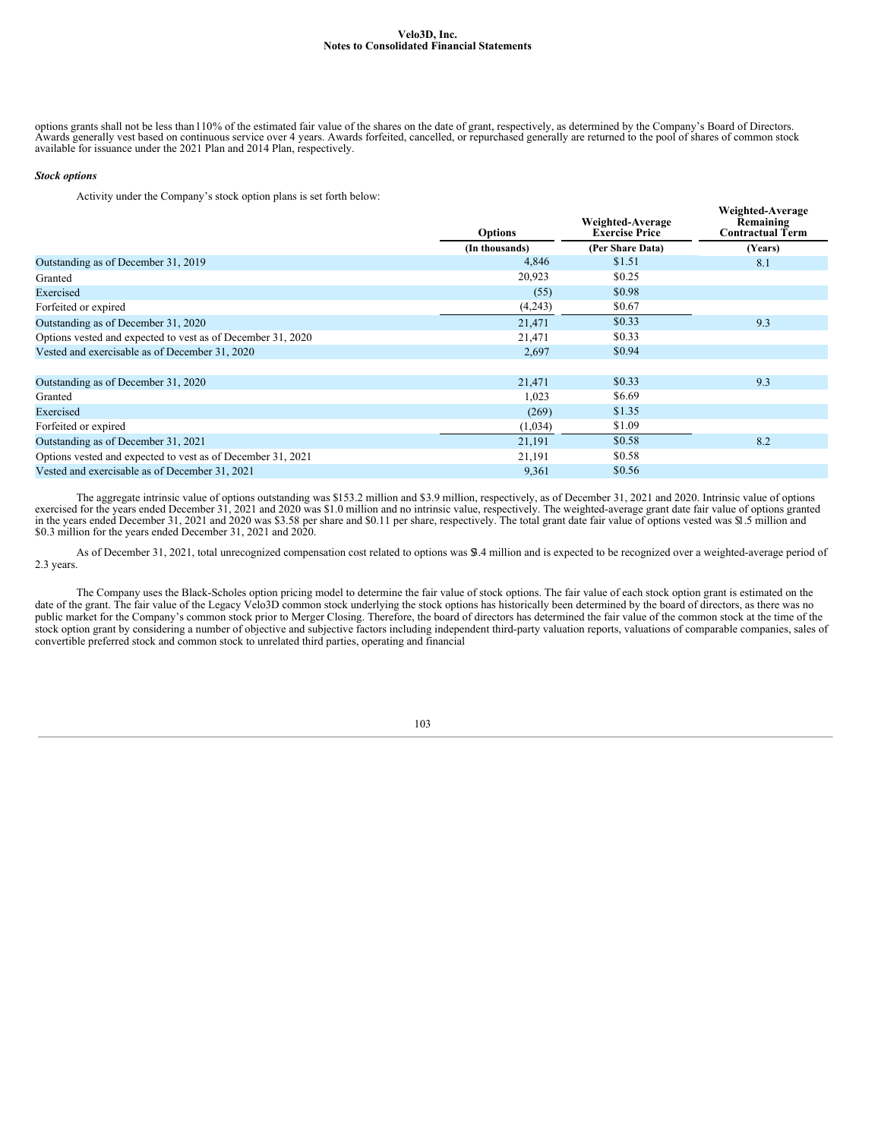options grants shall not be less than110% of the estimated fair value of the shares on the date of grant, respectively, as determined by the Company's Board of Directors. Awards generally vest based on continuous service over 4 years. Awards forfeited, cancelled, or repurchased generally are returned to the pool of shares of common stock available for issuance under the 2021 Plan and 2014 P

### *Stock options*

Activity under the Company's stock option plans is set forth below:

|                                                             | <b>Options</b> | Weighted-Average<br><b>Exercise Price</b> | Weighted-Average<br>Remaining<br><b>Contractual Term</b> |
|-------------------------------------------------------------|----------------|-------------------------------------------|----------------------------------------------------------|
|                                                             | (In thousands) | (Per Share Data)                          | (Years)                                                  |
| Outstanding as of December 31, 2019                         | 4,846          | \$1.51                                    | 8.1                                                      |
| Granted                                                     | 20,923         | \$0.25                                    |                                                          |
| Exercised                                                   | (55)           | \$0.98                                    |                                                          |
| Forfeited or expired                                        | (4,243)        | \$0.67                                    |                                                          |
| Outstanding as of December 31, 2020                         | 21,471         | \$0.33                                    | 9.3                                                      |
| Options vested and expected to vest as of December 31, 2020 | 21,471         | \$0.33                                    |                                                          |
| Vested and exercisable as of December 31, 2020              | 2,697          | \$0.94                                    |                                                          |
|                                                             |                |                                           |                                                          |
| Outstanding as of December 31, 2020                         | 21,471         | \$0.33                                    | 9.3                                                      |
| Granted                                                     | 1,023          | \$6.69                                    |                                                          |
| Exercised                                                   | (269)          | \$1.35                                    |                                                          |
| Forfeited or expired                                        | (1,034)        | \$1.09                                    |                                                          |
| Outstanding as of December 31, 2021                         | 21,191         | \$0.58                                    | 8.2                                                      |
| Options vested and expected to vest as of December 31, 2021 | 21,191         | \$0.58                                    |                                                          |
| Vested and exercisable as of December 31, 2021              | 9,361          | \$0.56                                    |                                                          |

The aggregate intrinsic value of options outstanding was \$153.2 million and \$3.9 million, respectively, as of December 31, 2021 and 2020. Intrinsic value of options exercised for the years ended December 31, 2021 and 2020 was \$1.0 million and no intrinsic value, respectively. The weighted-average grant date fair value of options granted<br>in the years ended December 31, 2021 and 2020 wa \$0.3 million for the years ended December 31, 2021 and 2020.

As of December 31, 2021, total unrecognized compensation cost related to options was \$3.4 million and is expected to be recognized over a weighted-average period of 2.3 years.

The Company uses the Black-Scholes option pricing model to determine the fair value of stock options. The fair value of each stock option grant is estimated on the date of the grant. The fair value of the Legacy Velo3D common stock underlying the stock options has historically been determined by the board of directors, as there was no public market for the Company's common stock prior to Merger Closing. Therefore, the board of directors has determined the fair value of the common stock at the time of the stock option grant by considering a number of objective and subjective factors including independent third-party valuation reports, valuations of comparable companies, sales of convertible preferred stock and common stock to unrelated third parties, operating and financial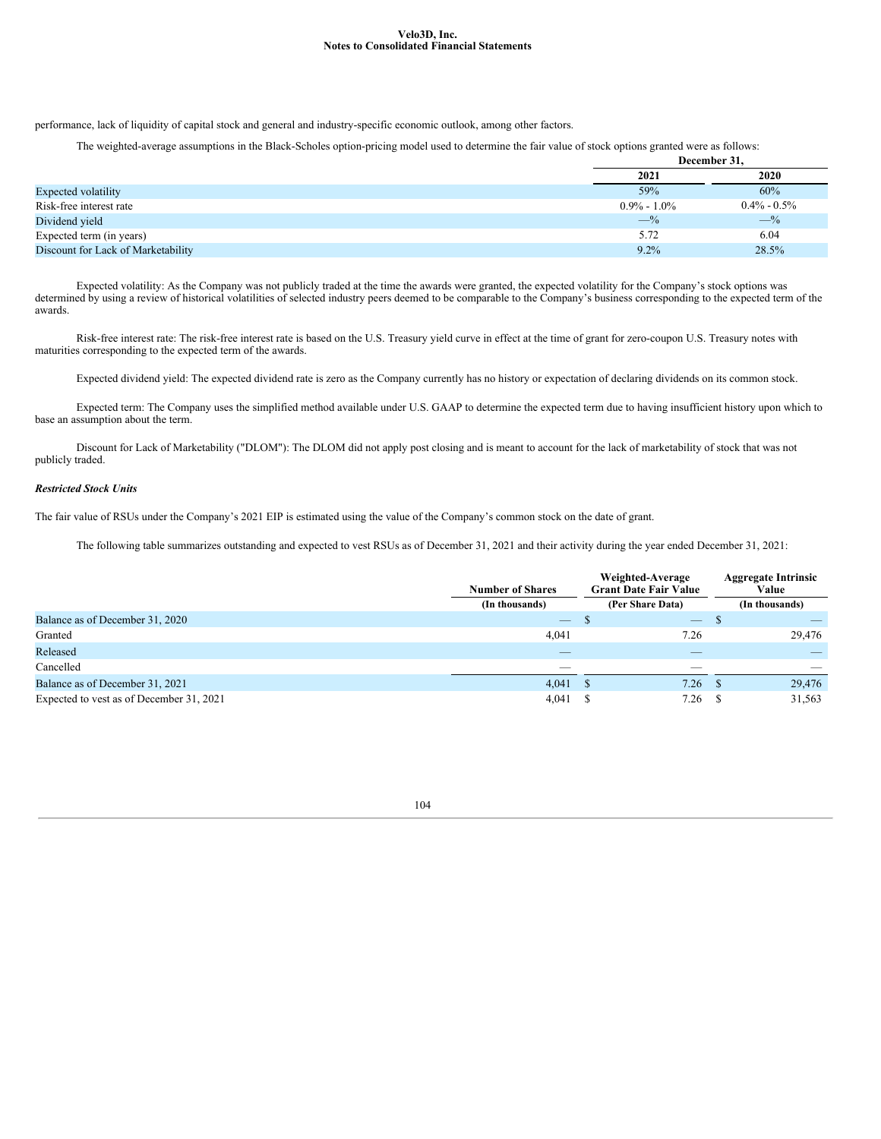performance, lack of liquidity of capital stock and general and industry-specific economic outlook, among other factors.

The weighted-average assumptions in the Black-Scholes option-pricing model used to determine the fair value of stock options granted were as follows:

|                                    | December 31,    |                 |
|------------------------------------|-----------------|-----------------|
|                                    | 2021            | 2020            |
| <b>Expected volatility</b>         | 59%             | 60%             |
| Risk-free interest rate            | $0.9\% - 1.0\%$ | $0.4\% - 0.5\%$ |
| Dividend yield                     | $-$ %           | $-$ %           |
| Expected term (in years)           | 5.72            | 6.04            |
| Discount for Lack of Marketability | $9.2\%$         | 28.5%           |

Expected volatility: As the Company was not publicly traded at the time the awards were granted, the expected volatility for the Company's stock options was determined by using a review of historical volatilities of selected industry peers deemed to be comparable to the Company's business corresponding to the expected term of the awards.

Risk-free interest rate: The risk-free interest rate is based on the U.S. Treasury yield curve in effect at the time of grant for zero-coupon U.S. Treasury notes with maturities corresponding to the expected term of the awards.

Expected dividend yield: The expected dividend rate is zero as the Company currently has no history or expectation of declaring dividends on its common stock.

Expected term: The Company uses the simplified method available under U.S. GAAP to determine the expected term due to having insufficient history upon which to base an assumption about the term.

Discount for Lack of Marketability ("DLOM"): The DLOM did not apply post closing and is meant to account for the lack of marketability of stock that was not publicly traded.

### *Restricted Stock Units*

The fair value of RSUs under the Company's 2021 EIP is estimated using the value of the Company's common stock on the date of grant.

The following table summarizes outstanding and expected to vest RSUs as of December 31, 2021 and their activity during the year ended December 31, 2021:

|                                          | <b>Number of Shares</b>         | Weighted-Average<br><b>Grant Date Fair Value</b> |    | <b>Aggregate Intrinsic</b><br>Value |  |
|------------------------------------------|---------------------------------|--------------------------------------------------|----|-------------------------------------|--|
|                                          | (In thousands)                  | (Per Share Data)                                 |    | (In thousands)                      |  |
| Balance as of December 31, 2020          | $\hspace{0.1mm}-\hspace{0.1mm}$ | $\hspace{0.1mm}-\hspace{0.1mm}$                  |    |                                     |  |
| Granted                                  | 4,041                           | 7.26                                             |    | 29,476                              |  |
| Released                                 | $-$                             | $-$                                              |    |                                     |  |
| Cancelled                                | __                              | $\overline{\phantom{a}}$                         |    |                                     |  |
| Balance as of December 31, 2021          | 4,041                           | 7.26                                             | -8 | 29,476                              |  |
| Expected to vest as of December 31, 2021 | 4,041                           | 7.26                                             |    | 31,563                              |  |

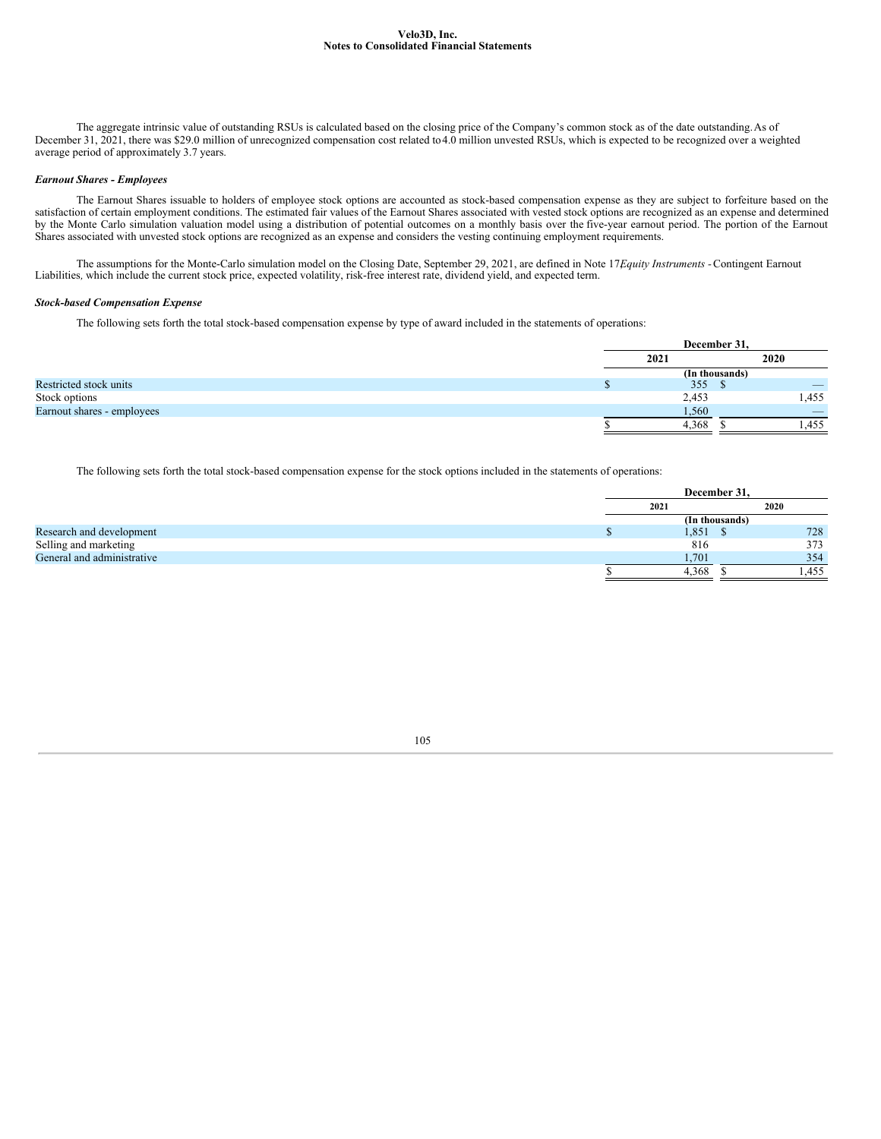The aggregate intrinsic value of outstanding RSUs is calculated based on the closing price of the Company's common stock as of the date outstanding.As of December 31, 2021, there was \$29.0 million of unrecognized compensation cost related to4.0 million unvested RSUs, which is expected to be recognized over a weighted average period of approximately 3.7 years.

### *Earnout Shares - Employees*

The Earnout Shares issuable to holders of employee stock options are accounted as stock-based compensation expense as they are subject to forfeiture based on the satisfaction of certain employment conditions. The estimated fair values of the Earnout Shares associated with vested stock options are recognized as an expense and determined by the Monte Carlo simulation valuation model using a distribution of potential outcomes on a monthly basis over the five-year earnout period. The portion of the Earnout Shares associated with unvested stock options are recognized as an expense and considers the vesting continuing employment requirements.

The assumptions for the Monte-Carlo simulation model on the Closing Date, September 29, 2021, are defined in Note 17,*Equity Instruments -*Contingent Earnout Liabilities*,* which include the current stock price, expected volatility, risk-free interest rate, dividend yield, and expected term.

### *Stock-based Compensation Expense*

The following sets forth the total stock-based compensation expense by type of award included in the statements of operations:

|                            | December 31,   |                          |  |
|----------------------------|----------------|--------------------------|--|
|                            | 2021           | 2020                     |  |
|                            | (In thousands) |                          |  |
| Restricted stock units     | 355            | _                        |  |
| Stock options              | 2,453          | 1,455                    |  |
| Earnout shares - employees | 1,560          | $\overline{\phantom{a}}$ |  |
|                            | 4,368          | .455                     |  |

The following sets forth the total stock-based compensation expense for the stock options included in the statements of operations:

|                            |      | December 31    |       |  |
|----------------------------|------|----------------|-------|--|
|                            | 2021 |                | 2020  |  |
|                            |      | (In thousands) |       |  |
| Research and development   |      | 1,851          | 728   |  |
| Selling and marketing      |      | 816            | 373   |  |
| General and administrative |      | 1.701          | 354   |  |
|                            |      | 4,368          | 1.455 |  |

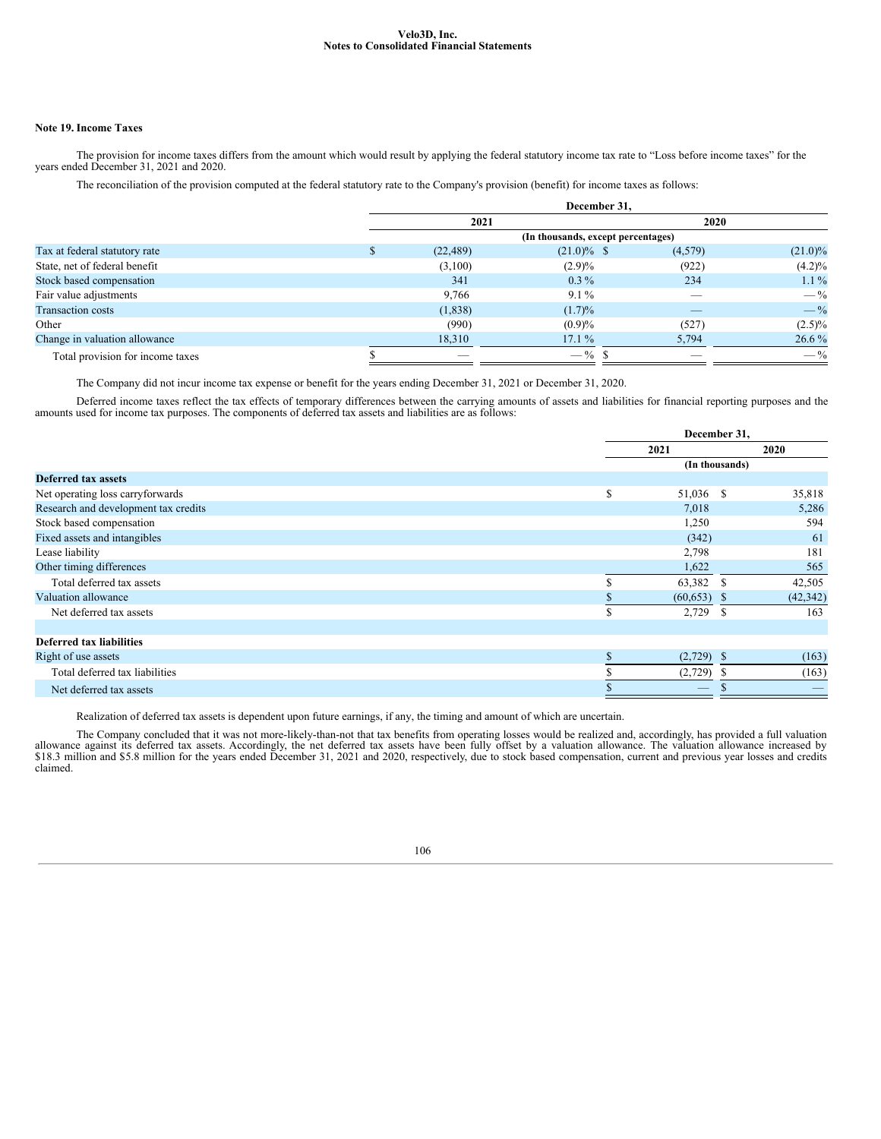# **Note 19. Income Taxes**

The provision for income taxes differs from the amount which would result by applying the federal statutory income tax rate to "Loss before income taxes" for the years ended December 31, 2021 and 2020.

The reconciliation of the provision computed at the federal statutory rate to the Company's provision (benefit) for income taxes as follows:

|                                  |           | December 31.                       |                          |                |  |
|----------------------------------|-----------|------------------------------------|--------------------------|----------------|--|
|                                  | 2021      |                                    |                          | 2020           |  |
|                                  |           | (In thousands, except percentages) |                          |                |  |
| Tax at federal statutory rate    | (22, 489) | $(21.0)\%$ \$                      | (4,579)                  | $(21.0)\%$     |  |
| State, net of federal benefit    | (3,100)   | $(2.9)\%$                          | (922)                    | $(4.2)\%$      |  |
| Stock based compensation         | 341       | $0.3\%$                            | 234                      | $1.1\%$        |  |
| Fair value adjustments           | 9,766     | $9.1\%$                            |                          | $-\frac{6}{6}$ |  |
| Transaction costs                | (1,838)   | $(1.7)\%$                          | $\overline{\phantom{a}}$ | $-$ %          |  |
| Other                            | (990)     | (0.9)%                             | (527)                    | $(2.5)\%$      |  |
| Change in valuation allowance    | 18,310    | $17.1\%$                           | 5,794                    | $26.6\%$       |  |
| Total provision for income taxes | _         | $-$ % \$                           | __                       | $-\frac{0}{0}$ |  |

The Company did not incur income tax expense or benefit for the years ending December 31, 2021 or December 31, 2020.

Deferred income taxes reflect the tax effects of temporary differences between the carrying amounts of assets and liabilities for financial reporting purposes and the amounts used for income tax purposes. The components of

|                                      |    | December 31,   |              |           |  |
|--------------------------------------|----|----------------|--------------|-----------|--|
|                                      |    | 2021           |              | 2020      |  |
|                                      |    | (In thousands) |              |           |  |
| Deferred tax assets                  |    |                |              |           |  |
| Net operating loss carryforwards     | \$ | 51,036 \$      |              | 35,818    |  |
| Research and development tax credits |    | 7,018          |              | 5,286     |  |
| Stock based compensation             |    | 1,250          |              | 594       |  |
| Fixed assets and intangibles         |    | (342)          |              | 61        |  |
| Lease liability                      |    | 2,798          |              | 181       |  |
| Other timing differences             |    | 1,622          |              | 565       |  |
| Total deferred tax assets            |    | 63,382 \$      |              | 42,505    |  |
| Valuation allowance                  |    | $(60, 653)$ \$ |              | (42, 342) |  |
| Net deferred tax assets              | S  | 2,729          | <sup>S</sup> | 163       |  |
|                                      |    |                |              |           |  |
| Deferred tax liabilities             |    |                |              |           |  |
| Right of use assets                  |    | $(2,729)$ \$   |              | (163)     |  |
| Total deferred tax liabilities       |    | $(2,729)$ \$   |              | (163)     |  |
| Net deferred tax assets              |    |                |              |           |  |

Realization of deferred tax assets is dependent upon future earnings, if any, the timing and amount of which are uncertain.

The Company concluded that it was not more-likely-than-not that tax benefits from operating losses would be realized and, accordingly, has provided a full valuation allowance against its deferred tax assets. Accordingly, the net deferred tax assets have been fully offset by a valuation allowance. The valuation allowance increased by \$18.3 million and \$5.8 million for the years ended D claimed.

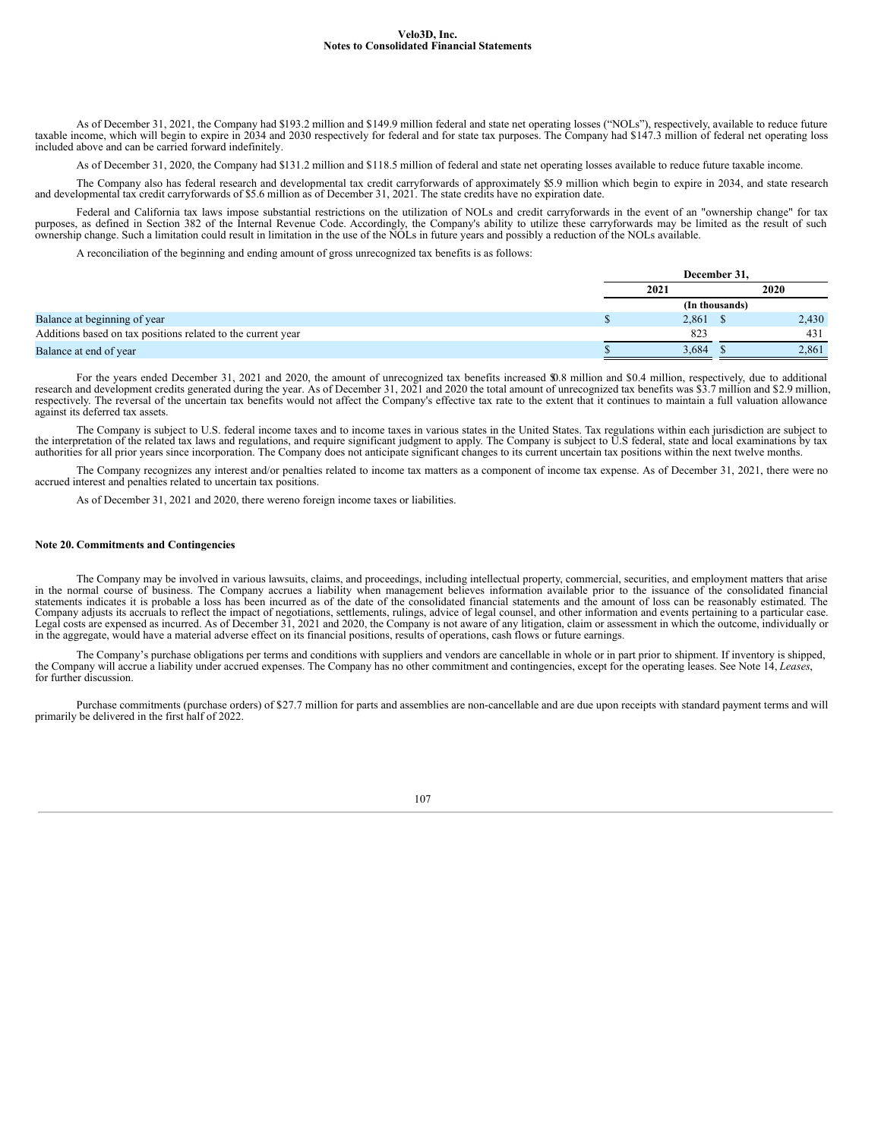As of December 31, 2021, the Company had \$193.2 million and \$149.9 million federal and state net operating losses ("NOLs"), respectively, available to reduce future taxable income, which will begin to expire in 2034 and 20 included above and can be carried forward indefinitely.

As of December 31, 2020, the Company had \$131.2 million and \$118.5 million of federal and state net operating losses available to reduce future taxable income.

The Company also has federal research and developmental tax credit carryforwards of approximately \$5.9 million which begin to expire in 2034, and state research and developmental tax credit carryforwards of \$5.6 million as of December 31, 2021. The state credits have no expiration date.

Federal and California tax laws impose substantial restrictions on the utilization of NOLs and credit carryforwards in the event of an "ownership change" for tax purposes, as defined in Section 382 of the Internal Revenue Code. Accordingly, the Company's ability to utilize these carryforwards may be limited as the result of such ownership change. Such a limitation could result in limitation in the use of the NOLs in future years and possibly a reduction of the NOLs available.

A reconciliation of the beginning and ending amount of gross unrecognized tax benefits is as follows:

|                                                              | December 31, |                |       |  |
|--------------------------------------------------------------|--------------|----------------|-------|--|
|                                                              | 2021         |                | 2020  |  |
|                                                              |              | (In thousands) |       |  |
| Balance at beginning of year                                 | 2,861        |                | 2,430 |  |
| Additions based on tax positions related to the current year | 823          |                | 431   |  |
| Balance at end of year                                       | 3,684        |                | 2,861 |  |

For the years ended December 31, 2021 and 2020, the amount of unrecognized tax benefits increased \$0.8 million and \$0.4 million, respectively, due to additional research and development credits generated during the year. A respectively. The reversal of the uncertain tax benefits would not affect the Company's effective tax rate to the extent that it continues to maintain a full valuation allowance against its deferred tax assets.

The Company is subject to U.S. federal income taxes and to income taxes in various states in the United States. Tax regulations within each jurisdiction are subject to the interpretation of the related tax laws and regulations, and require significant judgment to apply. The Company is subject to U.S federal, state and local examinations by tax authorities for all prior years since incorporation. The Company does not anticipate significant changes to its current uncertain tax positions within the next twelve months.

The Company recognizes any interest and/or penalties related to income tax matters as a component of income tax expense. As of December 31, 2021, there were no accrued interest and penalties related to uncertain tax positions.

As of December 31, 2021 and 2020, there wereno foreign income taxes or liabilities.

#### **Note 20. Commitments and Contingencies**

The Company may be involved in various lawsuits, claims, and proceedings, including intellectual property, commercial, securities, and employment matters that arise in the normal course of business. The Company accrues a liability when management believes information available prior to the issuance of the consolidated financial statements indicates it is probable a loss has been incurred as of the date of the consolidated financial statements and the amount of loss can be reasonably estimated. The Company adjusts its accruals to reflect the impact of negotiations, settlements, rulings, advice of legal counsel, and other information and events pertaining to a particular case.<br>Legal costs are expensed as incurred. As

The Company's purchase obligations per terms and conditions with suppliers and vendors are cancellable in whole or in part prior to shipment. If inventory is shipped, the Company will accrue a liability under accrued expenses. The Company has no other commitment and contingencies, except for the operating leases. See Note 14, *Leases*, for further discussion.

Purchase commitments (purchase orders) of \$27.7 million for parts and assemblies are non-cancellable and are due upon receipts with standard payment terms and will primarily be delivered in the first half of 2022.

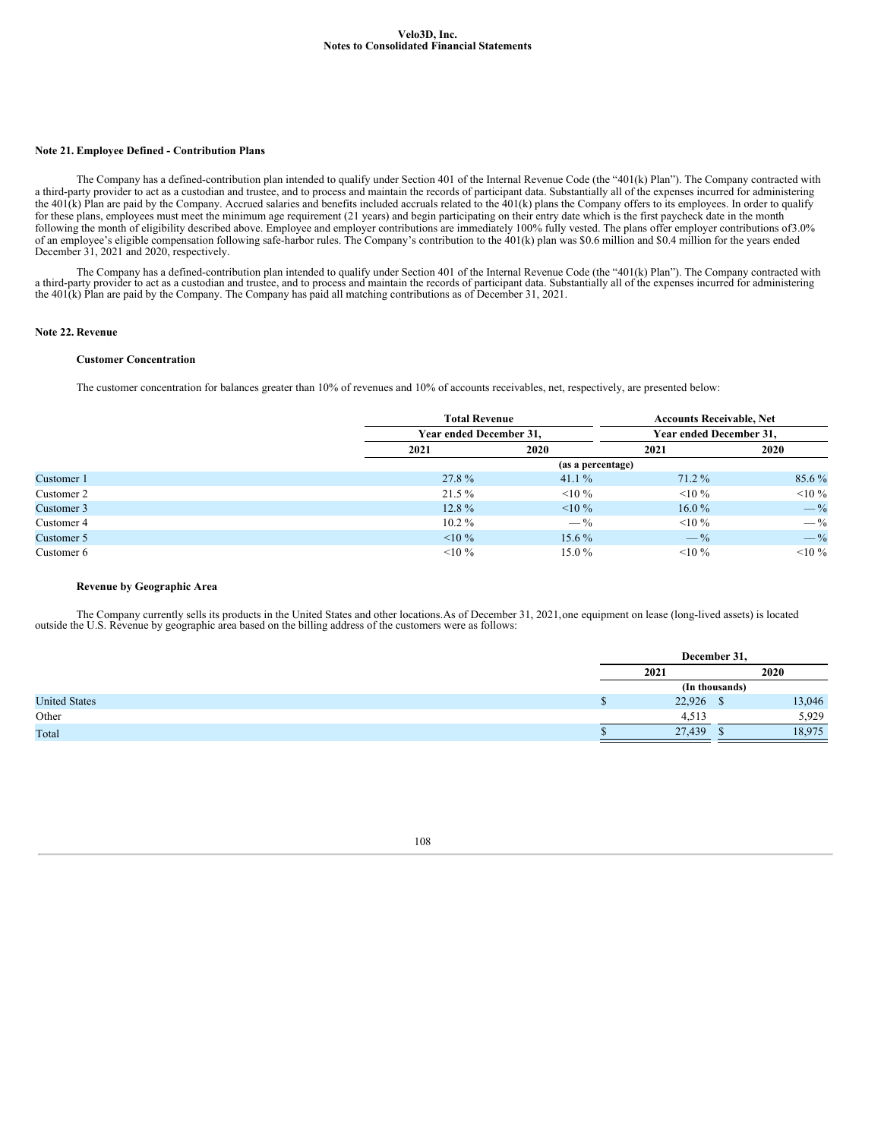# **Note 21. Employee Defined - Contribution Plans**

The Company has a defined-contribution plan intended to qualify under Section 401 of the Internal Revenue Code (the "401(k) Plan"). The Company contracted with a third-party provider to act as a custodian and trustee, and to process and maintain the records of participant data. Substantially all of the expenses incurred for administering the 401(k) Plan are paid by the Company. Accrued salaries and benefits included accruals related to the 401(k) plans the Company offers to its employees. In order to qualify for these plans, employees must meet the minimum age requirement (21 years) and begin participating on their entry date which is the first paycheck date in the month following the month of eligibility described above. Employee and employer contributions are immediately 100% fully vested. The plans offer employer contributions of3.0% of an employee's eligible compensation following safe-harbor rules. The Company's contribution to the 401(k) plan was \$0.6 million and \$0.4 million for the years ended December 31, 2021 and 2020, respectively.

The Company has a defined-contribution plan intended to qualify under Section 401 of the Internal Revenue Code (the "401(k) Plan"). The Company contracted with a third-party provider to act as a custodian and trustee, and to process and maintain the records of participant data. Substantially all of the expenses incurred for administering the 401(k) Plan are paid by the Company. T

# **Note 22. Revenue**

### **Customer Concentration**

The customer concentration for balances greater than 10% of revenues and 10% of accounts receivables, net, respectively, are presented below:

|            | <b>Total Revenue</b><br>Year ended December 31, |                   | <b>Accounts Receivable, Net</b> |                |  |
|------------|-------------------------------------------------|-------------------|---------------------------------|----------------|--|
|            |                                                 |                   | Year ended December 31,         |                |  |
|            | 2021                                            | 2020              | 2021                            | 2020           |  |
|            |                                                 | (as a percentage) |                                 |                |  |
| Customer 1 | 27.8%                                           | 41.1 $%$          | $71.2\%$                        | 85.6 %         |  |
| Customer 2 | 21.5 %                                          | $10\%$            | $10\%$                          | $10\%$         |  |
| Customer 3 | $12.8\%$                                        | $10\%$            | $16.0\%$                        | $-$ %          |  |
| Customer 4 | $10.2\%$                                        | $-\frac{9}{6}$    | $10\%$                          | $-\frac{9}{6}$ |  |
| Customer 5 | $10\%$                                          | $15.6\%$          | $-\frac{9}{6}$                  | $-\frac{9}{6}$ |  |
| Customer 6 | $10\%$                                          | $15.0\%$          | $10\%$                          | $<$ 10 %       |  |

#### **Revenue by Geographic Area**

The Company currently sells its products in the United States and other locations.As of December 31, 2021,one equipment on lease (long-lived assets) is located outside the U.S. Revenue by geographic area based on the billing address of the customers were as follows:

|                      | December 31, |                |        |  |
|----------------------|--------------|----------------|--------|--|
|                      | 2021         |                | 2020   |  |
|                      |              | (In thousands) |        |  |
| <b>United States</b> | 22,926       |                | 13,046 |  |
| Other                | 4.513        |                | 5,929  |  |
| Total                | 27,439       |                | 18,975 |  |

108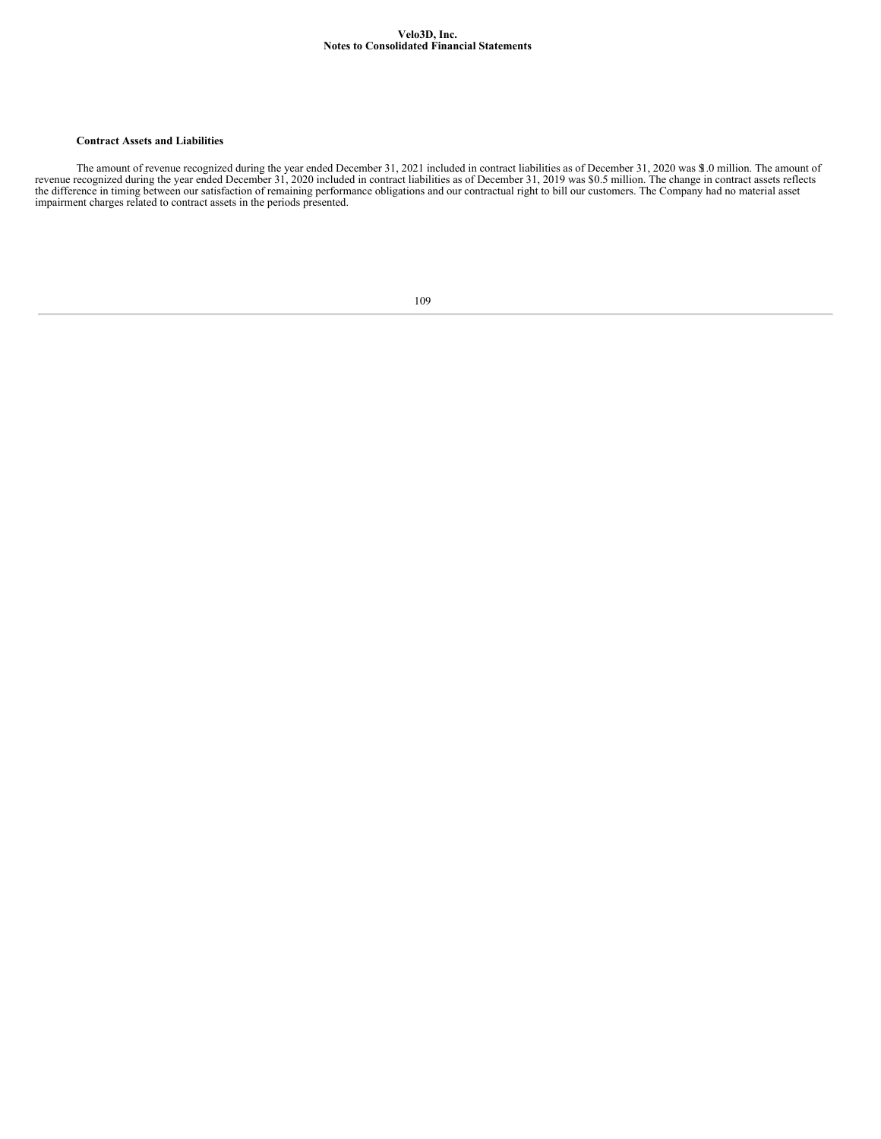# **Contract Assets and Liabilities**

The amount of revenue recognized during the year ended December 31, 2021 included in contract liabilities as of December 31, 2020 was \$0.0 million. The amount of<br>revenue recognized during the year ended December 31, 2020 i

109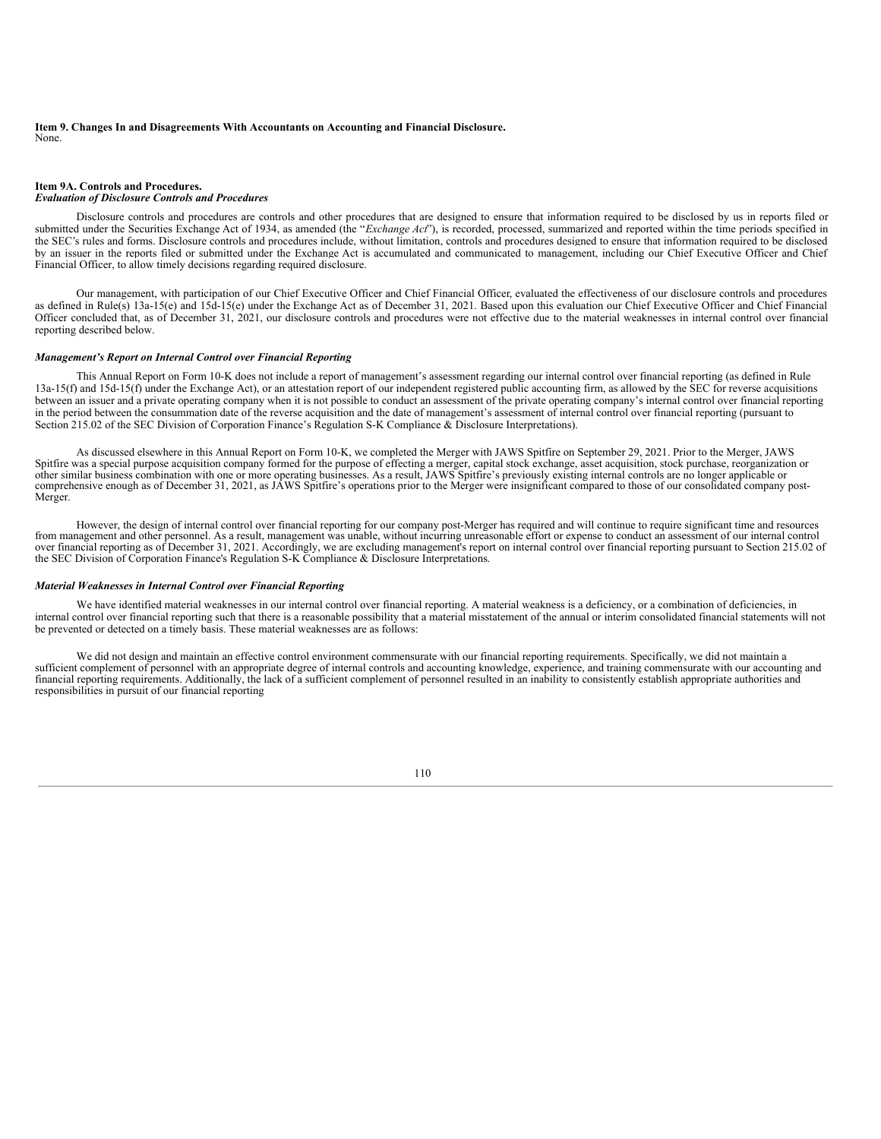#### **Item 9. Changes In and Disagreements With Accountants on Accounting and Financial Disclosure.** None.

#### **Item 9A. Controls and Procedures.** *Evaluation of Disclosure Controls and Procedures*

Disclosure controls and procedures are controls and other procedures that are designed to ensure that information required to be disclosed by us in reports filed or submitted under the Securities Exchange Act of 1934, as amended (the "*Exchange Act*"), is recorded, processed, summarized and reported within the time periods specified in the SEC's rules and forms. Disclosure controls and procedures include, without limitation, controls and procedures designed to ensure that information required to be disclosed by an issuer in the reports filed or submitted under the Exchange Act is accumulated and communicated to management, including our Chief Executive Officer and Chief Financial Officer, to allow timely decisions regarding required disclosure.

Our management, with participation of our Chief Executive Officer and Chief Financial Officer, evaluated the effectiveness of our disclosure controls and procedures as defined in Rule(s) 13a-15(e) and 15d-15(e) under the Exchange Act as of December 31, 2021. Based upon this evaluation our Chief Executive Officer and Chief Financial Officer concluded that, as of December 31, 2021, our disclosure controls and procedures were not effective due to the material weaknesses in internal control over financial reporting described below.

# *Management's Report on Internal Control over Financial Reporting*

This Annual Report on Form 10-K does not include a report of management's assessment regarding our internal control over financial reporting (as defined in Rule 13a-15(f) and 15d-15(f) under the Exchange Act), or an attestation report of our independent registered public accounting firm, as allowed by the SEC for reverse acquisitions between an issuer and a private operating company when it is not possible to conduct an assessment of the private operating company's internal control over financial reporting in the period between the consummation date of the reverse acquisition and the date of management's assessment of internal control over financial reporting (pursuant to Section 215.02 of the SEC Division of Corporation Finance's Regulation S-K Compliance & Disclosure Interpretations).

As discussed elsewhere in this Annual Report on Form 10-K, we completed the Merger with JAWS Spitfire on September 29, 2021. Prior to the Merger, JAWS Spitfire was a special purpose acquisition company formed for the purpose of effecting a merger, capital stock exchange, asset acquisition, stock purchase, reorganization or other similar business combination with one or more operating businesses. As a result, JAWS Spitfire's previously existing internal controls are no longer applicable or comprehensive enough as of December 31, 2021, as JAWS Spitfire's operations prior to the Merger were insignificant compared to those of our consolidated company post-<br>Merger.

However, the design of internal control over financial reporting for our company post-Merger has required and will continue to require significant time and resources from management and other personnel. As a result, management was unable, without incurring unreasonable effort or expense to conduct an assessment of our internal control over financial reporting as of December 31, 2021. Accordingly, we are excluding management's report on internal control over financial reporting pursuant to Section 215.02 of the SEC Division of Corporation Finance's Regulation S-K Compliance & Disclosure Interpretations.

#### *Material Weaknesses in Internal Control over Financial Reporting*

We have identified material weaknesses in our internal control over financial reporting. A material weakness is a deficiency, or a combination of deficiencies, in internal control over financial reporting such that there is a reasonable possibility that a material misstatement of the annual or interim consolidated financial statements will not be prevented or detected on a timely basis. These material weaknesses are as follows:

We did not design and maintain an effective control environment commensurate with our financial reporting requirements. Specifically, we did not maintain a sufficient complement of personnel with an appropriate degree of internal controls and accounting knowledge, experience, and training commensurate with our accounting and financial reporting requirements. Additionally, the lack of a sufficient complement of personnel resulted in an inability to consistently establish appropriate authorities and responsibilities in pursuit of our financial reporting

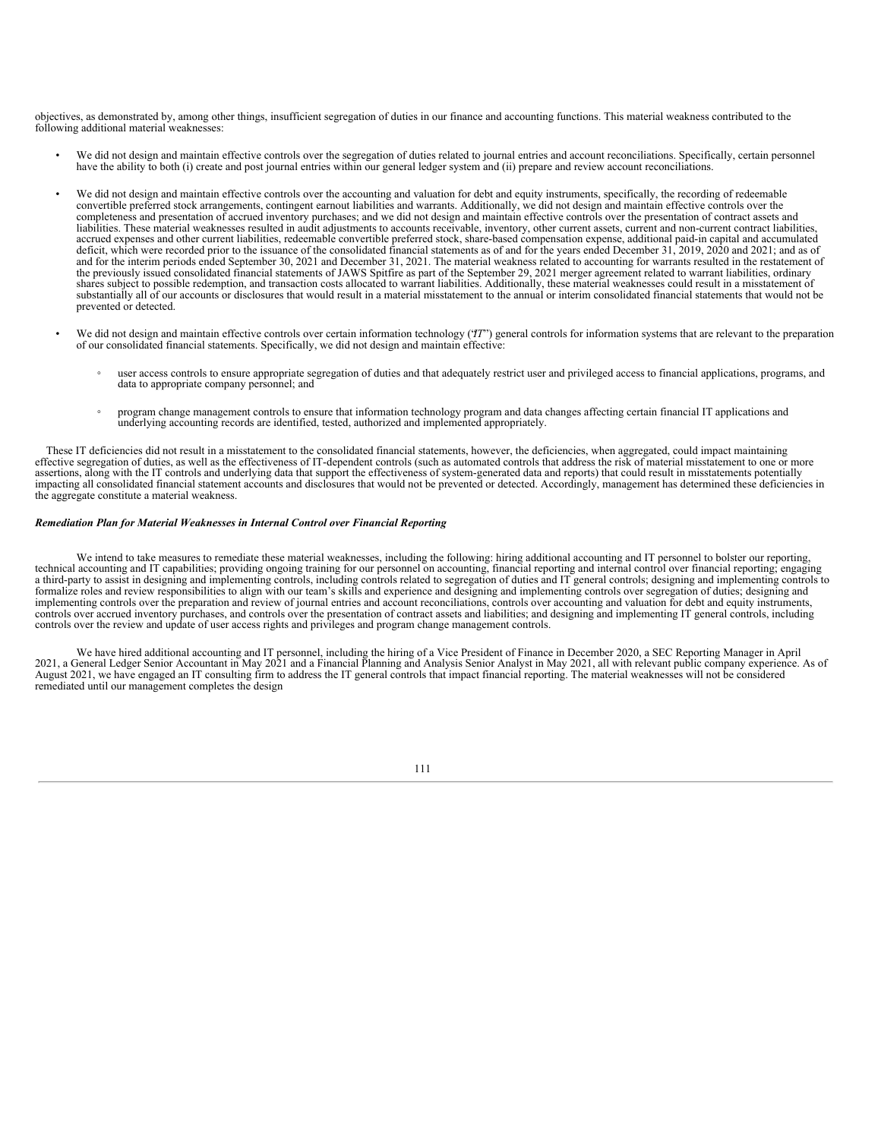objectives, as demonstrated by, among other things, insufficient segregation of duties in our finance and accounting functions. This material weakness contributed to the following additional material weaknesses:

- We did not design and maintain effective controls over the segregation of duties related to journal entries and account reconciliations. Specifically, certain personnel have the ability to both (i) create and post journal entries within our general ledger system and (ii) prepare and review account reconciliations.
- We did not design and maintain effective controls over the accounting and valuation for debt and equity instruments, specifically, the recording of redeemable convertible preferred stock arrangements, contingent earnout liabilities. These material weaknesses resulted in audit adjustments to accounts receivable, inventory, other current assets, current and non-current contract liabilities, accrued expenses and other current liabilities, redeemable convertible preferred stock, share-based compensation expense, additional paid-in capital and accumulated deficit, which were recorded prior to the issuance of the consolidated financial statements as of and for the years ended December 31, 2019, 2020 and 2021; and as of and for the interim periods ended September 30, 2021 and December 31, 2021. The material weakness related to accounting for warrants resulted in the restatement of the previously issued consolidated financial statements of JAWS Spitfire as part of the September 29, 2021 merger agreement related to warrant liabilities, ordinary shares subject to possible redemption, and transaction costs allocated to warrant liabilities. Additionally, these material weaknesses could result in a misstatement of substantially all of our accounts or disclosures that would result in a material misstatement to the annual or interim consolidated financial statements that would not be prevented or detected.
- We did not design and maintain effective controls over certain information technology ('*IT*") general controls for information systems that are relevant to the preparation of our consolidated financial statements. Specifically, we did not design and maintain effective:
	- user access controls to ensure appropriate segregation of duties and that adequately restrict user and privileged access to financial applications, programs, and data to appropriate company personnel; and
	- program change management controls to ensure that information technology program and data changes affecting certain financial IT applications and underlying accounting records are identified, tested, authorized and implemented appropriately.

These IT deficiencies did not result in a misstatement to the consolidated financial statements, however, the deficiencies, when aggregated, could impact maintaining effective segregation of duties, as well as the effectiveness of IT-dependent controls (such as automated controls that address the risk of material misstatement to one or more assertions, along with the IT controls and underlying data that support the effectiveness of system-generated data and reports) that could result in misstatements potentially impacting all consolidated financial statement the aggregate constitute a material weakness.

### *Remediation Plan for Material Weaknesses in Internal Control over Financial Reporting*

We intend to take measures to remediate these material weaknesses, including the following: hiring additional accounting and IT personnel to bolster our reporting, technical accounting and IT capabilities; providing ongoing training for our personnel on accounting, financial reporting and internal control over financial reporting; engaging a third-party to assist in designing and implementing controls, including controls related to segregation of duties and IT general controls; designing and implementing controls to formalize roles and review responsibilities to align with our team's skills and experience and designing and implementing controls over segregation of duties; designing and implementing controls over the preparation and review of journal entries and account reconciliations, controls over accounting and valuation for debt and equity instruments, controls over accrued inventory purchases, and controls over the presentation of contract assets and liabilities; and designing and implementing IT general controls, including controls over the review and update of user access rights and privileges and program change management controls.

We have hired additional accounting and IT personnel, including the hiring of a Vice President of Finance in December 2020, a SEC Reporting Manager in April 2021, a General Ledger Senior Accountant in May 2021 and a Financial Planning and Analysis Senior Analyst in May 2021, all with relevant public company experience. As of August 2021, we have engaged an IT consulting firm to address the IT general controls that impact financial reporting. The material weaknesses will not be considered remediated until our management completes the design

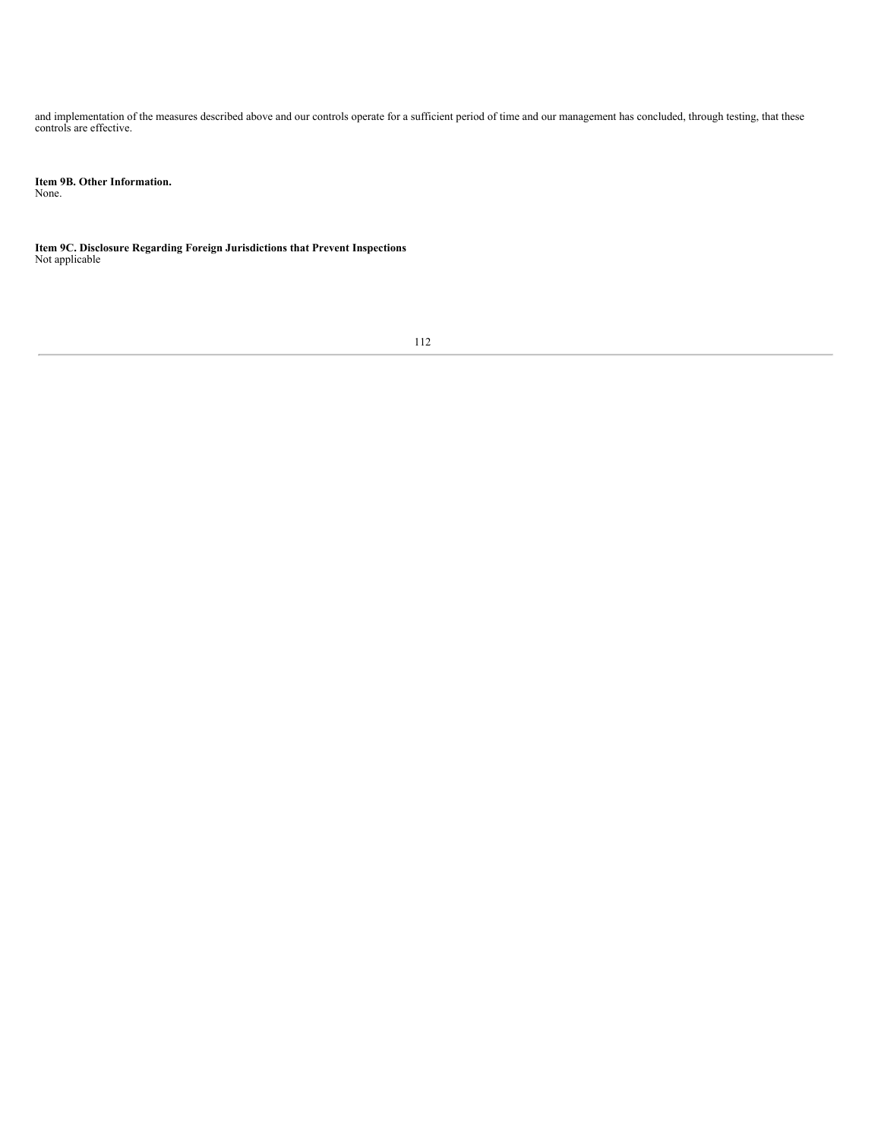and implementation of the measures described above and our controls operate for a sufficient period of time and our management has concluded, through testing, that these controls are effective.

**Item 9B. Other Information.**

None.

**Item 9C. Disclosure Regarding Foreign Jurisdictions that Prevent Inspections** Not applicable

112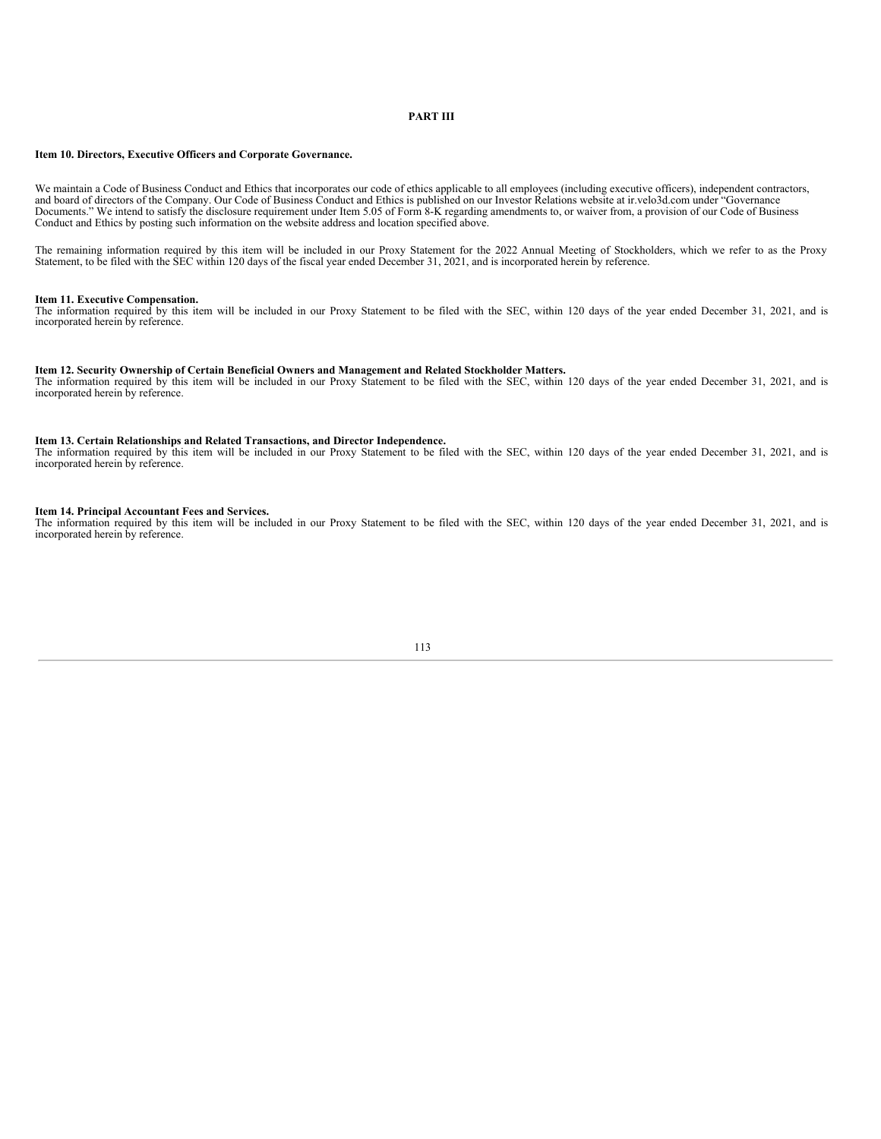## **PART III**

#### **Item 10. Directors, Executive Officers and Corporate Governance.**

We maintain a Code of Business Conduct and Ethics that incorporates our code of ethics applicable to all employees (including executive officers), independent contractors, and board of directors of the Company. Our Code of Business Conduct and Ethics is published on our Investor Relations website at ir.velo3d.com under "Governance Documents." We intend to satisfy the disclosure requirement under Item 5.05 of Form 8-K regarding amendments to, or waiver from, a provision of our Code of Business Conduct and Ethics by posting such information on the website address and location specified above.

The remaining information required by this item will be included in our Proxy Statement for the 2022 Annual Meeting of Stockholders, which we refer to as the Proxy Statement, to be filed with the SEC within 120 days of the

# **Item 11. Executive Compensation.**

The information required by this item will be included in our Proxy Statement to be filed with the SEC, within 120 days of the year ended December 31, 2021, and is incorporated herein by reference.

# **Item 12. Security Ownership of Certain Beneficial Owners and Management and Related Stockholder Matters.**

The information required by this item will be included in our Proxy Statement to be filed with the SEC, within 120 days of the year ended December 31, 2021, and is incorporated herein by reference.

### **Item 13. Certain Relationships and Related Transactions, and Director Independence.**

The information required by this item will be included in our Proxy Statement to be filed with the SEC, within 120 days of the year ended December 31, 2021, and is incorporated herein by reference.

# **Item 14. Principal Accountant Fees and Services.**

The information required by this item will be included in our Proxy Statement to be filed with the SEC, within 120 days of the year ended December 31, 2021, and is incorporated herein by reference.

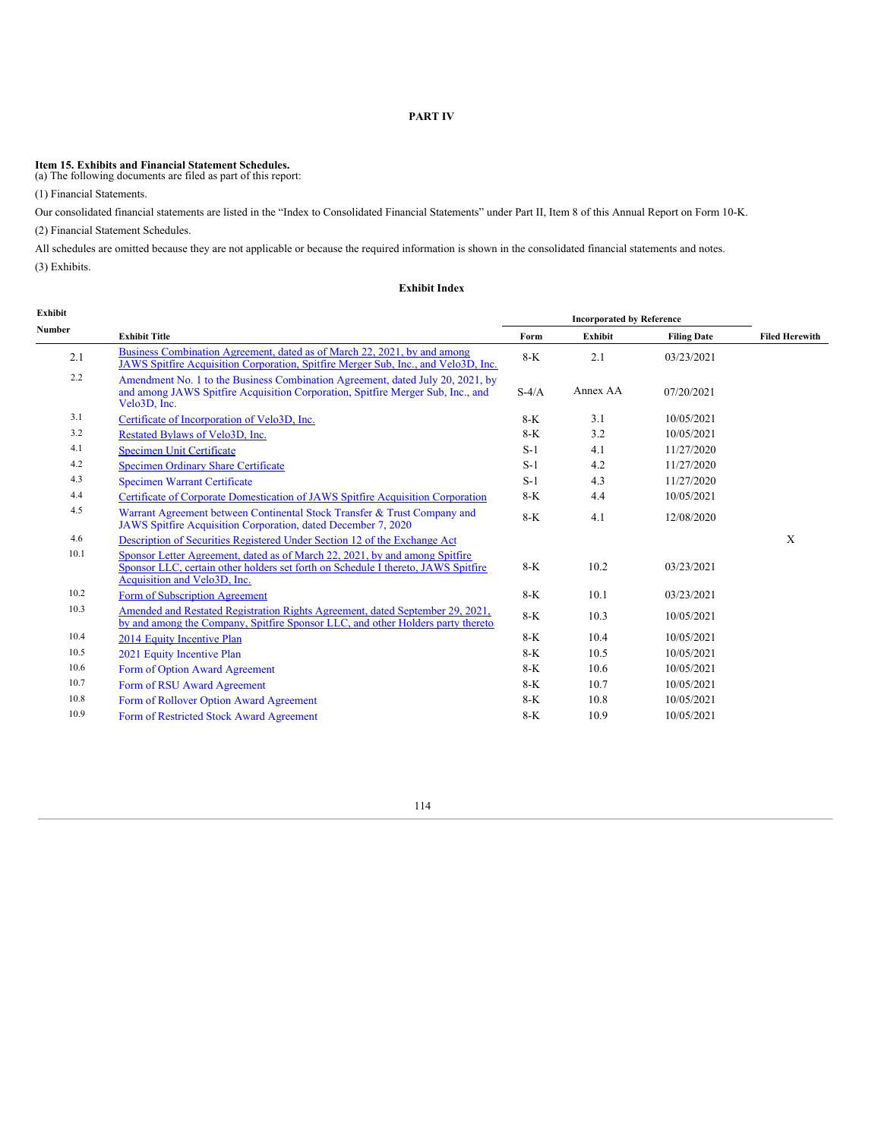# **Item 15. Exhibits and Financial Statement Schedules.** (a) The following documents are filed as part of this report:

(1) Financial Statements.

Our consolidated financial statements are listed in the "Index to Consolidated Financial Statements" under Part II, Item 8 of this Annual Report on Form 10-K.

# (2) Financial Statement Schedules.

All schedules are omitted because they are not applicable or because the required information is shown in the consolidated financial statements and notes.

(3) Exhibits.

# **Exhibit Index**

| <b>Exhibit</b> |                                                                                                                                                                                                  |         | <b>Incorporated by Reference</b> |                    |                       |
|----------------|--------------------------------------------------------------------------------------------------------------------------------------------------------------------------------------------------|---------|----------------------------------|--------------------|-----------------------|
| <b>Number</b>  | <b>Exhibit Title</b>                                                                                                                                                                             | Form    | Exhibit                          | <b>Filing Date</b> | <b>Filed Herewith</b> |
| 2.1            | Business Combination Agreement, dated as of March 22, 2021, by and among<br>JAWS Spitfire Acquisition Corporation, Spitfire Merger Sub, Inc., and Velo3D, Inc.                                   | $8-K$   | 2.1                              | 03/23/2021         |                       |
| 2.2            | Amendment No. 1 to the Business Combination Agreement, dated July 20, 2021, by<br>and among JAWS Spitfire Acquisition Corporation, Spitfire Merger Sub, Inc., and<br>Velo3D, Inc.                | $S-4/A$ | Annex AA                         | 07/20/2021         |                       |
| 3.1            | Certificate of Incorporation of Velo3D, Inc.                                                                                                                                                     | $8-K$   | 3.1                              | 10/05/2021         |                       |
| 3.2            | Restated Bylaws of Velo3D, Inc.                                                                                                                                                                  | $8-K$   | 3.2                              | 10/05/2021         |                       |
| 4.1            | <b>Specimen Unit Certificate</b>                                                                                                                                                                 | $S-1$   | 4.1                              | 11/27/2020         |                       |
| 4.2            | <b>Specimen Ordinary Share Certificate</b>                                                                                                                                                       | $S-1$   | 4.2                              | 11/27/2020         |                       |
| 4.3            | <b>Specimen Warrant Certificate</b>                                                                                                                                                              | $S-1$   | 4.3                              | 11/27/2020         |                       |
| 4.4            | Certificate of Corporate Domestication of JAWS Spitfire Acquisition Corporation                                                                                                                  | $8-K$   | 4.4                              | 10/05/2021         |                       |
| 4.5            | Warrant Agreement between Continental Stock Transfer & Trust Company and<br>JAWS Spitfire Acquisition Corporation, dated December 7, 2020                                                        | $8-K$   | 4.1                              | 12/08/2020         |                       |
| 4.6            | Description of Securities Registered Under Section 12 of the Exchange Act                                                                                                                        |         |                                  |                    | X                     |
| 10.1           | Sponsor Letter Agreement, dated as of March 22, 2021, by and among Spitfire<br>Sponsor LLC, certain other holders set forth on Schedule I thereto, JAWS Spitfire<br>Acquisition and Velo3D, Inc. | $8-K$   | 10.2                             | 03/23/2021         |                       |
| 10.2           | Form of Subscription Agreement                                                                                                                                                                   | $8-K$   | 10.1                             | 03/23/2021         |                       |
| 10.3           | Amended and Restated Registration Rights Agreement, dated September 29, 2021,<br>by and among the Company, Spitfire Sponsor LLC, and other Holders party thereto                                 | $8-K$   | 10.3                             | 10/05/2021         |                       |
| 10.4           | 2014 Equity Incentive Plan                                                                                                                                                                       | $8-K$   | 10.4                             | 10/05/2021         |                       |
| 10.5           | 2021 Equity Incentive Plan                                                                                                                                                                       | $8-K$   | 10.5                             | 10/05/2021         |                       |
| 10.6           | Form of Option Award Agreement                                                                                                                                                                   | $8-K$   | 10.6                             | 10/05/2021         |                       |
| 10.7           | Form of RSU Award Agreement                                                                                                                                                                      | $8-K$   | 10.7                             | 10/05/2021         |                       |
| 10.8           | Form of Rollover Option Award Agreement                                                                                                                                                          | $8-K$   | 10.8                             | 10/05/2021         |                       |
| 10.9           | Form of Restricted Stock Award Agreement                                                                                                                                                         | $8-K$   | 10.9                             | 10/05/2021         |                       |

114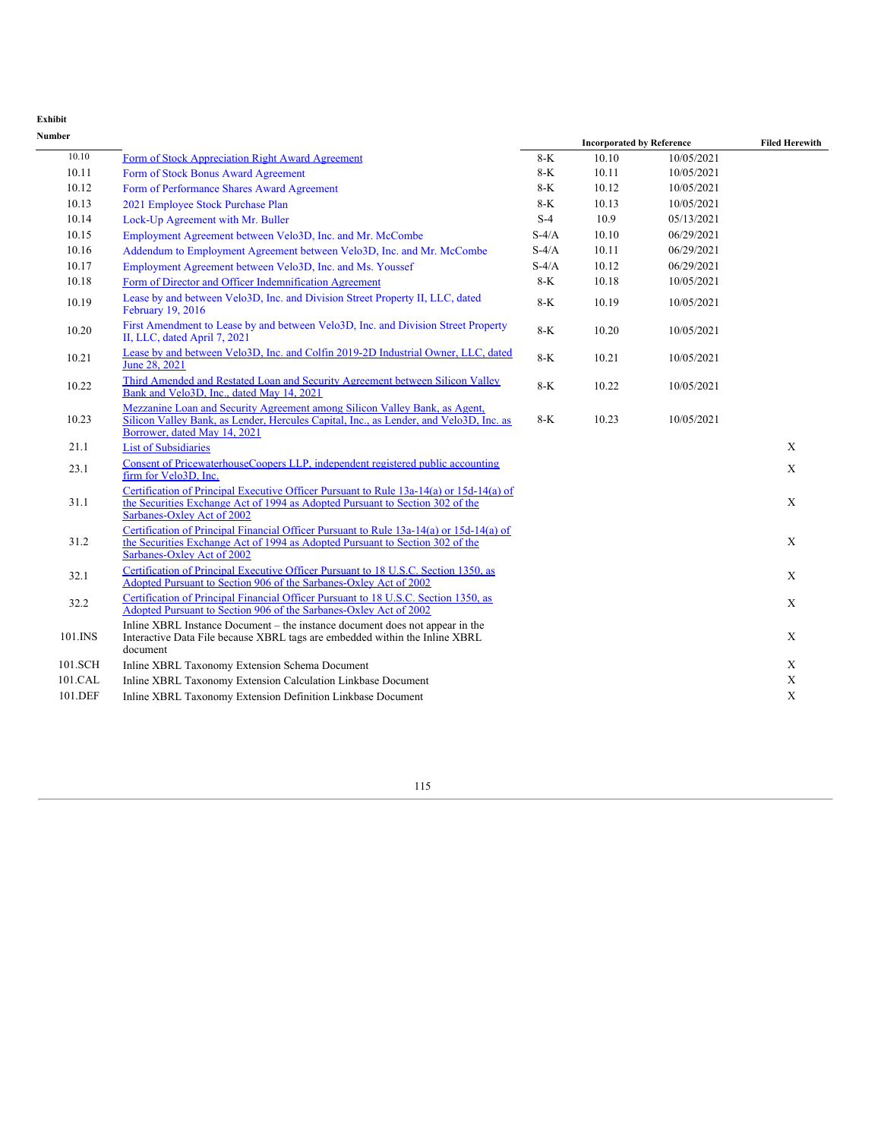| .<br>.<br>I |
|-------------|
|-------------|

| <b>Number</b> |                                                                                                                                                                                                        |         | <b>Incorporated by Reference</b> |            | <b>Filed Herewith</b> |
|---------------|--------------------------------------------------------------------------------------------------------------------------------------------------------------------------------------------------------|---------|----------------------------------|------------|-----------------------|
| 10.10         | Form of Stock Appreciation Right Award Agreement                                                                                                                                                       | $8-K$   | 10.10                            | 10/05/2021 |                       |
| 10.11         | Form of Stock Bonus Award Agreement                                                                                                                                                                    | $8-K$   | 10.11                            | 10/05/2021 |                       |
| 10.12         | Form of Performance Shares Award Agreement                                                                                                                                                             | $8-K$   | 10.12                            | 10/05/2021 |                       |
| 10.13         | 2021 Employee Stock Purchase Plan                                                                                                                                                                      | $8-K$   | 10.13                            | 10/05/2021 |                       |
| 10.14         | Lock-Up Agreement with Mr. Buller                                                                                                                                                                      | $S-4$   | 10.9                             | 05/13/2021 |                       |
| 10.15         | Employment Agreement between Velo3D, Inc. and Mr. McCombe                                                                                                                                              | $S-4/A$ | 10.10                            | 06/29/2021 |                       |
| 10.16         | Addendum to Employment Agreement between Velo3D, Inc. and Mr. McCombe                                                                                                                                  | $S-4/A$ | 10.11                            | 06/29/2021 |                       |
| 10.17         | Employment Agreement between Velo3D, Inc. and Ms. Youssef                                                                                                                                              | $S-4/A$ | 10.12                            | 06/29/2021 |                       |
| 10.18         | Form of Director and Officer Indemnification Agreement                                                                                                                                                 | $8-K$   | 10.18                            | 10/05/2021 |                       |
| 10.19         | Lease by and between Velo3D, Inc. and Division Street Property II, LLC, dated<br>February 19, 2016                                                                                                     | $8-K$   | 10.19                            | 10/05/2021 |                       |
| 10.20         | First Amendment to Lease by and between Velo3D, Inc. and Division Street Property<br>II, LLC, dated April 7, 2021                                                                                      | $8-K$   | 10.20                            | 10/05/2021 |                       |
| 10.21         | Lease by and between Velo3D, Inc. and Colfin 2019-2D Industrial Owner, LLC, dated<br>June 28, 2021                                                                                                     | $8-K$   | 10.21                            | 10/05/2021 |                       |
| 10.22         | Third Amended and Restated Loan and Security Agreement between Silicon Valley<br>Bank and Velo3D, Inc., dated May 14, 2021                                                                             | $8-K$   | 10.22                            | 10/05/2021 |                       |
| 10.23         | Mezzanine Loan and Security Agreement among Silicon Valley Bank, as Agent,<br>Silicon Valley Bank, as Lender, Hercules Capital, Inc., as Lender, and Velo3D, Inc. as<br>Borrower, dated May 14, 2021   | $8-K$   | 10.23                            | 10/05/2021 |                       |
| 21.1          | <b>List of Subsidiaries</b>                                                                                                                                                                            |         |                                  |            | X                     |
| 23.1          | Consent of PricewaterhouseCoopers LLP, independent registered public accounting<br>firm for Velo3D, Inc.                                                                                               |         |                                  |            | $\mathbf X$           |
| 31.1          | Certification of Principal Executive Officer Pursuant to Rule 13a-14(a) or 15d-14(a) of<br>the Securities Exchange Act of 1994 as Adopted Pursuant to Section 302 of the<br>Sarbanes-Oxley Act of 2002 |         |                                  |            | $\mathbf{X}$          |
| 31.2          | Certification of Principal Financial Officer Pursuant to Rule 13a-14(a) or 15d-14(a) of<br>the Securities Exchange Act of 1994 as Adopted Pursuant to Section 302 of the<br>Sarbanes-Oxley Act of 2002 |         |                                  |            | X                     |
| 32.1          | Certification of Principal Executive Officer Pursuant to 18 U.S.C. Section 1350, as<br>Adopted Pursuant to Section 906 of the Sarbanes-Oxley Act of 2002                                               |         |                                  |            | $\mathbf X$           |
| 32.2          | Certification of Principal Financial Officer Pursuant to 18 U.S.C. Section 1350, as<br>Adopted Pursuant to Section 906 of the Sarbanes-Oxley Act of 2002                                               |         |                                  |            | X                     |
| 101.INS       | Inline XBRL Instance Document – the instance document does not appear in the<br>Interactive Data File because XBRL tags are embedded within the Inline XBRL<br>document                                |         |                                  |            | X                     |
| 101.SCH       | Inline XBRL Taxonomy Extension Schema Document                                                                                                                                                         |         |                                  |            | $\mathbf X$           |
| 101.CAL       | Inline XBRL Taxonomy Extension Calculation Linkbase Document                                                                                                                                           |         |                                  |            | $\mathbf X$           |
| 101.DEF       | Inline XBRL Taxonomy Extension Definition Linkbase Document                                                                                                                                            |         |                                  |            | X                     |
|               |                                                                                                                                                                                                        |         |                                  |            |                       |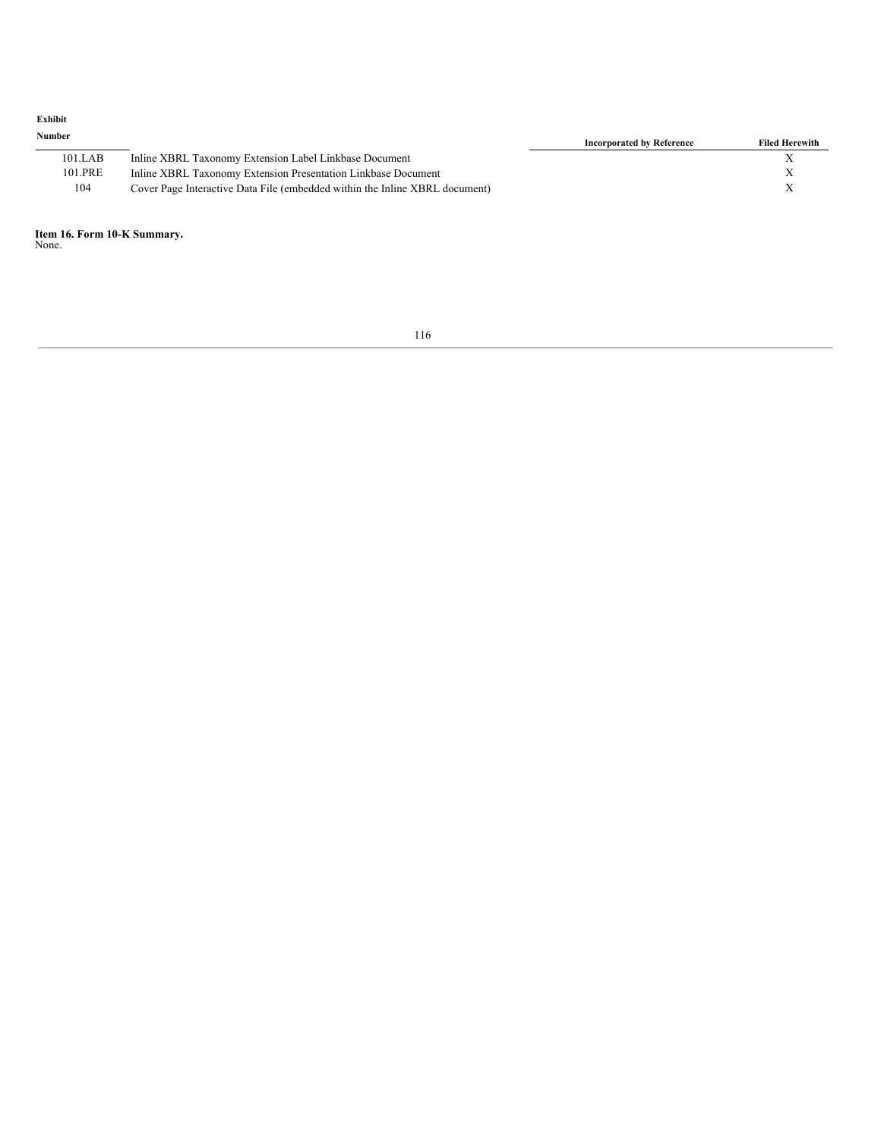| Exhibit |                                                                             |                                  |                       |
|---------|-----------------------------------------------------------------------------|----------------------------------|-----------------------|
| Number  |                                                                             | <b>Incorporated by Reference</b> | <b>Filed Herewith</b> |
| 101.LAB | Inline XBRL Taxonomy Extension Label Linkbase Document                      |                                  |                       |
| 101.PRE | Inline XBRL Taxonomy Extension Presentation Linkbase Document               |                                  |                       |
| 104     | Cover Page Interactive Data File (embedded within the Inline XBRL document) |                                  |                       |

**Item 16. Form 10-K Summary.**

None.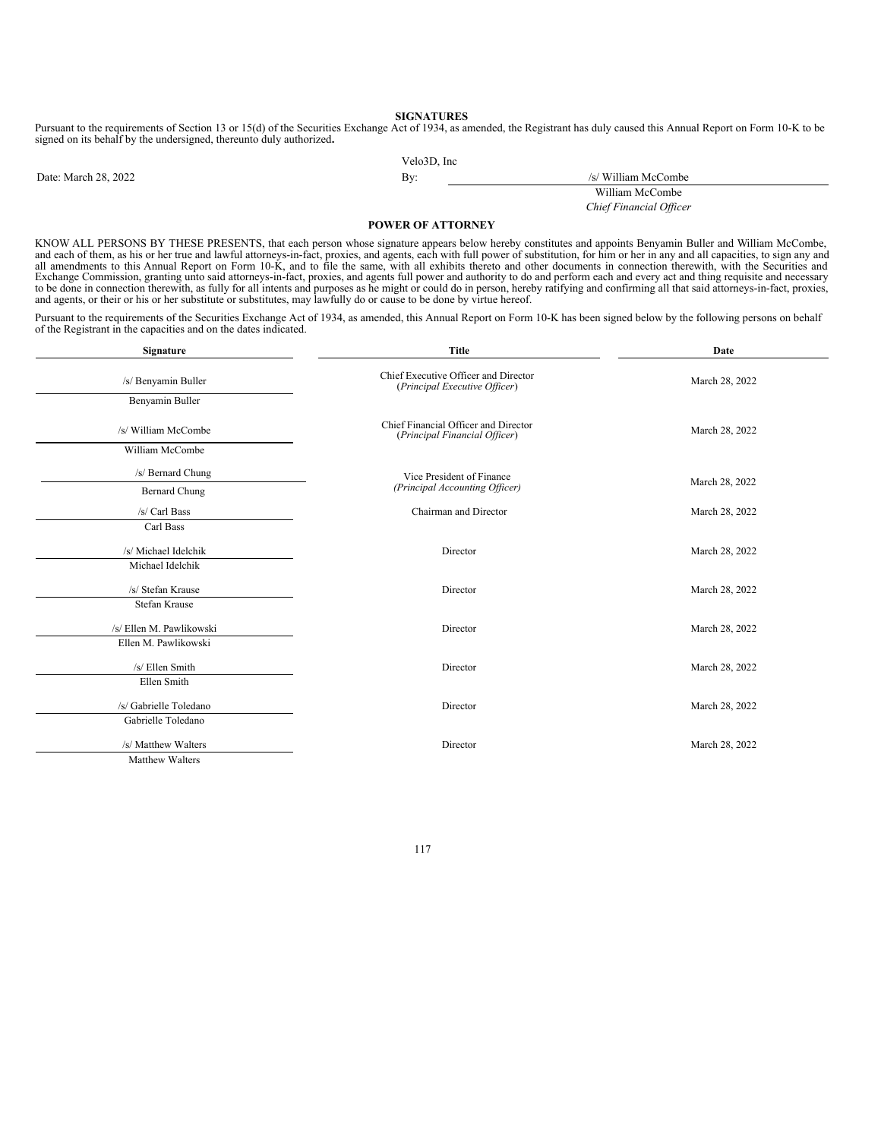# **SIGNATURES**

Pursuant to the requirements of Section 13 or 15(d) of the Securities Exchange Act of 1934, as amended, the Registrant has duly caused this Annual Report on Form 10-K to be signed on its behalf by the undersigned, thereunto duly authorized**.**

|                      | Velo3D, Inc |                     |
|----------------------|-------------|---------------------|
| Date: March 28, 2022 | Bv          | /s/ William McCombe |
|                      |             | William McCombe     |

*Chief Financial Of icer*

# **POWER OF ATTORNEY**

KNOW ALL PERSONS BY THESE PRESENTS, that each person whose signature appears below hereby constitutes and appoints Benyamin Buller and William McCombe, and each of them, as his or her true and lawful attorneys-in-fact, proxies, and agents, each with full power of substitution, for him or her in any and all capacities, to sign any and<br>all amendments to this Annual Report o to be done in connection therewith, as fully for all intents and purposes as he might or could do in person, hereby ratifying and confirming all that said attorneys-in-fact, proxies, and agents, or their or his or her subs

Pursuant to the requirements of the Securities Exchange Act of 1934, as amended, this Annual Report on Form 10-K has been signed below by the following persons on behalf of the Registrant in the capacities and on the dates indicated.

| Signature                | <b>Title</b>                                                          | Date           |
|--------------------------|-----------------------------------------------------------------------|----------------|
| /s/ Benyamin Buller      | Chief Executive Officer and Director<br>(Principal Executive Officer) | March 28, 2022 |
| Benyamin Buller          |                                                                       |                |
| /s/ William McCombe      | Chief Financial Officer and Director<br>(Principal Financial Officer) | March 28, 2022 |
| William McCombe          |                                                                       |                |
| /s/ Bernard Chung        | Vice President of Finance                                             | March 28, 2022 |
| <b>Bernard Chung</b>     | (Principal Accounting Officer)                                        |                |
| /s/ Carl Bass            | Chairman and Director                                                 | March 28, 2022 |
| Carl Bass                |                                                                       |                |
| /s/ Michael Idelchik     | Director                                                              | March 28, 2022 |
| Michael Idelchik         |                                                                       |                |
| /s/ Stefan Krause        | Director                                                              | March 28, 2022 |
| Stefan Krause            |                                                                       |                |
| /s/ Ellen M. Pawlikowski | Director                                                              | March 28, 2022 |
| Ellen M. Pawlikowski     |                                                                       |                |
| /s/ Ellen Smith          | Director                                                              | March 28, 2022 |
| Ellen Smith              |                                                                       |                |
| /s/ Gabrielle Toledano   | Director                                                              | March 28, 2022 |
| Gabrielle Toledano       |                                                                       |                |
| /s/ Matthew Walters      | Director                                                              | March 28, 2022 |
| <b>Matthew Walters</b>   |                                                                       |                |

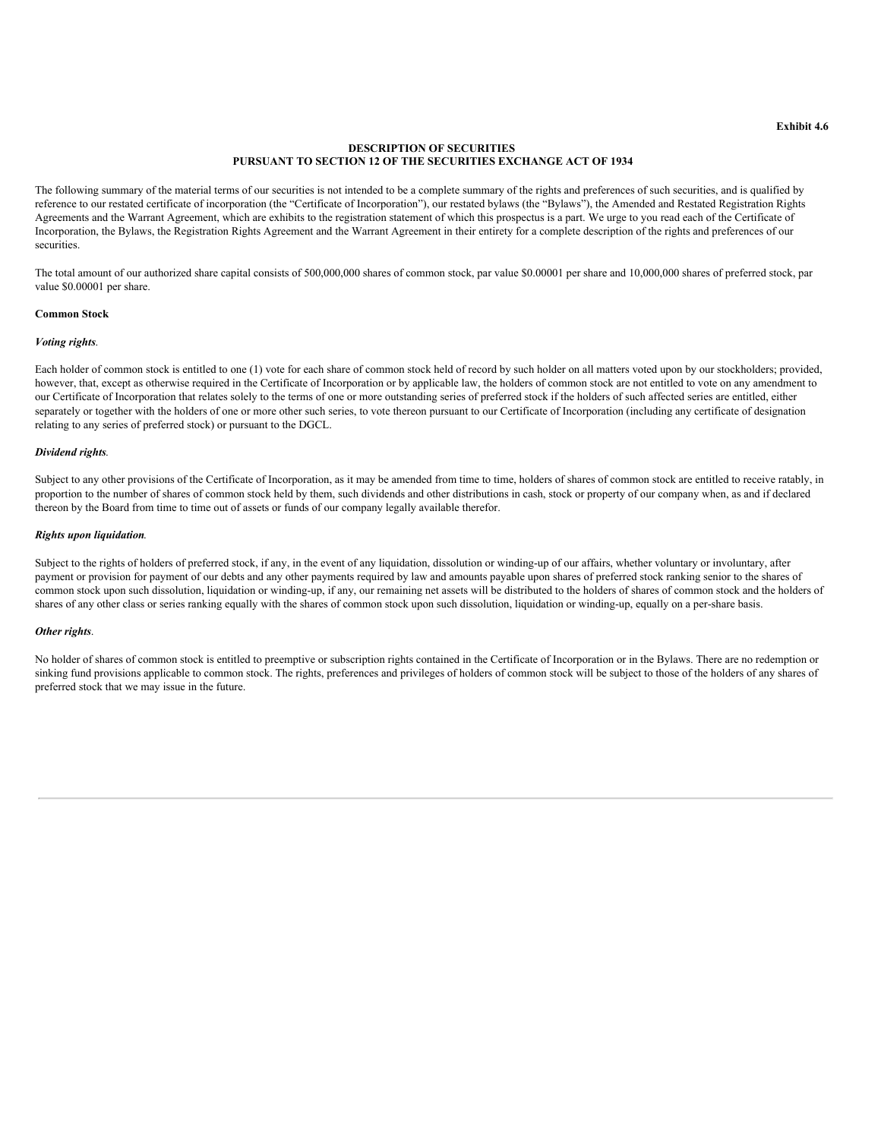# **DESCRIPTION OF SECURITIES PURSUANT TO SECTION 12 OF THE SECURITIES EXCHANGE ACT OF 1934**

The following summary of the material terms of our securities is not intended to be a complete summary of the rights and preferences of such securities, and is qualified by reference to our restated certificate of incorporation (the "Certificate of Incorporation"), our restated bylaws (the "Bylaws"), the Amended and Restated Registration Rights Agreements and the Warrant Agreement, which are exhibits to the registration statement of which this prospectus is a part. We urge to you read each of the Certificate of Incorporation, the Bylaws, the Registration Rights Agreement and the Warrant Agreement in their entirety for a complete description of the rights and preferences of our securities.

The total amount of our authorized share capital consists of 500,000,000 shares of common stock, par value \$0.00001 per share and 10,000,000 shares of preferred stock, par value \$0.00001 per share.

# **Common Stock**

### *Voting rights*.

Each holder of common stock is entitled to one (1) vote for each share of common stock held of record by such holder on all matters voted upon by our stockholders; provided, however, that, except as otherwise required in the Certificate of Incorporation or by applicable law, the holders of common stock are not entitled to vote on any amendment to our Certificate of Incorporation that relates solely to the terms of one or more outstanding series of preferred stock if the holders of such affected series are entitled, either separately or together with the holders of one or more other such series, to vote thereon pursuant to our Certificate of Incorporation (including any certificate of designation relating to any series of preferred stock) or pursuant to the DGCL.

# *Dividend rights*.

Subject to any other provisions of the Certificate of Incorporation, as it may be amended from time to time, holders of shares of common stock are entitled to receive ratably, in proportion to the number of shares of common stock held by them, such dividends and other distributions in cash, stock or property of our company when, as and if declared thereon by the Board from time to time out of assets or funds of our company legally available therefor.

# *Rights upon liquidation*.

Subject to the rights of holders of preferred stock, if any, in the event of any liquidation, dissolution or winding-up of our affairs, whether voluntary or involuntary, after payment or provision for payment of our debts and any other payments required by law and amounts payable upon shares of preferred stock ranking senior to the shares of common stock upon such dissolution, liquidation or winding-up, if any, our remaining net assets will be distributed to the holders of shares of common stock and the holders of shares of any other class or series ranking equally with the shares of common stock upon such dissolution, liquidation or winding-up, equally on a per-share basis.

# *Other rights*.

No holder of shares of common stock is entitled to preemptive or subscription rights contained in the Certificate of Incorporation or in the Bylaws. There are no redemption or sinking fund provisions applicable to common stock. The rights, preferences and privileges of holders of common stock will be subject to those of the holders of any shares of preferred stock that we may issue in the future.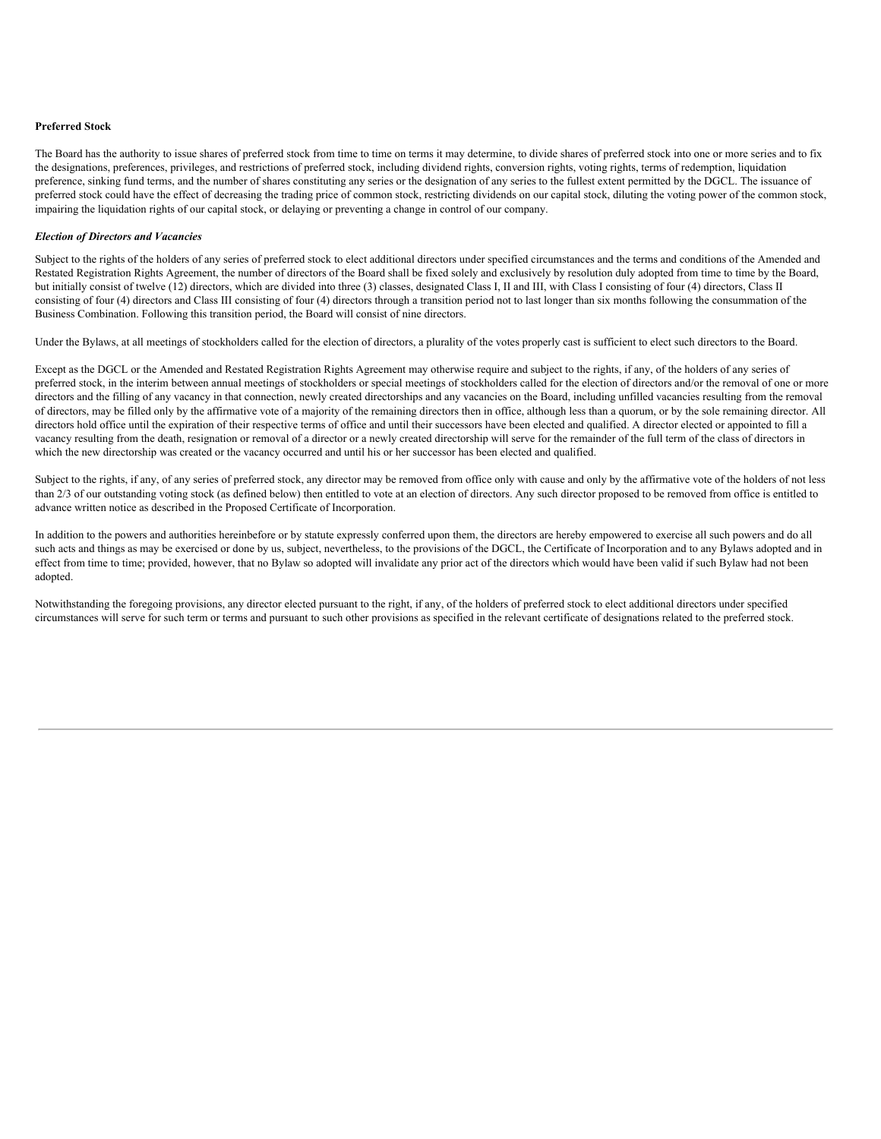# **Preferred Stock**

The Board has the authority to issue shares of preferred stock from time to time on terms it may determine, to divide shares of preferred stock into one or more series and to fix the designations, preferences, privileges, and restrictions of preferred stock, including dividend rights, conversion rights, voting rights, terms of redemption, liquidation preference, sinking fund terms, and the number of shares constituting any series or the designation of any series to the fullest extent permitted by the DGCL. The issuance of preferred stock could have the effect of decreasing the trading price of common stock, restricting dividends on our capital stock, diluting the voting power of the common stock, impairing the liquidation rights of our capital stock, or delaying or preventing a change in control of our company.

# *Election of Directors and Vacancies*

Subject to the rights of the holders of any series of preferred stock to elect additional directors under specified circumstances and the terms and conditions of the Amended and Restated Registration Rights Agreement, the number of directors of the Board shall be fixed solely and exclusively by resolution duly adopted from time to time by the Board, but initially consist of twelve (12) directors, which are divided into three (3) classes, designated Class I, II and III, with Class I consisting of four (4) directors, Class II consisting of four (4) directors and Class III consisting of four (4) directors through a transition period not to last longer than six months following the consummation of the Business Combination. Following this transition period, the Board will consist of nine directors.

Under the Bylaws, at all meetings of stockholders called for the election of directors, a plurality of the votes properly cast is sufficient to elect such directors to the Board.

Except as the DGCL or the Amended and Restated Registration Rights Agreement may otherwise require and subject to the rights, if any, of the holders of any series of preferred stock, in the interim between annual meetings of stockholders or special meetings of stockholders called for the election of directors and/or the removal of one or more directors and the filling of any vacancy in that connection, newly created directorships and any vacancies on the Board, including unfilled vacancies resulting from the removal of directors, may be filled only by the affirmative vote of a majority of the remaining directors then in office, although less than a quorum, or by the sole remaining director. All directors hold office until the expiration of their respective terms of office and until their successors have been elected and qualified. A director elected or appointed to fill a vacancy resulting from the death, resignation or removal of a director or a newly created directorship will serve for the remainder of the full term of the class of directors in which the new directorship was created or the vacancy occurred and until his or her successor has been elected and qualified.

Subject to the rights, if any, of any series of preferred stock, any director may be removed from office only with cause and only by the affirmative vote of the holders of not less than 2/3 of our outstanding voting stock (as defined below) then entitled to vote at an election of directors. Any such director proposed to be removed from office is entitled to advance written notice as described in the Proposed Certificate of Incorporation.

In addition to the powers and authorities hereinbefore or by statute expressly conferred upon them, the directors are hereby empowered to exercise all such powers and do all such acts and things as may be exercised or done by us, subject, nevertheless, to the provisions of the DGCL, the Certificate of Incorporation and to any Bylaws adopted and in effect from time to time; provided, however, that no Bylaw so adopted will invalidate any prior act of the directors which would have been valid if such Bylaw had not been adopted.

Notwithstanding the foregoing provisions, any director elected pursuant to the right, if any, of the holders of preferred stock to elect additional directors under specified circumstances will serve for such term or terms and pursuant to such other provisions as specified in the relevant certificate of designations related to the preferred stock.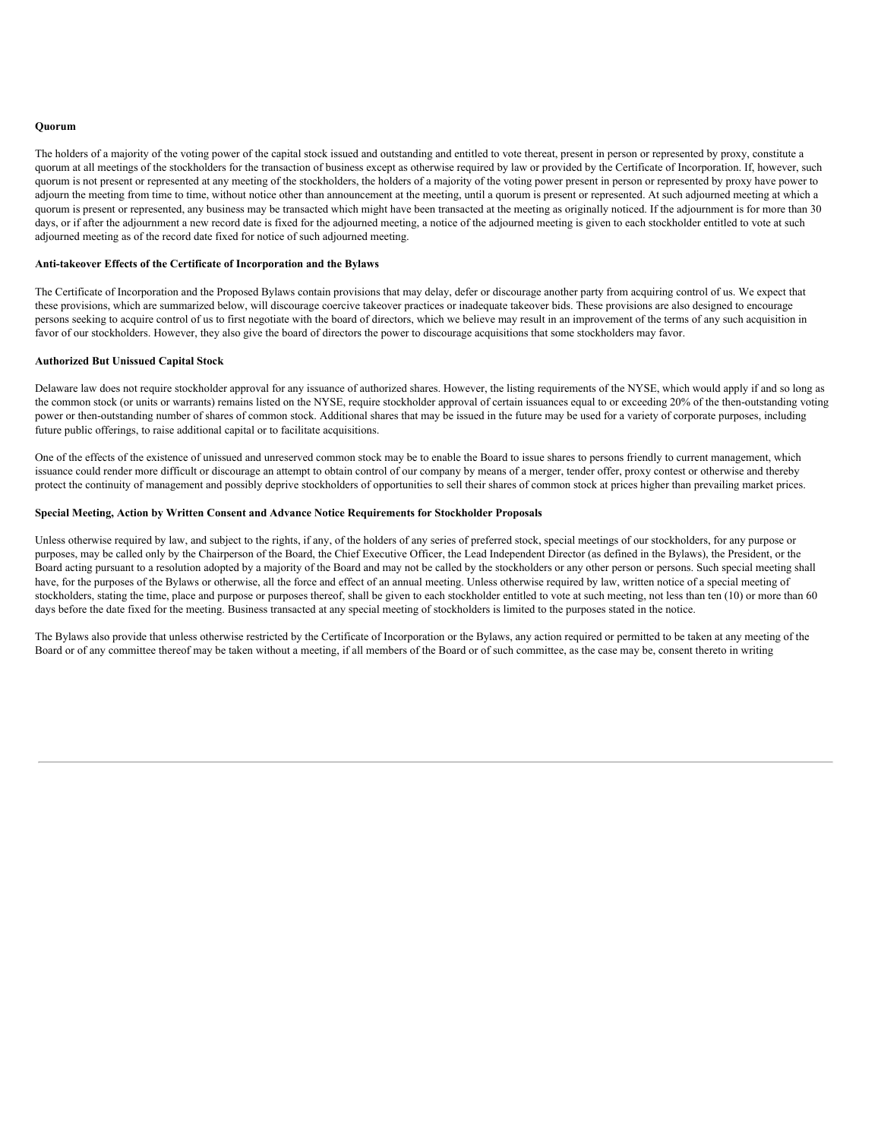# <span id="page-122-0"></span>**Quorum**

The holders of a majority of the voting power of the capital stock issued and outstanding and entitled to vote thereat, present in person or represented by proxy, constitute a quorum at all meetings of the stockholders for the transaction of business except as otherwise required by law or provided by the Certificate of Incorporation. If, however, such quorum is not present or represented at any meeting of the stockholders, the holders of a majority of the voting power present in person or represented by proxy have power to adjourn the meeting from time to time, without notice other than announcement at the meeting, until a quorum is present or represented. At such adjourned meeting at which a quorum is present or represented, any business may be transacted which might have been transacted at the meeting as originally noticed. If the adjournment is for more than 30 days, or if after the adjournment a new record date is fixed for the adjourned meeting, a notice of the adjourned meeting is given to each stockholder entitled to vote at such adjourned meeting as of the record date fixed for notice of such adjourned meeting.

# **Anti-takeover Effects of the Certificate of Incorporation and the Bylaws**

The Certificate of Incorporation and the Proposed Bylaws contain provisions that may delay, defer or discourage another party from acquiring control of us. We expect that these provisions, which are summarized below, will discourage coercive takeover practices or inadequate takeover bids. These provisions are also designed to encourage persons seeking to acquire control of us to first negotiate with the board of directors, which we believe may result in an improvement of the terms of any such acquisition in favor of our stockholders. However, they also give the board of directors the power to discourage acquisitions that some stockholders may favor.

# **Authorized But Unissued Capital Stock**

Delaware law does not require stockholder approval for any issuance of authorized shares. However, the listing requirements of the NYSE, which would apply if and so long as the common stock (or units or warrants) remains listed on the NYSE, require stockholder approval of certain issuances equal to or exceeding 20% of the then-outstanding voting power or then-outstanding number of shares of common stock. Additional shares that may be issued in the future may be used for a variety of corporate purposes, including future public offerings, to raise additional capital or to facilitate acquisitions.

One of the effects of the existence of unissued and unreserved common stock may be to enable the Board to issue shares to persons friendly to current management, which issuance could render more difficult or discourage an attempt to obtain control of our company by means of a merger, tender offer, proxy contest or otherwise and thereby protect the continuity of management and possibly deprive stockholders of opportunities to sell their shares of common stock at prices higher than prevailing market prices.

# **Special Meeting, Action by Written Consent and Advance Notice Requirements for Stockholder Proposals**

Unless otherwise required by law, and subject to the rights, if any, of the holders of any series of preferred stock, special meetings of our stockholders, for any purpose or purposes, may be called only by the Chairperson of the Board, the Chief Executive Officer, the Lead Independent Director (as defined in the Bylaws), the President, or the Board acting pursuant to a resolution adopted by a majority of the Board and may not be called by the stockholders or any other person or persons. Such special meeting shall have, for the purposes of the Bylaws or otherwise, all the force and effect of an annual meeting. Unless otherwise required by law, written notice of a special meeting of stockholders, stating the time, place and purpose or purposes thereof, shall be given to each stockholder entitled to vote at such meeting, not less than ten (10) or more than 60 days before the date fixed for the meeting. Business transacted at any special meeting of stockholders is limited to the purposes stated in the notice.

The Bylaws also provide that unless otherwise restricted by the Certificate of Incorporation or the Bylaws, any action required or permitted to be taken at any meeting of the Board or of any committee thereof may be taken without a meeting, if all members of the Board or of such committee, as the case may be, consent thereto in writing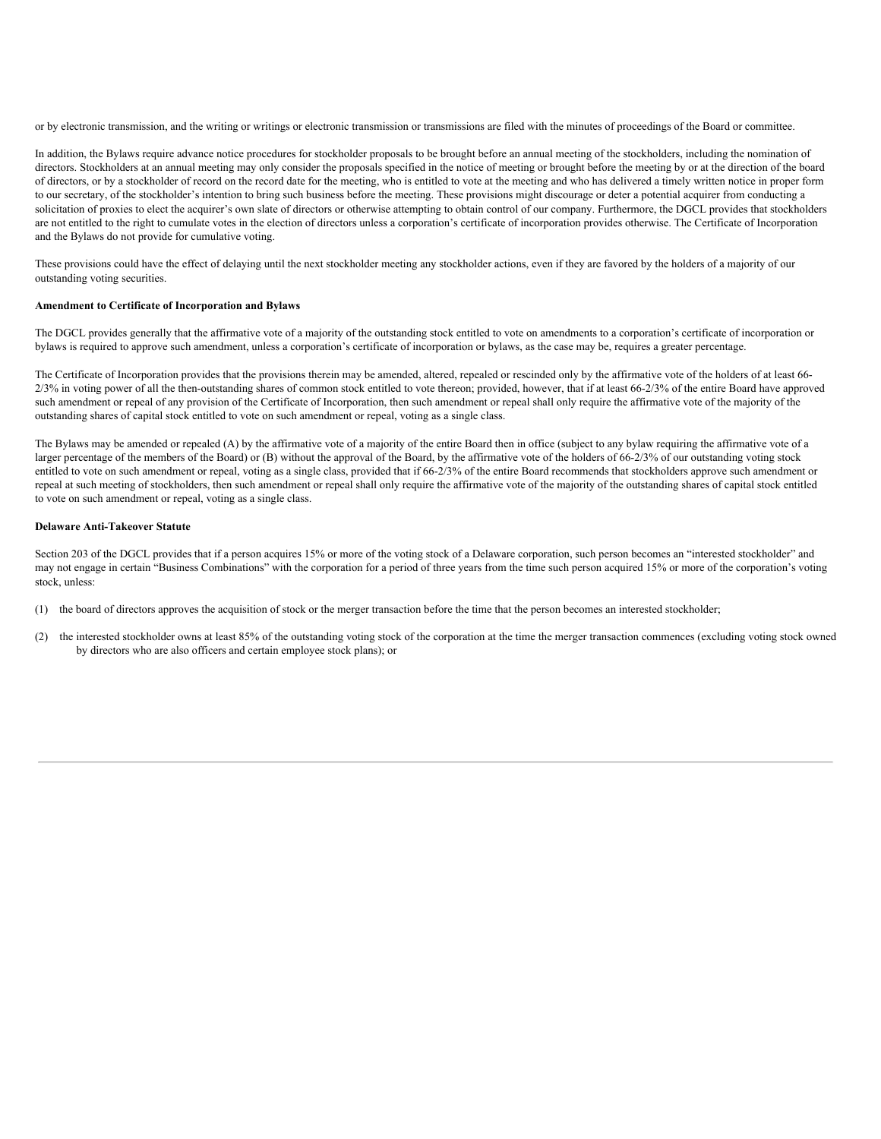or by electronic transmission, and the writing or writings or electronic transmission or transmissions are filed with the minutes of proceedings of the Board or committee.

In addition, the Bylaws require advance notice procedures for stockholder proposals to be brought before an annual meeting of the stockholders, including the nomination of directors. Stockholders at an annual meeting may only consider the proposals specified in the notice of meeting or brought before the meeting by or at the direction of the board of directors, or by a stockholder of record on the record date for the meeting, who is entitled to vote at the meeting and who has delivered a timely written notice in proper form to our secretary, of the stockholder's intention to bring such business before the meeting. These provisions might discourage or deter a potential acquirer from conducting a solicitation of proxies to elect the acquirer's own slate of directors or otherwise attempting to obtain control of our company. Furthermore, the DGCL provides that stockholders are not entitled to the right to cumulate votes in the election of directors unless a corporation's certificate of incorporation provides otherwise. The Certificate of Incorporation and the Bylaws do not provide for cumulative voting.

These provisions could have the effect of delaying until the next stockholder meeting any stockholder actions, even if they are favored by the holders of a majority of our outstanding voting securities.

# **Amendment to Certificate of Incorporation and Bylaws**

The DGCL provides generally that the affirmative vote of a majority of the outstanding stock entitled to vote on amendments to a corporation's certificate of incorporation or bylaws is required to approve such amendment, unless a corporation's certificate of incorporation or bylaws, as the case may be, requires a greater percentage.

The Certificate of Incorporation provides that the provisions therein may be amended, altered, repealed or rescinded only by the affirmative vote of the holders of at least 66- 2/3% in voting power of all the then-outstanding shares of common stock entitled to vote thereon; provided, however, that if at least 66-2/3% of the entire Board have approved such amendment or repeal of any provision of the Certificate of Incorporation, then such amendment or repeal shall only require the affirmative vote of the majority of the outstanding shares of capital stock entitled to vote on such amendment or repeal, voting as a single class.

The Bylaws may be amended or repealed (A) by the affirmative vote of a majority of the entire Board then in office (subject to any bylaw requiring the affirmative vote of a larger percentage of the members of the Board) or (B) without the approval of the Board, by the affirmative vote of the holders of 66-2/3% of our outstanding voting stock entitled to vote on such amendment or repeal, voting as a single class, provided that if 66-2/3% of the entire Board recommends that stockholders approve such amendment or repeal at such meeting of stockholders, then such amendment or repeal shall only require the affirmative vote of the majority of the outstanding shares of capital stock entitled to vote on such amendment or repeal, voting as a single class.

### **Delaware Anti-Takeover Statute**

Section 203 of the DGCL provides that if a person acquires 15% or more of the voting stock of a Delaware corporation, such person becomes an "interested stockholder" and may not engage in certain "Business Combinations" with the corporation for a period of three years from the time such person acquired 15% or more of the corporation's voting stock, unless:

(1) the board of directors approves the acquisition of stock or the merger transaction before the time that the person becomes an interested stockholder;

(2) the interested stockholder owns at least 85% of the outstanding voting stock of the corporation at the time the merger transaction commences (excluding voting stock owned by directors who are also officers and certain employee stock plans); or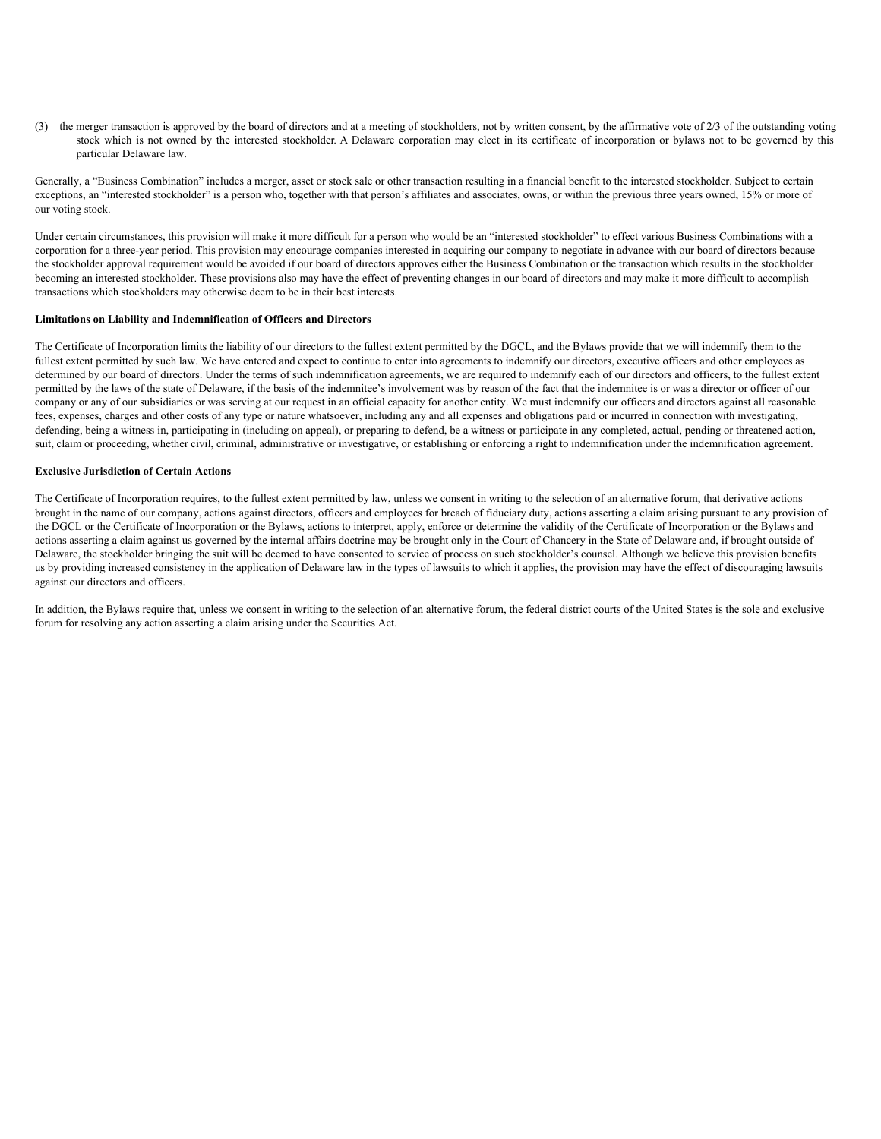(3) the merger transaction is approved by the board of directors and at a meeting of stockholders, not by written consent, by the affirmative vote of 2/3 of the outstanding voting stock which is not owned by the interested stockholder. A Delaware corporation may elect in its certificate of incorporation or bylaws not to be governed by this particular Delaware law.

Generally, a "Business Combination" includes a merger, asset or stock sale or other transaction resulting in a financial benefit to the interested stockholder. Subject to certain exceptions, an "interested stockholder" is a person who, together with that person's affiliates and associates, owns, or within the previous three years owned, 15% or more of our voting stock.

Under certain circumstances, this provision will make it more difficult for a person who would be an "interested stockholder" to effect various Business Combinations with a corporation for a three-year period. This provision may encourage companies interested in acquiring our company to negotiate in advance with our board of directors because the stockholder approval requirement would be avoided if our board of directors approves either the Business Combination or the transaction which results in the stockholder becoming an interested stockholder. These provisions also may have the effect of preventing changes in our board of directors and may make it more difficult to accomplish transactions which stockholders may otherwise deem to be in their best interests.

# **Limitations on Liability and Indemnification of Officers and Directors**

The Certificate of Incorporation limits the liability of our directors to the fullest extent permitted by the DGCL, and the Bylaws provide that we will indemnify them to the fullest extent permitted by such law. We have entered and expect to continue to enter into agreements to indemnify our directors, executive officers and other employees as determined by our board of directors. Under the terms of such indemnification agreements, we are required to indemnify each of our directors and officers, to the fullest extent permitted by the laws of the state of Delaware, if the basis of the indemnitee's involvement was by reason of the fact that the indemnitee is or was a director or officer of our company or any of our subsidiaries or was serving at our request in an official capacity for another entity. We must indemnify our officers and directors against all reasonable fees, expenses, charges and other costs of any type or nature whatsoever, including any and all expenses and obligations paid or incurred in connection with investigating, defending, being a witness in, participating in (including on appeal), or preparing to defend, be a witness or participate in any completed, actual, pending or threatened action, suit, claim or proceeding, whether civil, criminal, administrative or investigative, or establishing or enforcing a right to indemnification under the indemnification agreement.

# **Exclusive Jurisdiction of Certain Actions**

The Certificate of Incorporation requires, to the fullest extent permitted by law, unless we consent in writing to the selection of an alternative forum, that derivative actions brought in the name of our company, actions against directors, officers and employees for breach of fiduciary duty, actions asserting a claim arising pursuant to any provision of the DGCL or the Certificate of Incorporation or the Bylaws, actions to interpret, apply, enforce or determine the validity of the Certificate of Incorporation or the Bylaws and actions asserting a claim against us governed by the internal affairs doctrine may be brought only in the Court of Chancery in the State of Delaware and, if brought outside of Delaware, the stockholder bringing the suit will be deemed to have consented to service of process on such stockholder's counsel. Although we believe this provision benefits us by providing increased consistency in the application of Delaware law in the types of lawsuits to which it applies, the provision may have the effect of discouraging lawsuits against our directors and officers.

In addition, the Bylaws require that, unless we consent in writing to the selection of an alternative forum, the federal district courts of the United States is the sole and exclusive forum for resolving any action asserting a claim arising under the Securities Act.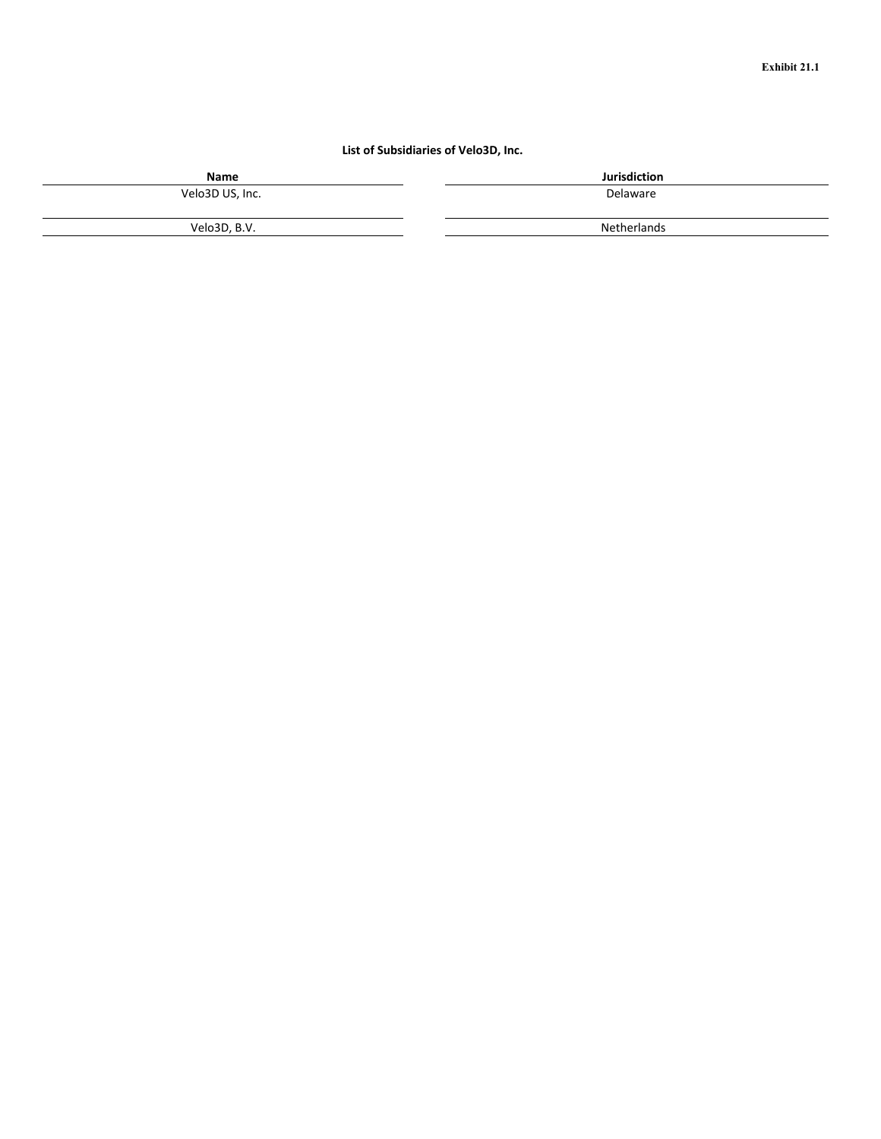# **List of Subsidiaries of Velo3D, Inc.**

<span id="page-125-0"></span>

| <b>Name</b>     | <b>Jurisdiction</b> |
|-----------------|---------------------|
| Velo3D US, Inc. | Delaware            |
|                 |                     |
| Velo3D, B.V.    | Netherlands         |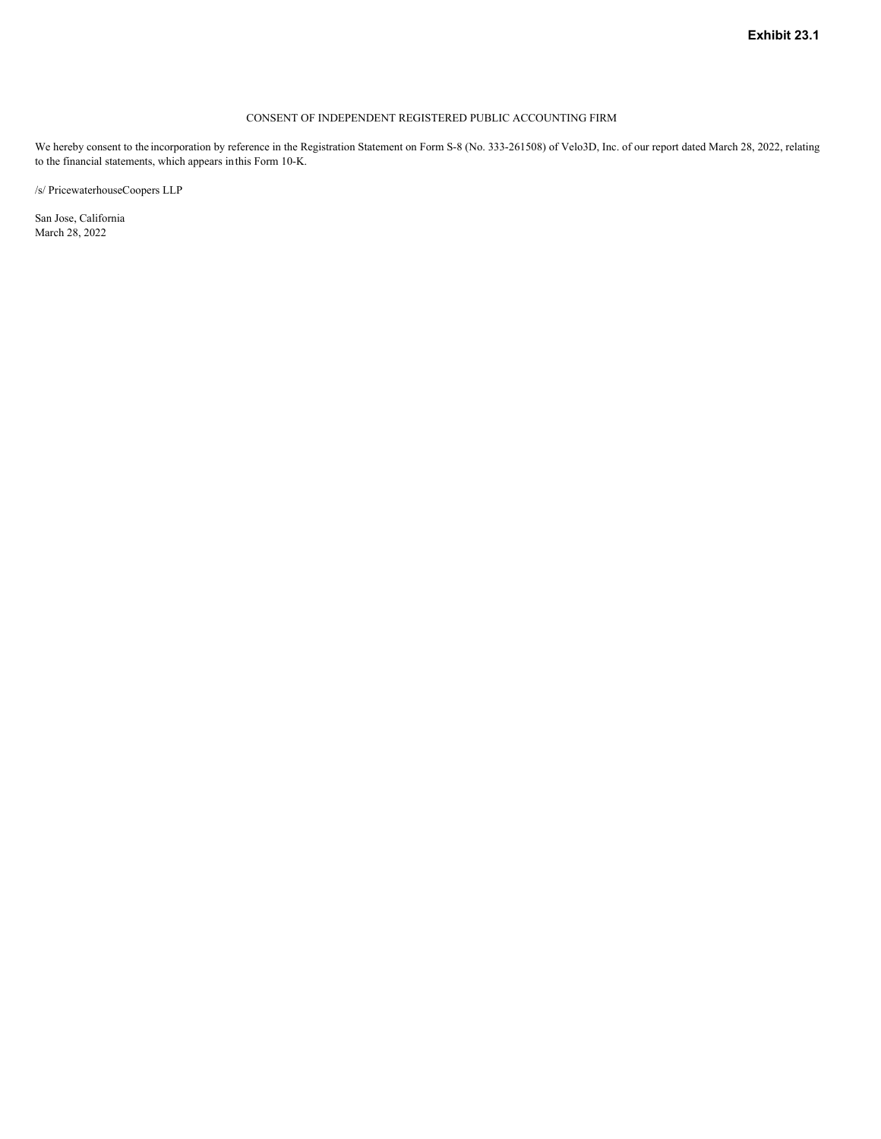# CONSENT OF INDEPENDENT REGISTERED PUBLIC ACCOUNTING FIRM

<span id="page-126-0"></span>We hereby consent to the incorporation by reference in the Registration Statement on Form S-8 (No. 333-261508) of Velo3D, Inc. of our report dated March 28, 2022, relating to the financial statements, which appears inthis Form 10-K.

/s/ PricewaterhouseCoopers LLP

San Jose, California March 28, 2022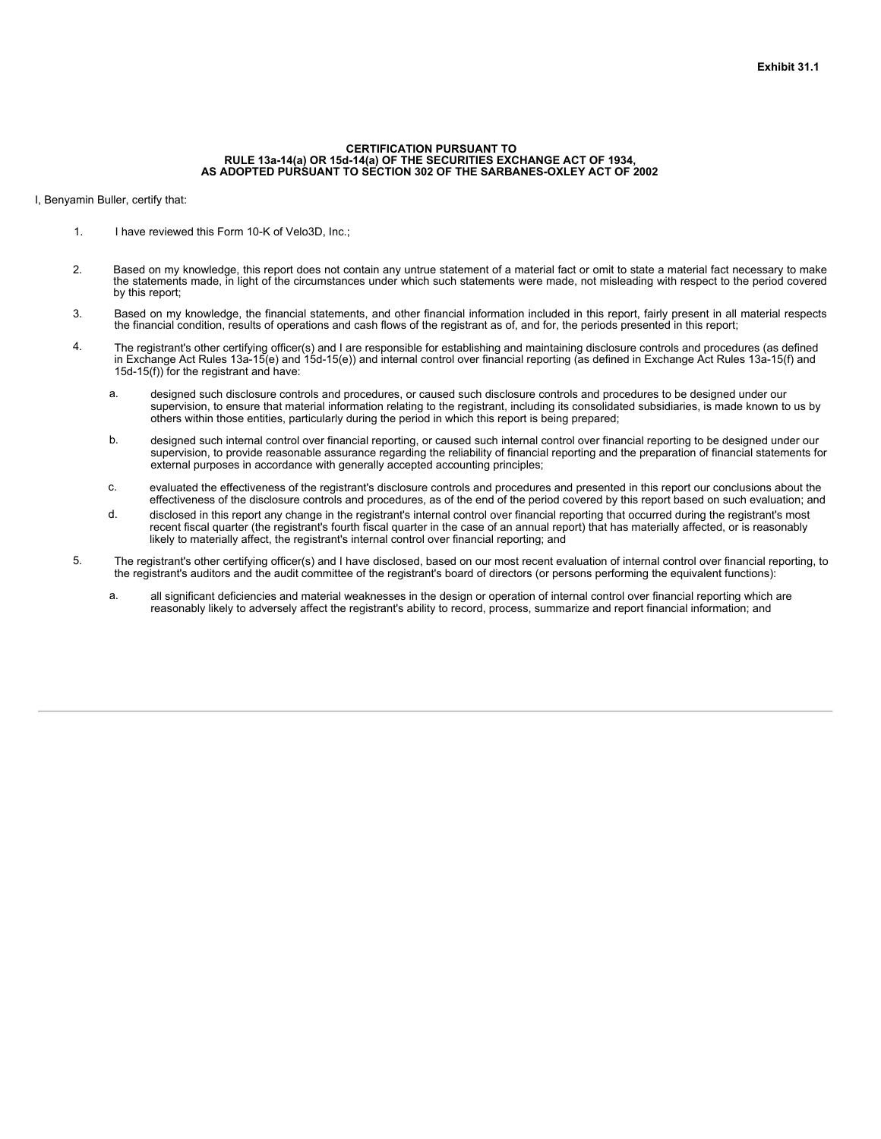# **CERTIFICATION PURSUANT TO RULE 13a-14(a) OR 15d-14(a) OF THE SECURITIES EXCHANGE ACT OF 1934, AS ADOPTED PURSUANT TO SECTION 302 OF THE SARBANES-OXLEY ACT OF 2002**

<span id="page-127-0"></span>I, Benyamin Buller, certify that:

- 1. I have reviewed this Form 10-K of Velo3D, Inc.;
- 2. Based on my knowledge, this report does not contain any untrue statement of a material fact or omit to state a material fact necessary to make the statements made, in light of the circumstances under which such statements were made, not misleading with respect to the period covered by this report;
- 3. Based on my knowledge, the financial statements, and other financial information included in this report, fairly present in all material respects the financial condition, results of operations and cash flows of the registrant as of, and for, the periods presented in this report;
- 4. The registrant's other certifying officer(s) and I are responsible for establishing and maintaining disclosure controls and procedures (as defined in Exchange Act Rules 13a-15(e) and 15d-15(e)) and internal control over financial reporting (as defined in Exchange Act Rules 13a-15(f) and 15d-15(f)) for the registrant and have:
	- a. designed such disclosure controls and procedures, or caused such disclosure controls and procedures to be designed under our supervision, to ensure that material information relating to the registrant, including its consolidated subsidiaries, is made known to us by others within those entities, particularly during the period in which this report is being prepared;
	- b. designed such internal control over financial reporting, or caused such internal control over financial reporting to be designed under our supervision, to provide reasonable assurance regarding the reliability of financial reporting and the preparation of financial statements for external purposes in accordance with generally accepted accounting principles;
	- c. evaluated the effectiveness of the registrant's disclosure controls and procedures and presented in this report our conclusions about the effectiveness of the disclosure controls and procedures, as of the end of the period covered by this report based on such evaluation; and
	- d. disclosed in this report any change in the registrant's internal control over financial reporting that occurred during the registrant's most recent fiscal quarter (the registrant's fourth fiscal quarter in the case of an annual report) that has materially affected, or is reasonably likely to materially affect, the registrant's internal control over financial reporting; and
- 5. The registrant's other certifying officer(s) and I have disclosed, based on our most recent evaluation of internal control over financial reporting, to the registrant's auditors and the audit committee of the registrant's board of directors (or persons performing the equivalent functions):
	- a. all significant deficiencies and material weaknesses in the design or operation of internal control over financial reporting which are reasonably likely to adversely affect the registrant's ability to record, process, summarize and report financial information; and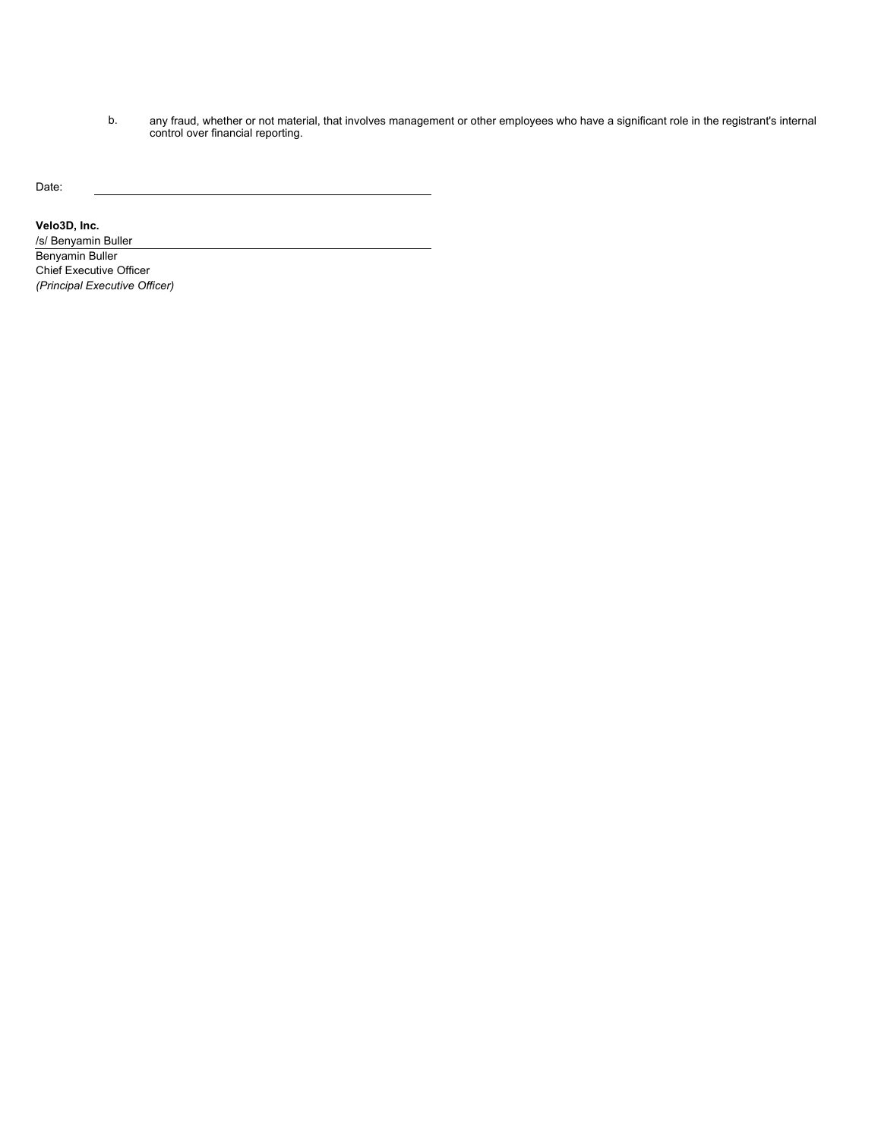b. any fraud, whether or not material, that involves management or other employees who have a significant role in the registrant's internal control over financial reporting.

Date:

# **Velo3D, Inc.**

/s/ Benyamin Buller Benyamin Buller Chief Executive Officer *(Principal Executive Officer)*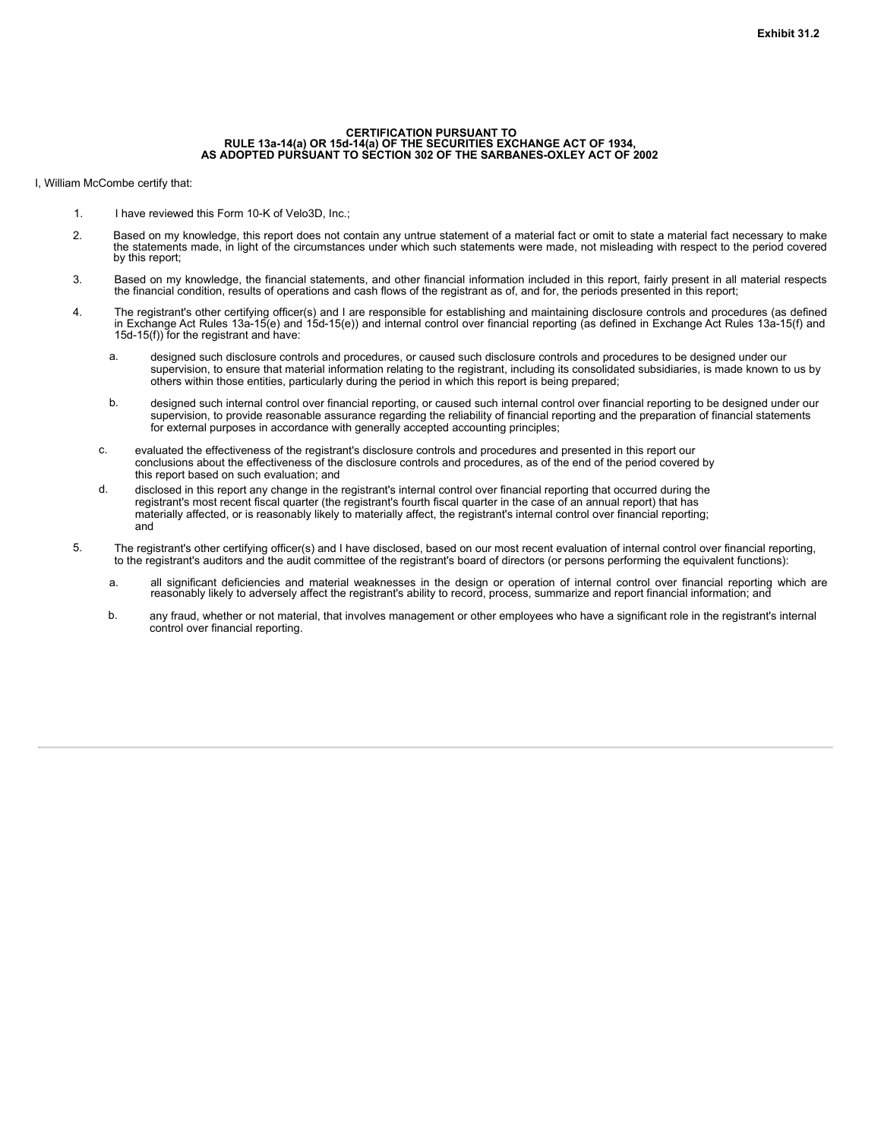# CERTIFICATION PURSUANT TO<br>RULE 13a-14(a) OR 15d-14(a) OF THE SECURITIES EXCHANGE ACT OF 1934,<br>AS ADOPTED PURSUANT TO SECTION 302 OF THE SARBANES-OXLEY ACT OF 2002

<span id="page-129-0"></span>I, William McCombe certify that:

- 1. I have reviewed this Form 10-K of Velo3D, Inc.;
- 2. Based on my knowledge, this report does not contain any untrue statement of a material fact or omit to state a material fact necessary to make the statements made, in light of the circumstances under which such statements were made, not misleading with respect to the period covered by this report;
- 3. Based on my knowledge, the financial statements, and other financial information included in this report, fairly present in all material respects the financial condition, results of operations and cash flows of the registrant as of, and for, the periods presented in this report;
- 4. The registrant's other certifying officer(s) and I are responsible for establishing and maintaining disclosure controls and procedures (as defined<br>in Exchange Act Rules 13a-15(e) and 15d-15(e)) and internal control over 15d-15(f)) for the registrant and have:
	- a. designed such disclosure controls and procedures, or caused such disclosure controls and procedures to be designed under our supervision, to ensure that material information relating to the registrant, including its consolidated subsidiaries, is made known to us by others within those entities, particularly during the period in which this report is being prepared;
	- b. designed such internal control over financial reporting, or caused such internal control over financial reporting to be designed under our supervision, to provide reasonable assurance regarding the reliability of financial reporting and the preparation of financial statements for external purposes in accordance with generally accepted accounting principles;
	- c. evaluated the effectiveness of the registrant's disclosure controls and procedures and presented in this report our conclusions about the effectiveness of the disclosure controls and procedures, as of the end of the period covered by this report based on such evaluation; and
	- d. disclosed in this report any change in the registrant's internal control over financial reporting that occurred during the registrant's most recent fiscal quarter (the registrant's fourth fiscal quarter in the case of an annual report) that has materially affected, or is reasonably likely to materially affect, the registrant's internal control over financial reporting; and
- 5. The registrant's other certifying officer(s) and I have disclosed, based on our most recent evaluation of internal control over financial reporting, to the registrant's auditors and the audit committee of the registrant's board of directors (or persons performing the equivalent functions):
	- a. all significant deficiencies and material weaknesses in the design or operation of internal control over financial reporting which are<br>reasonably likely to adversely affect the registrant's ability to record, process, s
	- b. any fraud, whether or not material, that involves management or other employees who have a significant role in the registrant's internal control over financial reporting.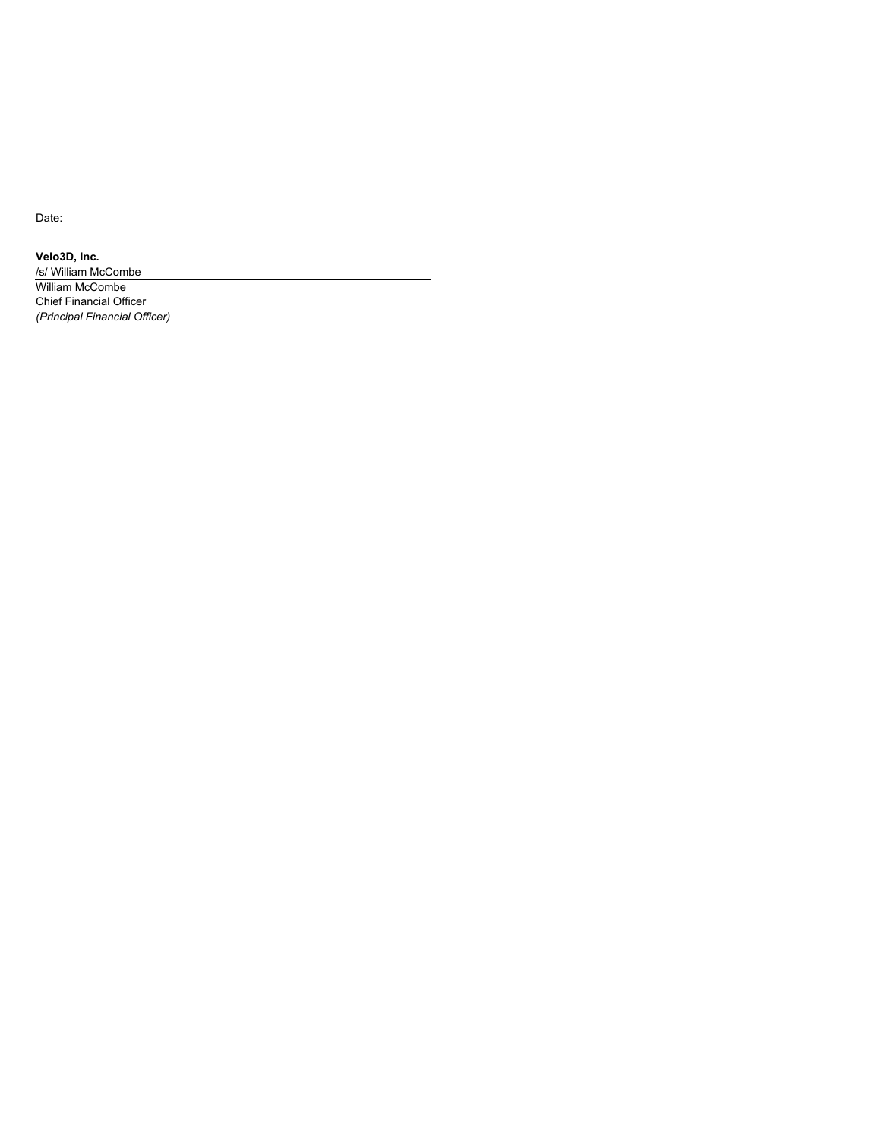Date:

**Velo3D, Inc.** /s/ William McCombe William McCombe Chief Financial Officer *(Principal Financial Officer)*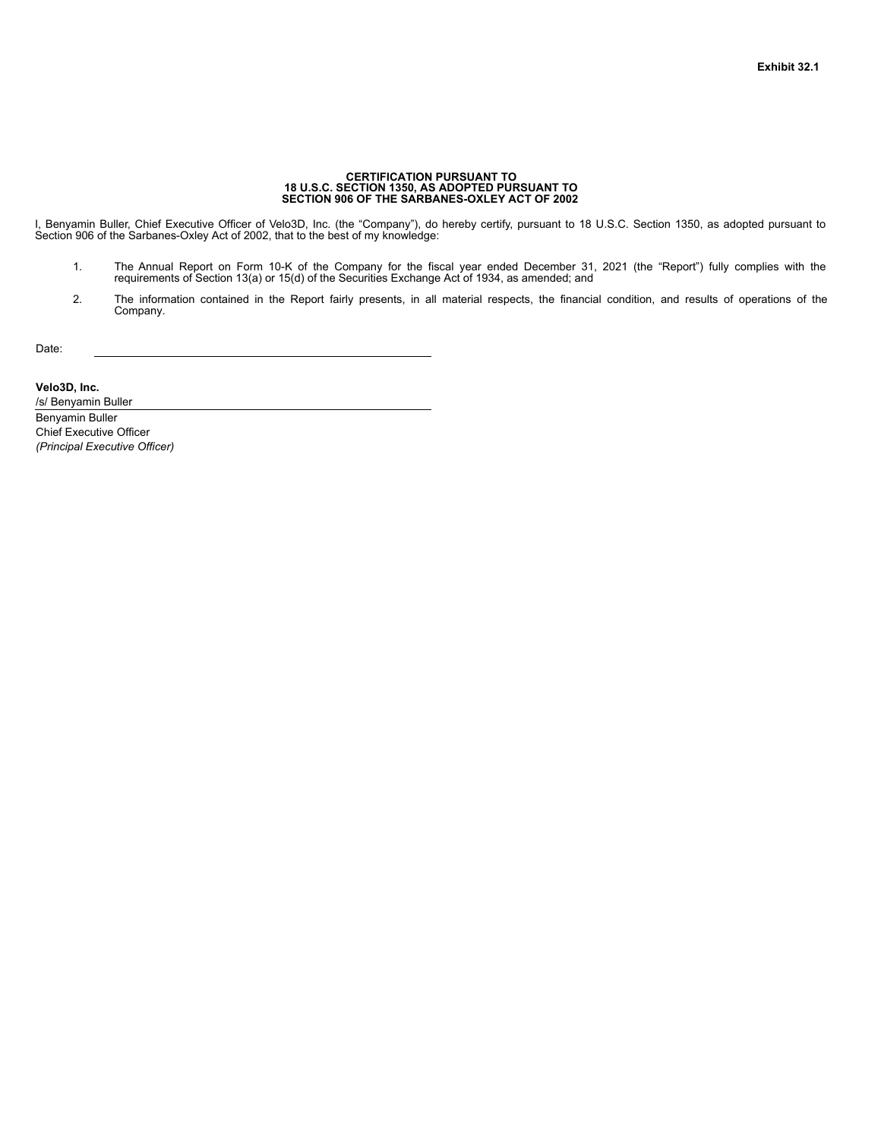# CERTIFICATION PURSUANT TO<br>18 U.S.C. SECTION 1350, AS ADOPTED PURSUANT TO<br>SECTION 906 OF THE SARBANES-OXLEY ACT OF 2002

<span id="page-131-0"></span>I, Benyamin Buller, Chief Executive Officer of Velo3D, Inc. (the "Company"), do hereby certify, pursuant to 18 U.S.C. Section 1350, as adopted pursuant to<br>Section 906 of the Sarbanes-Oxley Act of 2002, that to the best of

- 1. The Annual Report on Form 10-K of the Company for the fiscal year ended December 31, 2021 (the "Report") fully complies with the requirements of Section 13(a) or 15(d) of the Securities Exchange Act of 1934, as amended;
- 2. The information contained in the Report fairly presents, in all material respects, the financial condition, and results of operations of the Company.

Date:

**Velo3D, Inc.**

/s/ Benyamin Buller Benyamin Buller Chief Executive Officer *(Principal Executive Officer)*